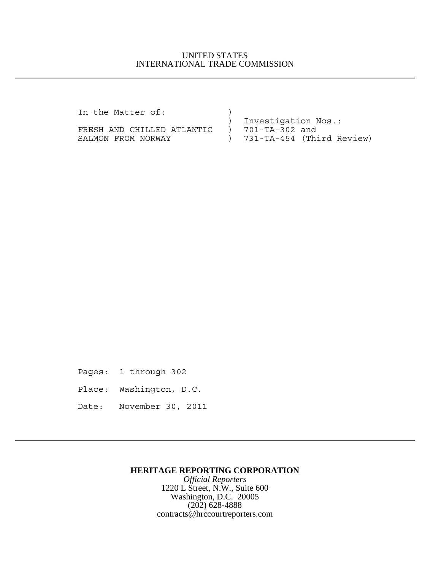### UNITED STATES INTERNATIONAL TRADE COMMISSION

In the Matter of:  $)$ 

) Investigation Nos.:<br>) 701-TA-302 and FRESH AND CHILLED ATLANTIC SALMON FROM NORWAY ) 731-TA-454 (Third Review)

Pages: 1 through 302

Place: Washington, D.C.

Date: November 30, 2011

#### **HERITAGE REPORTING CORPORATION**

*Official Reporters* 1220 L Street, N.W., Suite 600 Washington, D.C. 20005 (202) 628-4888 contracts@hrccourtreporters.com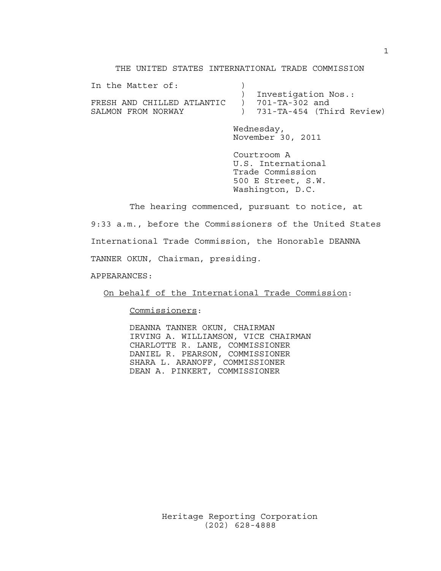#### THE UNITED STATES INTERNATIONAL TRADE COMMISSION

| In the Matter of:          |                             |
|----------------------------|-----------------------------|
|                            | Investigation Nos.:         |
| FRESH AND CHILLED ATLANTIC | 701-TA-302 and              |
| SALMON FROM NORWAY         | ) 731-TA-454 (Third Review) |

Wednesday, November 30, 2011

Courtroom A U.S. International Trade Commission 500 E Street, S.W. Washington, D.C.

The hearing commenced, pursuant to notice, at 9:33 a.m., before the Commissioners of the United States International Trade Commission, the Honorable DEANNA TANNER OKUN, Chairman, presiding.

APPEARANCES:

On behalf of the International Trade Commission:

Commissioners:

 DEANNA TANNER OKUN, CHAIRMAN IRVING A. WILLIAMSON, VICE CHAIRMAN CHARLOTTE R. LANE, COMMISSIONER DANIEL R. PEARSON, COMMISSIONER SHARA L. ARANOFF, COMMISSIONER DEAN A. PINKERT, COMMISSIONER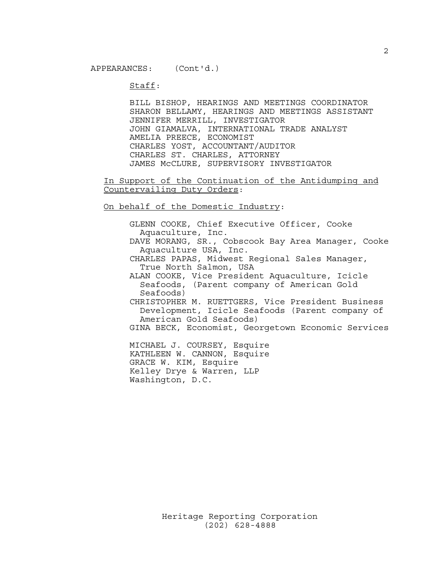Staff:

BILL BISHOP, HEARINGS AND MEETINGS COORDINATOR SHARON BELLAMY, HEARINGS AND MEETINGS ASSISTANT JENNIFER MERRILL, INVESTIGATOR JOHN GIAMALVA, INTERNATIONAL TRADE ANALYST AMELIA PREECE, ECONOMIST CHARLES YOST, ACCOUNTANT/AUDITOR CHARLES ST. CHARLES, ATTORNEY JAMES McCLURE, SUPERVISORY INVESTIGATOR

In Support of the Continuation of the Antidumping and Countervailing Duty Orders:

On behalf of the Domestic Industry:

Washington, D.C.

GLENN COOKE, Chief Executive Officer, Cooke Aquaculture, Inc. DAVE MORANG, SR., Cobscook Bay Area Manager, Cooke Aquaculture USA, Inc. CHARLES PAPAS, Midwest Regional Sales Manager, True North Salmon, USA ALAN COOKE, Vice President Aquaculture, Icicle Seafoods, (Parent company of American Gold Seafoods) CHRISTOPHER M. RUETTGERS, Vice President Business Development, Icicle Seafoods (Parent company of American Gold Seafoods) GINA BECK, Economist, Georgetown Economic Services MICHAEL J. COURSEY, Esquire KATHLEEN W. CANNON, Esquire GRACE W. KIM, Esquire Kelley Drye & Warren, LLP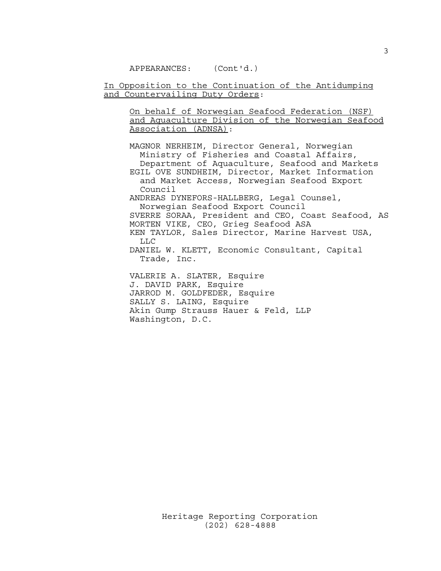APPEARANCES: (Cont'd.)

Washington, D.C.

In Opposition to the Continuation of the Antidumping and Countervailing Duty Orders:

On behalf of Norwegian Seafood Federation (NSF) and Aquaculture Division of the Norwegian Seafood Association (ADNSA):

MAGNOR NERHEIM, Director General, Norwegian Ministry of Fisheries and Coastal Affairs, Department of Aquaculture, Seafood and Markets EGIL OVE SUNDHEIM, Director, Market Information and Market Access, Norwegian Seafood Export Council ANDREAS DYNEFORS-HALLBERG, Legal Counsel, Norwegian Seafood Export Council SVERRE SORAA, President and CEO, Coast Seafood, AS MORTEN VIKE, CEO, Grieg Seafood ASA KEN TAYLOR, Sales Director, Marine Harvest USA, LLC DANIEL W. KLETT, Economic Consultant, Capital Trade, Inc. VALERIE A. SLATER, Esquire J. DAVID PARK, Esquire JARROD M. GOLDFEDER, Esquire SALLY S. LAING, Esquire Akin Gump Strauss Hauer & Feld, LLP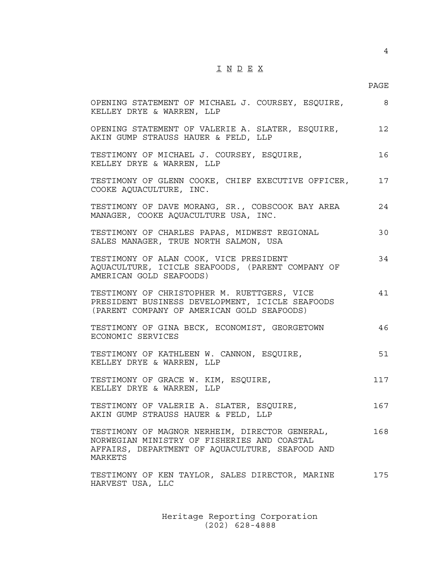# I N D E X

### PAGE

| OPENING STATEMENT OF MICHAEL J. COURSEY, ESQUIRE,<br>KELLEY DRYE & WARREN, LLP                                                                              | 8   |
|-------------------------------------------------------------------------------------------------------------------------------------------------------------|-----|
| OPENING STATEMENT OF VALERIE A. SLATER, ESQUIRE,<br>AKIN GUMP STRAUSS HAUER & FELD, LLP                                                                     | 12  |
| TESTIMONY OF MICHAEL J. COURSEY, ESQUIRE,<br>KELLEY DRYE & WARREN, LLP                                                                                      | 16  |
| TESTIMONY OF GLENN COOKE, CHIEF EXECUTIVE OFFICER,<br>COOKE AQUACULTURE, INC.                                                                               | 17  |
| TESTIMONY OF DAVE MORANG, SR., COBSCOOK BAY AREA<br>MANAGER, COOKE AQUACULTURE USA, INC.                                                                    | 24  |
| TESTIMONY OF CHARLES PAPAS, MIDWEST REGIONAL<br>SALES MANAGER, TRUE NORTH SALMON, USA                                                                       | 30  |
| TESTIMONY OF ALAN COOK, VICE PRESIDENT<br>AQUACULTURE, ICICLE SEAFOODS, (PARENT COMPANY OF<br>AMERICAN GOLD SEAFOODS)                                       | 34  |
| TESTIMONY OF CHRISTOPHER M. RUETTGERS, VICE<br>PRESIDENT BUSINESS DEVELOPMENT, ICICLE SEAFOODS<br>(PARENT COMPANY OF AMERICAN GOLD SEAFOODS)                | 41  |
| TESTIMONY OF GINA BECK, ECONOMIST, GEORGETOWN<br>ECONOMIC SERVICES                                                                                          | 46  |
| TESTIMONY OF KATHLEEN W. CANNON, ESQUIRE,<br>KELLEY DRYE & WARREN, LLP                                                                                      | 51  |
| TESTIMONY OF GRACE W. KIM, ESQUIRE,<br>KELLEY DRYE & WARREN, LLP                                                                                            | 117 |
| TESTIMONY OF VALERIE A. SLATER, ESQUIRE,<br>AKIN GUMP STRAUSS HAUER & FELD, LLP                                                                             | 167 |
| TESTIMONY OF MAGNOR NERHEIM, DIRECTOR GENERAL,<br>NORWEGIAN MINISTRY OF FISHERIES AND COASTAL<br>AFFAIRS, DEPARTMENT OF AQUACULTURE, SEAFOOD AND<br>MARKETS | 168 |
| TESTIMONY OF KEN TAYLOR, SALES DIRECTOR, MARINE<br>HARVEST USA, LLC                                                                                         | 175 |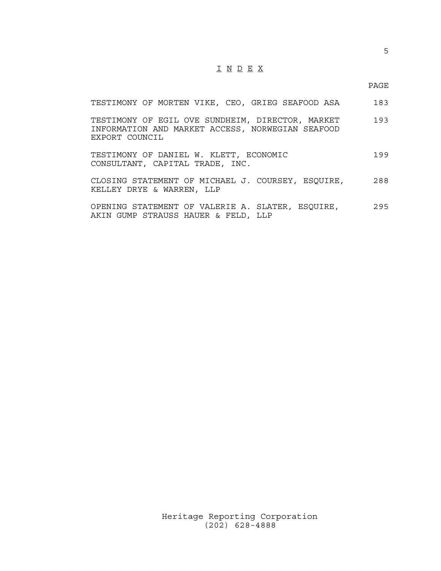# I N D E X

PAGE

| TESTIMONY OF MORTEN VIKE, CEO, GRIEG SEAFOOD ASA                                                                       | 183 |
|------------------------------------------------------------------------------------------------------------------------|-----|
| TESTIMONY OF EGIL OVE SUNDHEIM, DIRECTOR, MARKET<br>INFORMATION AND MARKET ACCESS, NORWEGIAN SEAFOOD<br>EXPORT COUNCIL | 193 |
| TESTIMONY OF DANIEL W. KLETT, ECONOMIC<br>CONSULTANT, CAPITAL TRADE, INC.                                              | 199 |
| CLOSING STATEMENT OF MICHAEL J. COURSEY, ESQUIRE,<br>KELLEY DRYE & WARREN, LLP                                         | 288 |
| OPENING STATEMENT OF VALERIE A. SLATER, ESQUIRE,<br>AKIN GUMP STRAUSS HAUER & FELD, LLP                                | 295 |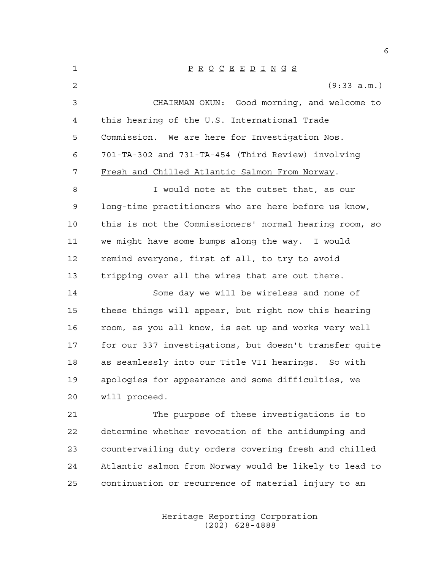P R O C E E D I N G S (9:33 a.m.) CHAIRMAN OKUN: Good morning, and welcome to this hearing of the U.S. International Trade Commission. We are here for Investigation Nos. 701-TA-302 and 731-TA-454 (Third Review) involving Fresh and Chilled Atlantic Salmon From Norway. I would note at the outset that, as our long-time practitioners who are here before us know, this is not the Commissioners' normal hearing room, so we might have some bumps along the way. I would remind everyone, first of all, to try to avoid tripping over all the wires that are out there. Some day we will be wireless and none of these things will appear, but right now this hearing room, as you all know, is set up and works very well for our 337 investigations, but doesn't transfer quite as seamlessly into our Title VII hearings. So with apologies for appearance and some difficulties, we will proceed. The purpose of these investigations is to determine whether revocation of the antidumping and countervailing duty orders covering fresh and chilled Atlantic salmon from Norway would be likely to lead to continuation or recurrence of material injury to an

> Heritage Reporting Corporation (202) 628-4888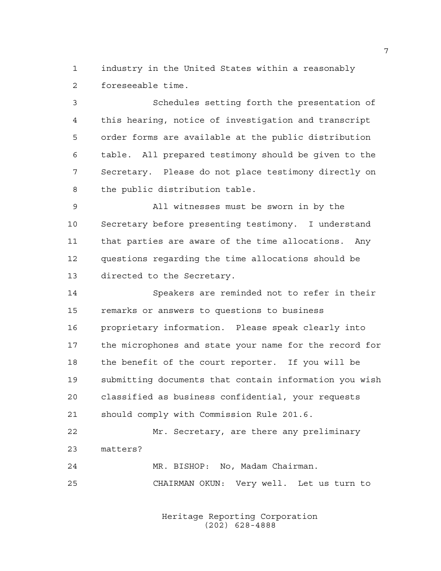industry in the United States within a reasonably foreseeable time.

 Schedules setting forth the presentation of this hearing, notice of investigation and transcript order forms are available at the public distribution table. All prepared testimony should be given to the Secretary. Please do not place testimony directly on the public distribution table.

 All witnesses must be sworn in by the Secretary before presenting testimony. I understand that parties are aware of the time allocations. Any questions regarding the time allocations should be directed to the Secretary.

 Speakers are reminded not to refer in their remarks or answers to questions to business proprietary information. Please speak clearly into the microphones and state your name for the record for the benefit of the court reporter. If you will be submitting documents that contain information you wish classified as business confidential, your requests should comply with Commission Rule 201.6.

 Mr. Secretary, are there any preliminary matters?

 MR. BISHOP: No, Madam Chairman. CHAIRMAN OKUN: Very well. Let us turn to

> Heritage Reporting Corporation (202) 628-4888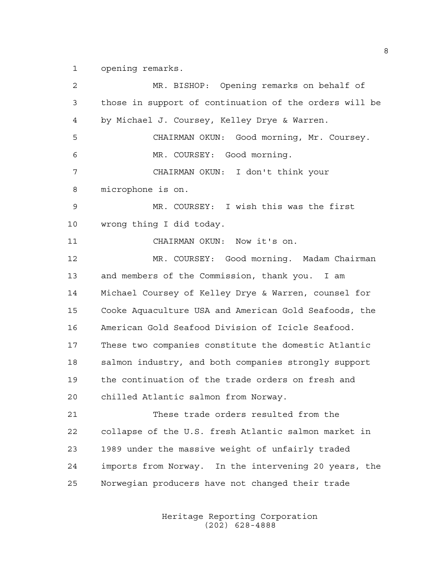opening remarks.

 MR. BISHOP: Opening remarks on behalf of those in support of continuation of the orders will be by Michael J. Coursey, Kelley Drye & Warren. CHAIRMAN OKUN: Good morning, Mr. Coursey. MR. COURSEY: Good morning. CHAIRMAN OKUN: I don't think your microphone is on. MR. COURSEY: I wish this was the first wrong thing I did today. CHAIRMAN OKUN: Now it's on. MR. COURSEY: Good morning. Madam Chairman and members of the Commission, thank you. I am Michael Coursey of Kelley Drye & Warren, counsel for Cooke Aquaculture USA and American Gold Seafoods, the American Gold Seafood Division of Icicle Seafood. These two companies constitute the domestic Atlantic salmon industry, and both companies strongly support the continuation of the trade orders on fresh and chilled Atlantic salmon from Norway. These trade orders resulted from the collapse of the U.S. fresh Atlantic salmon market in 1989 under the massive weight of unfairly traded imports from Norway. In the intervening 20 years, the Norwegian producers have not changed their trade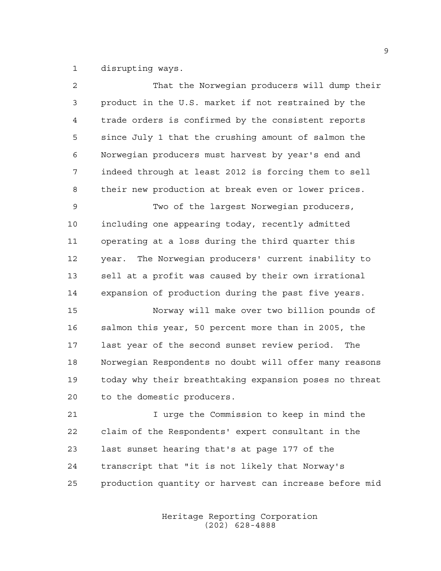disrupting ways.

| $\overline{a}$ | That the Norwegian producers will dump their           |
|----------------|--------------------------------------------------------|
| 3              | product in the U.S. market if not restrained by the    |
| 4              | trade orders is confirmed by the consistent reports    |
| 5              | since July 1 that the crushing amount of salmon the    |
| 6              | Norwegian producers must harvest by year's end and     |
| 7              | indeed through at least 2012 is forcing them to sell   |
| 8              | their new production at break even or lower prices.    |
| 9              | Two of the largest Norwegian producers,                |
| 10             | including one appearing today, recently admitted       |
| 11             | operating at a loss during the third quarter this      |
| 12             | year. The Norwegian producers' current inability to    |
| 13             | sell at a profit was caused by their own irrational    |
| 14             | expansion of production during the past five years.    |
| 15             | Norway will make over two billion pounds of            |
| 16             | salmon this year, 50 percent more than in 2005, the    |
| 17             | last year of the second sunset review period.<br>The   |
| 18             | Norwegian Respondents no doubt will offer many reasons |
| 19             | today why their breathtaking expansion poses no threat |
| 20             | to the domestic producers.                             |
| 21             | I urge the Commission to keep in mind the              |
| 22             | claim of the Respondents' expert consultant in the     |
| 23             | last sunset hearing that's at page 177 of the          |
| 24             | transcript that "it is not likely that Norway's        |
| 25             | production quantity or harvest can increase before mid |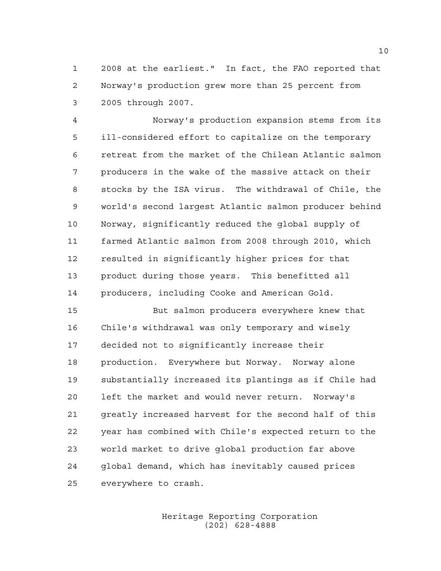2008 at the earliest." In fact, the FAO reported that Norway's production grew more than 25 percent from 2005 through 2007.

 Norway's production expansion stems from its ill-considered effort to capitalize on the temporary retreat from the market of the Chilean Atlantic salmon producers in the wake of the massive attack on their stocks by the ISA virus. The withdrawal of Chile, the world's second largest Atlantic salmon producer behind Norway, significantly reduced the global supply of farmed Atlantic salmon from 2008 through 2010, which resulted in significantly higher prices for that product during those years. This benefitted all producers, including Cooke and American Gold.

 But salmon producers everywhere knew that Chile's withdrawal was only temporary and wisely decided not to significantly increase their production. Everywhere but Norway. Norway alone substantially increased its plantings as if Chile had left the market and would never return. Norway's greatly increased harvest for the second half of this year has combined with Chile's expected return to the world market to drive global production far above global demand, which has inevitably caused prices everywhere to crash.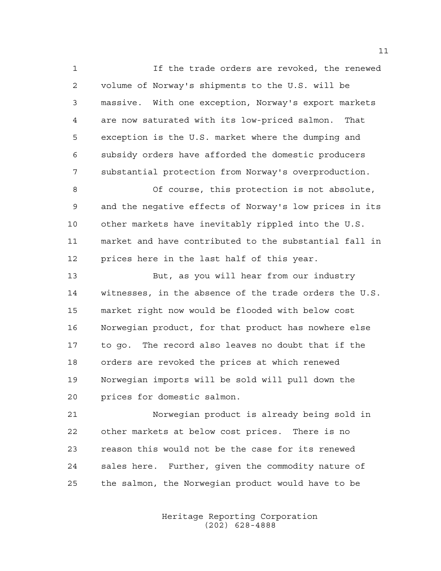If the trade orders are revoked, the renewed volume of Norway's shipments to the U.S. will be massive. With one exception, Norway's export markets are now saturated with its low-priced salmon. That exception is the U.S. market where the dumping and subsidy orders have afforded the domestic producers substantial protection from Norway's overproduction. Of course, this protection is not absolute, and the negative effects of Norway's low prices in its other markets have inevitably rippled into the U.S. market and have contributed to the substantial fall in prices here in the last half of this year. But, as you will hear from our industry witnesses, in the absence of the trade orders the U.S. market right now would be flooded with below cost Norwegian product, for that product has nowhere else to go. The record also leaves no doubt that if the orders are revoked the prices at which renewed

 Norwegian imports will be sold will pull down the prices for domestic salmon.

 Norwegian product is already being sold in other markets at below cost prices. There is no reason this would not be the case for its renewed sales here. Further, given the commodity nature of the salmon, the Norwegian product would have to be

> Heritage Reporting Corporation (202) 628-4888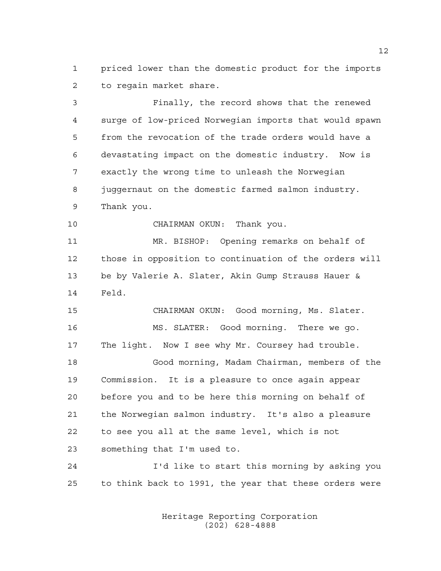priced lower than the domestic product for the imports to regain market share.

 Finally, the record shows that the renewed surge of low-priced Norwegian imports that would spawn from the revocation of the trade orders would have a devastating impact on the domestic industry. Now is exactly the wrong time to unleash the Norwegian juggernaut on the domestic farmed salmon industry. Thank you. CHAIRMAN OKUN: Thank you. MR. BISHOP: Opening remarks on behalf of those in opposition to continuation of the orders will be by Valerie A. Slater, Akin Gump Strauss Hauer & Feld. CHAIRMAN OKUN: Good morning, Ms. Slater. MS. SLATER: Good morning. There we go. The light. Now I see why Mr. Coursey had trouble. Good morning, Madam Chairman, members of the Commission. It is a pleasure to once again appear before you and to be here this morning on behalf of the Norwegian salmon industry. It's also a pleasure to see you all at the same level, which is not something that I'm used to. I'd like to start this morning by asking you

> Heritage Reporting Corporation (202) 628-4888

to think back to 1991, the year that these orders were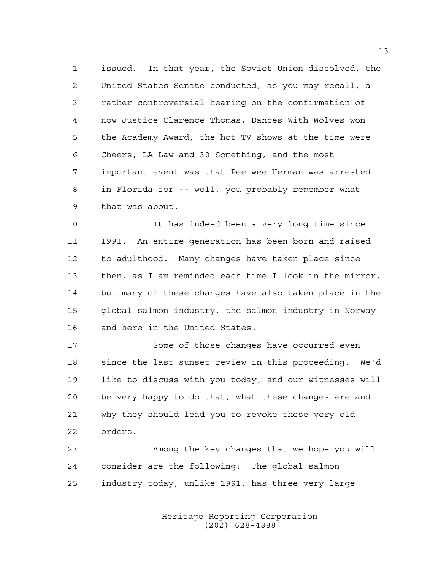issued. In that year, the Soviet Union dissolved, the United States Senate conducted, as you may recall, a rather controversial hearing on the confirmation of now Justice Clarence Thomas, Dances With Wolves won the Academy Award, the hot TV shows at the time were Cheers, LA Law and 30 Something, and the most important event was that Pee-wee Herman was arrested in Florida for -- well, you probably remember what that was about.

 It has indeed been a very long time since 1991. An entire generation has been born and raised to adulthood. Many changes have taken place since then, as I am reminded each time I look in the mirror, but many of these changes have also taken place in the global salmon industry, the salmon industry in Norway and here in the United States.

 Some of those changes have occurred even since the last sunset review in this proceeding. We'd like to discuss with you today, and our witnesses will be very happy to do that, what these changes are and why they should lead you to revoke these very old orders.

 Among the key changes that we hope you will consider are the following: The global salmon industry today, unlike 1991, has three very large

> Heritage Reporting Corporation (202) 628-4888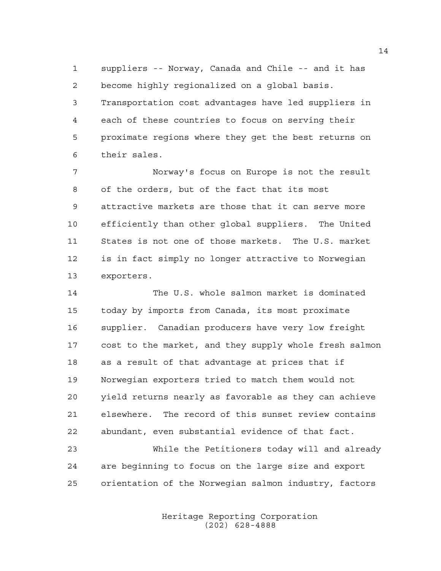suppliers -- Norway, Canada and Chile -- and it has become highly regionalized on a global basis. Transportation cost advantages have led suppliers in each of these countries to focus on serving their proximate regions where they get the best returns on their sales.

 Norway's focus on Europe is not the result of the orders, but of the fact that its most attractive markets are those that it can serve more efficiently than other global suppliers. The United States is not one of those markets. The U.S. market is in fact simply no longer attractive to Norwegian exporters.

 The U.S. whole salmon market is dominated today by imports from Canada, its most proximate supplier. Canadian producers have very low freight cost to the market, and they supply whole fresh salmon as a result of that advantage at prices that if Norwegian exporters tried to match them would not yield returns nearly as favorable as they can achieve elsewhere. The record of this sunset review contains abundant, even substantial evidence of that fact.

 While the Petitioners today will and already are beginning to focus on the large size and export orientation of the Norwegian salmon industry, factors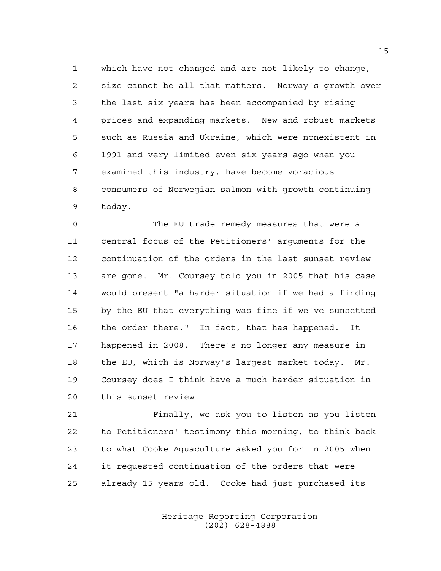which have not changed and are not likely to change, size cannot be all that matters. Norway's growth over the last six years has been accompanied by rising prices and expanding markets. New and robust markets such as Russia and Ukraine, which were nonexistent in 1991 and very limited even six years ago when you examined this industry, have become voracious consumers of Norwegian salmon with growth continuing today.

 The EU trade remedy measures that were a central focus of the Petitioners' arguments for the continuation of the orders in the last sunset review are gone. Mr. Coursey told you in 2005 that his case would present "a harder situation if we had a finding by the EU that everything was fine if we've sunsetted the order there." In fact, that has happened. It happened in 2008. There's no longer any measure in the EU, which is Norway's largest market today. Mr. Coursey does I think have a much harder situation in this sunset review.

 Finally, we ask you to listen as you listen to Petitioners' testimony this morning, to think back to what Cooke Aquaculture asked you for in 2005 when it requested continuation of the orders that were already 15 years old. Cooke had just purchased its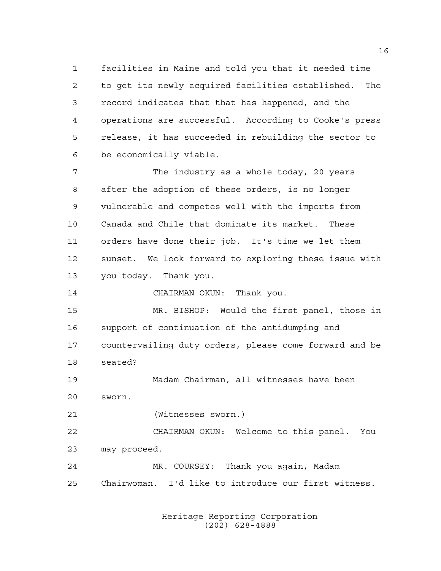facilities in Maine and told you that it needed time to get its newly acquired facilities established. The record indicates that that has happened, and the operations are successful. According to Cooke's press release, it has succeeded in rebuilding the sector to be economically viable.

7 The industry as a whole today, 20 years after the adoption of these orders, is no longer vulnerable and competes well with the imports from Canada and Chile that dominate its market. These orders have done their job. It's time we let them sunset. We look forward to exploring these issue with you today. Thank you.

CHAIRMAN OKUN: Thank you.

 MR. BISHOP: Would the first panel, those in support of continuation of the antidumping and countervailing duty orders, please come forward and be seated?

 Madam Chairman, all witnesses have been sworn.

(Witnesses sworn.)

 CHAIRMAN OKUN: Welcome to this panel. You may proceed.

 MR. COURSEY: Thank you again, Madam Chairwoman. I'd like to introduce our first witness.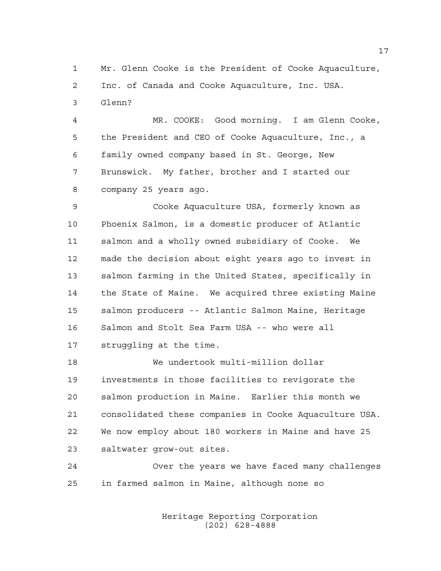Mr. Glenn Cooke is the President of Cooke Aquaculture, Inc. of Canada and Cooke Aquaculture, Inc. USA.

Glenn?

 MR. COOKE: Good morning. I am Glenn Cooke, the President and CEO of Cooke Aquaculture, Inc., a family owned company based in St. George, New Brunswick. My father, brother and I started our company 25 years ago.

 Cooke Aquaculture USA, formerly known as Phoenix Salmon, is a domestic producer of Atlantic salmon and a wholly owned subsidiary of Cooke. We made the decision about eight years ago to invest in salmon farming in the United States, specifically in the State of Maine. We acquired three existing Maine salmon producers -- Atlantic Salmon Maine, Heritage Salmon and Stolt Sea Farm USA -- who were all struggling at the time.

 We undertook multi-million dollar investments in those facilities to revigorate the salmon production in Maine. Earlier this month we consolidated these companies in Cooke Aquaculture USA. We now employ about 180 workers in Maine and have 25 saltwater grow-out sites.

 Over the years we have faced many challenges in farmed salmon in Maine, although none so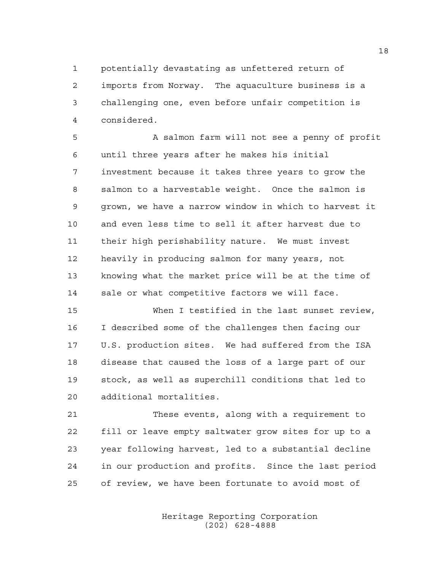potentially devastating as unfettered return of

 imports from Norway. The aquaculture business is a challenging one, even before unfair competition is considered.

 A salmon farm will not see a penny of profit until three years after he makes his initial investment because it takes three years to grow the salmon to a harvestable weight. Once the salmon is grown, we have a narrow window in which to harvest it and even less time to sell it after harvest due to their high perishability nature. We must invest heavily in producing salmon for many years, not knowing what the market price will be at the time of sale or what competitive factors we will face.

 When I testified in the last sunset review, I described some of the challenges then facing our U.S. production sites. We had suffered from the ISA disease that caused the loss of a large part of our stock, as well as superchill conditions that led to additional mortalities.

 These events, along with a requirement to fill or leave empty saltwater grow sites for up to a year following harvest, led to a substantial decline in our production and profits. Since the last period of review, we have been fortunate to avoid most of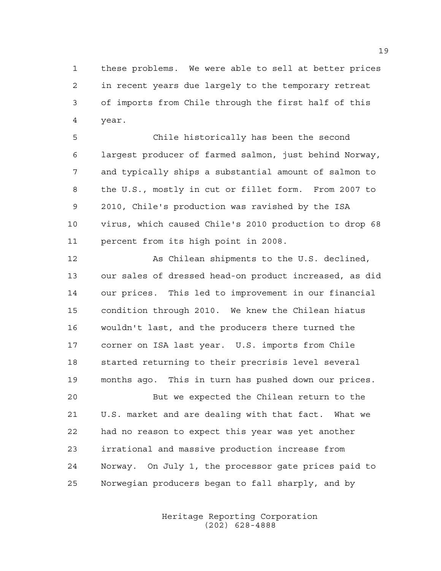these problems. We were able to sell at better prices in recent years due largely to the temporary retreat of imports from Chile through the first half of this year.

 Chile historically has been the second largest producer of farmed salmon, just behind Norway, and typically ships a substantial amount of salmon to the U.S., mostly in cut or fillet form. From 2007 to 2010, Chile's production was ravished by the ISA virus, which caused Chile's 2010 production to drop 68 percent from its high point in 2008.

12 As Chilean shipments to the U.S. declined, our sales of dressed head-on product increased, as did our prices. This led to improvement in our financial condition through 2010. We knew the Chilean hiatus wouldn't last, and the producers there turned the corner on ISA last year. U.S. imports from Chile started returning to their precrisis level several months ago. This in turn has pushed down our prices. But we expected the Chilean return to the U.S. market and are dealing with that fact. What we had no reason to expect this year was yet another irrational and massive production increase from Norway. On July 1, the processor gate prices paid to

Norwegian producers began to fall sharply, and by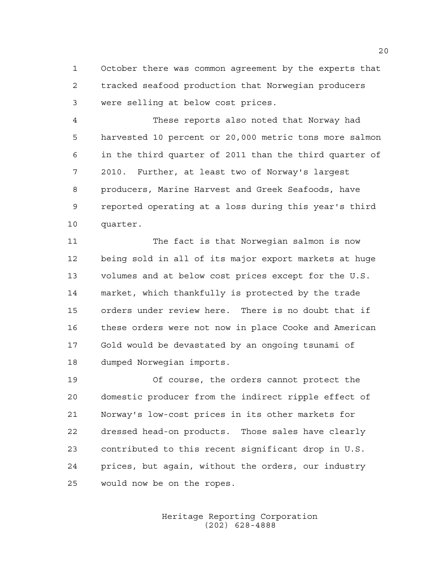October there was common agreement by the experts that tracked seafood production that Norwegian producers were selling at below cost prices.

 These reports also noted that Norway had harvested 10 percent or 20,000 metric tons more salmon in the third quarter of 2011 than the third quarter of 2010. Further, at least two of Norway's largest producers, Marine Harvest and Greek Seafoods, have reported operating at a loss during this year's third quarter.

 The fact is that Norwegian salmon is now being sold in all of its major export markets at huge volumes and at below cost prices except for the U.S. market, which thankfully is protected by the trade orders under review here. There is no doubt that if these orders were not now in place Cooke and American Gold would be devastated by an ongoing tsunami of dumped Norwegian imports.

 Of course, the orders cannot protect the domestic producer from the indirect ripple effect of Norway's low-cost prices in its other markets for dressed head-on products. Those sales have clearly contributed to this recent significant drop in U.S. prices, but again, without the orders, our industry would now be on the ropes.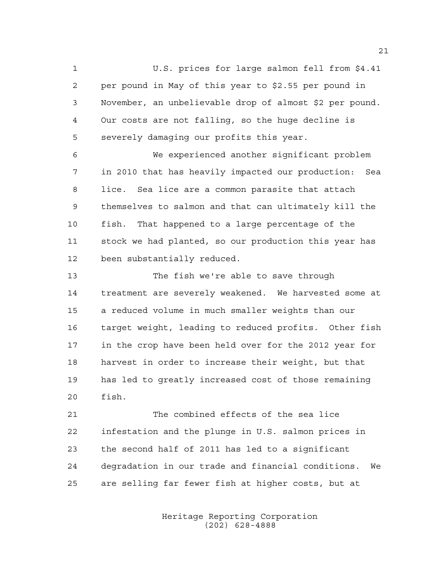U.S. prices for large salmon fell from \$4.41 per pound in May of this year to \$2.55 per pound in November, an unbelievable drop of almost \$2 per pound. Our costs are not falling, so the huge decline is severely damaging our profits this year.

 We experienced another significant problem in 2010 that has heavily impacted our production: Sea lice. Sea lice are a common parasite that attach themselves to salmon and that can ultimately kill the fish. That happened to a large percentage of the stock we had planted, so our production this year has been substantially reduced.

 The fish we're able to save through treatment are severely weakened. We harvested some at a reduced volume in much smaller weights than our target weight, leading to reduced profits. Other fish in the crop have been held over for the 2012 year for harvest in order to increase their weight, but that has led to greatly increased cost of those remaining fish.

 The combined effects of the sea lice infestation and the plunge in U.S. salmon prices in the second half of 2011 has led to a significant degradation in our trade and financial conditions. We are selling far fewer fish at higher costs, but at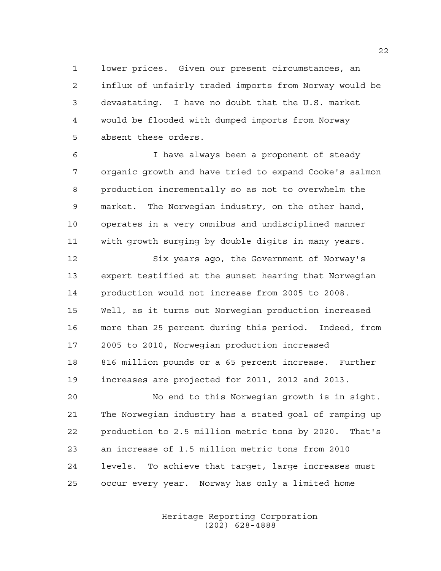lower prices. Given our present circumstances, an influx of unfairly traded imports from Norway would be devastating. I have no doubt that the U.S. market would be flooded with dumped imports from Norway absent these orders.

 I have always been a proponent of steady organic growth and have tried to expand Cooke's salmon production incrementally so as not to overwhelm the market. The Norwegian industry, on the other hand, operates in a very omnibus and undisciplined manner with growth surging by double digits in many years.

 Six years ago, the Government of Norway's expert testified at the sunset hearing that Norwegian production would not increase from 2005 to 2008. Well, as it turns out Norwegian production increased more than 25 percent during this period. Indeed, from 2005 to 2010, Norwegian production increased 816 million pounds or a 65 percent increase. Further increases are projected for 2011, 2012 and 2013.

 No end to this Norwegian growth is in sight. The Norwegian industry has a stated goal of ramping up production to 2.5 million metric tons by 2020. That's an increase of 1.5 million metric tons from 2010 levels. To achieve that target, large increases must occur every year. Norway has only a limited home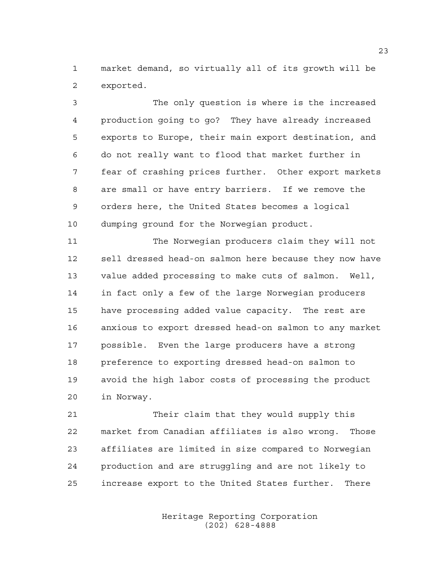market demand, so virtually all of its growth will be exported.

 The only question is where is the increased production going to go? They have already increased exports to Europe, their main export destination, and do not really want to flood that market further in fear of crashing prices further. Other export markets are small or have entry barriers. If we remove the orders here, the United States becomes a logical dumping ground for the Norwegian product.

 The Norwegian producers claim they will not sell dressed head-on salmon here because they now have value added processing to make cuts of salmon. Well, in fact only a few of the large Norwegian producers have processing added value capacity. The rest are anxious to export dressed head-on salmon to any market possible. Even the large producers have a strong preference to exporting dressed head-on salmon to avoid the high labor costs of processing the product in Norway.

 Their claim that they would supply this market from Canadian affiliates is also wrong. Those affiliates are limited in size compared to Norwegian production and are struggling and are not likely to increase export to the United States further. There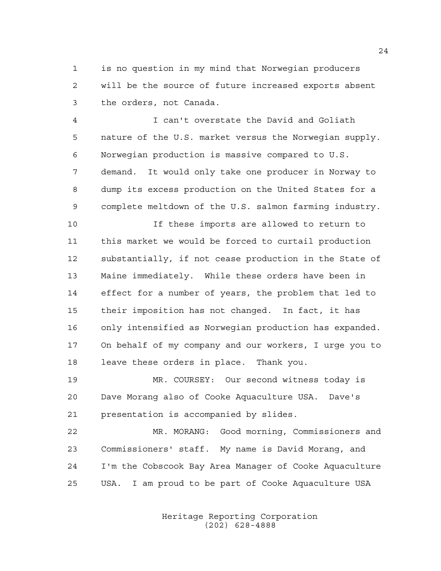is no question in my mind that Norwegian producers will be the source of future increased exports absent the orders, not Canada.

 I can't overstate the David and Goliath nature of the U.S. market versus the Norwegian supply. Norwegian production is massive compared to U.S. demand. It would only take one producer in Norway to dump its excess production on the United States for a complete meltdown of the U.S. salmon farming industry.

 If these imports are allowed to return to this market we would be forced to curtail production substantially, if not cease production in the State of Maine immediately. While these orders have been in effect for a number of years, the problem that led to their imposition has not changed. In fact, it has only intensified as Norwegian production has expanded. On behalf of my company and our workers, I urge you to leave these orders in place. Thank you.

 MR. COURSEY: Our second witness today is Dave Morang also of Cooke Aquaculture USA. Dave's presentation is accompanied by slides.

 MR. MORANG: Good morning, Commissioners and Commissioners' staff. My name is David Morang, and I'm the Cobscook Bay Area Manager of Cooke Aquaculture USA. I am proud to be part of Cooke Aquaculture USA

> Heritage Reporting Corporation (202) 628-4888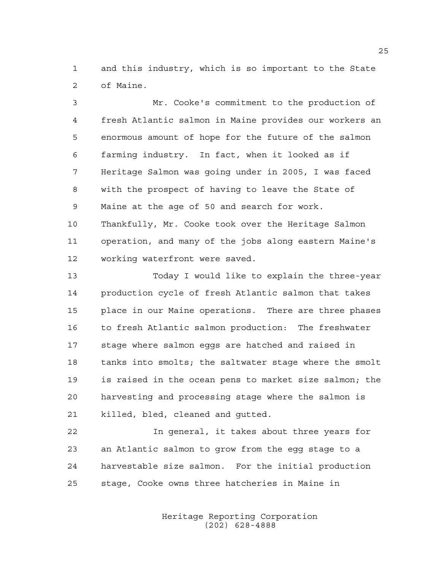and this industry, which is so important to the State of Maine.

 Mr. Cooke's commitment to the production of fresh Atlantic salmon in Maine provides our workers an enormous amount of hope for the future of the salmon farming industry. In fact, when it looked as if Heritage Salmon was going under in 2005, I was faced with the prospect of having to leave the State of Maine at the age of 50 and search for work. Thankfully, Mr. Cooke took over the Heritage Salmon operation, and many of the jobs along eastern Maine's working waterfront were saved.

 Today I would like to explain the three-year production cycle of fresh Atlantic salmon that takes place in our Maine operations. There are three phases to fresh Atlantic salmon production: The freshwater stage where salmon eggs are hatched and raised in tanks into smolts; the saltwater stage where the smolt is raised in the ocean pens to market size salmon; the harvesting and processing stage where the salmon is killed, bled, cleaned and gutted.

 In general, it takes about three years for an Atlantic salmon to grow from the egg stage to a harvestable size salmon. For the initial production stage, Cooke owns three hatcheries in Maine in

> Heritage Reporting Corporation (202) 628-4888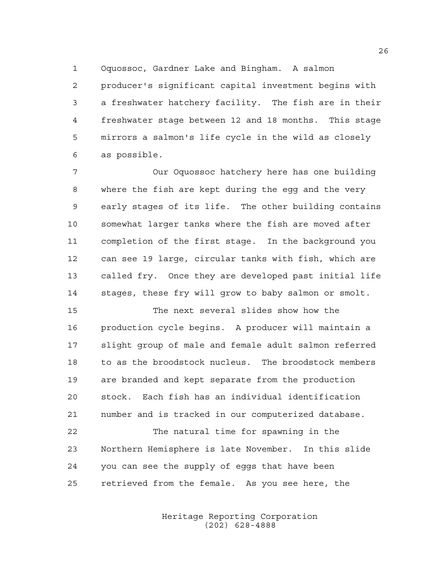Oquossoc, Gardner Lake and Bingham. A salmon

 producer's significant capital investment begins with a freshwater hatchery facility. The fish are in their freshwater stage between 12 and 18 months. This stage mirrors a salmon's life cycle in the wild as closely as possible.

 Our Oquossoc hatchery here has one building where the fish are kept during the egg and the very early stages of its life. The other building contains somewhat larger tanks where the fish are moved after completion of the first stage. In the background you can see 19 large, circular tanks with fish, which are called fry. Once they are developed past initial life stages, these fry will grow to baby salmon or smolt.

 The next several slides show how the production cycle begins. A producer will maintain a slight group of male and female adult salmon referred to as the broodstock nucleus. The broodstock members are branded and kept separate from the production stock. Each fish has an individual identification number and is tracked in our computerized database.

 The natural time for spawning in the Northern Hemisphere is late November. In this slide you can see the supply of eggs that have been retrieved from the female. As you see here, the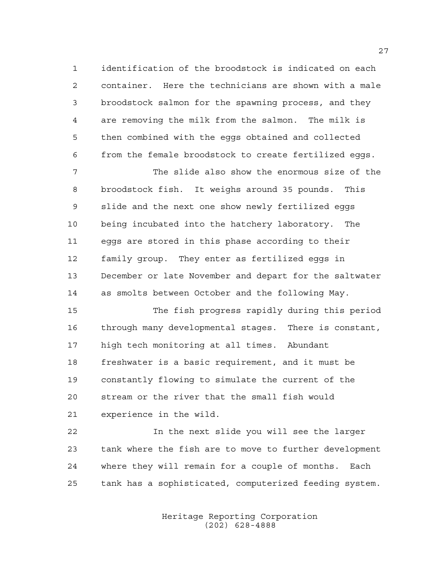identification of the broodstock is indicated on each container. Here the technicians are shown with a male broodstock salmon for the spawning process, and they are removing the milk from the salmon. The milk is then combined with the eggs obtained and collected from the female broodstock to create fertilized eggs.

 The slide also show the enormous size of the broodstock fish. It weighs around 35 pounds. This slide and the next one show newly fertilized eggs being incubated into the hatchery laboratory. The eggs are stored in this phase according to their family group. They enter as fertilized eggs in December or late November and depart for the saltwater as smolts between October and the following May.

 The fish progress rapidly during this period through many developmental stages. There is constant, high tech monitoring at all times. Abundant freshwater is a basic requirement, and it must be constantly flowing to simulate the current of the stream or the river that the small fish would experience in the wild.

 In the next slide you will see the larger tank where the fish are to move to further development where they will remain for a couple of months. Each tank has a sophisticated, computerized feeding system.

> Heritage Reporting Corporation (202) 628-4888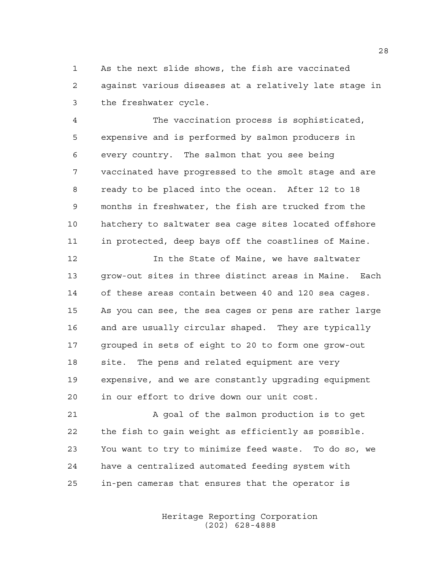As the next slide shows, the fish are vaccinated against various diseases at a relatively late stage in the freshwater cycle.

 The vaccination process is sophisticated, expensive and is performed by salmon producers in every country. The salmon that you see being vaccinated have progressed to the smolt stage and are ready to be placed into the ocean. After 12 to 18 months in freshwater, the fish are trucked from the hatchery to saltwater sea cage sites located offshore in protected, deep bays off the coastlines of Maine.

**In the State of Maine, we have saltwater**  grow-out sites in three distinct areas in Maine. Each of these areas contain between 40 and 120 sea cages. As you can see, the sea cages or pens are rather large and are usually circular shaped. They are typically grouped in sets of eight to 20 to form one grow-out site. The pens and related equipment are very expensive, and we are constantly upgrading equipment in our effort to drive down our unit cost.

21 A goal of the salmon production is to get the fish to gain weight as efficiently as possible. You want to try to minimize feed waste. To do so, we have a centralized automated feeding system with in-pen cameras that ensures that the operator is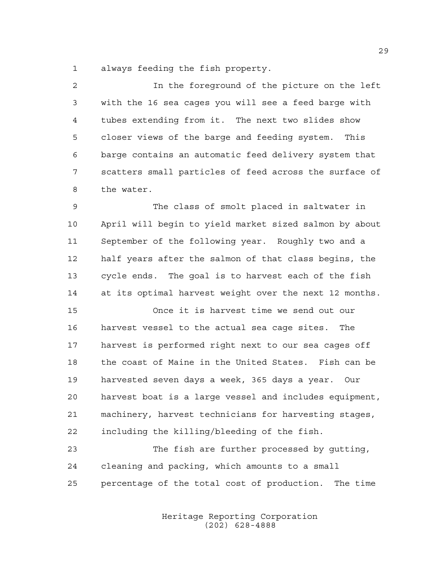always feeding the fish property.

| $\mathcal{L}$ | In the foreground of the picture on the left           |
|---------------|--------------------------------------------------------|
| $\mathbf{3}$  | with the 16 sea cages you will see a feed barge with   |
| 4             | tubes extending from it. The next two slides show      |
| 5             | closer views of the barge and feeding system.<br>This  |
| 6             | barge contains an automatic feed delivery system that  |
| 7             | scatters small particles of feed across the surface of |
| 8             | the water.                                             |

 The class of smolt placed in saltwater in April will begin to yield market sized salmon by about September of the following year. Roughly two and a half years after the salmon of that class begins, the cycle ends. The goal is to harvest each of the fish at its optimal harvest weight over the next 12 months.

 Once it is harvest time we send out our harvest vessel to the actual sea cage sites. The harvest is performed right next to our sea cages off the coast of Maine in the United States. Fish can be harvested seven days a week, 365 days a year. Our harvest boat is a large vessel and includes equipment, machinery, harvest technicians for harvesting stages, including the killing/bleeding of the fish.

 The fish are further processed by gutting, cleaning and packing, which amounts to a small percentage of the total cost of production. The time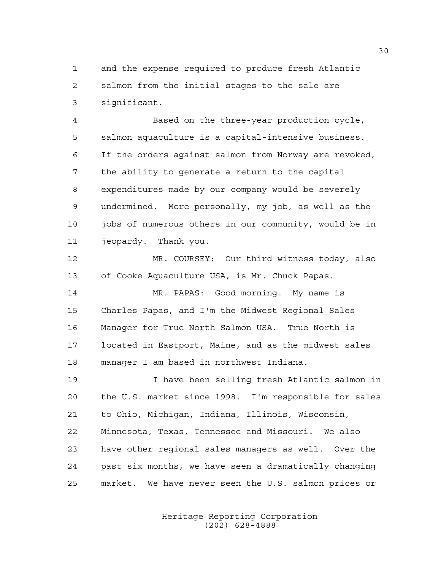and the expense required to produce fresh Atlantic salmon from the initial stages to the sale are significant.

 Based on the three-year production cycle, salmon aquaculture is a capital-intensive business. If the orders against salmon from Norway are revoked, the ability to generate a return to the capital expenditures made by our company would be severely undermined. More personally, my job, as well as the 10 jobs of numerous others in our community, would be in jeopardy. Thank you.

 MR. COURSEY: Our third witness today, also of Cooke Aquaculture USA, is Mr. Chuck Papas.

 MR. PAPAS: Good morning. My name is Charles Papas, and I'm the Midwest Regional Sales Manager for True North Salmon USA. True North is located in Eastport, Maine, and as the midwest sales manager I am based in northwest Indiana.

 I have been selling fresh Atlantic salmon in the U.S. market since 1998. I'm responsible for sales to Ohio, Michigan, Indiana, Illinois, Wisconsin, Minnesota, Texas, Tennessee and Missouri. We also have other regional sales managers as well. Over the past six months, we have seen a dramatically changing market. We have never seen the U.S. salmon prices or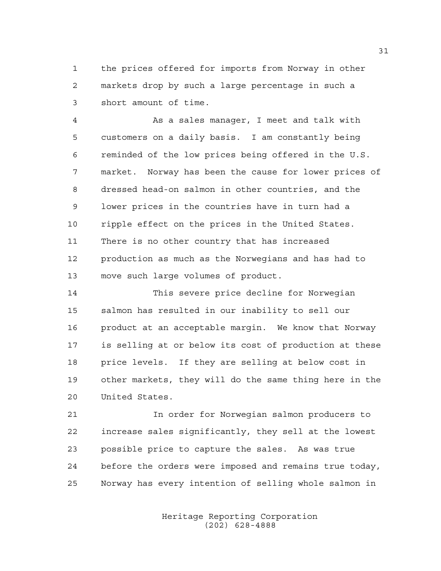the prices offered for imports from Norway in other markets drop by such a large percentage in such a short amount of time.

 As a sales manager, I meet and talk with customers on a daily basis. I am constantly being reminded of the low prices being offered in the U.S. market. Norway has been the cause for lower prices of dressed head-on salmon in other countries, and the lower prices in the countries have in turn had a ripple effect on the prices in the United States. There is no other country that has increased production as much as the Norwegians and has had to move such large volumes of product.

 This severe price decline for Norwegian salmon has resulted in our inability to sell our product at an acceptable margin. We know that Norway is selling at or below its cost of production at these price levels. If they are selling at below cost in other markets, they will do the same thing here in the United States.

 In order for Norwegian salmon producers to increase sales significantly, they sell at the lowest possible price to capture the sales. As was true before the orders were imposed and remains true today, Norway has every intention of selling whole salmon in

> Heritage Reporting Corporation (202) 628-4888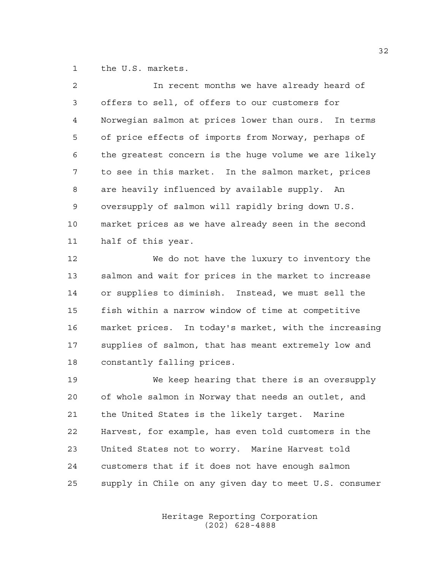the U.S. markets.

| 2  | In recent months we have already heard of             |
|----|-------------------------------------------------------|
| 3  | offers to sell, of offers to our customers for        |
| 4  | Norwegian salmon at prices lower than ours. In terms  |
| 5  | of price effects of imports from Norway, perhaps of   |
| 6  | the greatest concern is the huge volume we are likely |
| 7  | to see in this market. In the salmon market, prices   |
| 8  | are heavily influenced by available supply.<br>An     |
| 9  | oversupply of salmon will rapidly bring down U.S.     |
| 10 | market prices as we have already seen in the second   |
| 11 | half of this year.                                    |
| 12 | We do not have the luxury to inventory the            |
| 13 | salmon and wait for prices in the market to increase  |
| 14 | or supplies to diminish. Instead, we must sell the    |
| 15 | fish within a narrow window of time at competitive    |
| 16 | market prices. In today's market, with the increasing |
| 17 | supplies of salmon, that has meant extremely low and  |
| 18 | constantly falling prices.                            |
| 19 | We keep hearing that there is an oversupply           |
| 20 | of whole salmon in Norway that needs an outlet, and   |
| 21 | the United States is the likely target. Marine        |
| 22 | Harvest, for example, has even told customers in the  |
| 23 | United States not to worry. Marine Harvest told       |
| 24 | customers that if it does not have enough salmon      |

supply in Chile on any given day to meet U.S. consumer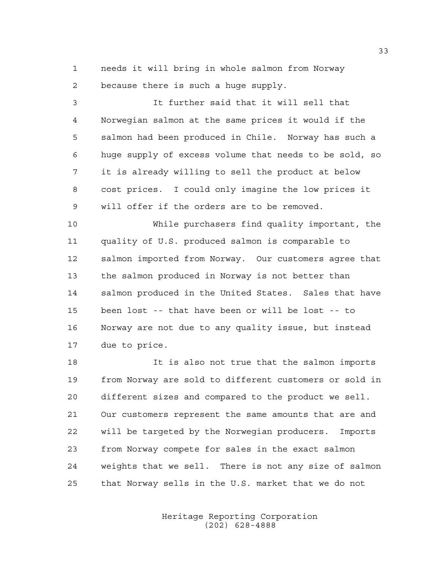needs it will bring in whole salmon from Norway because there is such a huge supply.

 It further said that it will sell that Norwegian salmon at the same prices it would if the salmon had been produced in Chile. Norway has such a huge supply of excess volume that needs to be sold, so it is already willing to sell the product at below cost prices. I could only imagine the low prices it will offer if the orders are to be removed.

 While purchasers find quality important, the quality of U.S. produced salmon is comparable to salmon imported from Norway. Our customers agree that the salmon produced in Norway is not better than salmon produced in the United States. Sales that have been lost -- that have been or will be lost -- to Norway are not due to any quality issue, but instead due to price.

 It is also not true that the salmon imports from Norway are sold to different customers or sold in different sizes and compared to the product we sell. Our customers represent the same amounts that are and will be targeted by the Norwegian producers. Imports from Norway compete for sales in the exact salmon weights that we sell. There is not any size of salmon that Norway sells in the U.S. market that we do not

> Heritage Reporting Corporation (202) 628-4888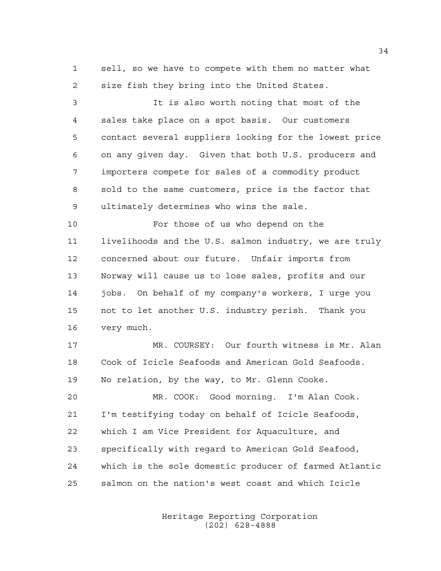sell, so we have to compete with them no matter what size fish they bring into the United States.

 It is also worth noting that most of the sales take place on a spot basis. Our customers contact several suppliers looking for the lowest price on any given day. Given that both U.S. producers and importers compete for sales of a commodity product sold to the same customers, price is the factor that ultimately determines who wins the sale.

 For those of us who depend on the livelihoods and the U.S. salmon industry, we are truly concerned about our future. Unfair imports from Norway will cause us to lose sales, profits and our jobs. On behalf of my company's workers, I urge you not to let another U.S. industry perish. Thank you very much.

 MR. COURSEY: Our fourth witness is Mr. Alan Cook of Icicle Seafoods and American Gold Seafoods. No relation, by the way, to Mr. Glenn Cooke.

 MR. COOK: Good morning. I'm Alan Cook. I'm testifying today on behalf of Icicle Seafoods, which I am Vice President for Aquaculture, and specifically with regard to American Gold Seafood, which is the sole domestic producer of farmed Atlantic salmon on the nation's west coast and which Icicle

> Heritage Reporting Corporation (202) 628-4888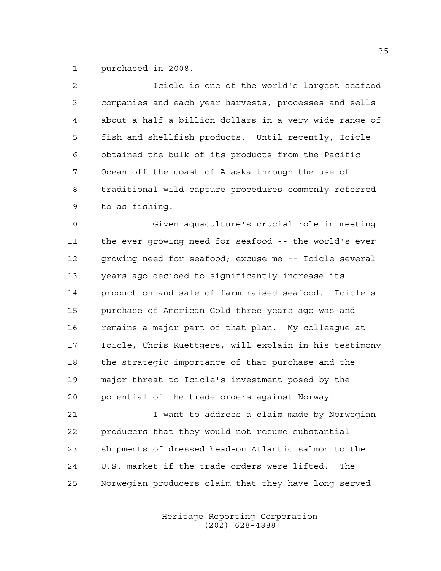purchased in 2008.

| $\overline{2}$ | Icicle is one of the world's largest seafood           |
|----------------|--------------------------------------------------------|
| $\mathfrak{Z}$ | companies and each year harvests, processes and sells  |
| $\overline{4}$ | about a half a billion dollars in a very wide range of |
| 5              | fish and shellfish products. Until recently, Icicle    |
| 6              | obtained the bulk of its products from the Pacific     |
| 7              | Ocean off the coast of Alaska through the use of       |
| 8              | traditional wild capture procedures commonly referred  |
| 9              | to as fishing.                                         |
| 10             | Given aquaculture's crucial role in meeting            |
| 11             | the ever growing need for seafood -- the world's ever  |
| 12             | growing need for seafood; excuse me -- Icicle several  |
| 13             | years ago decided to significantly increase its        |
| 14             | production and sale of farm raised seafood. Icicle's   |
|                |                                                        |

 purchase of American Gold three years ago was and remains a major part of that plan. My colleague at Icicle, Chris Ruettgers, will explain in his testimony the strategic importance of that purchase and the major threat to Icicle's investment posed by the potential of the trade orders against Norway.

 I want to address a claim made by Norwegian producers that they would not resume substantial shipments of dressed head-on Atlantic salmon to the U.S. market if the trade orders were lifted. The Norwegian producers claim that they have long served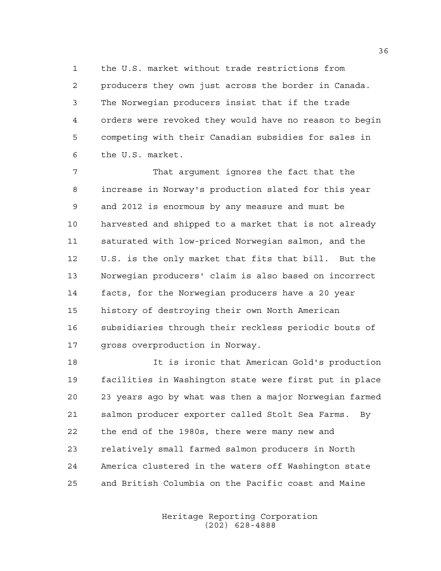the U.S. market without trade restrictions from producers they own just across the border in Canada. The Norwegian producers insist that if the trade orders were revoked they would have no reason to begin competing with their Canadian subsidies for sales in the U.S. market.

 That argument ignores the fact that the increase in Norway's production slated for this year and 2012 is enormous by any measure and must be harvested and shipped to a market that is not already saturated with low-priced Norwegian salmon, and the U.S. is the only market that fits that bill. But the Norwegian producers' claim is also based on incorrect facts, for the Norwegian producers have a 20 year history of destroying their own North American subsidiaries through their reckless periodic bouts of gross overproduction in Norway.

 It is ironic that American Gold's production facilities in Washington state were first put in place 23 years ago by what was then a major Norwegian farmed salmon producer exporter called Stolt Sea Farms. By the end of the 1980s, there were many new and relatively small farmed salmon producers in North America clustered in the waters off Washington state and British Columbia on the Pacific coast and Maine

> Heritage Reporting Corporation (202) 628-4888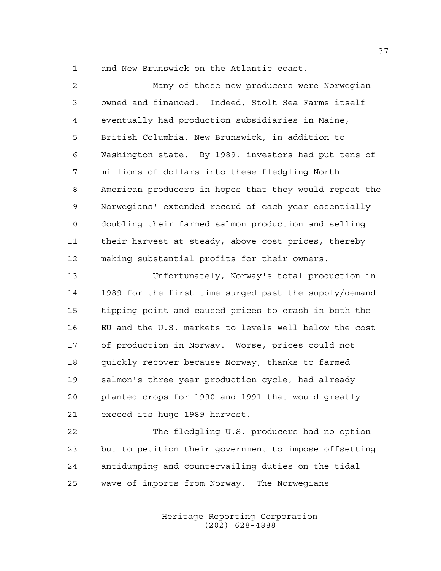and New Brunswick on the Atlantic coast.

| $\overline{2}$ | Many of these new producers were Norwegian             |  |  |  |  |  |  |  |
|----------------|--------------------------------------------------------|--|--|--|--|--|--|--|
| 3              | owned and financed. Indeed, Stolt Sea Farms itself     |  |  |  |  |  |  |  |
| $\overline{4}$ | eventually had production subsidiaries in Maine,       |  |  |  |  |  |  |  |
| 5              | British Columbia, New Brunswick, in addition to        |  |  |  |  |  |  |  |
| 6              | Washington state. By 1989, investors had put tens of   |  |  |  |  |  |  |  |
| 7              | millions of dollars into these fledgling North         |  |  |  |  |  |  |  |
| 8              | American producers in hopes that they would repeat the |  |  |  |  |  |  |  |
| 9              | Norwegians' extended record of each year essentially   |  |  |  |  |  |  |  |
| $10$           | doubling their farmed salmon production and selling    |  |  |  |  |  |  |  |
| 11             | their harvest at steady, above cost prices, thereby    |  |  |  |  |  |  |  |
| 12             | making substantial profits for their owners.           |  |  |  |  |  |  |  |
| 13             | Unfortunately, Norway's total production in            |  |  |  |  |  |  |  |
| 14             | 1989 for the first time surged past the supply/demand  |  |  |  |  |  |  |  |
| 15             | tipping point and caused prices to crash in both the   |  |  |  |  |  |  |  |
| 16             | EU and the U.S. markets to levels well below the cost  |  |  |  |  |  |  |  |
| 17             | of production in Norway. Worse, prices could not       |  |  |  |  |  |  |  |
| 18             | quickly recover because Norway, thanks to farmed       |  |  |  |  |  |  |  |
| 19             | salmon's three year production cycle, had already      |  |  |  |  |  |  |  |
| 20             | planted crops for 1990 and 1991 that would greatly     |  |  |  |  |  |  |  |

exceed its huge 1989 harvest.

 The fledgling U.S. producers had no option but to petition their government to impose offsetting antidumping and countervailing duties on the tidal wave of imports from Norway. The Norwegians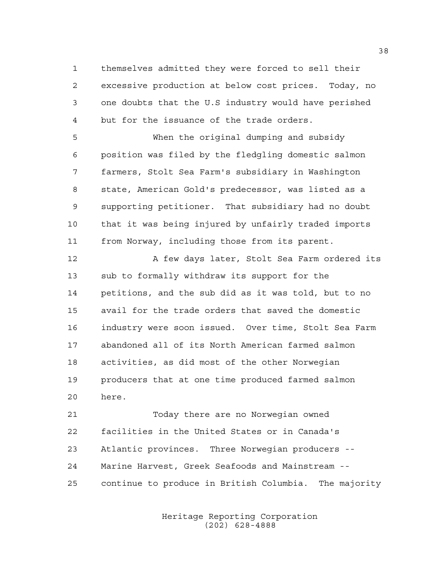themselves admitted they were forced to sell their excessive production at below cost prices. Today, no one doubts that the U.S industry would have perished but for the issuance of the trade orders.

 When the original dumping and subsidy position was filed by the fledgling domestic salmon farmers, Stolt Sea Farm's subsidiary in Washington state, American Gold's predecessor, was listed as a supporting petitioner. That subsidiary had no doubt that it was being injured by unfairly traded imports from Norway, including those from its parent.

12 A few days later, Stolt Sea Farm ordered its sub to formally withdraw its support for the petitions, and the sub did as it was told, but to no avail for the trade orders that saved the domestic industry were soon issued. Over time, Stolt Sea Farm abandoned all of its North American farmed salmon activities, as did most of the other Norwegian producers that at one time produced farmed salmon here.

 Today there are no Norwegian owned facilities in the United States or in Canada's Atlantic provinces. Three Norwegian producers -- Marine Harvest, Greek Seafoods and Mainstream -- continue to produce in British Columbia. The majority

> Heritage Reporting Corporation (202) 628-4888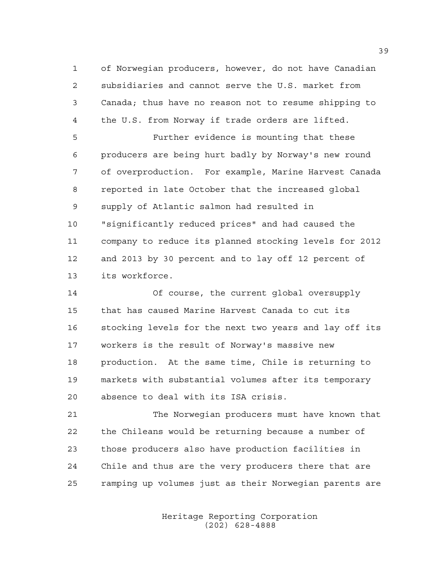of Norwegian producers, however, do not have Canadian subsidiaries and cannot serve the U.S. market from Canada; thus have no reason not to resume shipping to the U.S. from Norway if trade orders are lifted.

 Further evidence is mounting that these producers are being hurt badly by Norway's new round of overproduction. For example, Marine Harvest Canada reported in late October that the increased global supply of Atlantic salmon had resulted in "significantly reduced prices" and had caused the company to reduce its planned stocking levels for 2012 and 2013 by 30 percent and to lay off 12 percent of its workforce.

 Of course, the current global oversupply that has caused Marine Harvest Canada to cut its stocking levels for the next two years and lay off its workers is the result of Norway's massive new production. At the same time, Chile is returning to markets with substantial volumes after its temporary absence to deal with its ISA crisis.

 The Norwegian producers must have known that the Chileans would be returning because a number of those producers also have production facilities in Chile and thus are the very producers there that are ramping up volumes just as their Norwegian parents are

> Heritage Reporting Corporation (202) 628-4888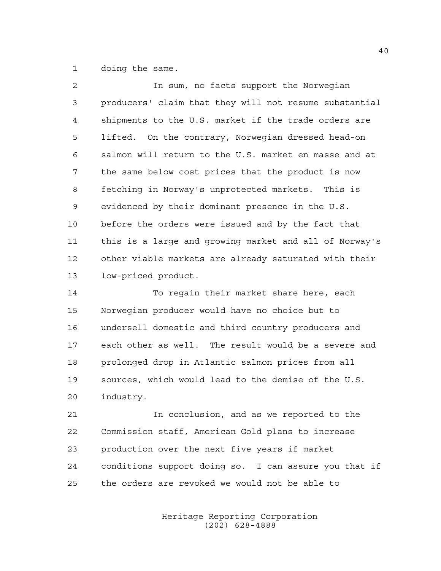doing the same.

| 2               | In sum, no facts support the Norwegian                 |
|-----------------|--------------------------------------------------------|
| 3               | producers' claim that they will not resume substantial |
| 4               | shipments to the U.S. market if the trade orders are   |
| 5               | lifted. On the contrary, Norwegian dressed head-on     |
| 6               | salmon will return to the U.S. market en masse and at  |
| 7               | the same below cost prices that the product is now     |
| 8               | fetching in Norway's unprotected markets. This is      |
| 9               | evidenced by their dominant presence in the U.S.       |
| 10 <sub>1</sub> | before the orders were issued and by the fact that     |
| 11              | this is a large and growing market and all of Norway's |
| 12              | other viable markets are already saturated with their  |
| 13              | low-priced product.                                    |
|                 |                                                        |

 To regain their market share here, each Norwegian producer would have no choice but to undersell domestic and third country producers and each other as well. The result would be a severe and prolonged drop in Atlantic salmon prices from all sources, which would lead to the demise of the U.S. industry.

 In conclusion, and as we reported to the Commission staff, American Gold plans to increase production over the next five years if market conditions support doing so. I can assure you that if the orders are revoked we would not be able to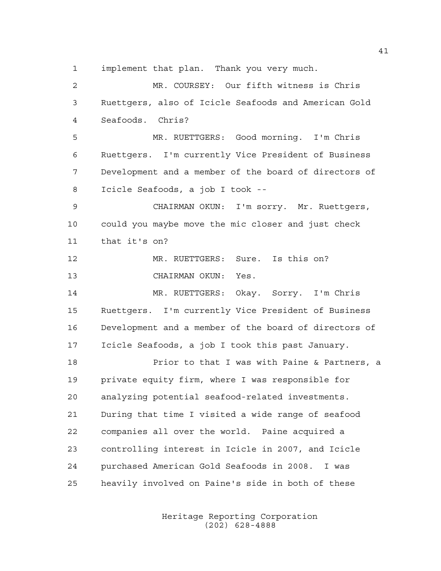implement that plan. Thank you very much.

 MR. COURSEY: Our fifth witness is Chris Ruettgers, also of Icicle Seafoods and American Gold Seafoods. Chris? MR. RUETTGERS: Good morning. I'm Chris Ruettgers. I'm currently Vice President of Business Development and a member of the board of directors of Icicle Seafoods, a job I took -- CHAIRMAN OKUN: I'm sorry. Mr. Ruettgers, could you maybe move the mic closer and just check that it's on? MR. RUETTGERS: Sure. Is this on? CHAIRMAN OKUN: Yes. MR. RUETTGERS: Okay. Sorry. I'm Chris Ruettgers. I'm currently Vice President of Business Development and a member of the board of directors of Icicle Seafoods, a job I took this past January. **Prior to that I was with Paine & Partners, a**  private equity firm, where I was responsible for analyzing potential seafood-related investments. During that time I visited a wide range of seafood companies all over the world. Paine acquired a controlling interest in Icicle in 2007, and Icicle purchased American Gold Seafoods in 2008. I was heavily involved on Paine's side in both of these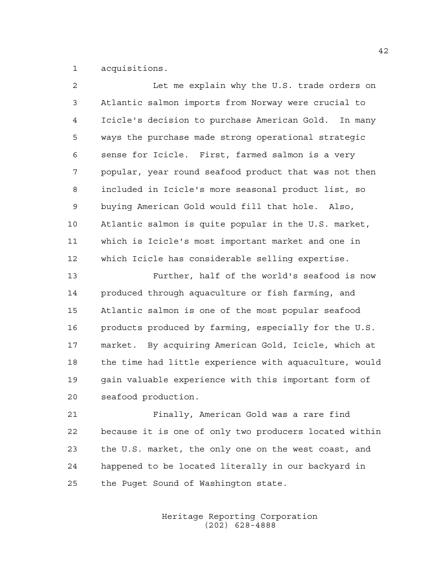acquisitions.

| 2  | Let me explain why the U.S. trade orders on            |
|----|--------------------------------------------------------|
| 3  | Atlantic salmon imports from Norway were crucial to    |
| 4  | Icicle's decision to purchase American Gold. In many   |
| 5  | ways the purchase made strong operational strategic    |
| 6  | sense for Icicle. First, farmed salmon is a very       |
| 7  | popular, year round seafood product that was not then  |
| 8  | included in Icicle's more seasonal product list, so    |
| 9  | buying American Gold would fill that hole. Also,       |
| 10 | Atlantic salmon is quite popular in the U.S. market,   |
| 11 | which is Icicle's most important market and one in     |
| 12 | which Icicle has considerable selling expertise.       |
| 13 | Further, half of the world's seafood is now            |
| 14 | produced through aquaculture or fish farming, and      |
| 15 | Atlantic salmon is one of the most popular seafood     |
| 16 | products produced by farming, especially for the U.S.  |
| 17 | market. By acquiring American Gold, Icicle, which at   |
| 18 | the time had little experience with aquaculture, would |
| 19 | gain valuable experience with this important form of   |
| 20 | seafood production.                                    |
| 21 | Finally, American Gold was a rare find                 |
| 22 | because it is one of only two producers located within |
| 23 | the U.S. market, the only one on the west coast, and   |
| 24 | happened to be located literally in our backyard in    |

the Puget Sound of Washington state.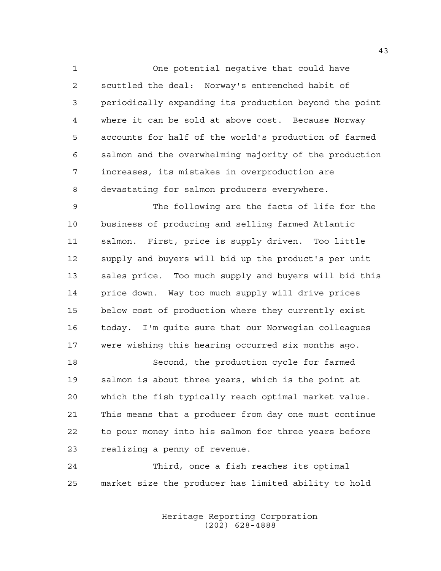One potential negative that could have scuttled the deal: Norway's entrenched habit of periodically expanding its production beyond the point where it can be sold at above cost. Because Norway accounts for half of the world's production of farmed salmon and the overwhelming majority of the production increases, its mistakes in overproduction are devastating for salmon producers everywhere.

 The following are the facts of life for the business of producing and selling farmed Atlantic salmon. First, price is supply driven. Too little supply and buyers will bid up the product's per unit sales price. Too much supply and buyers will bid this price down. Way too much supply will drive prices below cost of production where they currently exist today. I'm quite sure that our Norwegian colleagues were wishing this hearing occurred six months ago.

 Second, the production cycle for farmed salmon is about three years, which is the point at which the fish typically reach optimal market value. This means that a producer from day one must continue to pour money into his salmon for three years before realizing a penny of revenue.

 Third, once a fish reaches its optimal market size the producer has limited ability to hold

> Heritage Reporting Corporation (202) 628-4888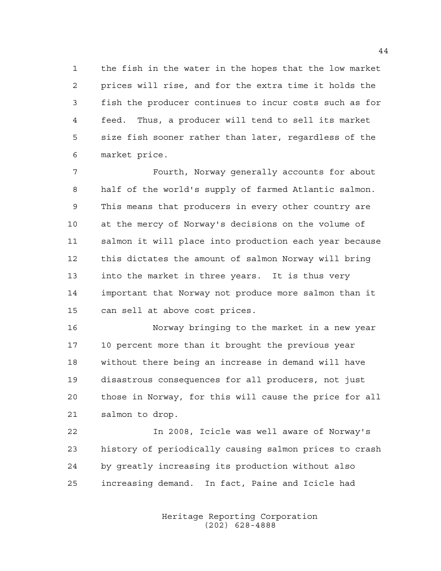the fish in the water in the hopes that the low market prices will rise, and for the extra time it holds the fish the producer continues to incur costs such as for feed. Thus, a producer will tend to sell its market size fish sooner rather than later, regardless of the market price.

 Fourth, Norway generally accounts for about half of the world's supply of farmed Atlantic salmon. This means that producers in every other country are at the mercy of Norway's decisions on the volume of salmon it will place into production each year because this dictates the amount of salmon Norway will bring into the market in three years. It is thus very important that Norway not produce more salmon than it can sell at above cost prices.

 Norway bringing to the market in a new year 10 percent more than it brought the previous year without there being an increase in demand will have disastrous consequences for all producers, not just those in Norway, for this will cause the price for all salmon to drop.

 In 2008, Icicle was well aware of Norway's history of periodically causing salmon prices to crash by greatly increasing its production without also increasing demand. In fact, Paine and Icicle had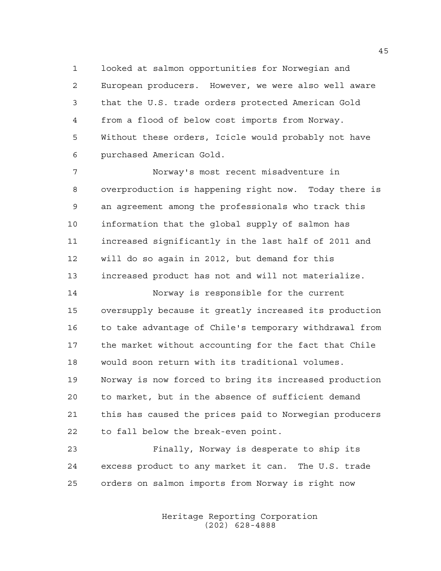looked at salmon opportunities for Norwegian and European producers. However, we were also well aware that the U.S. trade orders protected American Gold from a flood of below cost imports from Norway. Without these orders, Icicle would probably not have purchased American Gold.

 Norway's most recent misadventure in overproduction is happening right now. Today there is an agreement among the professionals who track this information that the global supply of salmon has increased significantly in the last half of 2011 and will do so again in 2012, but demand for this increased product has not and will not materialize.

 Norway is responsible for the current oversupply because it greatly increased its production to take advantage of Chile's temporary withdrawal from the market without accounting for the fact that Chile would soon return with its traditional volumes. Norway is now forced to bring its increased production to market, but in the absence of sufficient demand this has caused the prices paid to Norwegian producers to fall below the break-even point.

 Finally, Norway is desperate to ship its excess product to any market it can. The U.S. trade orders on salmon imports from Norway is right now

> Heritage Reporting Corporation (202) 628-4888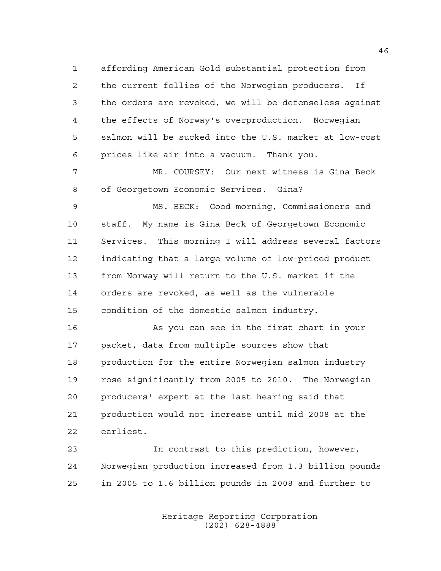affording American Gold substantial protection from the current follies of the Norwegian producers. If the orders are revoked, we will be defenseless against the effects of Norway's overproduction. Norwegian salmon will be sucked into the U.S. market at low-cost prices like air into a vacuum. Thank you.

 MR. COURSEY: Our next witness is Gina Beck of Georgetown Economic Services. Gina?

 MS. BECK: Good morning, Commissioners and staff. My name is Gina Beck of Georgetown Economic Services. This morning I will address several factors indicating that a large volume of low-priced product from Norway will return to the U.S. market if the orders are revoked, as well as the vulnerable condition of the domestic salmon industry.

 As you can see in the first chart in your packet, data from multiple sources show that production for the entire Norwegian salmon industry rose significantly from 2005 to 2010. The Norwegian producers' expert at the last hearing said that production would not increase until mid 2008 at the earliest.

 In contrast to this prediction, however, Norwegian production increased from 1.3 billion pounds in 2005 to 1.6 billion pounds in 2008 and further to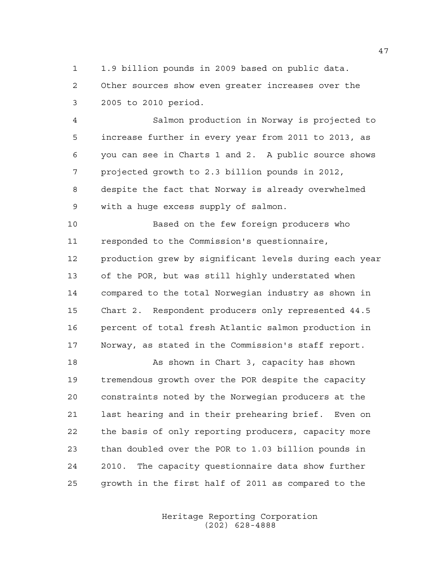1.9 billion pounds in 2009 based on public data.

 Other sources show even greater increases over the 2005 to 2010 period.

 Salmon production in Norway is projected to increase further in every year from 2011 to 2013, as you can see in Charts 1 and 2. A public source shows projected growth to 2.3 billion pounds in 2012, despite the fact that Norway is already overwhelmed with a huge excess supply of salmon.

 Based on the few foreign producers who responded to the Commission's questionnaire, production grew by significant levels during each year of the POR, but was still highly understated when compared to the total Norwegian industry as shown in Chart 2. Respondent producers only represented 44.5 percent of total fresh Atlantic salmon production in Norway, as stated in the Commission's staff report.

18 As shown in Chart 3, capacity has shown tremendous growth over the POR despite the capacity constraints noted by the Norwegian producers at the last hearing and in their prehearing brief. Even on the basis of only reporting producers, capacity more than doubled over the POR to 1.03 billion pounds in 2010. The capacity questionnaire data show further growth in the first half of 2011 as compared to the

> Heritage Reporting Corporation (202) 628-4888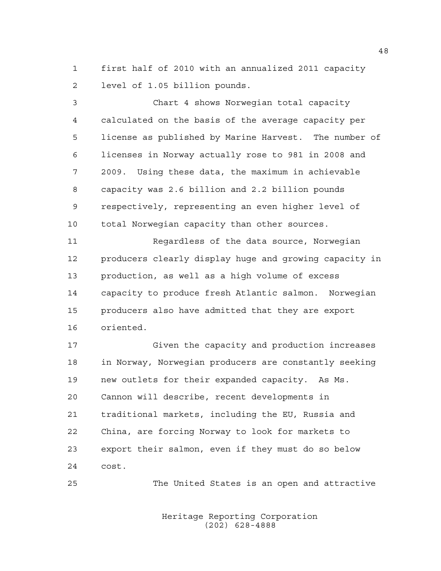first half of 2010 with an annualized 2011 capacity level of 1.05 billion pounds.

 Chart 4 shows Norwegian total capacity calculated on the basis of the average capacity per license as published by Marine Harvest. The number of licenses in Norway actually rose to 981 in 2008 and 2009. Using these data, the maximum in achievable capacity was 2.6 billion and 2.2 billion pounds respectively, representing an even higher level of total Norwegian capacity than other sources.

 Regardless of the data source, Norwegian producers clearly display huge and growing capacity in production, as well as a high volume of excess capacity to produce fresh Atlantic salmon. Norwegian producers also have admitted that they are export oriented.

 Given the capacity and production increases in Norway, Norwegian producers are constantly seeking new outlets for their expanded capacity. As Ms. Cannon will describe, recent developments in traditional markets, including the EU, Russia and China, are forcing Norway to look for markets to export their salmon, even if they must do so below cost.

The United States is an open and attractive

Heritage Reporting Corporation (202) 628-4888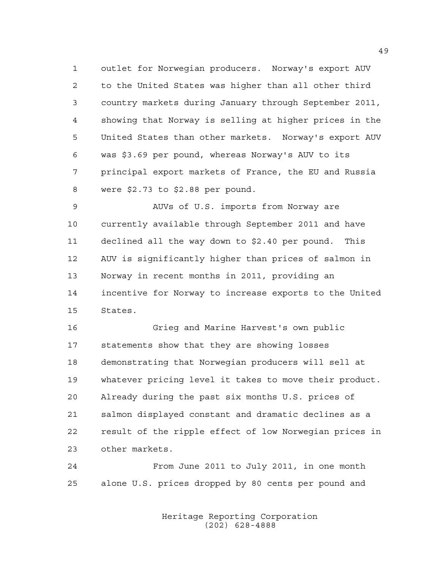outlet for Norwegian producers. Norway's export AUV to the United States was higher than all other third country markets during January through September 2011, showing that Norway is selling at higher prices in the United States than other markets. Norway's export AUV was \$3.69 per pound, whereas Norway's AUV to its principal export markets of France, the EU and Russia were \$2.73 to \$2.88 per pound.

 AUVs of U.S. imports from Norway are currently available through September 2011 and have declined all the way down to \$2.40 per pound. This AUV is significantly higher than prices of salmon in Norway in recent months in 2011, providing an incentive for Norway to increase exports to the United States.

 Grieg and Marine Harvest's own public statements show that they are showing losses demonstrating that Norwegian producers will sell at whatever pricing level it takes to move their product. Already during the past six months U.S. prices of salmon displayed constant and dramatic declines as a result of the ripple effect of low Norwegian prices in other markets.

 From June 2011 to July 2011, in one month alone U.S. prices dropped by 80 cents per pound and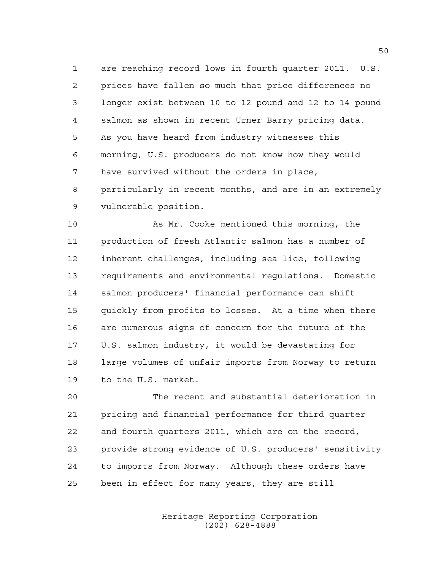are reaching record lows in fourth quarter 2011. U.S. prices have fallen so much that price differences no longer exist between 10 to 12 pound and 12 to 14 pound salmon as shown in recent Urner Barry pricing data. As you have heard from industry witnesses this morning, U.S. producers do not know how they would have survived without the orders in place, particularly in recent months, and are in an extremely vulnerable position.

 As Mr. Cooke mentioned this morning, the production of fresh Atlantic salmon has a number of inherent challenges, including sea lice, following requirements and environmental regulations. Domestic salmon producers' financial performance can shift quickly from profits to losses. At a time when there are numerous signs of concern for the future of the U.S. salmon industry, it would be devastating for large volumes of unfair imports from Norway to return to the U.S. market.

 The recent and substantial deterioration in pricing and financial performance for third quarter and fourth quarters 2011, which are on the record, provide strong evidence of U.S. producers' sensitivity to imports from Norway. Although these orders have been in effect for many years, they are still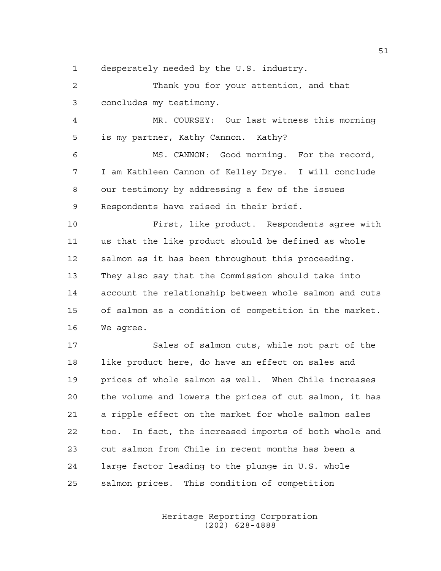desperately needed by the U.S. industry.

 Thank you for your attention, and that concludes my testimony.

 MR. COURSEY: Our last witness this morning is my partner, Kathy Cannon. Kathy?

 MS. CANNON: Good morning. For the record, I am Kathleen Cannon of Kelley Drye. I will conclude our testimony by addressing a few of the issues Respondents have raised in their brief.

 First, like product. Respondents agree with us that the like product should be defined as whole salmon as it has been throughout this proceeding. They also say that the Commission should take into account the relationship between whole salmon and cuts of salmon as a condition of competition in the market. We agree.

 Sales of salmon cuts, while not part of the like product here, do have an effect on sales and prices of whole salmon as well. When Chile increases the volume and lowers the prices of cut salmon, it has a ripple effect on the market for whole salmon sales too. In fact, the increased imports of both whole and cut salmon from Chile in recent months has been a large factor leading to the plunge in U.S. whole salmon prices. This condition of competition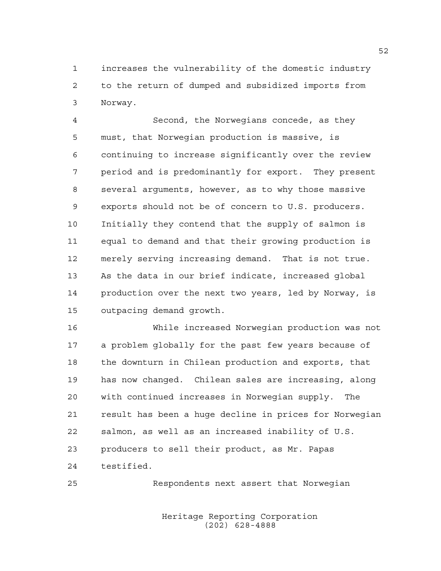increases the vulnerability of the domestic industry to the return of dumped and subsidized imports from Norway.

 Second, the Norwegians concede, as they must, that Norwegian production is massive, is continuing to increase significantly over the review period and is predominantly for export. They present several arguments, however, as to why those massive exports should not be of concern to U.S. producers. Initially they contend that the supply of salmon is equal to demand and that their growing production is merely serving increasing demand. That is not true. As the data in our brief indicate, increased global production over the next two years, led by Norway, is outpacing demand growth.

 While increased Norwegian production was not a problem globally for the past few years because of the downturn in Chilean production and exports, that has now changed. Chilean sales are increasing, along with continued increases in Norwegian supply. The result has been a huge decline in prices for Norwegian salmon, as well as an increased inability of U.S. producers to sell their product, as Mr. Papas testified.

Respondents next assert that Norwegian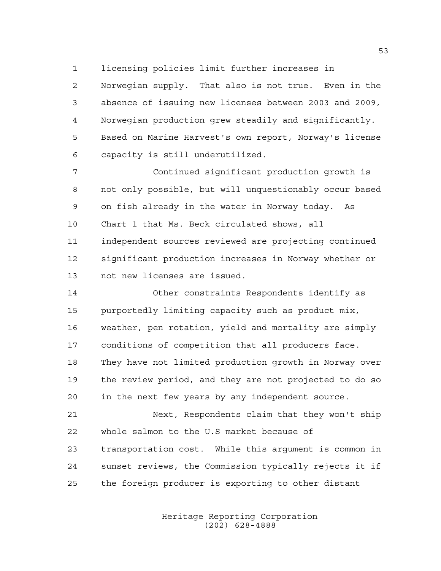licensing policies limit further increases in

 Norwegian supply. That also is not true. Even in the absence of issuing new licenses between 2003 and 2009, Norwegian production grew steadily and significantly. Based on Marine Harvest's own report, Norway's license capacity is still underutilized.

 Continued significant production growth is not only possible, but will unquestionably occur based on fish already in the water in Norway today. As Chart 1 that Ms. Beck circulated shows, all independent sources reviewed are projecting continued significant production increases in Norway whether or not new licenses are issued.

 Other constraints Respondents identify as purportedly limiting capacity such as product mix, weather, pen rotation, yield and mortality are simply conditions of competition that all producers face. They have not limited production growth in Norway over the review period, and they are not projected to do so in the next few years by any independent source.

 Next, Respondents claim that they won't ship whole salmon to the U.S market because of transportation cost. While this argument is common in sunset reviews, the Commission typically rejects it if the foreign producer is exporting to other distant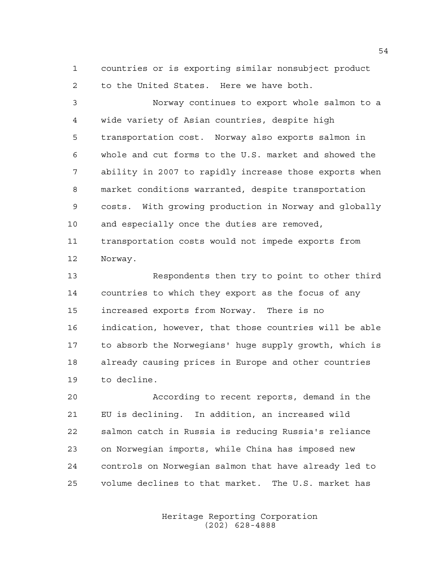countries or is exporting similar nonsubject product to the United States. Here we have both.

 Norway continues to export whole salmon to a wide variety of Asian countries, despite high transportation cost. Norway also exports salmon in whole and cut forms to the U.S. market and showed the ability in 2007 to rapidly increase those exports when market conditions warranted, despite transportation costs. With growing production in Norway and globally and especially once the duties are removed, transportation costs would not impede exports from Norway.

 Respondents then try to point to other third countries to which they export as the focus of any increased exports from Norway. There is no indication, however, that those countries will be able to absorb the Norwegians' huge supply growth, which is already causing prices in Europe and other countries to decline.

 According to recent reports, demand in the EU is declining. In addition, an increased wild salmon catch in Russia is reducing Russia's reliance on Norwegian imports, while China has imposed new controls on Norwegian salmon that have already led to volume declines to that market. The U.S. market has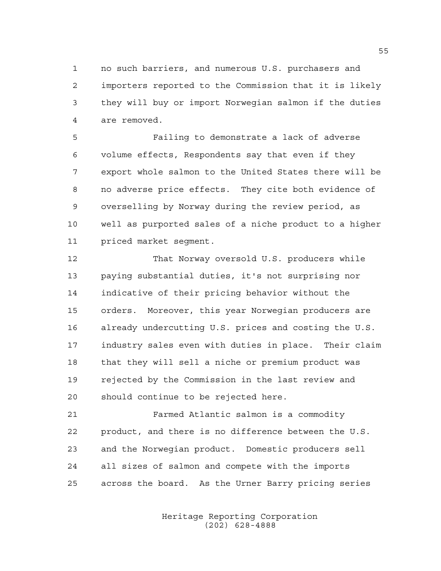no such barriers, and numerous U.S. purchasers and importers reported to the Commission that it is likely they will buy or import Norwegian salmon if the duties are removed.

 Failing to demonstrate a lack of adverse volume effects, Respondents say that even if they export whole salmon to the United States there will be no adverse price effects. They cite both evidence of overselling by Norway during the review period, as well as purported sales of a niche product to a higher priced market segment.

 That Norway oversold U.S. producers while paying substantial duties, it's not surprising nor indicative of their pricing behavior without the orders. Moreover, this year Norwegian producers are already undercutting U.S. prices and costing the U.S. industry sales even with duties in place. Their claim that they will sell a niche or premium product was rejected by the Commission in the last review and should continue to be rejected here.

 Farmed Atlantic salmon is a commodity product, and there is no difference between the U.S. and the Norwegian product. Domestic producers sell all sizes of salmon and compete with the imports across the board. As the Urner Barry pricing series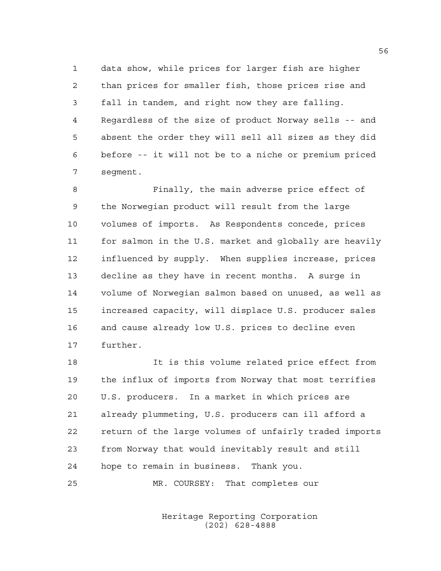data show, while prices for larger fish are higher than prices for smaller fish, those prices rise and fall in tandem, and right now they are falling. Regardless of the size of product Norway sells -- and absent the order they will sell all sizes as they did before -- it will not be to a niche or premium priced segment.

 Finally, the main adverse price effect of the Norwegian product will result from the large volumes of imports. As Respondents concede, prices for salmon in the U.S. market and globally are heavily influenced by supply. When supplies increase, prices decline as they have in recent months. A surge in volume of Norwegian salmon based on unused, as well as increased capacity, will displace U.S. producer sales and cause already low U.S. prices to decline even further.

 It is this volume related price effect from the influx of imports from Norway that most terrifies U.S. producers. In a market in which prices are already plummeting, U.S. producers can ill afford a return of the large volumes of unfairly traded imports from Norway that would inevitably result and still hope to remain in business. Thank you.

MR. COURSEY: That completes our

Heritage Reporting Corporation (202) 628-4888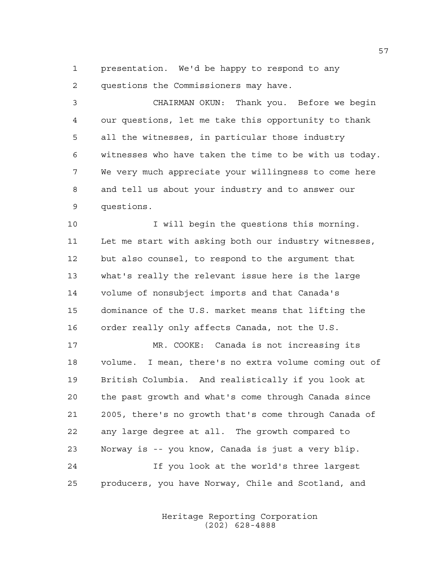presentation. We'd be happy to respond to any questions the Commissioners may have.

 CHAIRMAN OKUN: Thank you. Before we begin our questions, let me take this opportunity to thank all the witnesses, in particular those industry witnesses who have taken the time to be with us today. We very much appreciate your willingness to come here and tell us about your industry and to answer our questions.

 I will begin the questions this morning. Let me start with asking both our industry witnesses, but also counsel, to respond to the argument that what's really the relevant issue here is the large volume of nonsubject imports and that Canada's dominance of the U.S. market means that lifting the order really only affects Canada, not the U.S.

 MR. COOKE: Canada is not increasing its volume. I mean, there's no extra volume coming out of British Columbia. And realistically if you look at the past growth and what's come through Canada since 2005, there's no growth that's come through Canada of any large degree at all. The growth compared to Norway is -- you know, Canada is just a very blip. If you look at the world's three largest producers, you have Norway, Chile and Scotland, and

> Heritage Reporting Corporation (202) 628-4888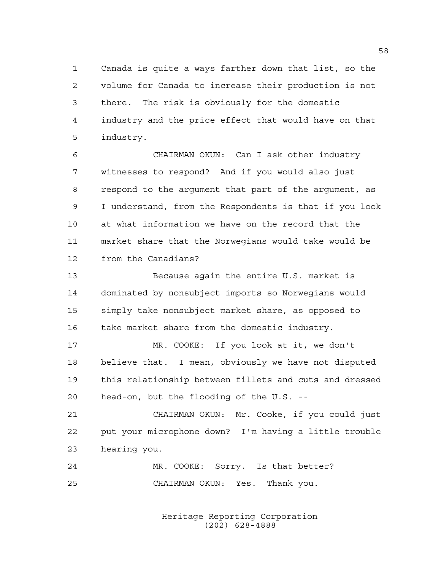Canada is quite a ways farther down that list, so the volume for Canada to increase their production is not there. The risk is obviously for the domestic industry and the price effect that would have on that industry.

 CHAIRMAN OKUN: Can I ask other industry witnesses to respond? And if you would also just respond to the argument that part of the argument, as I understand, from the Respondents is that if you look at what information we have on the record that the market share that the Norwegians would take would be from the Canadians?

 Because again the entire U.S. market is dominated by nonsubject imports so Norwegians would simply take nonsubject market share, as opposed to take market share from the domestic industry.

 MR. COOKE: If you look at it, we don't believe that. I mean, obviously we have not disputed this relationship between fillets and cuts and dressed head-on, but the flooding of the U.S. --

 CHAIRMAN OKUN: Mr. Cooke, if you could just put your microphone down? I'm having a little trouble hearing you.

| 24 |                                |  |  | MR. COOKE: Sorry. Is that better? |
|----|--------------------------------|--|--|-----------------------------------|
| 25 | CHAIRMAN OKUN: Yes. Thank you. |  |  |                                   |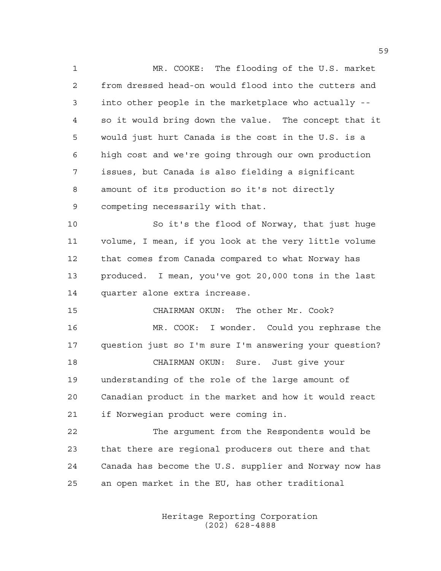MR. COOKE: The flooding of the U.S. market from dressed head-on would flood into the cutters and into other people in the marketplace who actually -- so it would bring down the value. The concept that it would just hurt Canada is the cost in the U.S. is a high cost and we're going through our own production issues, but Canada is also fielding a significant amount of its production so it's not directly competing necessarily with that. So it's the flood of Norway, that just huge volume, I mean, if you look at the very little volume that comes from Canada compared to what Norway has produced. I mean, you've got 20,000 tons in the last quarter alone extra increase. CHAIRMAN OKUN: The other Mr. Cook? MR. COOK: I wonder. Could you rephrase the question just so I'm sure I'm answering your question? CHAIRMAN OKUN: Sure. Just give your understanding of the role of the large amount of Canadian product in the market and how it would react if Norwegian product were coming in. The argument from the Respondents would be that there are regional producers out there and that

an open market in the EU, has other traditional

Canada has become the U.S. supplier and Norway now has

Heritage Reporting Corporation (202) 628-4888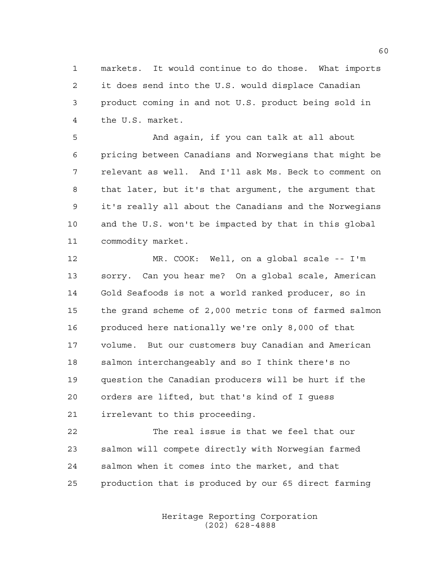markets. It would continue to do those. What imports it does send into the U.S. would displace Canadian product coming in and not U.S. product being sold in the U.S. market.

 And again, if you can talk at all about pricing between Canadians and Norwegians that might be relevant as well. And I'll ask Ms. Beck to comment on that later, but it's that argument, the argument that it's really all about the Canadians and the Norwegians and the U.S. won't be impacted by that in this global commodity market.

 MR. COOK: Well, on a global scale -- I'm sorry. Can you hear me? On a global scale, American Gold Seafoods is not a world ranked producer, so in the grand scheme of 2,000 metric tons of farmed salmon produced here nationally we're only 8,000 of that volume. But our customers buy Canadian and American salmon interchangeably and so I think there's no question the Canadian producers will be hurt if the orders are lifted, but that's kind of I guess irrelevant to this proceeding.

 The real issue is that we feel that our salmon will compete directly with Norwegian farmed salmon when it comes into the market, and that production that is produced by our 65 direct farming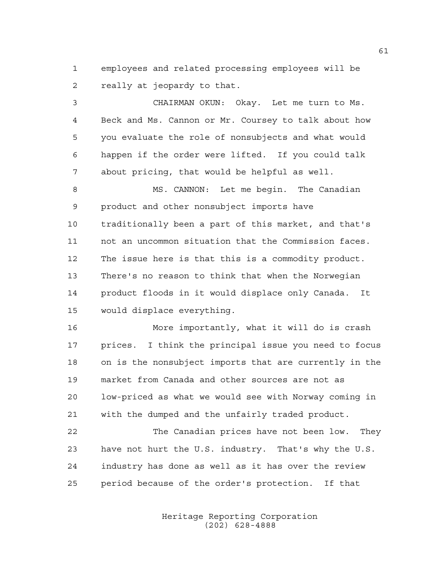employees and related processing employees will be really at jeopardy to that.

 CHAIRMAN OKUN: Okay. Let me turn to Ms. Beck and Ms. Cannon or Mr. Coursey to talk about how you evaluate the role of nonsubjects and what would happen if the order were lifted. If you could talk about pricing, that would be helpful as well.

 MS. CANNON: Let me begin. The Canadian product and other nonsubject imports have traditionally been a part of this market, and that's not an uncommon situation that the Commission faces. The issue here is that this is a commodity product. There's no reason to think that when the Norwegian product floods in it would displace only Canada. It would displace everything.

 More importantly, what it will do is crash prices. I think the principal issue you need to focus on is the nonsubject imports that are currently in the market from Canada and other sources are not as low-priced as what we would see with Norway coming in with the dumped and the unfairly traded product.

 The Canadian prices have not been low. They have not hurt the U.S. industry. That's why the U.S. industry has done as well as it has over the review period because of the order's protection. If that

> Heritage Reporting Corporation (202) 628-4888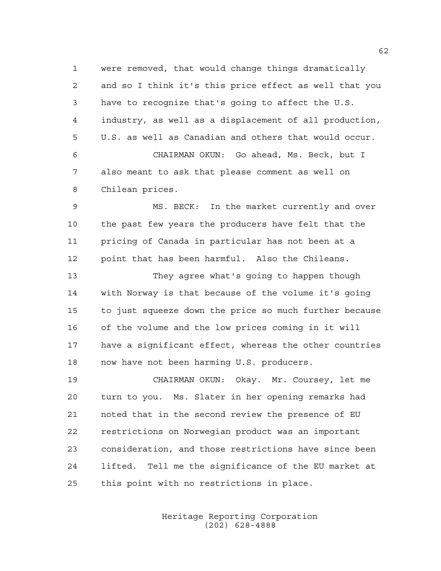were removed, that would change things dramatically and so I think it's this price effect as well that you have to recognize that's going to affect the U.S. industry, as well as a displacement of all production, U.S. as well as Canadian and others that would occur. CHAIRMAN OKUN: Go ahead, Ms. Beck, but I also meant to ask that please comment as well on

Chilean prices.

 MS. BECK: In the market currently and over the past few years the producers have felt that the pricing of Canada in particular has not been at a point that has been harmful. Also the Chileans.

 They agree what's going to happen though with Norway is that because of the volume it's going to just squeeze down the price so much further because of the volume and the low prices coming in it will have a significant effect, whereas the other countries now have not been harming U.S. producers.

 CHAIRMAN OKUN: Okay. Mr. Coursey, let me turn to you. Ms. Slater in her opening remarks had noted that in the second review the presence of EU restrictions on Norwegian product was an important consideration, and those restrictions have since been lifted. Tell me the significance of the EU market at this point with no restrictions in place.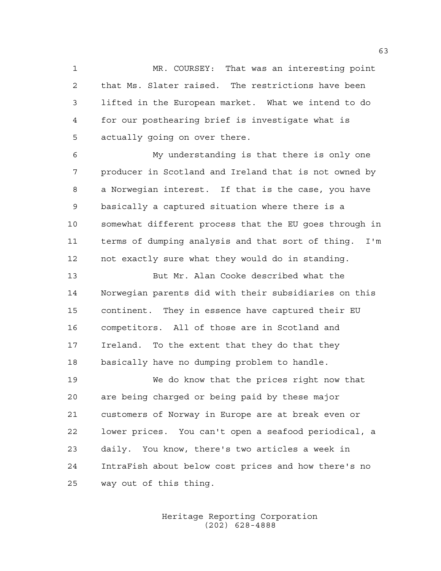MR. COURSEY: That was an interesting point that Ms. Slater raised. The restrictions have been lifted in the European market. What we intend to do for our posthearing brief is investigate what is actually going on over there.

 My understanding is that there is only one producer in Scotland and Ireland that is not owned by a Norwegian interest. If that is the case, you have basically a captured situation where there is a somewhat different process that the EU goes through in terms of dumping analysis and that sort of thing. I'm not exactly sure what they would do in standing.

 But Mr. Alan Cooke described what the Norwegian parents did with their subsidiaries on this continent. They in essence have captured their EU competitors. All of those are in Scotland and Ireland. To the extent that they do that they basically have no dumping problem to handle.

 We do know that the prices right now that are being charged or being paid by these major customers of Norway in Europe are at break even or lower prices. You can't open a seafood periodical, a daily. You know, there's two articles a week in IntraFish about below cost prices and how there's no way out of this thing.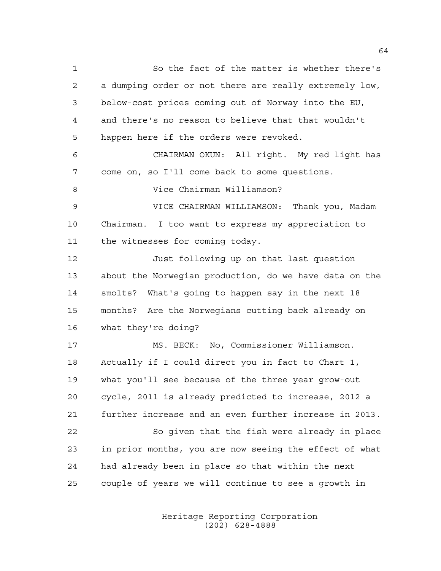So the fact of the matter is whether there's a dumping order or not there are really extremely low, below-cost prices coming out of Norway into the EU, and there's no reason to believe that that wouldn't happen here if the orders were revoked. CHAIRMAN OKUN: All right. My red light has come on, so I'll come back to some questions. Vice Chairman Williamson? VICE CHAIRMAN WILLIAMSON: Thank you, Madam Chairman. I too want to express my appreciation to the witnesses for coming today. Just following up on that last question about the Norwegian production, do we have data on the smolts? What's going to happen say in the next 18 months? Are the Norwegians cutting back already on what they're doing? MS. BECK: No, Commissioner Williamson. Actually if I could direct you in fact to Chart 1, what you'll see because of the three year grow-out cycle, 2011 is already predicted to increase, 2012 a further increase and an even further increase in 2013. So given that the fish were already in place in prior months, you are now seeing the effect of what had already been in place so that within the next couple of years we will continue to see a growth in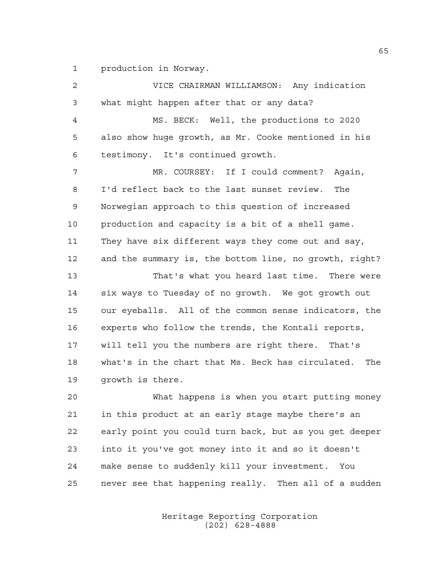production in Norway.

| $\overline{a}$ | VICE CHAIRMAN WILLIAMSON: Any indication               |
|----------------|--------------------------------------------------------|
| 3              | what might happen after that or any data?              |
| $\overline{4}$ | MS. BECK: Well, the productions to 2020                |
| 5              | also show huge growth, as Mr. Cooke mentioned in his   |
| 6              | testimony. It's continued growth.                      |
| 7              | MR. COURSEY: If I could comment? Again,                |
| 8              | I'd reflect back to the last sunset review.<br>The     |
| 9              | Norwegian approach to this question of increased       |
| 10             | production and capacity is a bit of a shell game.      |
| 11             | They have six different ways they come out and say,    |
| 12             | and the summary is, the bottom line, no growth, right? |
| 13             | That's what you heard last time. There were            |
| 14             | six ways to Tuesday of no growth. We got growth out    |
| 15             | our eyeballs. All of the common sense indicators, the  |
| 16             | experts who follow the trends, the Kontali reports,    |
| 17             | will tell you the numbers are right there. That's      |
| 18             | what's in the chart that Ms. Beck has circulated. The  |
| 19             | growth is there.                                       |
| 20             | What happens is when you start putting money           |
| 21             | in this product at an early stage maybe there's an     |
| 22             | early point you could turn back, but as you get deeper |
| 23             | into it you've got money into it and so it doesn't     |
| 24             | make sense to suddenly kill your investment. You       |

never see that happening really. Then all of a sudden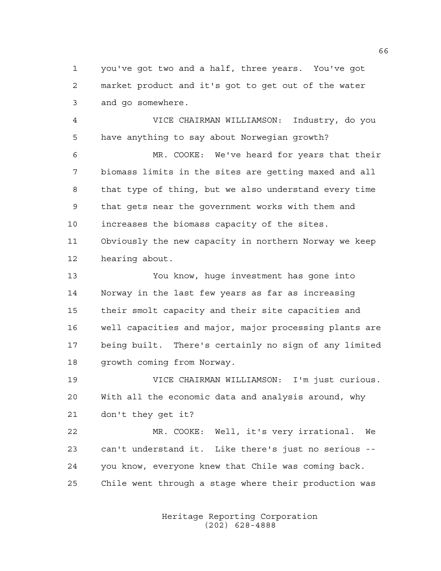you've got two and a half, three years. You've got market product and it's got to get out of the water and go somewhere.

 VICE CHAIRMAN WILLIAMSON: Industry, do you have anything to say about Norwegian growth?

 MR. COOKE: We've heard for years that their biomass limits in the sites are getting maxed and all that type of thing, but we also understand every time that gets near the government works with them and increases the biomass capacity of the sites. Obviously the new capacity in northern Norway we keep hearing about.

 You know, huge investment has gone into Norway in the last few years as far as increasing their smolt capacity and their site capacities and well capacities and major, major processing plants are being built. There's certainly no sign of any limited 18 growth coming from Norway.

 VICE CHAIRMAN WILLIAMSON: I'm just curious. With all the economic data and analysis around, why don't they get it?

 MR. COOKE: Well, it's very irrational. We can't understand it. Like there's just no serious -- you know, everyone knew that Chile was coming back. Chile went through a stage where their production was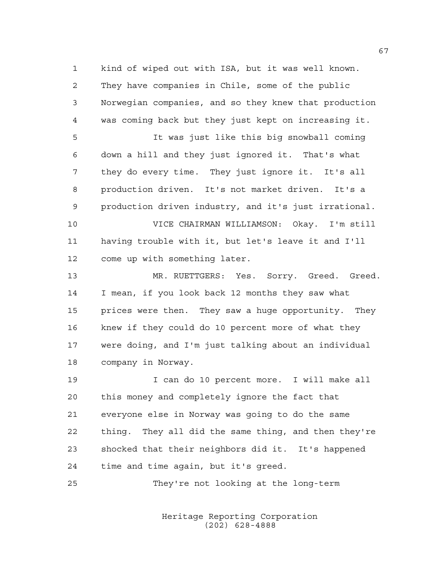kind of wiped out with ISA, but it was well known. They have companies in Chile, some of the public Norwegian companies, and so they knew that production was coming back but they just kept on increasing it. It was just like this big snowball coming down a hill and they just ignored it. That's what they do every time. They just ignore it. It's all production driven. It's not market driven. It's a production driven industry, and it's just irrational. VICE CHAIRMAN WILLIAMSON: Okay. I'm still having trouble with it, but let's leave it and I'll come up with something later. MR. RUETTGERS: Yes. Sorry. Greed. Greed. I mean, if you look back 12 months they saw what prices were then. They saw a huge opportunity. They knew if they could do 10 percent more of what they were doing, and I'm just talking about an individual company in Norway. I can do 10 percent more. I will make all this money and completely ignore the fact that everyone else in Norway was going to do the same thing. They all did the same thing, and then they're shocked that their neighbors did it. It's happened time and time again, but it's greed. They're not looking at the long-term

> Heritage Reporting Corporation (202) 628-4888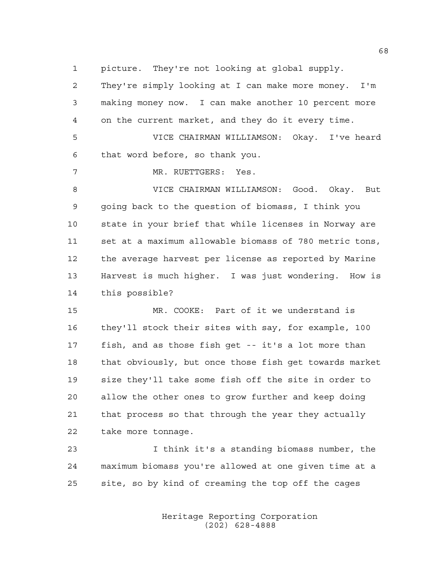picture. They're not looking at global supply.

 They're simply looking at I can make more money. I'm making money now. I can make another 10 percent more on the current market, and they do it every time. VICE CHAIRMAN WILLIAMSON: Okay. I've heard that word before, so thank you. MR. RUETTGERS: Yes. VICE CHAIRMAN WILLIAMSON: Good. Okay. But going back to the question of biomass, I think you state in your brief that while licenses in Norway are set at a maximum allowable biomass of 780 metric tons, the average harvest per license as reported by Marine Harvest is much higher. I was just wondering. How is this possible? MR. COOKE: Part of it we understand is

 they'll stock their sites with say, for example, 100 fish, and as those fish get -- it's a lot more than that obviously, but once those fish get towards market size they'll take some fish off the site in order to allow the other ones to grow further and keep doing that process so that through the year they actually take more tonnage.

 I think it's a standing biomass number, the maximum biomass you're allowed at one given time at a site, so by kind of creaming the top off the cages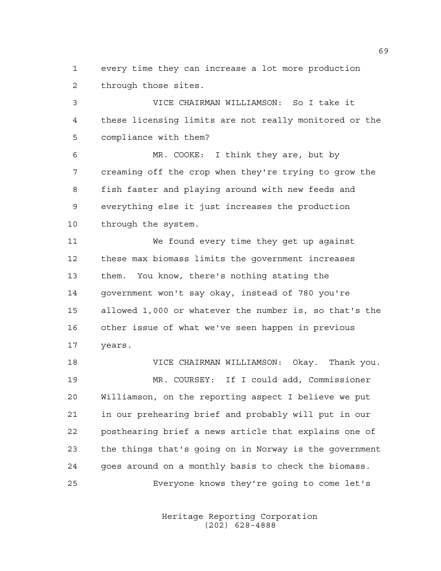every time they can increase a lot more production through those sites.

 VICE CHAIRMAN WILLIAMSON: So I take it these licensing limits are not really monitored or the compliance with them?

 MR. COOKE: I think they are, but by creaming off the crop when they're trying to grow the fish faster and playing around with new feeds and everything else it just increases the production through the system.

 We found every time they get up against these max biomass limits the government increases them. You know, there's nothing stating the government won't say okay, instead of 780 you're allowed 1,000 or whatever the number is, so that's the other issue of what we've seen happen in previous years.

 VICE CHAIRMAN WILLIAMSON: Okay. Thank you. MR. COURSEY: If I could add, Commissioner Williamson, on the reporting aspect I believe we put in our prehearing brief and probably will put in our posthearing brief a news article that explains one of the things that's going on in Norway is the government goes around on a monthly basis to check the biomass. Everyone knows they're going to come let's

> Heritage Reporting Corporation (202) 628-4888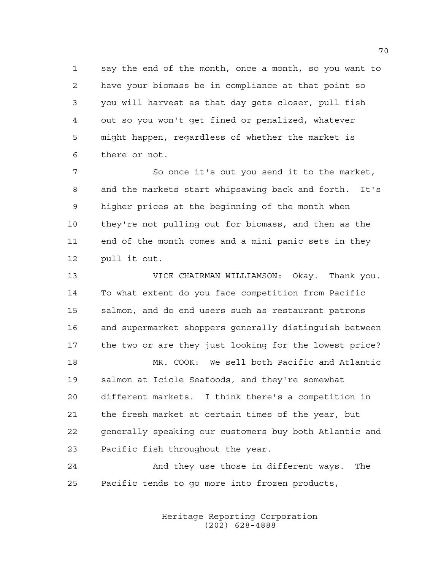say the end of the month, once a month, so you want to have your biomass be in compliance at that point so you will harvest as that day gets closer, pull fish out so you won't get fined or penalized, whatever might happen, regardless of whether the market is there or not.

 So once it's out you send it to the market, and the markets start whipsawing back and forth. It's higher prices at the beginning of the month when they're not pulling out for biomass, and then as the end of the month comes and a mini panic sets in they pull it out.

 VICE CHAIRMAN WILLIAMSON: Okay. Thank you. To what extent do you face competition from Pacific salmon, and do end users such as restaurant patrons and supermarket shoppers generally distinguish between the two or are they just looking for the lowest price? MR. COOK: We sell both Pacific and Atlantic salmon at Icicle Seafoods, and they're somewhat different markets. I think there's a competition in the fresh market at certain times of the year, but generally speaking our customers buy both Atlantic and Pacific fish throughout the year.

 And they use those in different ways. The Pacific tends to go more into frozen products,

> Heritage Reporting Corporation (202) 628-4888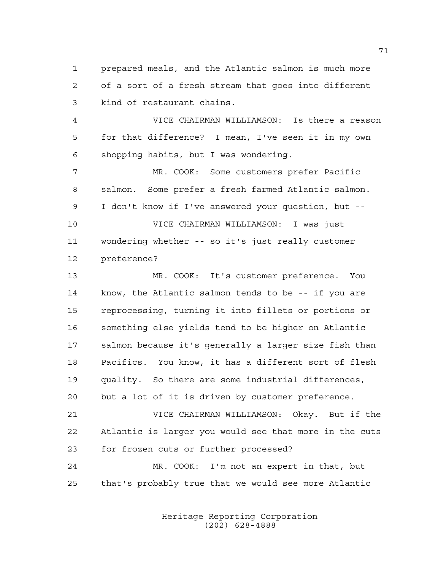prepared meals, and the Atlantic salmon is much more of a sort of a fresh stream that goes into different kind of restaurant chains.

 VICE CHAIRMAN WILLIAMSON: Is there a reason for that difference? I mean, I've seen it in my own shopping habits, but I was wondering.

 MR. COOK: Some customers prefer Pacific salmon. Some prefer a fresh farmed Atlantic salmon. I don't know if I've answered your question, but --

 VICE CHAIRMAN WILLIAMSON: I was just wondering whether -- so it's just really customer preference?

 MR. COOK: It's customer preference. You know, the Atlantic salmon tends to be -- if you are reprocessing, turning it into fillets or portions or something else yields tend to be higher on Atlantic salmon because it's generally a larger size fish than Pacifics. You know, it has a different sort of flesh quality. So there are some industrial differences, but a lot of it is driven by customer preference.

 VICE CHAIRMAN WILLIAMSON: Okay. But if the Atlantic is larger you would see that more in the cuts for frozen cuts or further processed?

 MR. COOK: I'm not an expert in that, but that's probably true that we would see more Atlantic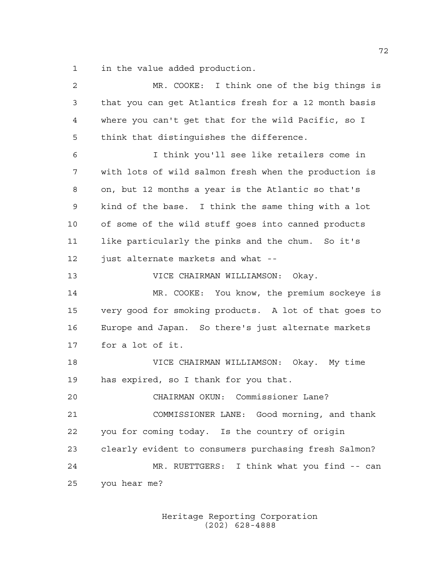in the value added production.

| $\overline{a}$ | MR. COOKE: I think one of the big things is           |
|----------------|-------------------------------------------------------|
| 3              | that you can get Atlantics fresh for a 12 month basis |
| 4              | where you can't get that for the wild Pacific, so I   |
| 5              | think that distinguishes the difference.              |
| 6              | I think you'll see like retailers come in             |
| 7              | with lots of wild salmon fresh when the production is |
| 8              | on, but 12 months a year is the Atlantic so that's    |
| 9              | kind of the base. I think the same thing with a lot   |
| 10             | of some of the wild stuff goes into canned products   |
| 11             | like particularly the pinks and the chum. So it's     |
| 12             | just alternate markets and what --                    |
| 13             | VICE CHAIRMAN WILLIAMSON: Okay.                       |
| 14             | MR. COOKE: You know, the premium sockeye is           |
| 15             | very good for smoking products. A lot of that goes to |
| 16             | Europe and Japan. So there's just alternate markets   |
| 17             | for a lot of it.                                      |
| 18             | VICE CHAIRMAN WILLIAMSON: Okay. My time               |
| 19             | has expired, so I thank for you that.                 |
| 20             | CHAIRMAN OKUN: Commissioner Lane?                     |
| 21             | COMMISSIONER LANE: Good morning, and thank            |
| 22             | you for coming today. Is the country of origin        |
| 23             | clearly evident to consumers purchasing fresh Salmon? |
| 24             | MR. RUETTGERS: I think what you find -- can           |
| 25             | you hear me?                                          |
|                |                                                       |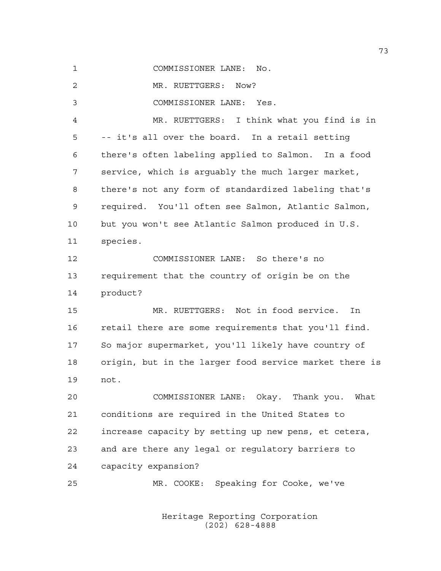COMMISSIONER LANE: No.

2 MR. RUETTGERS: Now?

COMMISSIONER LANE: Yes.

 MR. RUETTGERS: I think what you find is in -- it's all over the board. In a retail setting there's often labeling applied to Salmon. In a food service, which is arguably the much larger market, there's not any form of standardized labeling that's required. You'll often see Salmon, Atlantic Salmon, but you won't see Atlantic Salmon produced in U.S. species.

 COMMISSIONER LANE: So there's no requirement that the country of origin be on the product?

 MR. RUETTGERS: Not in food service. In 16 retail there are some requirements that you'll find. So major supermarket, you'll likely have country of origin, but in the larger food service market there is not.

 COMMISSIONER LANE: Okay. Thank you. What conditions are required in the United States to increase capacity by setting up new pens, et cetera, and are there any legal or regulatory barriers to capacity expansion?

MR. COOKE: Speaking for Cooke, we've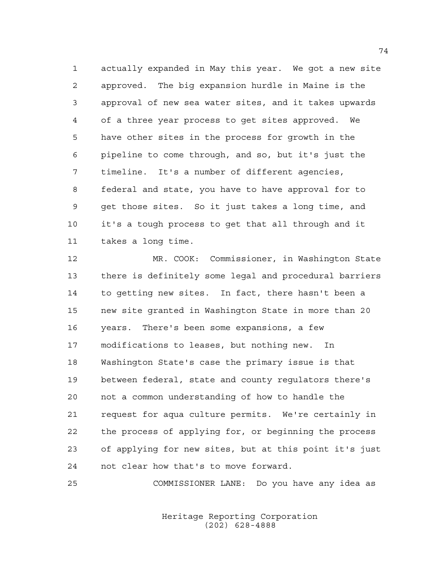actually expanded in May this year. We got a new site approved. The big expansion hurdle in Maine is the approval of new sea water sites, and it takes upwards of a three year process to get sites approved. We have other sites in the process for growth in the pipeline to come through, and so, but it's just the timeline. It's a number of different agencies, federal and state, you have to have approval for to get those sites. So it just takes a long time, and it's a tough process to get that all through and it takes a long time.

 MR. COOK: Commissioner, in Washington State there is definitely some legal and procedural barriers to getting new sites. In fact, there hasn't been a new site granted in Washington State in more than 20 years. There's been some expansions, a few modifications to leases, but nothing new. In Washington State's case the primary issue is that between federal, state and county regulators there's not a common understanding of how to handle the request for aqua culture permits. We're certainly in the process of applying for, or beginning the process of applying for new sites, but at this point it's just not clear how that's to move forward.

COMMISSIONER LANE: Do you have any idea as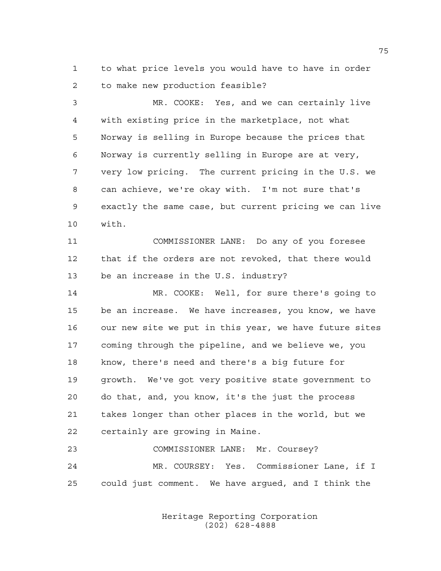to what price levels you would have to have in order to make new production feasible?

 MR. COOKE: Yes, and we can certainly live with existing price in the marketplace, not what Norway is selling in Europe because the prices that Norway is currently selling in Europe are at very, very low pricing. The current pricing in the U.S. we can achieve, we're okay with. I'm not sure that's exactly the same case, but current pricing we can live with.

 COMMISSIONER LANE: Do any of you foresee that if the orders are not revoked, that there would be an increase in the U.S. industry?

 MR. COOKE: Well, for sure there's going to be an increase. We have increases, you know, we have our new site we put in this year, we have future sites coming through the pipeline, and we believe we, you know, there's need and there's a big future for growth. We've got very positive state government to do that, and, you know, it's the just the process takes longer than other places in the world, but we certainly are growing in Maine.

 COMMISSIONER LANE: Mr. Coursey? MR. COURSEY: Yes. Commissioner Lane, if I could just comment. We have argued, and I think the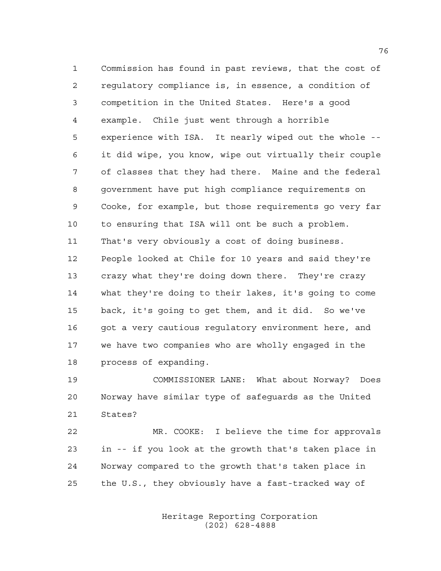Commission has found in past reviews, that the cost of regulatory compliance is, in essence, a condition of competition in the United States. Here's a good example. Chile just went through a horrible experience with ISA. It nearly wiped out the whole -- it did wipe, you know, wipe out virtually their couple of classes that they had there. Maine and the federal government have put high compliance requirements on Cooke, for example, but those requirements go very far to ensuring that ISA will ont be such a problem. That's very obviously a cost of doing business. People looked at Chile for 10 years and said they're crazy what they're doing down there. They're crazy what they're doing to their lakes, it's going to come back, it's going to get them, and it did. So we've 16 got a very cautious regulatory environment here, and we have two companies who are wholly engaged in the process of expanding.

 COMMISSIONER LANE: What about Norway? Does Norway have similar type of safeguards as the United States?

 MR. COOKE: I believe the time for approvals in -- if you look at the growth that's taken place in Norway compared to the growth that's taken place in the U.S., they obviously have a fast-tracked way of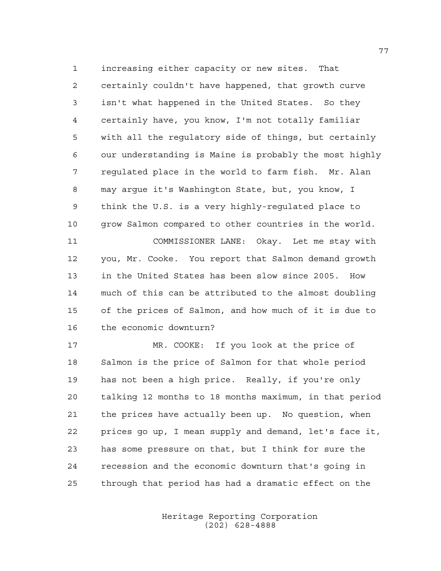increasing either capacity or new sites. That certainly couldn't have happened, that growth curve isn't what happened in the United States. So they certainly have, you know, I'm not totally familiar with all the regulatory side of things, but certainly our understanding is Maine is probably the most highly regulated place in the world to farm fish. Mr. Alan may argue it's Washington State, but, you know, I think the U.S. is a very highly-regulated place to 10 grow Salmon compared to other countries in the world. COMMISSIONER LANE: Okay. Let me stay with

 you, Mr. Cooke. You report that Salmon demand growth in the United States has been slow since 2005. How much of this can be attributed to the almost doubling of the prices of Salmon, and how much of it is due to the economic downturn?

 MR. COOKE: If you look at the price of Salmon is the price of Salmon for that whole period has not been a high price. Really, if you're only talking 12 months to 18 months maximum, in that period the prices have actually been up. No question, when prices go up, I mean supply and demand, let's face it, has some pressure on that, but I think for sure the recession and the economic downturn that's going in through that period has had a dramatic effect on the

> Heritage Reporting Corporation (202) 628-4888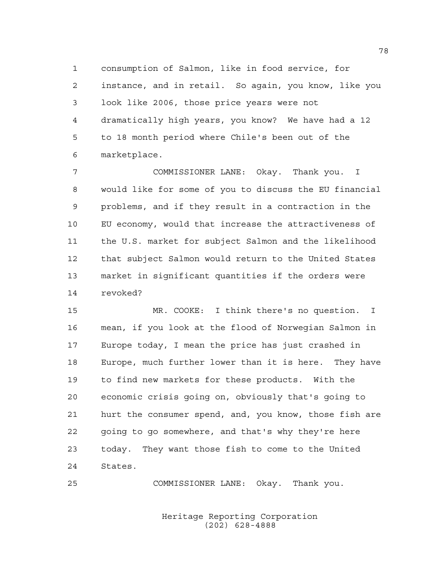consumption of Salmon, like in food service, for instance, and in retail. So again, you know, like you look like 2006, those price years were not dramatically high years, you know? We have had a 12 to 18 month period where Chile's been out of the marketplace.

 COMMISSIONER LANE: Okay. Thank you. I would like for some of you to discuss the EU financial problems, and if they result in a contraction in the EU economy, would that increase the attractiveness of the U.S. market for subject Salmon and the likelihood that subject Salmon would return to the United States market in significant quantities if the orders were revoked?

 MR. COOKE: I think there's no question. I mean, if you look at the flood of Norwegian Salmon in Europe today, I mean the price has just crashed in Europe, much further lower than it is here. They have to find new markets for these products. With the economic crisis going on, obviously that's going to hurt the consumer spend, and, you know, those fish are going to go somewhere, and that's why they're here today. They want those fish to come to the United States.

COMMISSIONER LANE: Okay. Thank you.

Heritage Reporting Corporation (202) 628-4888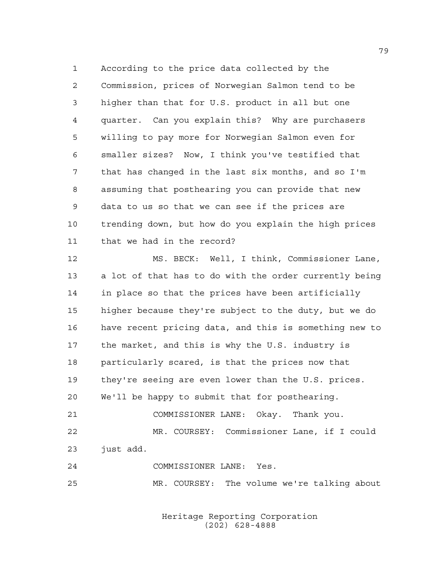According to the price data collected by the Commission, prices of Norwegian Salmon tend to be higher than that for U.S. product in all but one quarter. Can you explain this? Why are purchasers willing to pay more for Norwegian Salmon even for smaller sizes? Now, I think you've testified that that has changed in the last six months, and so I'm assuming that posthearing you can provide that new data to us so that we can see if the prices are trending down, but how do you explain the high prices that we had in the record?

 MS. BECK: Well, I think, Commissioner Lane, a lot of that has to do with the order currently being in place so that the prices have been artificially higher because they're subject to the duty, but we do have recent pricing data, and this is something new to the market, and this is why the U.S. industry is particularly scared, is that the prices now that they're seeing are even lower than the U.S. prices. We'll be happy to submit that for posthearing. COMMISSIONER LANE: Okay. Thank you. MR. COURSEY: Commissioner Lane, if I could just add.

COMMISSIONER LANE: Yes.

MR. COURSEY: The volume we're talking about

Heritage Reporting Corporation (202) 628-4888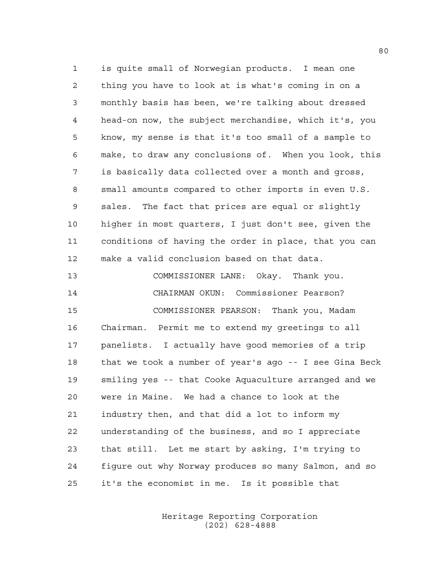is quite small of Norwegian products. I mean one thing you have to look at is what's coming in on a monthly basis has been, we're talking about dressed head-on now, the subject merchandise, which it's, you know, my sense is that it's too small of a sample to make, to draw any conclusions of. When you look, this is basically data collected over a month and gross, small amounts compared to other imports in even U.S. sales. The fact that prices are equal or slightly higher in most quarters, I just don't see, given the conditions of having the order in place, that you can make a valid conclusion based on that data. COMMISSIONER LANE: Okay. Thank you. CHAIRMAN OKUN: Commissioner Pearson?

 COMMISSIONER PEARSON: Thank you, Madam Chairman. Permit me to extend my greetings to all panelists. I actually have good memories of a trip that we took a number of year's ago -- I see Gina Beck smiling yes -- that Cooke Aquaculture arranged and we were in Maine. We had a chance to look at the industry then, and that did a lot to inform my understanding of the business, and so I appreciate that still. Let me start by asking, I'm trying to figure out why Norway produces so many Salmon, and so it's the economist in me. Is it possible that

> Heritage Reporting Corporation (202) 628-4888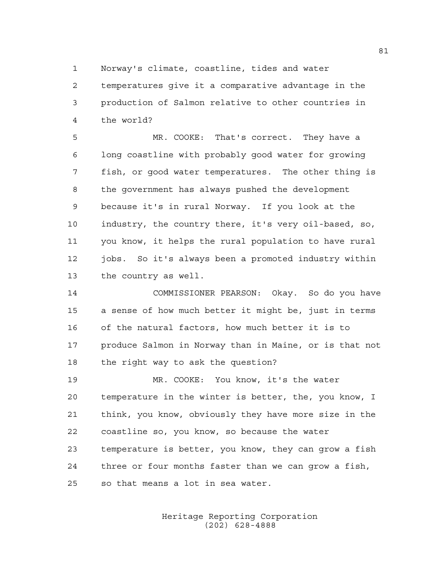Norway's climate, coastline, tides and water

 temperatures give it a comparative advantage in the production of Salmon relative to other countries in the world?

 MR. COOKE: That's correct. They have a long coastline with probably good water for growing fish, or good water temperatures. The other thing is the government has always pushed the development because it's in rural Norway. If you look at the industry, the country there, it's very oil-based, so, you know, it helps the rural population to have rural 12 jobs. So it's always been a promoted industry within the country as well.

 COMMISSIONER PEARSON: Okay. So do you have a sense of how much better it might be, just in terms of the natural factors, how much better it is to produce Salmon in Norway than in Maine, or is that not the right way to ask the question?

 MR. COOKE: You know, it's the water temperature in the winter is better, the, you know, I think, you know, obviously they have more size in the coastline so, you know, so because the water temperature is better, you know, they can grow a fish three or four months faster than we can grow a fish, so that means a lot in sea water.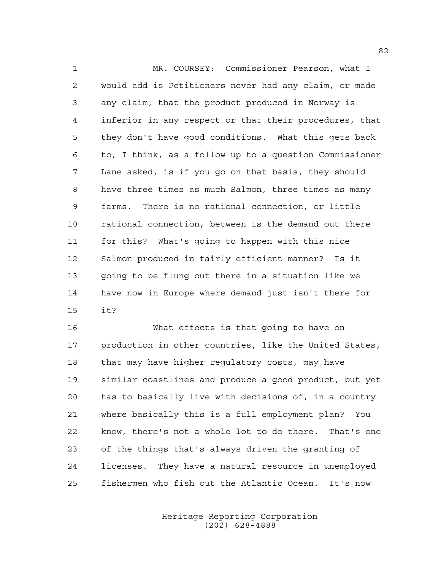MR. COURSEY: Commissioner Pearson, what I would add is Petitioners never had any claim, or made any claim, that the product produced in Norway is inferior in any respect or that their procedures, that they don't have good conditions. What this gets back to, I think, as a follow-up to a question Commissioner Lane asked, is if you go on that basis, they should have three times as much Salmon, three times as many farms. There is no rational connection, or little rational connection, between is the demand out there for this? What's going to happen with this nice Salmon produced in fairly efficient manner? Is it going to be flung out there in a situation like we have now in Europe where demand just isn't there for it?

 What effects is that going to have on production in other countries, like the United States, that may have higher regulatory costs, may have similar coastlines and produce a good product, but yet has to basically live with decisions of, in a country where basically this is a full employment plan? You know, there's not a whole lot to do there. That's one of the things that's always driven the granting of licenses. They have a natural resource in unemployed fishermen who fish out the Atlantic Ocean. It's now

> Heritage Reporting Corporation (202) 628-4888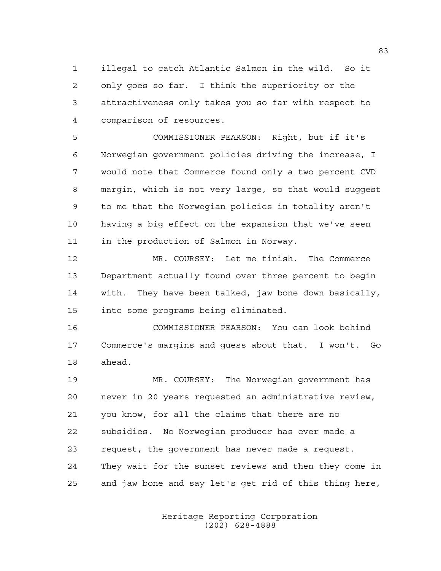illegal to catch Atlantic Salmon in the wild. So it only goes so far. I think the superiority or the attractiveness only takes you so far with respect to comparison of resources.

 COMMISSIONER PEARSON: Right, but if it's Norwegian government policies driving the increase, I would note that Commerce found only a two percent CVD margin, which is not very large, so that would suggest to me that the Norwegian policies in totality aren't having a big effect on the expansion that we've seen in the production of Salmon in Norway.

 MR. COURSEY: Let me finish. The Commerce Department actually found over three percent to begin with. They have been talked, jaw bone down basically, into some programs being eliminated.

 COMMISSIONER PEARSON: You can look behind Commerce's margins and guess about that. I won't. Go ahead.

 MR. COURSEY: The Norwegian government has never in 20 years requested an administrative review, you know, for all the claims that there are no subsidies. No Norwegian producer has ever made a request, the government has never made a request. They wait for the sunset reviews and then they come in and jaw bone and say let's get rid of this thing here,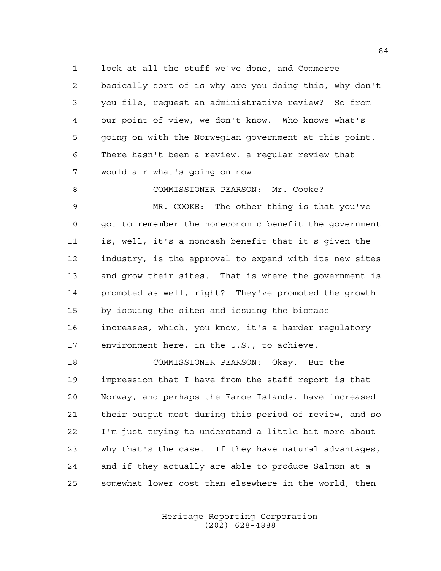look at all the stuff we've done, and Commerce basically sort of is why are you doing this, why don't you file, request an administrative review? So from our point of view, we don't know. Who knows what's going on with the Norwegian government at this point. There hasn't been a review, a regular review that would air what's going on now.

8 COMMISSIONER PEARSON: Mr. Cooke?

 MR. COOKE: The other thing is that you've got to remember the noneconomic benefit the government is, well, it's a noncash benefit that it's given the industry, is the approval to expand with its new sites and grow their sites. That is where the government is promoted as well, right? They've promoted the growth by issuing the sites and issuing the biomass increases, which, you know, it's a harder regulatory environment here, in the U.S., to achieve.

 COMMISSIONER PEARSON: Okay. But the impression that I have from the staff report is that Norway, and perhaps the Faroe Islands, have increased their output most during this period of review, and so I'm just trying to understand a little bit more about why that's the case. If they have natural advantages, and if they actually are able to produce Salmon at a somewhat lower cost than elsewhere in the world, then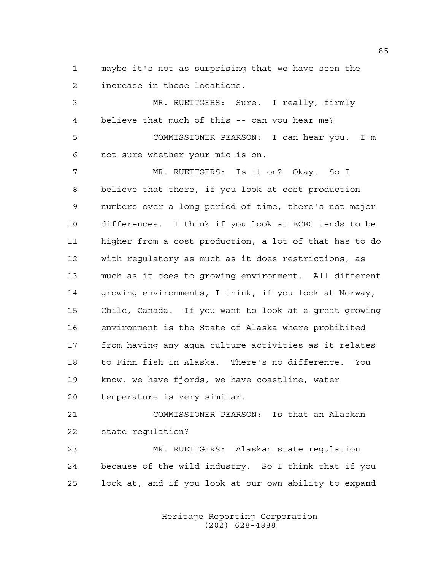maybe it's not as surprising that we have seen the increase in those locations.

 MR. RUETTGERS: Sure. I really, firmly believe that much of this -- can you hear me? COMMISSIONER PEARSON: I can hear you. I'm not sure whether your mic is on. MR. RUETTGERS: Is it on? Okay. So I believe that there, if you look at cost production numbers over a long period of time, there's not major differences. I think if you look at BCBC tends to be higher from a cost production, a lot of that has to do with regulatory as much as it does restrictions, as much as it does to growing environment. All different growing environments, I think, if you look at Norway, Chile, Canada. If you want to look at a great growing environment is the State of Alaska where prohibited from having any aqua culture activities as it relates to Finn fish in Alaska. There's no difference. You know, we have fjords, we have coastline, water temperature is very similar. COMMISSIONER PEARSON: Is that an Alaskan state regulation? MR. RUETTGERS: Alaskan state regulation

 because of the wild industry. So I think that if you look at, and if you look at our own ability to expand

> Heritage Reporting Corporation (202) 628-4888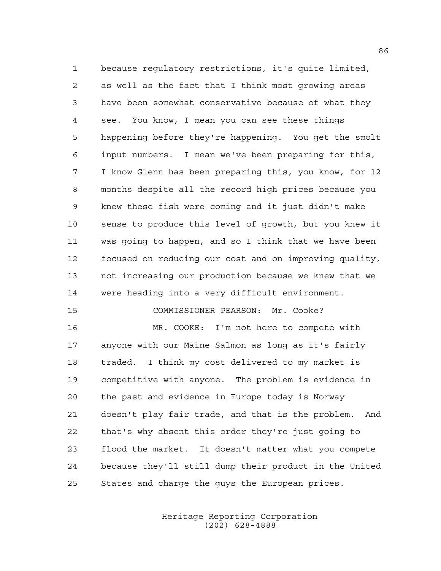because regulatory restrictions, it's quite limited, as well as the fact that I think most growing areas have been somewhat conservative because of what they see. You know, I mean you can see these things happening before they're happening. You get the smolt input numbers. I mean we've been preparing for this, I know Glenn has been preparing this, you know, for 12 months despite all the record high prices because you knew these fish were coming and it just didn't make sense to produce this level of growth, but you knew it was going to happen, and so I think that we have been focused on reducing our cost and on improving quality, not increasing our production because we knew that we were heading into a very difficult environment.

 MR. COOKE: I'm not here to compete with anyone with our Maine Salmon as long as it's fairly traded. I think my cost delivered to my market is competitive with anyone. The problem is evidence in the past and evidence in Europe today is Norway doesn't play fair trade, and that is the problem. And that's why absent this order they're just going to flood the market. It doesn't matter what you compete because they'll still dump their product in the United States and charge the guys the European prices.

COMMISSIONER PEARSON: Mr. Cooke?

Heritage Reporting Corporation (202) 628-4888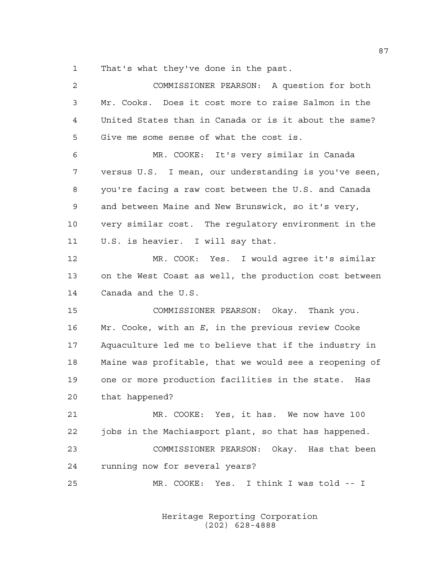That's what they've done in the past.

| 2  | COMMISSIONER PEARSON: A question for both              |
|----|--------------------------------------------------------|
| 3  | Mr. Cooks. Does it cost more to raise Salmon in the    |
| 4  | United States than in Canada or is it about the same?  |
| 5  | Give me some sense of what the cost is.                |
| 6  | MR. COOKE: It's very similar in Canada                 |
| 7  | versus U.S. I mean, our understanding is you've seen,  |
| 8  | you're facing a raw cost between the U.S. and Canada   |
| 9  | and between Maine and New Brunswick, so it's very,     |
| 10 | very similar cost. The regulatory environment in the   |
| 11 | U.S. is heavier. I will say that.                      |
| 12 | MR. COOK: Yes. I would agree it's similar              |
| 13 | on the West Coast as well, the production cost between |
| 14 | Canada and the U.S.                                    |
| 15 | COMMISSIONER PEARSON: Okay. Thank you.                 |
| 16 | Mr. Cooke, with an E, in the previous review Cooke     |
| 17 | Aquaculture led me to believe that if the industry in  |
| 18 | Maine was profitable, that we would see a reopening of |
| 19 | one or more production facilities in the state.<br>Has |
| 20 | that happened?                                         |
| 21 | MR. COOKE: Yes, it has. We now have 100                |
| 22 | jobs in the Machiasport plant, so that has happened.   |
| 23 | COMMISSIONER PEARSON: Okay. Has that been              |
| 24 | running now for several years?                         |
| 25 | MR. COOKE: Yes. I think I was told -- I                |
|    |                                                        |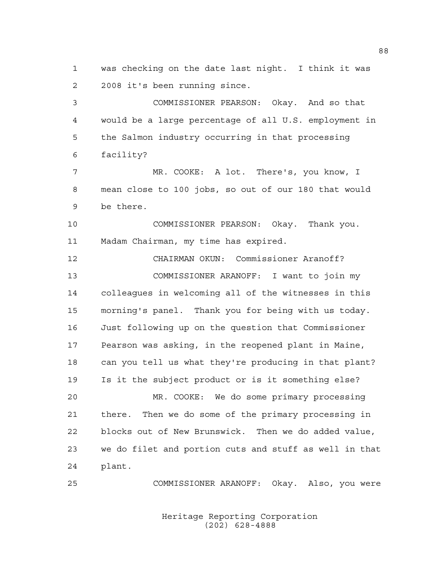was checking on the date last night. I think it was 2008 it's been running since.

 COMMISSIONER PEARSON: Okay. And so that would be a large percentage of all U.S. employment in the Salmon industry occurring in that processing facility?

 MR. COOKE: A lot. There's, you know, I mean close to 100 jobs, so out of our 180 that would be there.

 COMMISSIONER PEARSON: Okay. Thank you. Madam Chairman, my time has expired.

 CHAIRMAN OKUN: Commissioner Aranoff? COMMISSIONER ARANOFF: I want to join my colleagues in welcoming all of the witnesses in this morning's panel. Thank you for being with us today. Just following up on the question that Commissioner Pearson was asking, in the reopened plant in Maine, can you tell us what they're producing in that plant? Is it the subject product or is it something else?

 MR. COOKE: We do some primary processing there. Then we do some of the primary processing in blocks out of New Brunswick. Then we do added value, we do filet and portion cuts and stuff as well in that plant.

COMMISSIONER ARANOFF: Okay. Also, you were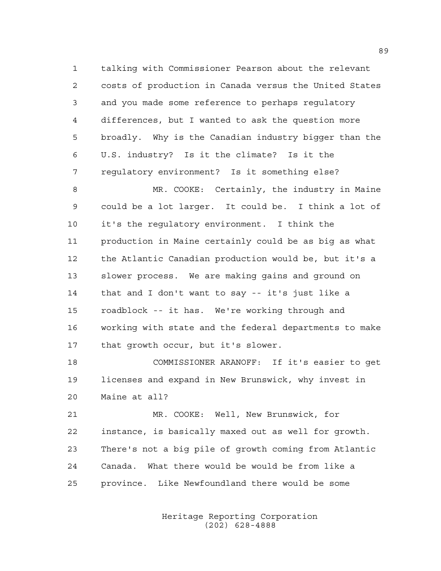talking with Commissioner Pearson about the relevant costs of production in Canada versus the United States and you made some reference to perhaps regulatory differences, but I wanted to ask the question more broadly. Why is the Canadian industry bigger than the U.S. industry? Is it the climate? Is it the regulatory environment? Is it something else?

8 MR. COOKE: Certainly, the industry in Maine could be a lot larger. It could be. I think a lot of it's the regulatory environment. I think the production in Maine certainly could be as big as what the Atlantic Canadian production would be, but it's a slower process. We are making gains and ground on that and I don't want to say -- it's just like a roadblock -- it has. We're working through and working with state and the federal departments to make that growth occur, but it's slower.

 COMMISSIONER ARANOFF: If it's easier to get licenses and expand in New Brunswick, why invest in Maine at all?

 MR. COOKE: Well, New Brunswick, for instance, is basically maxed out as well for growth. There's not a big pile of growth coming from Atlantic Canada. What there would be would be from like a province. Like Newfoundland there would be some

> Heritage Reporting Corporation (202) 628-4888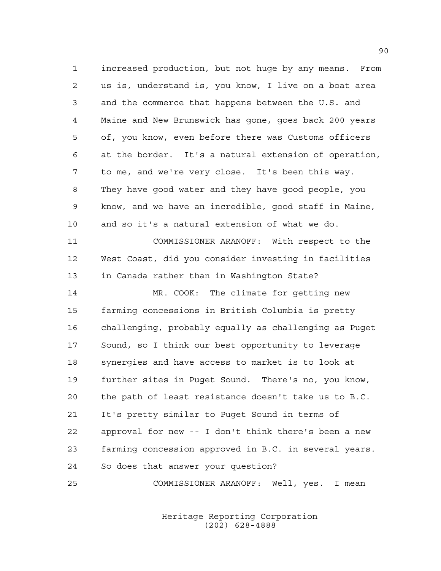increased production, but not huge by any means. From us is, understand is, you know, I live on a boat area and the commerce that happens between the U.S. and Maine and New Brunswick has gone, goes back 200 years of, you know, even before there was Customs officers at the border. It's a natural extension of operation, to me, and we're very close. It's been this way. They have good water and they have good people, you know, and we have an incredible, good staff in Maine, and so it's a natural extension of what we do. COMMISSIONER ARANOFF: With respect to the West Coast, did you consider investing in facilities in Canada rather than in Washington State? MR. COOK: The climate for getting new farming concessions in British Columbia is pretty challenging, probably equally as challenging as Puget Sound, so I think our best opportunity to leverage synergies and have access to market is to look at further sites in Puget Sound. There's no, you know, the path of least resistance doesn't take us to B.C. It's pretty similar to Puget Sound in terms of approval for new -- I don't think there's been a new

So does that answer your question?

COMMISSIONER ARANOFF: Well, yes. I mean

farming concession approved in B.C. in several years.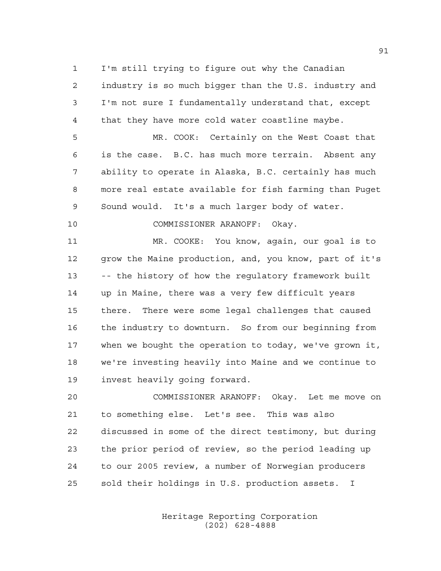I'm still trying to figure out why the Canadian industry is so much bigger than the U.S. industry and I'm not sure I fundamentally understand that, except that they have more cold water coastline maybe.

 MR. COOK: Certainly on the West Coast that is the case. B.C. has much more terrain. Absent any ability to operate in Alaska, B.C. certainly has much more real estate available for fish farming than Puget Sound would. It's a much larger body of water.

COMMISSIONER ARANOFF: Okay.

 MR. COOKE: You know, again, our goal is to grow the Maine production, and, you know, part of it's -- the history of how the regulatory framework built up in Maine, there was a very few difficult years there. There were some legal challenges that caused the industry to downturn. So from our beginning from when we bought the operation to today, we've grown it, we're investing heavily into Maine and we continue to invest heavily going forward.

 COMMISSIONER ARANOFF: Okay. Let me move on to something else. Let's see. This was also discussed in some of the direct testimony, but during the prior period of review, so the period leading up to our 2005 review, a number of Norwegian producers sold their holdings in U.S. production assets. I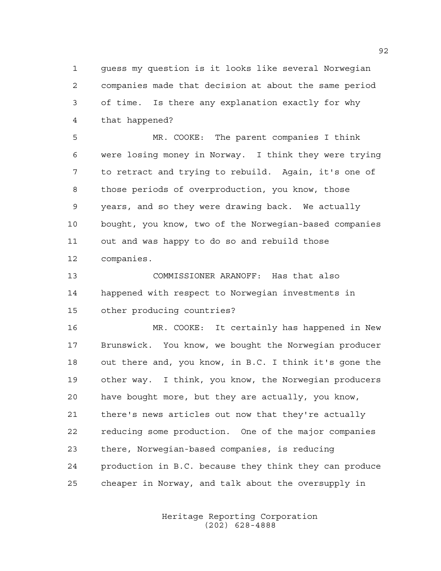guess my question is it looks like several Norwegian companies made that decision at about the same period of time. Is there any explanation exactly for why that happened?

 MR. COOKE: The parent companies I think were losing money in Norway. I think they were trying to retract and trying to rebuild. Again, it's one of those periods of overproduction, you know, those years, and so they were drawing back. We actually bought, you know, two of the Norwegian-based companies out and was happy to do so and rebuild those companies.

 COMMISSIONER ARANOFF: Has that also happened with respect to Norwegian investments in other producing countries?

 MR. COOKE: It certainly has happened in New Brunswick. You know, we bought the Norwegian producer out there and, you know, in B.C. I think it's gone the other way. I think, you know, the Norwegian producers have bought more, but they are actually, you know, there's news articles out now that they're actually reducing some production. One of the major companies there, Norwegian-based companies, is reducing production in B.C. because they think they can produce cheaper in Norway, and talk about the oversupply in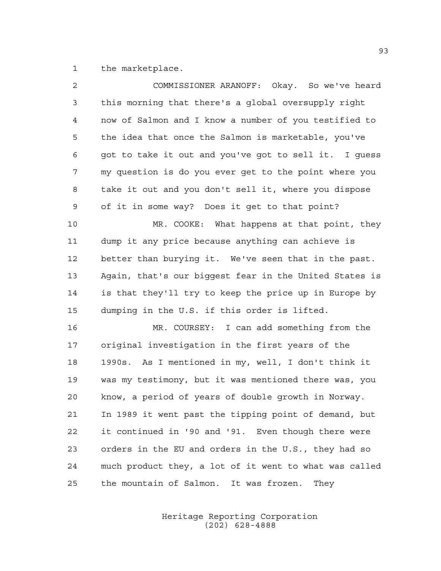the marketplace.

| 2  | COMMISSIONER ARANOFF: Okay. So we've heard             |
|----|--------------------------------------------------------|
| 3  | this morning that there's a global oversupply right    |
| 4  | now of Salmon and I know a number of you testified to  |
| 5  | the idea that once the Salmon is marketable, you've    |
| 6  | got to take it out and you've got to sell it. I guess  |
| 7  | my question is do you ever get to the point where you  |
| 8  | take it out and you don't sell it, where you dispose   |
| 9  | of it in some way? Does it get to that point?          |
| 10 | MR. COOKE: What happens at that point, they            |
| 11 | dump it any price because anything can achieve is      |
| 12 | better than burying it. We've seen that in the past.   |
| 13 | Again, that's our biggest fear in the United States is |
| 14 | is that they'll try to keep the price up in Europe by  |
| 15 | dumping in the U.S. if this order is lifted.           |
| 16 | MR. COURSEY: I can add something from the              |
| 17 | original investigation in the first years of the       |
| 18 | 1990s. As I mentioned in my, well, I don't think it    |
| 19 | was my testimony, but it was mentioned there was, you  |
| 20 | know, a period of years of double growth in Norway.    |
| 21 | In 1989 it went past the tipping point of demand, but  |
| 22 | it continued in '90 and '91. Even though there were    |
| 23 | orders in the EU and orders in the U.S., they had so   |
| 24 | much product they, a lot of it went to what was called |
| 25 | the mountain of Salmon. It was frozen.<br>They         |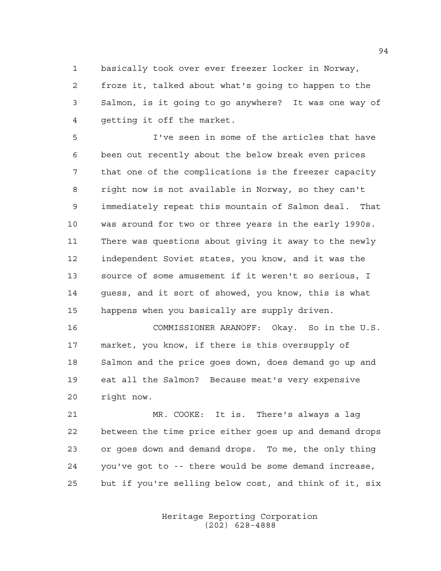basically took over ever freezer locker in Norway, froze it, talked about what's going to happen to the Salmon, is it going to go anywhere? It was one way of getting it off the market.

 I've seen in some of the articles that have been out recently about the below break even prices that one of the complications is the freezer capacity right now is not available in Norway, so they can't immediately repeat this mountain of Salmon deal. That was around for two or three years in the early 1990s. There was questions about giving it away to the newly independent Soviet states, you know, and it was the source of some amusement if it weren't so serious, I guess, and it sort of showed, you know, this is what happens when you basically are supply driven.

 COMMISSIONER ARANOFF: Okay. So in the U.S. market, you know, if there is this oversupply of Salmon and the price goes down, does demand go up and eat all the Salmon? Because meat's very expensive right now.

 MR. COOKE: It is. There's always a lag between the time price either goes up and demand drops or goes down and demand drops. To me, the only thing you've got to -- there would be some demand increase, but if you're selling below cost, and think of it, six

> Heritage Reporting Corporation (202) 628-4888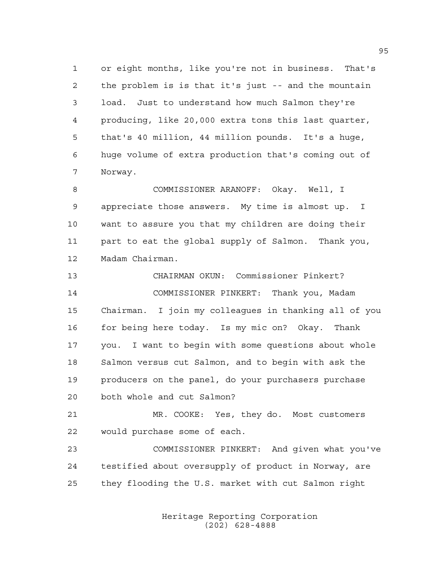or eight months, like you're not in business. That's the problem is is that it's just -- and the mountain load. Just to understand how much Salmon they're producing, like 20,000 extra tons this last quarter, that's 40 million, 44 million pounds. It's a huge, huge volume of extra production that's coming out of Norway.

 COMMISSIONER ARANOFF: Okay. Well, I appreciate those answers. My time is almost up. I want to assure you that my children are doing their part to eat the global supply of Salmon. Thank you, Madam Chairman.

 CHAIRMAN OKUN: Commissioner Pinkert? COMMISSIONER PINKERT: Thank you, Madam Chairman. I join my colleagues in thanking all of you for being here today. Is my mic on? Okay. Thank you. I want to begin with some questions about whole Salmon versus cut Salmon, and to begin with ask the producers on the panel, do your purchasers purchase both whole and cut Salmon?

 MR. COOKE: Yes, they do. Most customers would purchase some of each.

 COMMISSIONER PINKERT: And given what you've testified about oversupply of product in Norway, are they flooding the U.S. market with cut Salmon right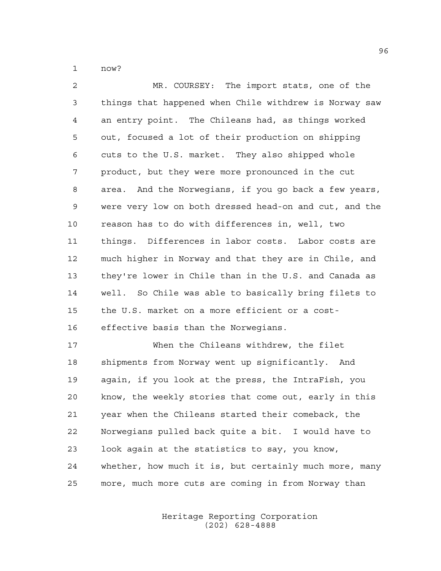now?

| 2  | MR. COURSEY: The import stats, one of the                |
|----|----------------------------------------------------------|
| 3  | things that happened when Chile withdrew is Norway saw   |
| 4  | an entry point. The Chileans had, as things worked       |
| 5  | out, focused a lot of their production on shipping       |
| 6  | cuts to the U.S. market. They also shipped whole         |
| 7  | product, but they were more pronounced in the cut        |
| 8  | And the Norwegians, if you go back a few years,<br>area. |
| 9  | were very low on both dressed head-on and cut, and the   |
| 10 | reason has to do with differences in, well, two          |
| 11 | things. Differences in labor costs. Labor costs are      |
| 12 | much higher in Norway and that they are in Chile, and    |
| 13 | they're lower in Chile than in the U.S. and Canada as    |
| 14 | well. So Chile was able to basically bring filets to     |
| 15 | the U.S. market on a more efficient or a cost-           |
| 16 | effective basis than the Norwegians.                     |
| 17 | When the Chileans withdrew, the filet                    |
| 18 | shipments from Norway went up significantly. And         |
| 19 | again, if you look at the press, the IntraFish, you      |
| 20 | know, the weekly stories that come out, early in this    |
| 21 | year when the Chileans started their comeback, the       |
| 22 | Norwegians pulled back quite a bit. I would have to      |
| 23 | look again at the statistics to say, you know,           |
| 24 | whether, how much it is, but certainly much more, many   |
| 25 | more, much more cuts are coming in from Norway than      |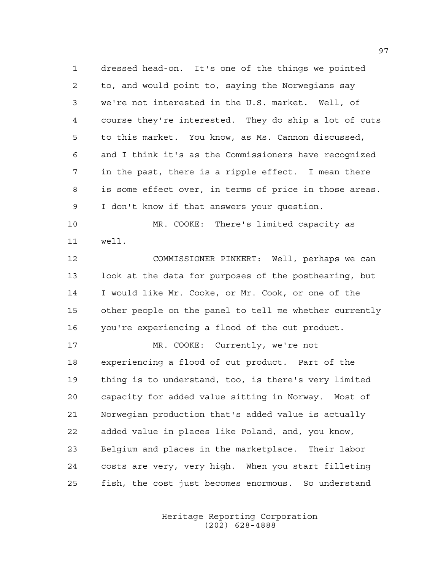dressed head-on. It's one of the things we pointed to, and would point to, saying the Norwegians say we're not interested in the U.S. market. Well, of course they're interested. They do ship a lot of cuts to this market. You know, as Ms. Cannon discussed, and I think it's as the Commissioners have recognized in the past, there is a ripple effect. I mean there is some effect over, in terms of price in those areas. I don't know if that answers your question.

 MR. COOKE: There's limited capacity as well.

 COMMISSIONER PINKERT: Well, perhaps we can look at the data for purposes of the posthearing, but I would like Mr. Cooke, or Mr. Cook, or one of the other people on the panel to tell me whether currently you're experiencing a flood of the cut product.

 MR. COOKE: Currently, we're not experiencing a flood of cut product. Part of the thing is to understand, too, is there's very limited capacity for added value sitting in Norway. Most of Norwegian production that's added value is actually added value in places like Poland, and, you know, Belgium and places in the marketplace. Their labor costs are very, very high. When you start filleting fish, the cost just becomes enormous. So understand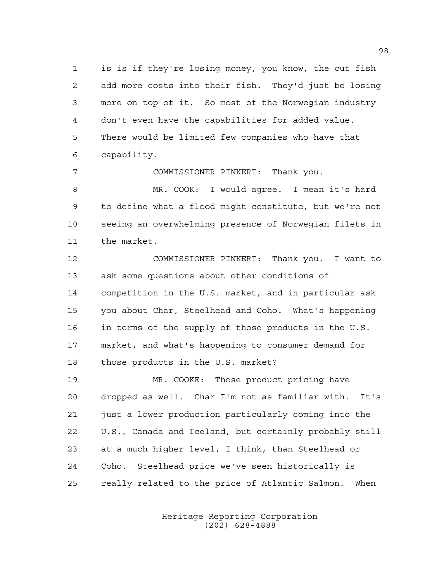is is if they're losing money, you know, the cut fish add more costs into their fish. They'd just be losing more on top of it. So most of the Norwegian industry don't even have the capabilities for added value. There would be limited few companies who have that capability.

COMMISSIONER PINKERT: Thank you.

 MR. COOK: I would agree. I mean it's hard to define what a flood might constitute, but we're not seeing an overwhelming presence of Norwegian filets in the market.

 COMMISSIONER PINKERT: Thank you. I want to ask some questions about other conditions of competition in the U.S. market, and in particular ask you about Char, Steelhead and Coho. What's happening in terms of the supply of those products in the U.S. market, and what's happening to consumer demand for those products in the U.S. market?

 MR. COOKE: Those product pricing have dropped as well. Char I'm not as familiar with. It's just a lower production particularly coming into the U.S., Canada and Iceland, but certainly probably still at a much higher level, I think, than Steelhead or Coho. Steelhead price we've seen historically is really related to the price of Atlantic Salmon. When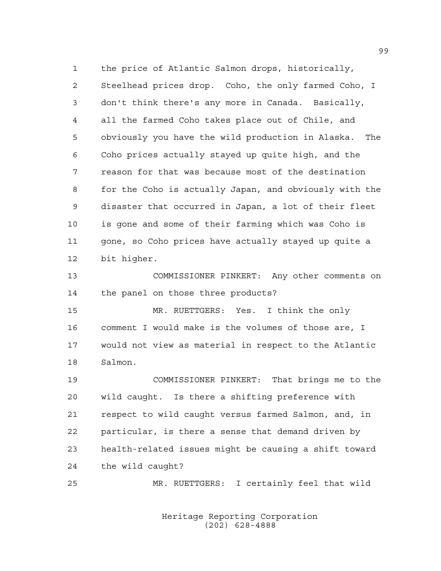the price of Atlantic Salmon drops, historically, Steelhead prices drop. Coho, the only farmed Coho, I don't think there's any more in Canada. Basically, all the farmed Coho takes place out of Chile, and obviously you have the wild production in Alaska. The Coho prices actually stayed up quite high, and the reason for that was because most of the destination for the Coho is actually Japan, and obviously with the disaster that occurred in Japan, a lot of their fleet is gone and some of their farming which was Coho is gone, so Coho prices have actually stayed up quite a bit higher.

 COMMISSIONER PINKERT: Any other comments on the panel on those three products?

 MR. RUETTGERS: Yes. I think the only comment I would make is the volumes of those are, I would not view as material in respect to the Atlantic Salmon.

 COMMISSIONER PINKERT: That brings me to the wild caught. Is there a shifting preference with respect to wild caught versus farmed Salmon, and, in particular, is there a sense that demand driven by health-related issues might be causing a shift toward the wild caught?

MR. RUETTGERS: I certainly feel that wild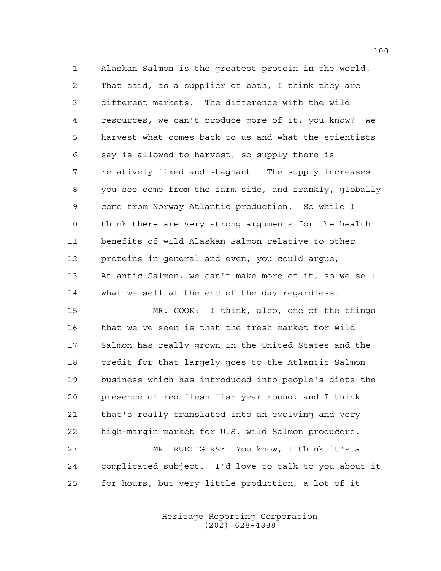Alaskan Salmon is the greatest protein in the world. That said, as a supplier of both, I think they are different markets. The difference with the wild resources, we can't produce more of it, you know? We harvest what comes back to us and what the scientists say is allowed to harvest, so supply there is relatively fixed and stagnant. The supply increases you see come from the farm side, and frankly, globally come from Norway Atlantic production. So while I think there are very strong arguments for the health benefits of wild Alaskan Salmon relative to other proteins in general and even, you could argue, Atlantic Salmon, we can't make more of it, so we sell what we sell at the end of the day regardless.

 MR. COOK: I think, also, one of the things that we've seen is that the fresh market for wild Salmon has really grown in the United States and the credit for that largely goes to the Atlantic Salmon business which has introduced into people's diets the presence of red flesh fish year round, and I think that's really translated into an evolving and very high-margin market for U.S. wild Salmon producers. MR. RUETTGERS: You know, I think it's a complicated subject. I'd love to talk to you about it

for hours, but very little production, a lot of it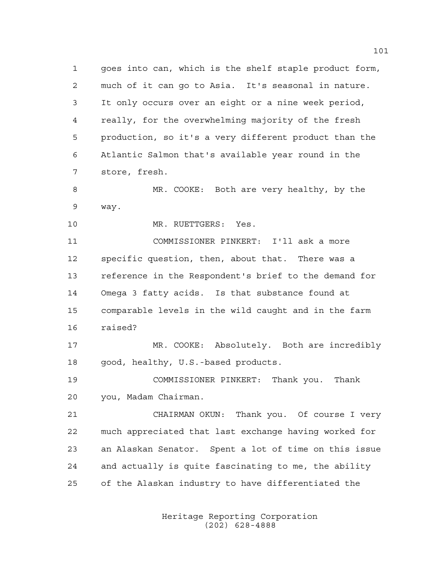goes into can, which is the shelf staple product form, much of it can go to Asia. It's seasonal in nature. It only occurs over an eight or a nine week period, really, for the overwhelming majority of the fresh production, so it's a very different product than the Atlantic Salmon that's available year round in the store, fresh.

 MR. COOKE: Both are very healthy, by the way.

MR. RUETTGERS: Yes.

 COMMISSIONER PINKERT: I'll ask a more specific question, then, about that. There was a reference in the Respondent's brief to the demand for Omega 3 fatty acids. Is that substance found at comparable levels in the wild caught and in the farm raised?

 MR. COOKE: Absolutely. Both are incredibly good, healthy, U.S.-based products.

 COMMISSIONER PINKERT: Thank you. Thank you, Madam Chairman.

 CHAIRMAN OKUN: Thank you. Of course I very much appreciated that last exchange having worked for an Alaskan Senator. Spent a lot of time on this issue and actually is quite fascinating to me, the ability of the Alaskan industry to have differentiated the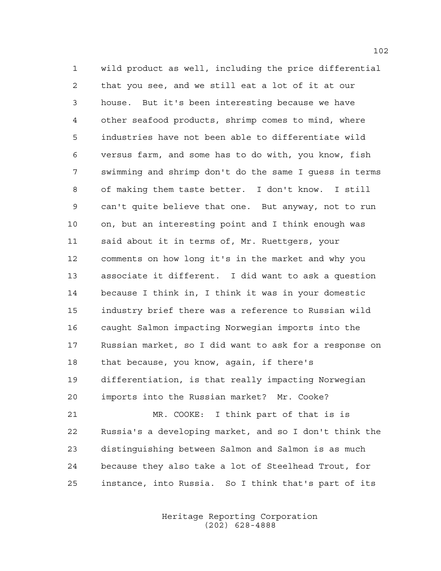wild product as well, including the price differential that you see, and we still eat a lot of it at our house. But it's been interesting because we have other seafood products, shrimp comes to mind, where industries have not been able to differentiate wild versus farm, and some has to do with, you know, fish swimming and shrimp don't do the same I guess in terms of making them taste better. I don't know. I still can't quite believe that one. But anyway, not to run on, but an interesting point and I think enough was said about it in terms of, Mr. Ruettgers, your comments on how long it's in the market and why you associate it different. I did want to ask a question because I think in, I think it was in your domestic industry brief there was a reference to Russian wild caught Salmon impacting Norwegian imports into the Russian market, so I did want to ask for a response on that because, you know, again, if there's differentiation, is that really impacting Norwegian imports into the Russian market? Mr. Cooke?

 MR. COOKE: I think part of that is is Russia's a developing market, and so I don't think the distinguishing between Salmon and Salmon is as much because they also take a lot of Steelhead Trout, for instance, into Russia. So I think that's part of its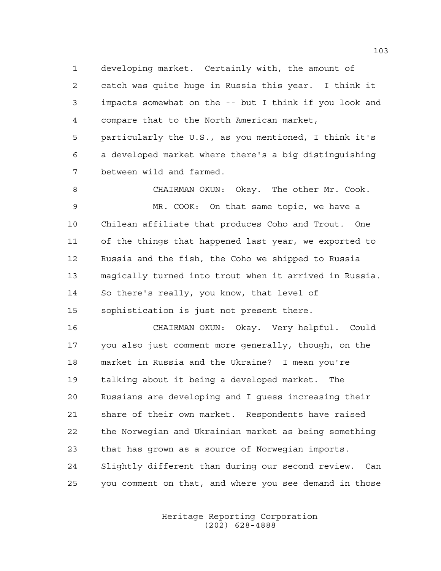developing market. Certainly with, the amount of catch was quite huge in Russia this year. I think it impacts somewhat on the -- but I think if you look and compare that to the North American market, particularly the U.S., as you mentioned, I think it's a developed market where there's a big distinguishing between wild and farmed.

 CHAIRMAN OKUN: Okay. The other Mr. Cook. MR. COOK: On that same topic, we have a Chilean affiliate that produces Coho and Trout. One of the things that happened last year, we exported to Russia and the fish, the Coho we shipped to Russia magically turned into trout when it arrived in Russia. So there's really, you know, that level of sophistication is just not present there.

 CHAIRMAN OKUN: Okay. Very helpful. Could you also just comment more generally, though, on the market in Russia and the Ukraine? I mean you're talking about it being a developed market. The Russians are developing and I guess increasing their share of their own market. Respondents have raised the Norwegian and Ukrainian market as being something that has grown as a source of Norwegian imports. Slightly different than during our second review. Can you comment on that, and where you see demand in those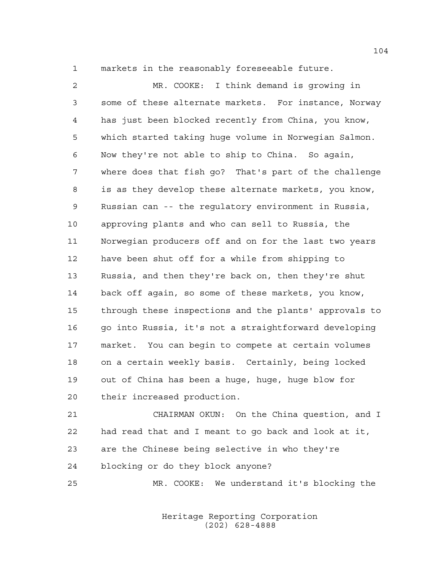markets in the reasonably foreseeable future.

 MR. COOKE: I think demand is growing in some of these alternate markets. For instance, Norway has just been blocked recently from China, you know, which started taking huge volume in Norwegian Salmon. Now they're not able to ship to China. So again, where does that fish go? That's part of the challenge is as they develop these alternate markets, you know, Russian can -- the regulatory environment in Russia, approving plants and who can sell to Russia, the Norwegian producers off and on for the last two years have been shut off for a while from shipping to Russia, and then they're back on, then they're shut back off again, so some of these markets, you know, through these inspections and the plants' approvals to go into Russia, it's not a straightforward developing market. You can begin to compete at certain volumes on a certain weekly basis. Certainly, being locked out of China has been a huge, huge, huge blow for their increased production.

 CHAIRMAN OKUN: On the China question, and I had read that and I meant to go back and look at it, are the Chinese being selective in who they're blocking or do they block anyone?

MR. COOKE: We understand it's blocking the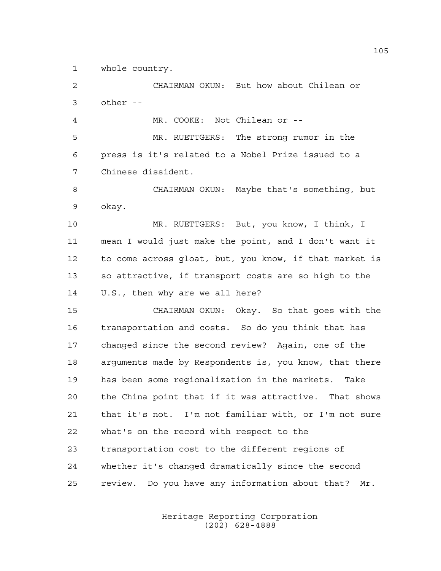whole country.

 CHAIRMAN OKUN: But how about Chilean or other --

MR. COOKE: Not Chilean or --

 MR. RUETTGERS: The strong rumor in the press is it's related to a Nobel Prize issued to a Chinese dissident.

 CHAIRMAN OKUN: Maybe that's something, but okay.

 MR. RUETTGERS: But, you know, I think, I mean I would just make the point, and I don't want it to come across gloat, but, you know, if that market is so attractive, if transport costs are so high to the U.S., then why are we all here?

 CHAIRMAN OKUN: Okay. So that goes with the transportation and costs. So do you think that has changed since the second review? Again, one of the arguments made by Respondents is, you know, that there has been some regionalization in the markets. Take the China point that if it was attractive. That shows that it's not. I'm not familiar with, or I'm not sure what's on the record with respect to the transportation cost to the different regions of whether it's changed dramatically since the second review. Do you have any information about that? Mr.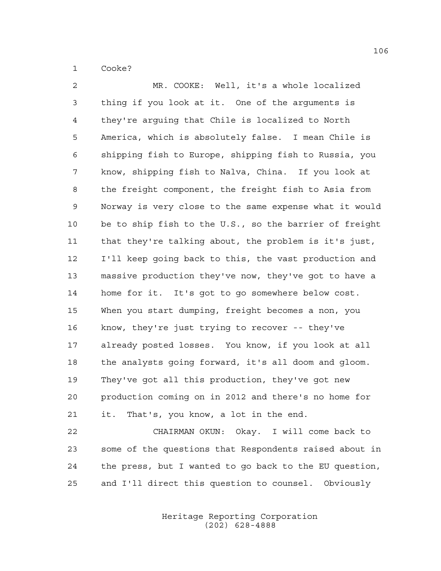Cooke?

 MR. COOKE: Well, it's a whole localized thing if you look at it. One of the arguments is they're arguing that Chile is localized to North America, which is absolutely false. I mean Chile is shipping fish to Europe, shipping fish to Russia, you know, shipping fish to Nalva, China. If you look at the freight component, the freight fish to Asia from Norway is very close to the same expense what it would be to ship fish to the U.S., so the barrier of freight that they're talking about, the problem is it's just, I'll keep going back to this, the vast production and massive production they've now, they've got to have a home for it. It's got to go somewhere below cost. When you start dumping, freight becomes a non, you know, they're just trying to recover -- they've already posted losses. You know, if you look at all the analysts going forward, it's all doom and gloom. They've got all this production, they've got new production coming on in 2012 and there's no home for it. That's, you know, a lot in the end.

 CHAIRMAN OKUN: Okay. I will come back to some of the questions that Respondents raised about in the press, but I wanted to go back to the EU question, and I'll direct this question to counsel. Obviously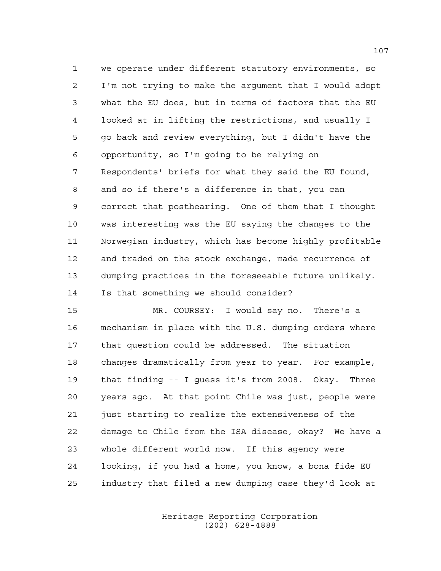we operate under different statutory environments, so I'm not trying to make the argument that I would adopt what the EU does, but in terms of factors that the EU looked at in lifting the restrictions, and usually I go back and review everything, but I didn't have the opportunity, so I'm going to be relying on Respondents' briefs for what they said the EU found, and so if there's a difference in that, you can correct that posthearing. One of them that I thought was interesting was the EU saying the changes to the Norwegian industry, which has become highly profitable and traded on the stock exchange, made recurrence of dumping practices in the foreseeable future unlikely. Is that something we should consider?

 MR. COURSEY: I would say no. There's a mechanism in place with the U.S. dumping orders where that question could be addressed. The situation changes dramatically from year to year. For example, that finding -- I guess it's from 2008. Okay. Three years ago. At that point Chile was just, people were just starting to realize the extensiveness of the damage to Chile from the ISA disease, okay? We have a whole different world now. If this agency were looking, if you had a home, you know, a bona fide EU industry that filed a new dumping case they'd look at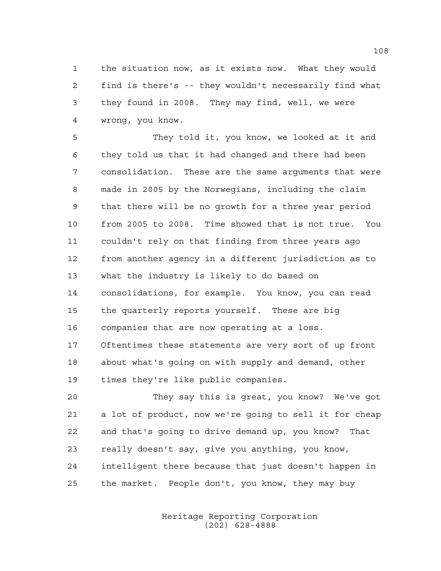the situation now, as it exists now. What they would find is there's -- they wouldn't necessarily find what they found in 2008. They may find, well, we were wrong, you know.

 They told it, you know, we looked at it and they told us that it had changed and there had been consolidation. These are the same arguments that were made in 2005 by the Norwegians, including the claim that there will be no growth for a three year period from 2005 to 2008. Time showed that is not true. You couldn't rely on that finding from three years ago from another agency in a different jurisdiction as to what the industry is likely to do based on consolidations, for example. You know, you can read the quarterly reports yourself. These are big companies that are now operating at a loss. Oftentimes these statements are very sort of up front about what's going on with supply and demand, other times they're like public companies.

 They say this is great, you know? We've got a lot of product, now we're going to sell it for cheap and that's going to drive demand up, you know? That really doesn't say, give you anything, you know, intelligent there because that just doesn't happen in the market. People don't, you know, they may buy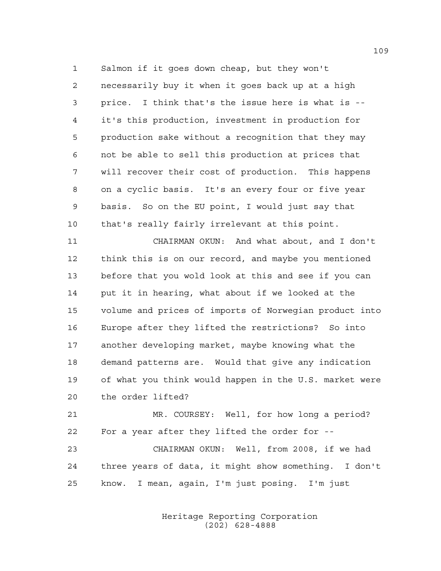Salmon if it goes down cheap, but they won't necessarily buy it when it goes back up at a high price. I think that's the issue here is what is -- it's this production, investment in production for production sake without a recognition that they may not be able to sell this production at prices that will recover their cost of production. This happens on a cyclic basis. It's an every four or five year basis. So on the EU point, I would just say that that's really fairly irrelevant at this point.

 CHAIRMAN OKUN: And what about, and I don't think this is on our record, and maybe you mentioned before that you wold look at this and see if you can put it in hearing, what about if we looked at the volume and prices of imports of Norwegian product into Europe after they lifted the restrictions? So into another developing market, maybe knowing what the demand patterns are. Would that give any indication of what you think would happen in the U.S. market were the order lifted?

 MR. COURSEY: Well, for how long a period? For a year after they lifted the order for -- CHAIRMAN OKUN: Well, from 2008, if we had three years of data, it might show something. I don't know. I mean, again, I'm just posing. I'm just

> Heritage Reporting Corporation (202) 628-4888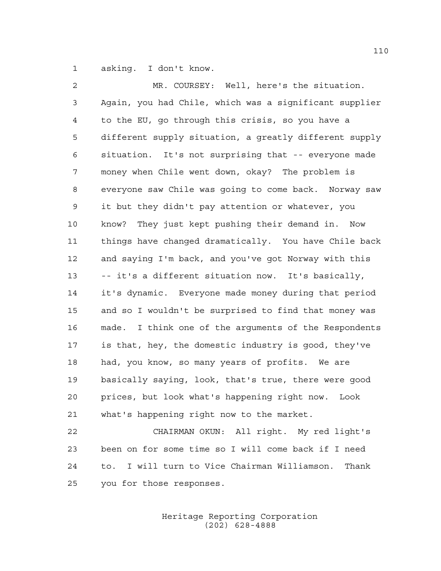asking. I don't know.

| 2              | MR. COURSEY: Well, here's the situation.               |
|----------------|--------------------------------------------------------|
| $\mathfrak{Z}$ | Again, you had Chile, which was a significant supplier |
| 4              | to the EU, go through this crisis, so you have a       |
| 5              | different supply situation, a greatly different supply |
| 6              | situation. It's not surprising that -- everyone made   |
| 7              | money when Chile went down, okay? The problem is       |
| 8              | everyone saw Chile was going to come back. Norway saw  |
| 9              | it but they didn't pay attention or whatever, you      |
| 10             | know? They just kept pushing their demand in. Now      |
| 11             | things have changed dramatically. You have Chile back  |
| 12             | and saying I'm back, and you've got Norway with this   |
| 13             | -- it's a different situation now. It's basically,     |
| 14             | it's dynamic. Everyone made money during that period   |
| 15             | and so I wouldn't be surprised to find that money was  |
| 16             | made. I think one of the arguments of the Respondents  |
| 17             | is that, hey, the domestic industry is good, they've   |
| 18             | had, you know, so many years of profits. We are        |
| 19             | basically saying, look, that's true, there were good   |
| 20             | prices, but look what's happening right now. Look      |
| 21             | what's happening right now to the market.              |
| 22             | CHAIRMAN OKUN: All right. My red light's               |
| 23             | been on for some time so I will come back if I need    |

you for those responses.

Heritage Reporting Corporation (202) 628-4888

to. I will turn to Vice Chairman Williamson. Thank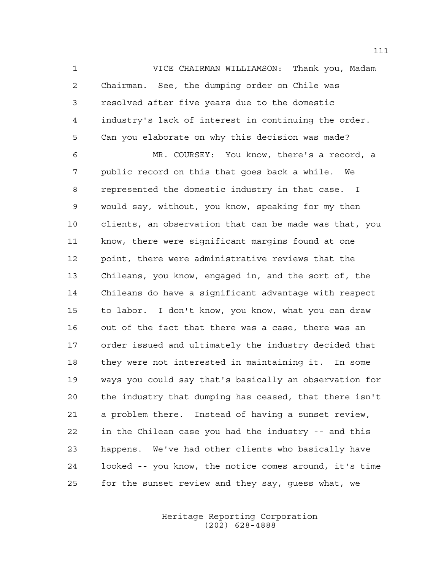VICE CHAIRMAN WILLIAMSON: Thank you, Madam Chairman. See, the dumping order on Chile was resolved after five years due to the domestic industry's lack of interest in continuing the order. Can you elaborate on why this decision was made?

 MR. COURSEY: You know, there's a record, a public record on this that goes back a while. We represented the domestic industry in that case. I would say, without, you know, speaking for my then clients, an observation that can be made was that, you know, there were significant margins found at one point, there were administrative reviews that the Chileans, you know, engaged in, and the sort of, the Chileans do have a significant advantage with respect to labor. I don't know, you know, what you can draw out of the fact that there was a case, there was an order issued and ultimately the industry decided that they were not interested in maintaining it. In some ways you could say that's basically an observation for the industry that dumping has ceased, that there isn't a problem there. Instead of having a sunset review, in the Chilean case you had the industry -- and this happens. We've had other clients who basically have looked -- you know, the notice comes around, it's time for the sunset review and they say, guess what, we

> Heritage Reporting Corporation (202) 628-4888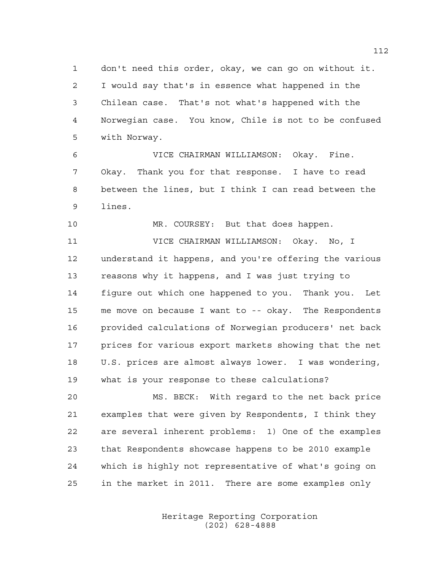don't need this order, okay, we can go on without it. I would say that's in essence what happened in the Chilean case. That's not what's happened with the Norwegian case. You know, Chile is not to be confused with Norway.

 VICE CHAIRMAN WILLIAMSON: Okay. Fine. Okay. Thank you for that response. I have to read between the lines, but I think I can read between the lines.

MR. COURSEY: But that does happen.

 VICE CHAIRMAN WILLIAMSON: Okay. No, I understand it happens, and you're offering the various reasons why it happens, and I was just trying to figure out which one happened to you. Thank you. Let me move on because I want to -- okay. The Respondents provided calculations of Norwegian producers' net back prices for various export markets showing that the net U.S. prices are almost always lower. I was wondering, what is your response to these calculations?

 MS. BECK: With regard to the net back price examples that were given by Respondents, I think they are several inherent problems: 1) One of the examples that Respondents showcase happens to be 2010 example which is highly not representative of what's going on in the market in 2011. There are some examples only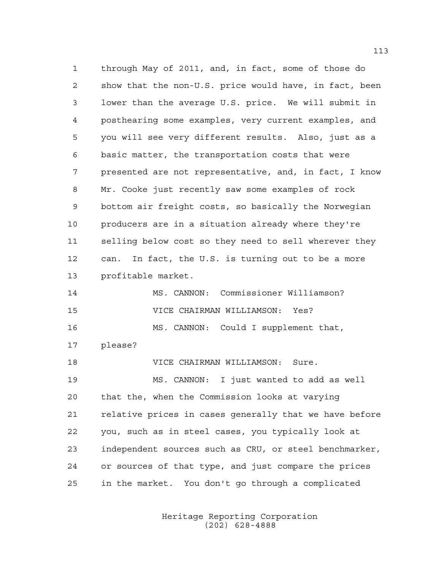through May of 2011, and, in fact, some of those do show that the non-U.S. price would have, in fact, been lower than the average U.S. price. We will submit in posthearing some examples, very current examples, and you will see very different results. Also, just as a basic matter, the transportation costs that were presented are not representative, and, in fact, I know Mr. Cooke just recently saw some examples of rock bottom air freight costs, so basically the Norwegian producers are in a situation already where they're selling below cost so they need to sell wherever they can. In fact, the U.S. is turning out to be a more profitable market. MS. CANNON: Commissioner Williamson?

 VICE CHAIRMAN WILLIAMSON: Yes? MS. CANNON: Could I supplement that,

VICE CHAIRMAN WILLIAMSON: Sure.

please?

 MS. CANNON: I just wanted to add as well that the, when the Commission looks at varying relative prices in cases generally that we have before you, such as in steel cases, you typically look at independent sources such as CRU, or steel benchmarker, or sources of that type, and just compare the prices in the market. You don't go through a complicated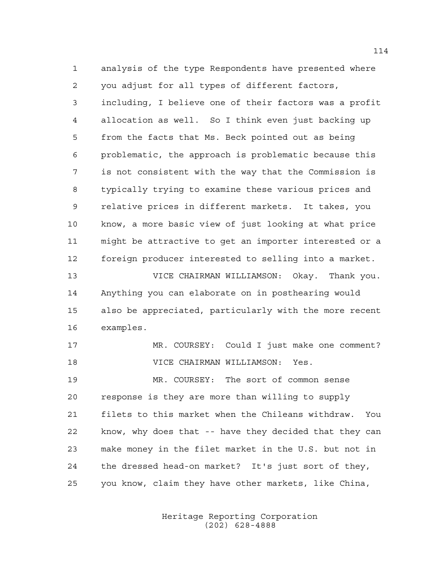analysis of the type Respondents have presented where you adjust for all types of different factors, including, I believe one of their factors was a profit allocation as well. So I think even just backing up from the facts that Ms. Beck pointed out as being problematic, the approach is problematic because this is not consistent with the way that the Commission is typically trying to examine these various prices and relative prices in different markets. It takes, you know, a more basic view of just looking at what price might be attractive to get an importer interested or a foreign producer interested to selling into a market. VICE CHAIRMAN WILLIAMSON: Okay. Thank you. Anything you can elaborate on in posthearing would also be appreciated, particularly with the more recent examples. MR. COURSEY: Could I just make one comment? VICE CHAIRMAN WILLIAMSON: Yes. MR. COURSEY: The sort of common sense response is they are more than willing to supply filets to this market when the Chileans withdraw. You know, why does that -- have they decided that they can make money in the filet market in the U.S. but not in the dressed head-on market? It's just sort of they, you know, claim they have other markets, like China,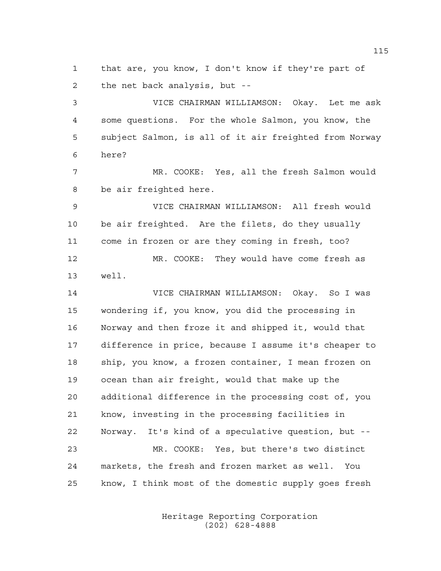that are, you know, I don't know if they're part of the net back analysis, but --

 VICE CHAIRMAN WILLIAMSON: Okay. Let me ask some questions. For the whole Salmon, you know, the subject Salmon, is all of it air freighted from Norway here?

 MR. COOKE: Yes, all the fresh Salmon would be air freighted here.

 VICE CHAIRMAN WILLIAMSON: All fresh would be air freighted. Are the filets, do they usually come in frozen or are they coming in fresh, too? MR. COOKE: They would have come fresh as

well.

 VICE CHAIRMAN WILLIAMSON: Okay. So I was wondering if, you know, you did the processing in Norway and then froze it and shipped it, would that difference in price, because I assume it's cheaper to ship, you know, a frozen container, I mean frozen on ocean than air freight, would that make up the additional difference in the processing cost of, you know, investing in the processing facilities in Norway. It's kind of a speculative question, but -- MR. COOKE: Yes, but there's two distinct markets, the fresh and frozen market as well. You know, I think most of the domestic supply goes fresh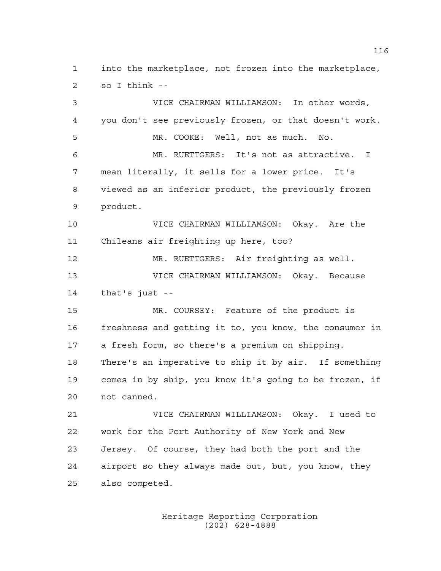into the marketplace, not frozen into the marketplace, so I think --

 VICE CHAIRMAN WILLIAMSON: In other words, you don't see previously frozen, or that doesn't work. MR. COOKE: Well, not as much. No. MR. RUETTGERS: It's not as attractive. I mean literally, it sells for a lower price. It's viewed as an inferior product, the previously frozen product. VICE CHAIRMAN WILLIAMSON: Okay. Are the Chileans air freighting up here, too? MR. RUETTGERS: Air freighting as well. VICE CHAIRMAN WILLIAMSON: Okay. Because that's just -- MR. COURSEY: Feature of the product is freshness and getting it to, you know, the consumer in a fresh form, so there's a premium on shipping. There's an imperative to ship it by air. If something comes in by ship, you know it's going to be frozen, if not canned. VICE CHAIRMAN WILLIAMSON: Okay. I used to work for the Port Authority of New York and New Jersey. Of course, they had both the port and the airport so they always made out, but, you know, they also competed.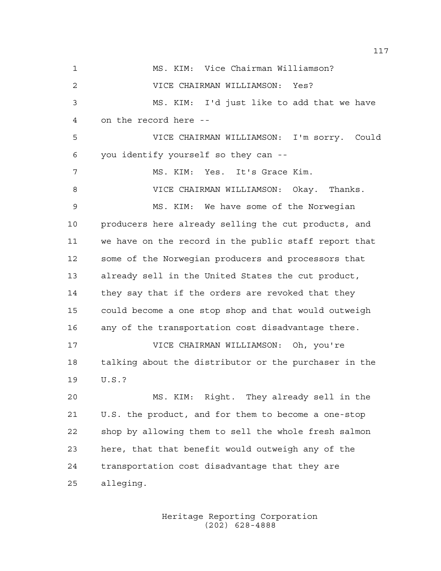MS. KIM: Vice Chairman Williamson? VICE CHAIRMAN WILLIAMSON: Yes? MS. KIM: I'd just like to add that we have on the record here -- VICE CHAIRMAN WILLIAMSON: I'm sorry. Could you identify yourself so they can -- MS. KIM: Yes. It's Grace Kim. VICE CHAIRMAN WILLIAMSON: Okay. Thanks. MS. KIM: We have some of the Norwegian producers here already selling the cut products, and we have on the record in the public staff report that some of the Norwegian producers and processors that already sell in the United States the cut product, they say that if the orders are revoked that they could become a one stop shop and that would outweigh any of the transportation cost disadvantage there. VICE CHAIRMAN WILLIAMSON: Oh, you're talking about the distributor or the purchaser in the U.S.? MS. KIM: Right. They already sell in the U.S. the product, and for them to become a one-stop shop by allowing them to sell the whole fresh salmon here, that that benefit would outweigh any of the transportation cost disadvantage that they are alleging.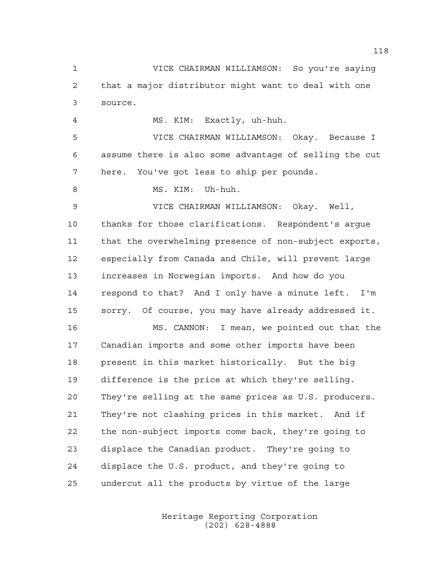VICE CHAIRMAN WILLIAMSON: So you're saying that a major distributor might want to deal with one source. MS. KIM: Exactly, uh-huh.

 VICE CHAIRMAN WILLIAMSON: Okay. Because I assume there is also some advantage of selling the cut here. You've got less to ship per pounds.

MS. KIM: Uh-huh.

 VICE CHAIRMAN WILLIAMSON: Okay. Well, thanks for those clarifications. Respondent's argue that the overwhelming presence of non-subject exports, especially from Canada and Chile, will prevent large increases in Norwegian imports. And how do you respond to that? And I only have a minute left. I'm sorry. Of course, you may have already addressed it.

 MS. CANNON: I mean, we pointed out that the Canadian imports and some other imports have been present in this market historically. But the big difference is the price at which they're selling. They're selling at the same prices as U.S. producers. They're not clashing prices in this market. And if the non-subject imports come back, they're going to displace the Canadian product. They're going to displace the U.S. product, and they're going to undercut all the products by virtue of the large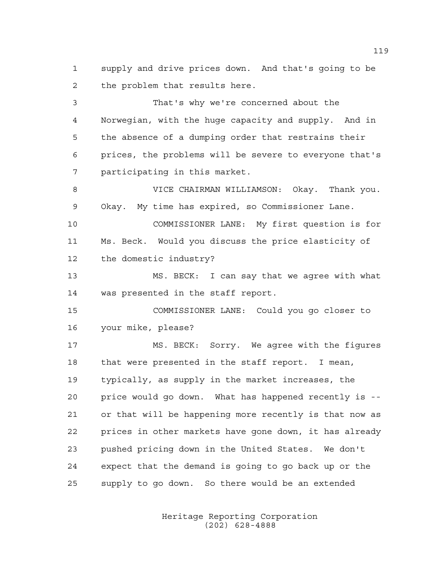supply and drive prices down. And that's going to be the problem that results here.

 That's why we're concerned about the Norwegian, with the huge capacity and supply. And in the absence of a dumping order that restrains their prices, the problems will be severe to everyone that's participating in this market. VICE CHAIRMAN WILLIAMSON: Okay. Thank you. Okay. My time has expired, so Commissioner Lane. COMMISSIONER LANE: My first question is for Ms. Beck. Would you discuss the price elasticity of the domestic industry? MS. BECK: I can say that we agree with what was presented in the staff report. COMMISSIONER LANE: Could you go closer to your mike, please? MS. BECK: Sorry. We agree with the figures that were presented in the staff report. I mean, typically, as supply in the market increases, the price would go down. What has happened recently is -- or that will be happening more recently is that now as prices in other markets have gone down, it has already pushed pricing down in the United States. We don't expect that the demand is going to go back up or the supply to go down. So there would be an extended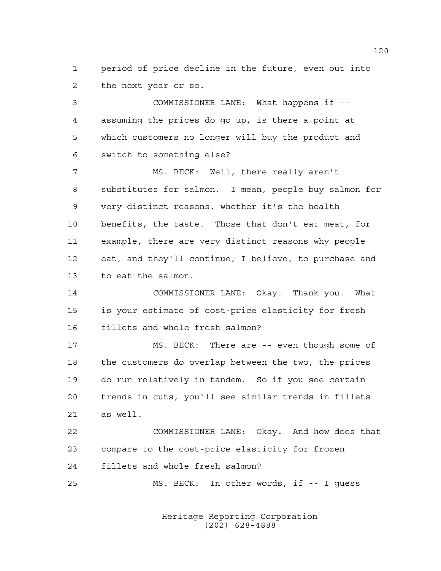period of price decline in the future, even out into the next year or so.

 COMMISSIONER LANE: What happens if -- assuming the prices do go up, is there a point at which customers no longer will buy the product and switch to something else? MS. BECK: Well, there really aren't substitutes for salmon. I mean, people buy salmon for very distinct reasons, whether it's the health benefits, the taste. Those that don't eat meat, for example, there are very distinct reasons why people eat, and they'll continue, I believe, to purchase and

to eat the salmon.

 COMMISSIONER LANE: Okay. Thank you. What is your estimate of cost-price elasticity for fresh fillets and whole fresh salmon?

 MS. BECK: There are -- even though some of the customers do overlap between the two, the prices do run relatively in tandem. So if you see certain trends in cuts, you'll see similar trends in fillets as well.

 COMMISSIONER LANE: Okay. And how does that compare to the cost-price elasticity for frozen fillets and whole fresh salmon?

MS. BECK: In other words, if -- I guess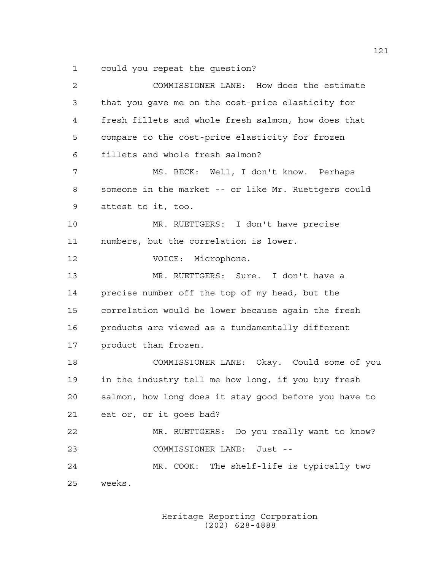could you repeat the question?

 COMMISSIONER LANE: How does the estimate that you gave me on the cost-price elasticity for fresh fillets and whole fresh salmon, how does that compare to the cost-price elasticity for frozen fillets and whole fresh salmon? MS. BECK: Well, I don't know. Perhaps someone in the market -- or like Mr. Ruettgers could attest to it, too. MR. RUETTGERS: I don't have precise numbers, but the correlation is lower. 12 VOICE: Microphone. MR. RUETTGERS: Sure. I don't have a precise number off the top of my head, but the correlation would be lower because again the fresh products are viewed as a fundamentally different product than frozen. COMMISSIONER LANE: Okay. Could some of you in the industry tell me how long, if you buy fresh salmon, how long does it stay good before you have to eat or, or it goes bad? MR. RUETTGERS: Do you really want to know? COMMISSIONER LANE: Just -- MR. COOK: The shelf-life is typically two weeks.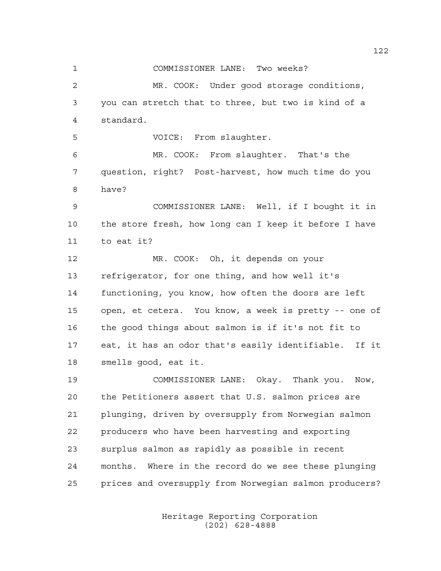COMMISSIONER LANE: Two weeks? MR. COOK: Under good storage conditions, you can stretch that to three, but two is kind of a standard. VOICE: From slaughter. MR. COOK: From slaughter. That's the question, right? Post-harvest, how much time do you have? COMMISSIONER LANE: Well, if I bought it in the store fresh, how long can I keep it before I have to eat it? MR. COOK: Oh, it depends on your refrigerator, for one thing, and how well it's functioning, you know, how often the doors are left open, et cetera. You know, a week is pretty -- one of the good things about salmon is if it's not fit to eat, it has an odor that's easily identifiable. If it smells good, eat it. COMMISSIONER LANE: Okay. Thank you. Now, the Petitioners assert that U.S. salmon prices are plunging, driven by oversupply from Norwegian salmon producers who have been harvesting and exporting surplus salmon as rapidly as possible in recent months. Where in the record do we see these plunging prices and oversupply from Norwegian salmon producers?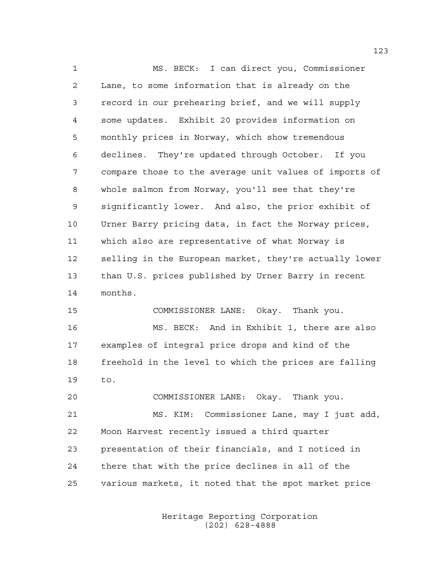MS. BECK: I can direct you, Commissioner Lane, to some information that is already on the record in our prehearing brief, and we will supply some updates. Exhibit 20 provides information on monthly prices in Norway, which show tremendous declines. They're updated through October. If you compare those to the average unit values of imports of whole salmon from Norway, you'll see that they're significantly lower. And also, the prior exhibit of Urner Barry pricing data, in fact the Norway prices, which also are representative of what Norway is selling in the European market, they're actually lower than U.S. prices published by Urner Barry in recent months. COMMISSIONER LANE: Okay. Thank you. MS. BECK: And in Exhibit 1, there are also

 examples of integral price drops and kind of the freehold in the level to which the prices are falling to.

 COMMISSIONER LANE: Okay. Thank you. MS. KIM: Commissioner Lane, may I just add, Moon Harvest recently issued a third quarter presentation of their financials, and I noticed in there that with the price declines in all of the various markets, it noted that the spot market price

> Heritage Reporting Corporation (202) 628-4888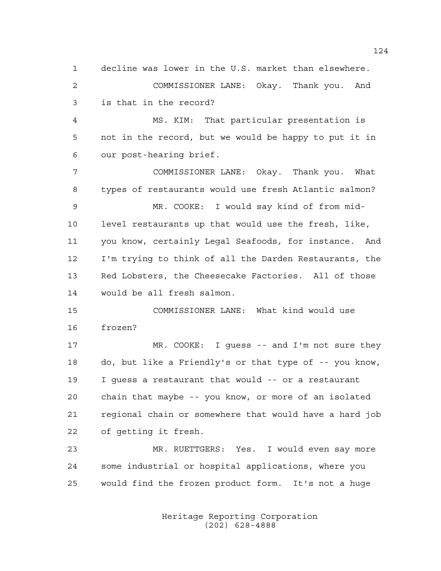decline was lower in the U.S. market than elsewhere. COMMISSIONER LANE: Okay. Thank you. And is that in the record? MS. KIM: That particular presentation is not in the record, but we would be happy to put it in our post-hearing brief. COMMISSIONER LANE: Okay. Thank you. What types of restaurants would use fresh Atlantic salmon? MR. COOKE: I would say kind of from mid- level restaurants up that would use the fresh, like, you know, certainly Legal Seafoods, for instance. And I'm trying to think of all the Darden Restaurants, the Red Lobsters, the Cheesecake Factories. All of those would be all fresh salmon. COMMISSIONER LANE: What kind would use frozen? MR. COOKE: I guess -- and I'm not sure they do, but like a Friendly's or that type of -- you know, I guess a restaurant that would -- or a restaurant chain that maybe -- you know, or more of an isolated regional chain or somewhere that would have a hard job of getting it fresh. MR. RUETTGERS: Yes. I would even say more some industrial or hospital applications, where you would find the frozen product form. It's not a huge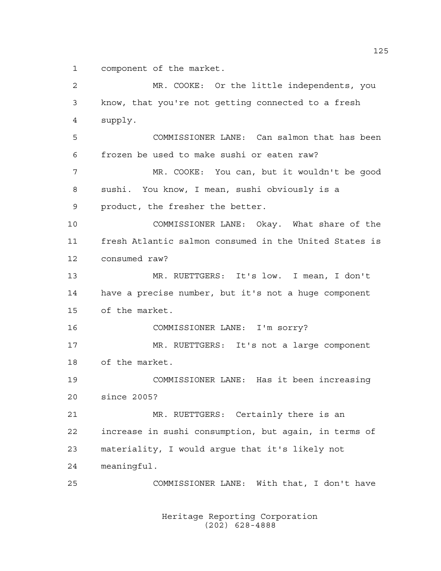component of the market.

 MR. COOKE: Or the little independents, you know, that you're not getting connected to a fresh supply. COMMISSIONER LANE: Can salmon that has been frozen be used to make sushi or eaten raw? MR. COOKE: You can, but it wouldn't be good sushi. You know, I mean, sushi obviously is a product, the fresher the better. COMMISSIONER LANE: Okay. What share of the fresh Atlantic salmon consumed in the United States is consumed raw? MR. RUETTGERS: It's low. I mean, I don't have a precise number, but it's not a huge component of the market. COMMISSIONER LANE: I'm sorry? MR. RUETTGERS: It's not a large component of the market. COMMISSIONER LANE: Has it been increasing since 2005? MR. RUETTGERS: Certainly there is an increase in sushi consumption, but again, in terms of materiality, I would argue that it's likely not meaningful. COMMISSIONER LANE: With that, I don't have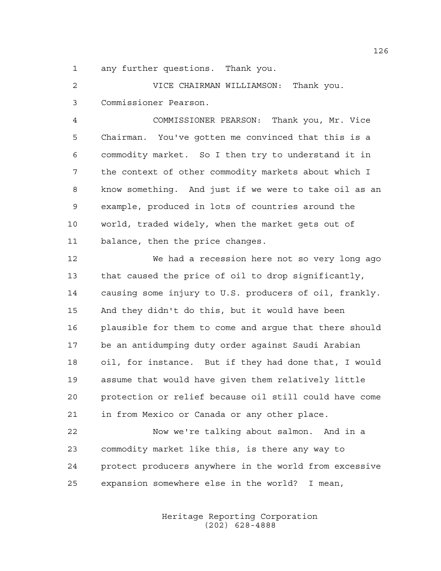any further questions. Thank you.

 VICE CHAIRMAN WILLIAMSON: Thank you. Commissioner Pearson.

 COMMISSIONER PEARSON: Thank you, Mr. Vice Chairman. You've gotten me convinced that this is a commodity market. So I then try to understand it in the context of other commodity markets about which I know something. And just if we were to take oil as an example, produced in lots of countries around the world, traded widely, when the market gets out of balance, then the price changes.

 We had a recession here not so very long ago that caused the price of oil to drop significantly, causing some injury to U.S. producers of oil, frankly. And they didn't do this, but it would have been plausible for them to come and argue that there should be an antidumping duty order against Saudi Arabian oil, for instance. But if they had done that, I would assume that would have given them relatively little protection or relief because oil still could have come in from Mexico or Canada or any other place.

 Now we're talking about salmon. And in a commodity market like this, is there any way to protect producers anywhere in the world from excessive expansion somewhere else in the world? I mean,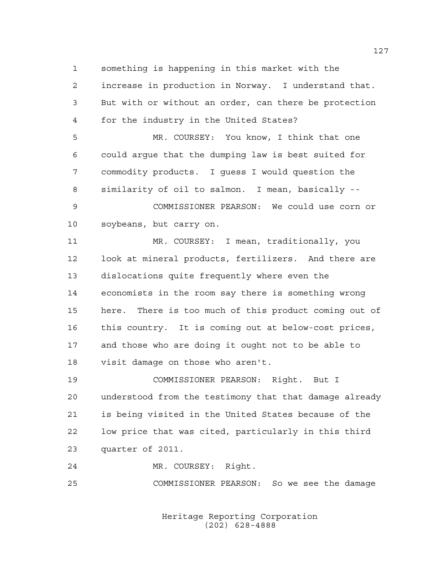something is happening in this market with the

 increase in production in Norway. I understand that. But with or without an order, can there be protection for the industry in the United States?

 MR. COURSEY: You know, I think that one could argue that the dumping law is best suited for commodity products. I guess I would question the similarity of oil to salmon. I mean, basically --

 COMMISSIONER PEARSON: We could use corn or soybeans, but carry on.

 MR. COURSEY: I mean, traditionally, you look at mineral products, fertilizers. And there are dislocations quite frequently where even the economists in the room say there is something wrong here. There is too much of this product coming out of this country. It is coming out at below-cost prices, and those who are doing it ought not to be able to visit damage on those who aren't.

 COMMISSIONER PEARSON: Right. But I understood from the testimony that that damage already is being visited in the United States because of the low price that was cited, particularly in this third quarter of 2011.

MR. COURSEY: Right.

COMMISSIONER PEARSON: So we see the damage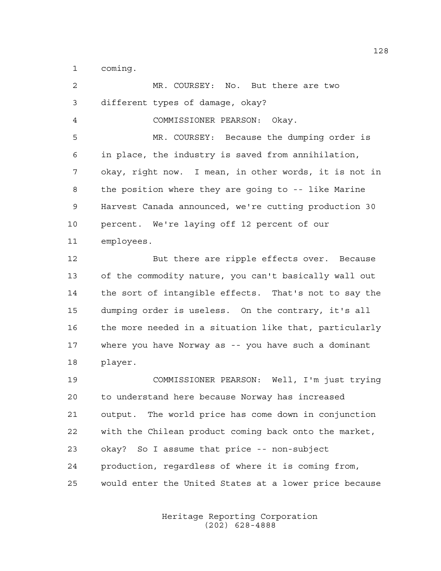coming.

| 2           | MR. COURSEY: No. But there are two                     |
|-------------|--------------------------------------------------------|
| 3           | different types of damage, okay?                       |
| 4           | COMMISSIONER PEARSON: Okay.                            |
| 5           | MR. COURSEY: Because the dumping order is              |
| 6           | in place, the industry is saved from annihilation,     |
| 7           | okay, right now. I mean, in other words, it is not in  |
| 8           | the position where they are going to -- like Marine    |
| $\mathsf 9$ | Harvest Canada announced, we're cutting production 30  |
| 10          | percent. We're laying off 12 percent of our            |
| 11          | employees.                                             |
| 12          | But there are ripple effects over. Because             |
| 13          | of the commodity nature, you can't basically wall out  |
| 14          | the sort of intangible effects. That's not to say the  |
| 15          | dumping order is useless. On the contrary, it's all    |
| 16          | the more needed in a situation like that, particularly |
| 17          | where you have Norway as -- you have such a dominant   |
| 18          | player.                                                |
| 19          | COMMISSIONER PEARSON: Well, I'm just trying            |
| 20          | to understand here because Norway has increased        |
|             |                                                        |

 output. The world price has come down in conjunction with the Chilean product coming back onto the market, okay? So I assume that price -- non-subject production, regardless of where it is coming from, would enter the United States at a lower price because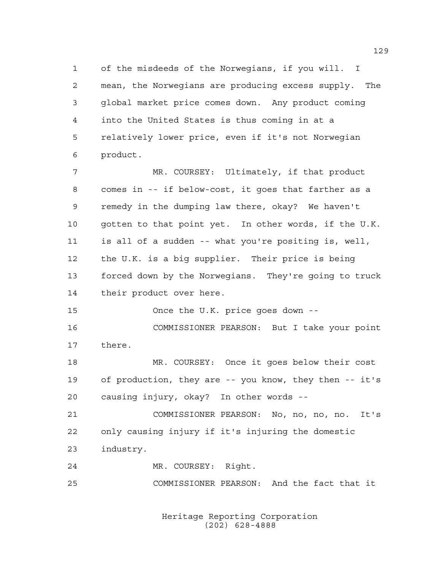of the misdeeds of the Norwegians, if you will. I mean, the Norwegians are producing excess supply. The global market price comes down. Any product coming into the United States is thus coming in at a relatively lower price, even if it's not Norwegian product.

 MR. COURSEY: Ultimately, if that product comes in -- if below-cost, it goes that farther as a remedy in the dumping law there, okay? We haven't gotten to that point yet. In other words, if the U.K. is all of a sudden -- what you're positing is, well, the U.K. is a big supplier. Their price is being forced down by the Norwegians. They're going to truck 14 their product over here.

Once the U.K. price goes down --

 COMMISSIONER PEARSON: But I take your point there.

 MR. COURSEY: Once it goes below their cost of production, they are -- you know, they then -- it's causing injury, okay? In other words --

 COMMISSIONER PEARSON: No, no, no, no. It's only causing injury if it's injuring the domestic industry.

MR. COURSEY: Right.

COMMISSIONER PEARSON: And the fact that it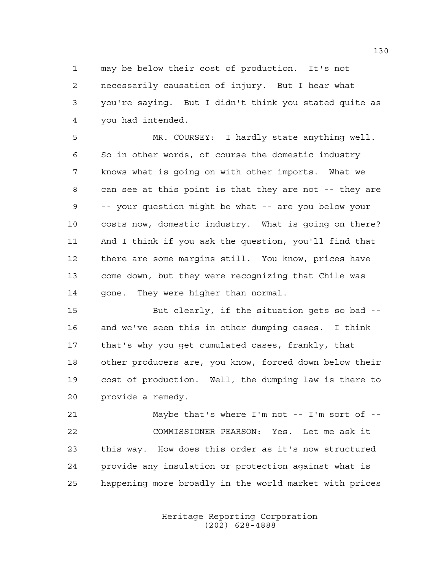may be below their cost of production. It's not necessarily causation of injury. But I hear what you're saying. But I didn't think you stated quite as you had intended.

 MR. COURSEY: I hardly state anything well. So in other words, of course the domestic industry knows what is going on with other imports. What we can see at this point is that they are not -- they are -- your question might be what -- are you below your costs now, domestic industry. What is going on there? And I think if you ask the question, you'll find that there are some margins still. You know, prices have come down, but they were recognizing that Chile was gone. They were higher than normal.

 But clearly, if the situation gets so bad -- and we've seen this in other dumping cases. I think that's why you get cumulated cases, frankly, that other producers are, you know, forced down below their cost of production. Well, the dumping law is there to provide a remedy.

 Maybe that's where I'm not -- I'm sort of -- COMMISSIONER PEARSON: Yes. Let me ask it this way. How does this order as it's now structured provide any insulation or protection against what is happening more broadly in the world market with prices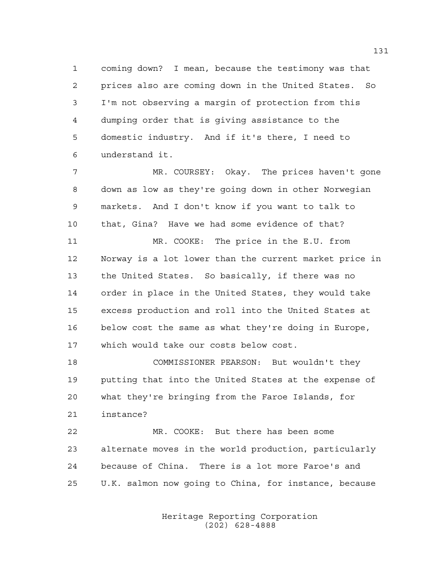coming down? I mean, because the testimony was that prices also are coming down in the United States. So I'm not observing a margin of protection from this dumping order that is giving assistance to the domestic industry. And if it's there, I need to understand it.

 MR. COURSEY: Okay. The prices haven't gone down as low as they're going down in other Norwegian markets. And I don't know if you want to talk to that, Gina? Have we had some evidence of that? MR. COOKE: The price in the E.U. from Norway is a lot lower than the current market price in the United States. So basically, if there was no

 order in place in the United States, they would take excess production and roll into the United States at below cost the same as what they're doing in Europe, which would take our costs below cost.

 COMMISSIONER PEARSON: But wouldn't they putting that into the United States at the expense of what they're bringing from the Faroe Islands, for instance?

 MR. COOKE: But there has been some alternate moves in the world production, particularly because of China. There is a lot more Faroe's and U.K. salmon now going to China, for instance, because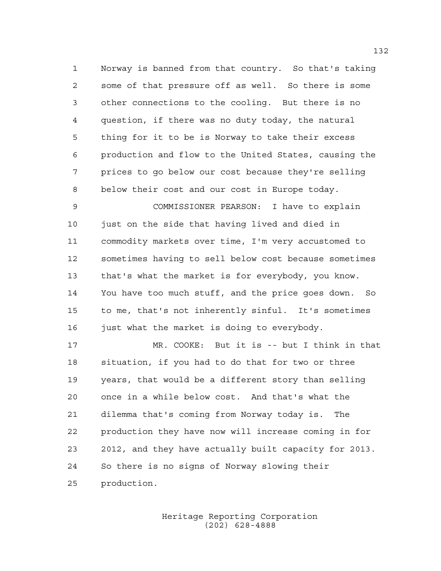Norway is banned from that country. So that's taking some of that pressure off as well. So there is some other connections to the cooling. But there is no question, if there was no duty today, the natural thing for it to be is Norway to take their excess production and flow to the United States, causing the prices to go below our cost because they're selling below their cost and our cost in Europe today.

 COMMISSIONER PEARSON: I have to explain 10 just on the side that having lived and died in commodity markets over time, I'm very accustomed to sometimes having to sell below cost because sometimes that's what the market is for everybody, you know. You have too much stuff, and the price goes down. So to me, that's not inherently sinful. It's sometimes 16 just what the market is doing to everybody.

 MR. COOKE: But it is -- but I think in that situation, if you had to do that for two or three years, that would be a different story than selling once in a while below cost. And that's what the dilemma that's coming from Norway today is. The production they have now will increase coming in for 2012, and they have actually built capacity for 2013. So there is no signs of Norway slowing their production.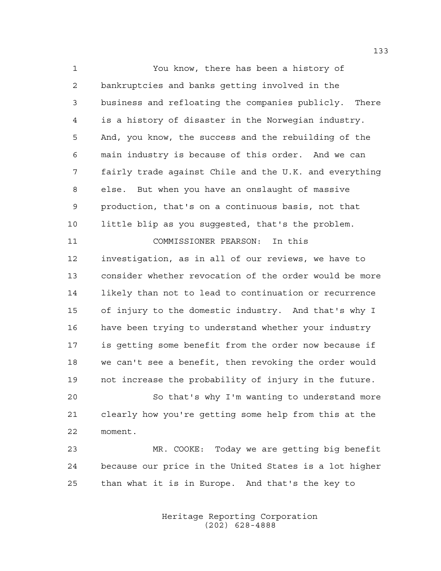You know, there has been a history of bankruptcies and banks getting involved in the business and refloating the companies publicly. There is a history of disaster in the Norwegian industry. And, you know, the success and the rebuilding of the main industry is because of this order. And we can fairly trade against Chile and the U.K. and everything else. But when you have an onslaught of massive production, that's on a continuous basis, not that little blip as you suggested, that's the problem. COMMISSIONER PEARSON: In this investigation, as in all of our reviews, we have to consider whether revocation of the order would be more likely than not to lead to continuation or recurrence of injury to the domestic industry. And that's why I have been trying to understand whether your industry is getting some benefit from the order now because if we can't see a benefit, then revoking the order would not increase the probability of injury in the future.

 So that's why I'm wanting to understand more clearly how you're getting some help from this at the moment.

 MR. COOKE: Today we are getting big benefit because our price in the United States is a lot higher than what it is in Europe. And that's the key to

> Heritage Reporting Corporation (202) 628-4888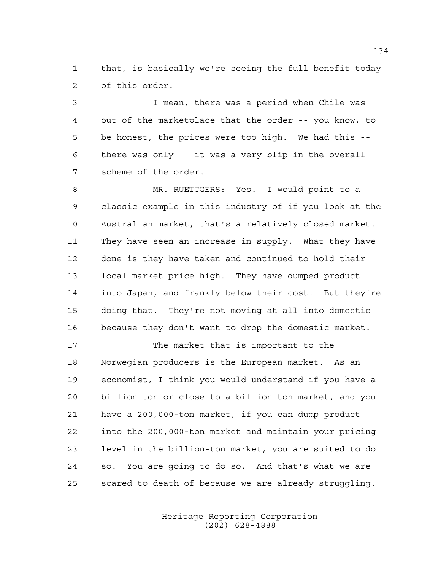that, is basically we're seeing the full benefit today of this order.

 I mean, there was a period when Chile was out of the marketplace that the order -- you know, to be honest, the prices were too high. We had this -- there was only -- it was a very blip in the overall scheme of the order.

 MR. RUETTGERS: Yes. I would point to a classic example in this industry of if you look at the Australian market, that's a relatively closed market. They have seen an increase in supply. What they have done is they have taken and continued to hold their local market price high. They have dumped product into Japan, and frankly below their cost. But they're doing that. They're not moving at all into domestic because they don't want to drop the domestic market.

17 The market that is important to the Norwegian producers is the European market. As an economist, I think you would understand if you have a billion-ton or close to a billion-ton market, and you have a 200,000-ton market, if you can dump product into the 200,000-ton market and maintain your pricing level in the billion-ton market, you are suited to do so. You are going to do so. And that's what we are scared to death of because we are already struggling.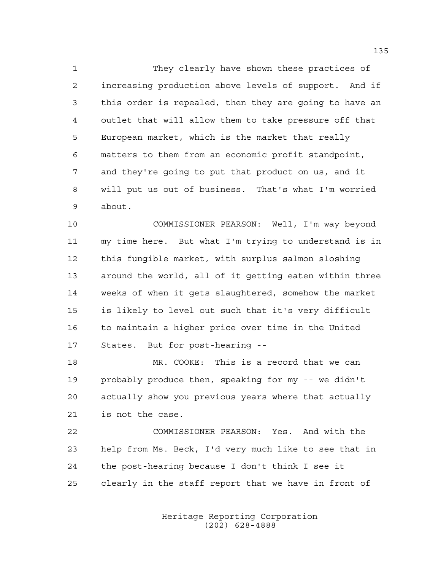They clearly have shown these practices of increasing production above levels of support. And if this order is repealed, then they are going to have an outlet that will allow them to take pressure off that European market, which is the market that really matters to them from an economic profit standpoint, and they're going to put that product on us, and it will put us out of business. That's what I'm worried about.

 COMMISSIONER PEARSON: Well, I'm way beyond my time here. But what I'm trying to understand is in this fungible market, with surplus salmon sloshing around the world, all of it getting eaten within three weeks of when it gets slaughtered, somehow the market is likely to level out such that it's very difficult 16 to maintain a higher price over time in the United States. But for post-hearing --

 MR. COOKE: This is a record that we can probably produce then, speaking for my -- we didn't actually show you previous years where that actually is not the case.

 COMMISSIONER PEARSON: Yes. And with the help from Ms. Beck, I'd very much like to see that in the post-hearing because I don't think I see it clearly in the staff report that we have in front of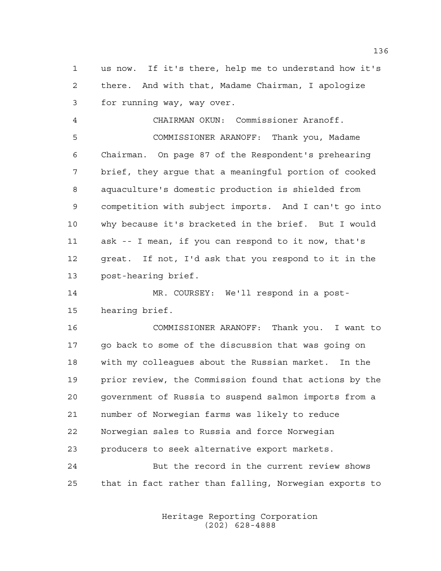us now. If it's there, help me to understand how it's there. And with that, Madame Chairman, I apologize for running way, way over.

 CHAIRMAN OKUN: Commissioner Aranoff. COMMISSIONER ARANOFF: Thank you, Madame Chairman. On page 87 of the Respondent's prehearing brief, they argue that a meaningful portion of cooked aquaculture's domestic production is shielded from competition with subject imports. And I can't go into why because it's bracketed in the brief. But I would ask -- I mean, if you can respond to it now, that's great. If not, I'd ask that you respond to it in the post-hearing brief.

 MR. COURSEY: We'll respond in a post-hearing brief.

 COMMISSIONER ARANOFF: Thank you. I want to go back to some of the discussion that was going on with my colleagues about the Russian market. In the prior review, the Commission found that actions by the government of Russia to suspend salmon imports from a number of Norwegian farms was likely to reduce Norwegian sales to Russia and force Norwegian producers to seek alternative export markets.

 But the record in the current review shows that in fact rather than falling, Norwegian exports to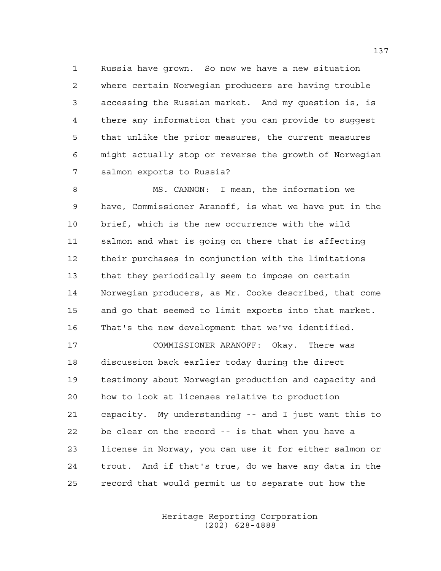Russia have grown. So now we have a new situation where certain Norwegian producers are having trouble accessing the Russian market. And my question is, is there any information that you can provide to suggest that unlike the prior measures, the current measures might actually stop or reverse the growth of Norwegian salmon exports to Russia?

 MS. CANNON: I mean, the information we have, Commissioner Aranoff, is what we have put in the brief, which is the new occurrence with the wild salmon and what is going on there that is affecting their purchases in conjunction with the limitations that they periodically seem to impose on certain Norwegian producers, as Mr. Cooke described, that come and go that seemed to limit exports into that market. That's the new development that we've identified.

 COMMISSIONER ARANOFF: Okay. There was discussion back earlier today during the direct testimony about Norwegian production and capacity and how to look at licenses relative to production capacity. My understanding -- and I just want this to be clear on the record -- is that when you have a license in Norway, you can use it for either salmon or trout. And if that's true, do we have any data in the record that would permit us to separate out how the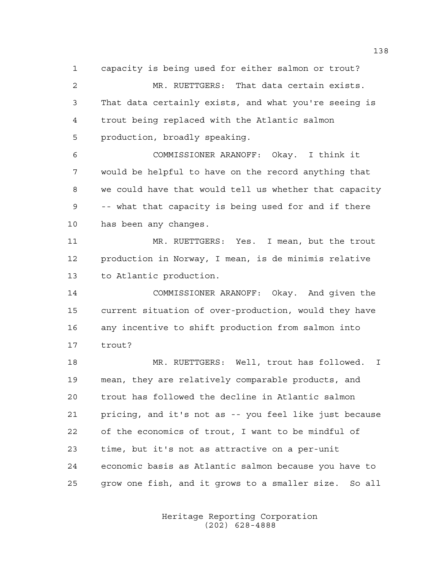capacity is being used for either salmon or trout? MR. RUETTGERS: That data certain exists. That data certainly exists, and what you're seeing is trout being replaced with the Atlantic salmon production, broadly speaking.

 COMMISSIONER ARANOFF: Okay. I think it would be helpful to have on the record anything that we could have that would tell us whether that capacity -- what that capacity is being used for and if there has been any changes.

 MR. RUETTGERS: Yes. I mean, but the trout production in Norway, I mean, is de minimis relative to Atlantic production.

 COMMISSIONER ARANOFF: Okay. And given the current situation of over-production, would they have any incentive to shift production from salmon into trout?

 MR. RUETTGERS: Well, trout has followed. I mean, they are relatively comparable products, and trout has followed the decline in Atlantic salmon pricing, and it's not as -- you feel like just because of the economics of trout, I want to be mindful of time, but it's not as attractive on a per-unit economic basis as Atlantic salmon because you have to grow one fish, and it grows to a smaller size. So all

> Heritage Reporting Corporation (202) 628-4888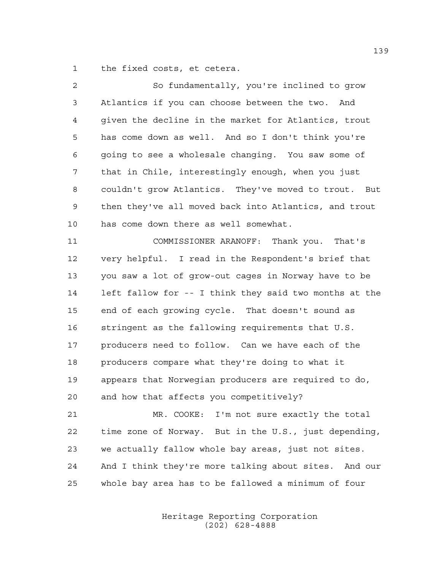the fixed costs, et cetera.

| $\overline{c}$ | So fundamentally, you're inclined to grow              |
|----------------|--------------------------------------------------------|
| 3              | Atlantics if you can choose between the two. And       |
| 4              | given the decline in the market for Atlantics, trout   |
| 5              | has come down as well. And so I don't think you're     |
| 6              | going to see a wholesale changing. You saw some of     |
| 7              | that in Chile, interestingly enough, when you just     |
| 8              | couldn't grow Atlantics. They've moved to trout. But   |
| 9              | then they've all moved back into Atlantics, and trout  |
| 10             | has come down there as well somewhat.                  |
| 11             | COMMISSIONER ARANOFF: Thank you. That's                |
| 12             | very helpful. I read in the Respondent's brief that    |
| 13             | you saw a lot of grow-out cages in Norway have to be   |
| 14             | left fallow for -- I think they said two months at the |
| 15             | end of each growing cycle. That doesn't sound as       |
| 16             | stringent as the fallowing requirements that U.S.      |
| 17             | producers need to follow. Can we have each of the      |
| 18             | producers compare what they're doing to what it        |
| 19             | appears that Norwegian producers are required to do,   |
| 20             | and how that affects you competitively?                |
| 21             | MR. COOKE: I'm not sure exactly the total              |
| 22             | time zone of Norway. But in the U.S., just depending,  |
| 23             | we actually fallow whole bay areas, just not sites.    |
| 24             | And I think they're more talking about sites. And our  |
| 25             | whole bay area has to be fallowed a minimum of four    |
|                |                                                        |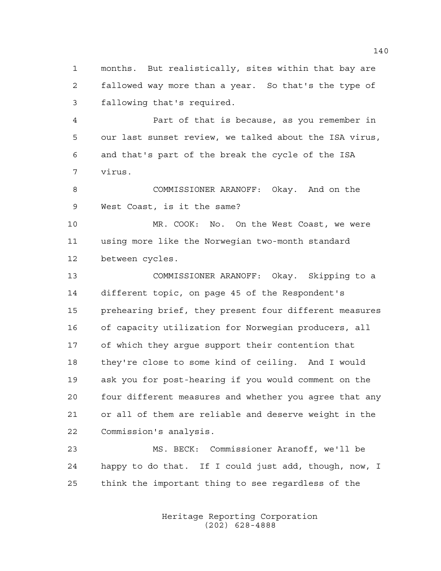months. But realistically, sites within that bay are fallowed way more than a year. So that's the type of fallowing that's required.

 Part of that is because, as you remember in our last sunset review, we talked about the ISA virus, and that's part of the break the cycle of the ISA virus.

 COMMISSIONER ARANOFF: Okay. And on the West Coast, is it the same?

 MR. COOK: No. On the West Coast, we were using more like the Norwegian two-month standard between cycles.

 COMMISSIONER ARANOFF: Okay. Skipping to a different topic, on page 45 of the Respondent's prehearing brief, they present four different measures of capacity utilization for Norwegian producers, all of which they argue support their contention that they're close to some kind of ceiling. And I would ask you for post-hearing if you would comment on the four different measures and whether you agree that any or all of them are reliable and deserve weight in the Commission's analysis.

 MS. BECK: Commissioner Aranoff, we'll be happy to do that. If I could just add, though, now, I think the important thing to see regardless of the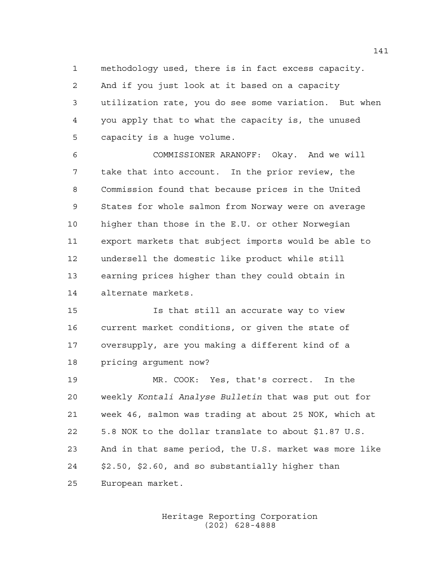methodology used, there is in fact excess capacity. And if you just look at it based on a capacity utilization rate, you do see some variation. But when you apply that to what the capacity is, the unused capacity is a huge volume.

 COMMISSIONER ARANOFF: Okay. And we will take that into account. In the prior review, the Commission found that because prices in the United States for whole salmon from Norway were on average higher than those in the E.U. or other Norwegian export markets that subject imports would be able to undersell the domestic like product while still earning prices higher than they could obtain in alternate markets.

 Is that still an accurate way to view current market conditions, or given the state of oversupply, are you making a different kind of a pricing argument now?

 MR. COOK: Yes, that's correct. In the weekly *Kontali Analyse Bulletin* that was put out for week 46, salmon was trading at about 25 NOK, which at 5.8 NOK to the dollar translate to about \$1.87 U.S. And in that same period, the U.S. market was more like \$2.50, \$2.60, and so substantially higher than European market.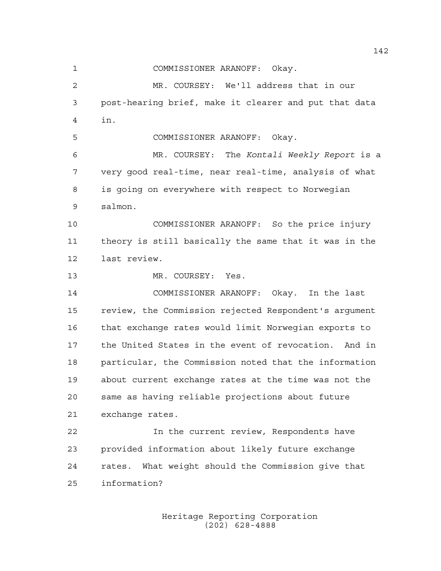COMMISSIONER ARANOFF: Okay. MR. COURSEY: We'll address that in our post-hearing brief, make it clearer and put that data in. COMMISSIONER ARANOFF: Okay. MR. COURSEY: The *Kontali Weekly Report* is a very good real-time, near real-time, analysis of what is going on everywhere with respect to Norwegian salmon. COMMISSIONER ARANOFF: So the price injury theory is still basically the same that it was in the last review. MR. COURSEY: Yes. COMMISSIONER ARANOFF: Okay. In the last review, the Commission rejected Respondent's argument that exchange rates would limit Norwegian exports to the United States in the event of revocation. And in particular, the Commission noted that the information about current exchange rates at the time was not the same as having reliable projections about future exchange rates. In the current review, Respondents have provided information about likely future exchange rates. What weight should the Commission give that information?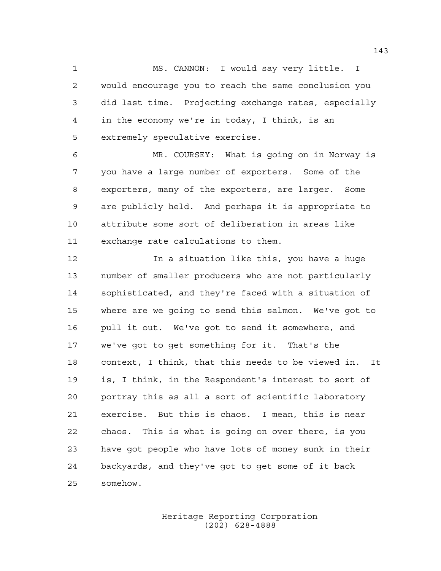MS. CANNON: I would say very little. I would encourage you to reach the same conclusion you did last time. Projecting exchange rates, especially in the economy we're in today, I think, is an extremely speculative exercise.

 MR. COURSEY: What is going on in Norway is you have a large number of exporters. Some of the exporters, many of the exporters, are larger. Some are publicly held. And perhaps it is appropriate to attribute some sort of deliberation in areas like exchange rate calculations to them.

 In a situation like this, you have a huge number of smaller producers who are not particularly sophisticated, and they're faced with a situation of where are we going to send this salmon. We've got to pull it out. We've got to send it somewhere, and we've got to get something for it. That's the context, I think, that this needs to be viewed in. It is, I think, in the Respondent's interest to sort of portray this as all a sort of scientific laboratory exercise. But this is chaos. I mean, this is near chaos. This is what is going on over there, is you have got people who have lots of money sunk in their backyards, and they've got to get some of it back somehow.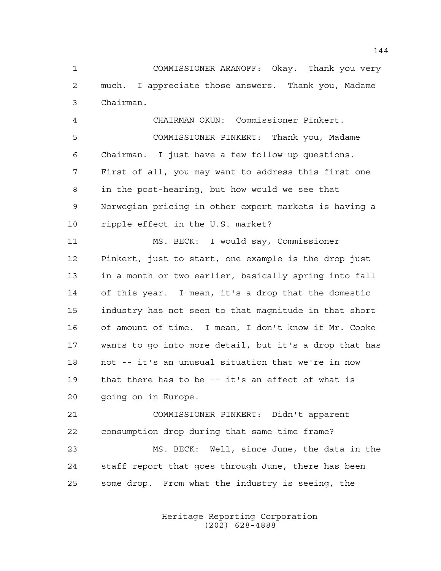COMMISSIONER ARANOFF: Okay. Thank you very much. I appreciate those answers. Thank you, Madame Chairman.

 CHAIRMAN OKUN: Commissioner Pinkert. COMMISSIONER PINKERT: Thank you, Madame Chairman. I just have a few follow-up questions. First of all, you may want to address this first one in the post-hearing, but how would we see that Norwegian pricing in other export markets is having a ripple effect in the U.S. market?

 MS. BECK: I would say, Commissioner Pinkert, just to start, one example is the drop just in a month or two earlier, basically spring into fall of this year. I mean, it's a drop that the domestic industry has not seen to that magnitude in that short of amount of time. I mean, I don't know if Mr. Cooke wants to go into more detail, but it's a drop that has not -- it's an unusual situation that we're in now that there has to be -- it's an effect of what is going on in Europe.

 COMMISSIONER PINKERT: Didn't apparent consumption drop during that same time frame? MS. BECK: Well, since June, the data in the staff report that goes through June, there has been some drop. From what the industry is seeing, the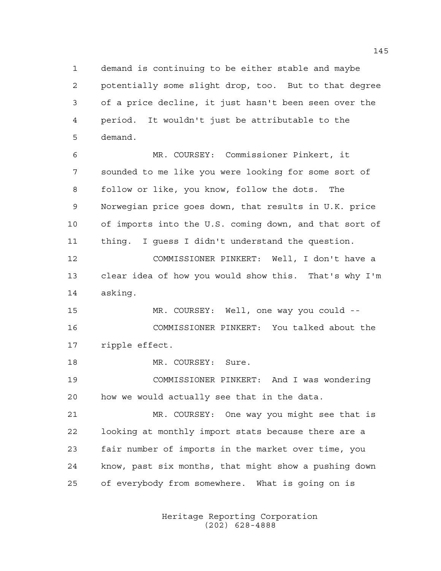demand is continuing to be either stable and maybe potentially some slight drop, too. But to that degree of a price decline, it just hasn't been seen over the period. It wouldn't just be attributable to the demand.

 MR. COURSEY: Commissioner Pinkert, it sounded to me like you were looking for some sort of follow or like, you know, follow the dots. The Norwegian price goes down, that results in U.K. price of imports into the U.S. coming down, and that sort of thing. I guess I didn't understand the question.

 COMMISSIONER PINKERT: Well, I don't have a clear idea of how you would show this. That's why I'm asking.

 MR. COURSEY: Well, one way you could -- COMMISSIONER PINKERT: You talked about the ripple effect.

18 MR. COURSEY: Sure.

 COMMISSIONER PINKERT: And I was wondering how we would actually see that in the data.

 MR. COURSEY: One way you might see that is looking at monthly import stats because there are a fair number of imports in the market over time, you know, past six months, that might show a pushing down of everybody from somewhere. What is going on is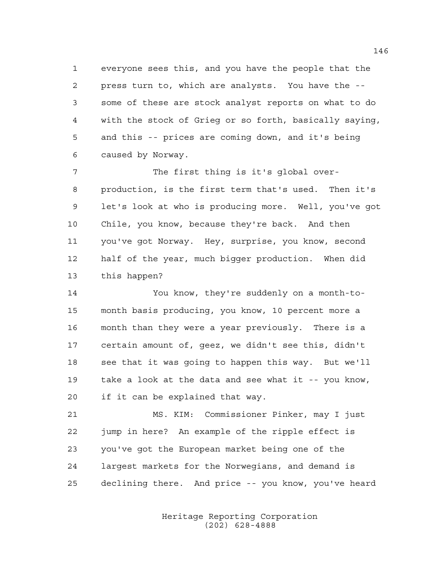everyone sees this, and you have the people that the press turn to, which are analysts. You have the -- some of these are stock analyst reports on what to do with the stock of Grieg or so forth, basically saying, and this -- prices are coming down, and it's being caused by Norway.

7 The first thing is it's global over- production, is the first term that's used. Then it's let's look at who is producing more. Well, you've got Chile, you know, because they're back. And then you've got Norway. Hey, surprise, you know, second half of the year, much bigger production. When did this happen?

 You know, they're suddenly on a month-to- month basis producing, you know, 10 percent more a month than they were a year previously. There is a certain amount of, geez, we didn't see this, didn't see that it was going to happen this way. But we'll take a look at the data and see what it -- you know, if it can be explained that way.

 MS. KIM: Commissioner Pinker, may I just jump in here? An example of the ripple effect is you've got the European market being one of the largest markets for the Norwegians, and demand is declining there. And price -- you know, you've heard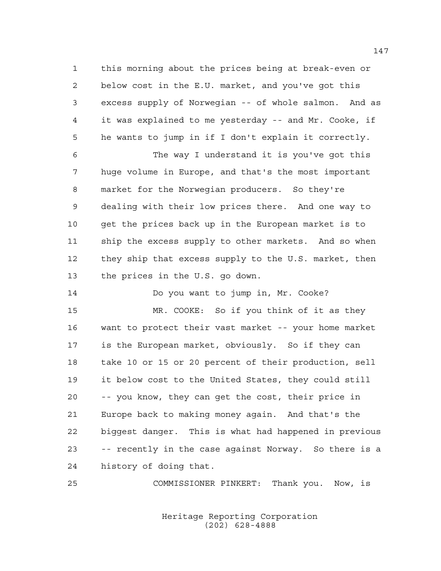this morning about the prices being at break-even or below cost in the E.U. market, and you've got this excess supply of Norwegian -- of whole salmon. And as it was explained to me yesterday -- and Mr. Cooke, if he wants to jump in if I don't explain it correctly.

 The way I understand it is you've got this huge volume in Europe, and that's the most important market for the Norwegian producers. So they're dealing with their low prices there. And one way to get the prices back up in the European market is to ship the excess supply to other markets. And so when they ship that excess supply to the U.S. market, then the prices in the U.S. go down.

Do you want to jump in, Mr. Cooke?

 MR. COOKE: So if you think of it as they want to protect their vast market -- your home market is the European market, obviously. So if they can take 10 or 15 or 20 percent of their production, sell it below cost to the United States, they could still -- you know, they can get the cost, their price in Europe back to making money again. And that's the biggest danger. This is what had happened in previous -- recently in the case against Norway. So there is a history of doing that.

COMMISSIONER PINKERT: Thank you. Now, is

Heritage Reporting Corporation (202) 628-4888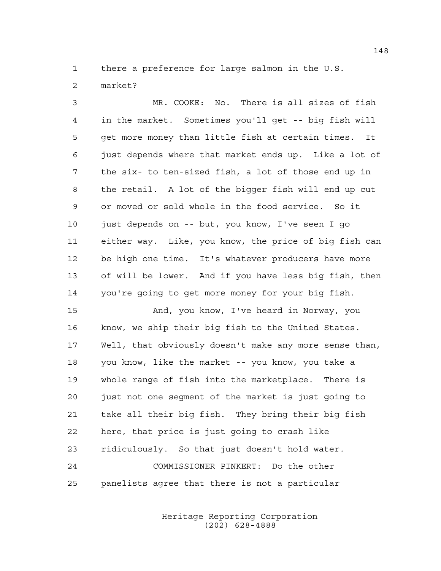there a preference for large salmon in the U.S.

market?

 MR. COOKE: No. There is all sizes of fish in the market. Sometimes you'll get -- big fish will get more money than little fish at certain times. It just depends where that market ends up. Like a lot of the six- to ten-sized fish, a lot of those end up in the retail. A lot of the bigger fish will end up cut or moved or sold whole in the food service. So it just depends on -- but, you know, I've seen I go either way. Like, you know, the price of big fish can be high one time. It's whatever producers have more of will be lower. And if you have less big fish, then you're going to get more money for your big fish.

 And, you know, I've heard in Norway, you know, we ship their big fish to the United States. Well, that obviously doesn't make any more sense than, you know, like the market -- you know, you take a whole range of fish into the marketplace. There is just not one segment of the market is just going to take all their big fish. They bring their big fish here, that price is just going to crash like ridiculously. So that just doesn't hold water. COMMISSIONER PINKERT: Do the other panelists agree that there is not a particular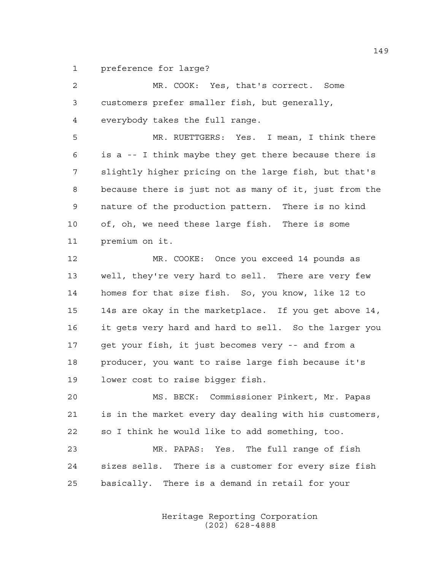preference for large?

| $\overline{2}$ | MR. COOK: Yes, that's correct. Some                    |
|----------------|--------------------------------------------------------|
| 3              | customers prefer smaller fish, but generally,          |
| $\overline{4}$ | everybody takes the full range.                        |
| 5              | MR. RUETTGERS: Yes. I mean, I think there              |
| 6              | is a -- I think maybe they get there because there is  |
| 7              | slightly higher pricing on the large fish, but that's  |
| 8              | because there is just not as many of it, just from the |
| 9              | nature of the production pattern. There is no kind     |
| 10             | of, oh, we need these large fish. There is some        |
| 11             | premium on it.                                         |
| 12             | MR. COOKE: Once you exceed 14 pounds as                |
| 13             | well, they're very hard to sell. There are very few    |
| 14             | homes for that size fish. So, you know, like 12 to     |
| 15             | 14s are okay in the marketplace. If you get above 14,  |
| 16             | it gets very hard and hard to sell. So the larger you  |
| 17             | get your fish, it just becomes very -- and from a      |
| 18             | producer, you want to raise large fish because it's    |
| 19             | lower cost to raise bigger fish.                       |
| 20             | MS. BECK: Commissioner Pinkert, Mr. Papas              |
| 21             | is in the market every day dealing with his customers, |
| 22             | so I think he would like to add something, too.        |
| 23             | MR. PAPAS: Yes. The full range of fish                 |
| 24             | sizes sells. There is a customer for every size fish   |
| 25             | basically. There is a demand in retail for your        |
|                |                                                        |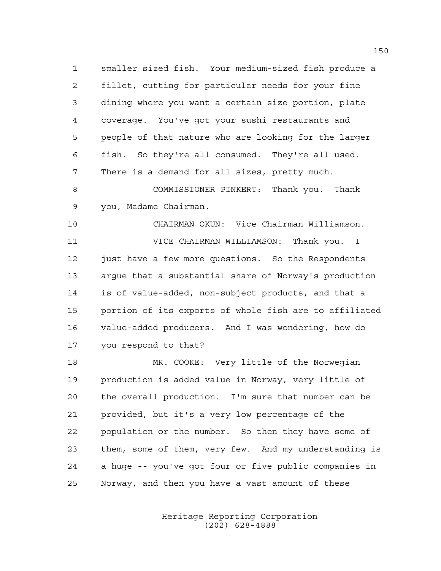smaller sized fish. Your medium-sized fish produce a fillet, cutting for particular needs for your fine dining where you want a certain size portion, plate coverage. You've got your sushi restaurants and people of that nature who are looking for the larger fish. So they're all consumed. They're all used. There is a demand for all sizes, pretty much. COMMISSIONER PINKERT: Thank you. Thank

you, Madame Chairman.

 CHAIRMAN OKUN: Vice Chairman Williamson. VICE CHAIRMAN WILLIAMSON: Thank you. I 12 just have a few more questions. So the Respondents argue that a substantial share of Norway's production is of value-added, non-subject products, and that a portion of its exports of whole fish are to affiliated value-added producers. And I was wondering, how do you respond to that?

 MR. COOKE: Very little of the Norwegian production is added value in Norway, very little of the overall production. I'm sure that number can be provided, but it's a very low percentage of the population or the number. So then they have some of them, some of them, very few. And my understanding is a huge -- you've got four or five public companies in Norway, and then you have a vast amount of these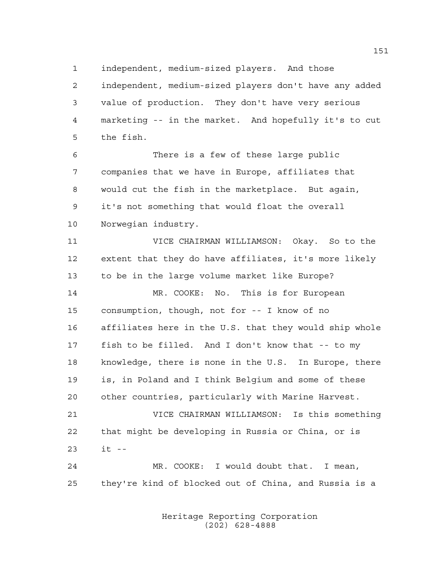independent, medium-sized players. And those

 independent, medium-sized players don't have any added value of production. They don't have very serious marketing -- in the market. And hopefully it's to cut the fish.

 There is a few of these large public companies that we have in Europe, affiliates that would cut the fish in the marketplace. But again, it's not something that would float the overall Norwegian industry.

 VICE CHAIRMAN WILLIAMSON: Okay. So to the extent that they do have affiliates, it's more likely to be in the large volume market like Europe? MR. COOKE: No. This is for European consumption, though, not for -- I know of no affiliates here in the U.S. that they would ship whole fish to be filled. And I don't know that -- to my knowledge, there is none in the U.S. In Europe, there is, in Poland and I think Belgium and some of these other countries, particularly with Marine Harvest. VICE CHAIRMAN WILLIAMSON: Is this something that might be developing in Russia or China, or is it --

 MR. COOKE: I would doubt that. I mean, they're kind of blocked out of China, and Russia is a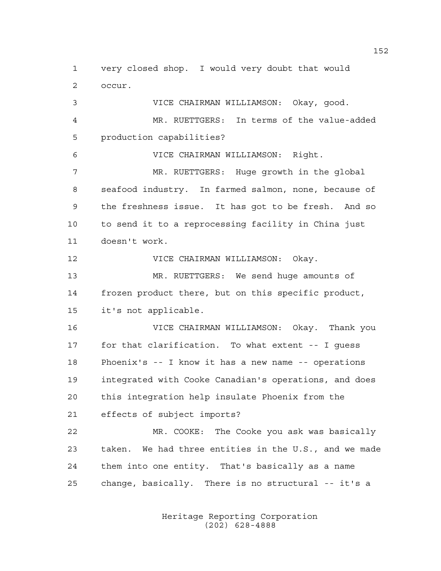very closed shop. I would very doubt that would occur.

 VICE CHAIRMAN WILLIAMSON: Okay, good. MR. RUETTGERS: In terms of the value-added production capabilities? VICE CHAIRMAN WILLIAMSON: Right. MR. RUETTGERS: Huge growth in the global seafood industry. In farmed salmon, none, because of the freshness issue. It has got to be fresh. And so to send it to a reprocessing facility in China just doesn't work. VICE CHAIRMAN WILLIAMSON: Okay. MR. RUETTGERS: We send huge amounts of frozen product there, but on this specific product, it's not applicable. VICE CHAIRMAN WILLIAMSON: Okay. Thank you for that clarification. To what extent -- I guess Phoenix's -- I know it has a new name -- operations integrated with Cooke Canadian's operations, and does this integration help insulate Phoenix from the effects of subject imports? MR. COOKE: The Cooke you ask was basically taken. We had three entities in the U.S., and we made them into one entity. That's basically as a name change, basically. There is no structural -- it's a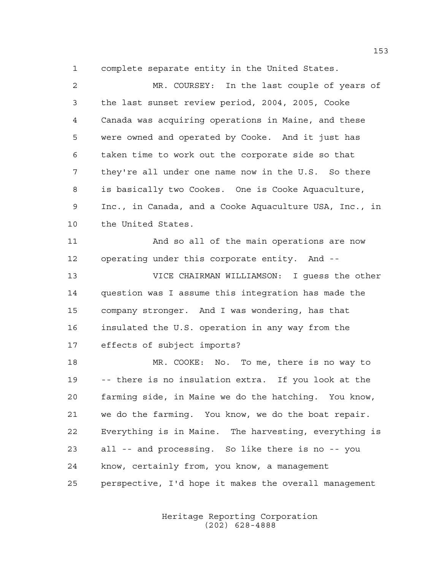complete separate entity in the United States.

 MR. COURSEY: In the last couple of years of the last sunset review period, 2004, 2005, Cooke Canada was acquiring operations in Maine, and these were owned and operated by Cooke. And it just has taken time to work out the corporate side so that they're all under one name now in the U.S. So there is basically two Cookes. One is Cooke Aquaculture, Inc., in Canada, and a Cooke Aquaculture USA, Inc., in the United States. And so all of the main operations are now operating under this corporate entity. And -- VICE CHAIRMAN WILLIAMSON: I guess the other question was I assume this integration has made the company stronger. And I was wondering, has that insulated the U.S. operation in any way from the effects of subject imports? MR. COOKE: No. To me, there is no way to -- there is no insulation extra. If you look at the farming side, in Maine we do the hatching. You know, we do the farming. You know, we do the boat repair. Everything is in Maine. The harvesting, everything is all -- and processing. So like there is no -- you know, certainly from, you know, a management perspective, I'd hope it makes the overall management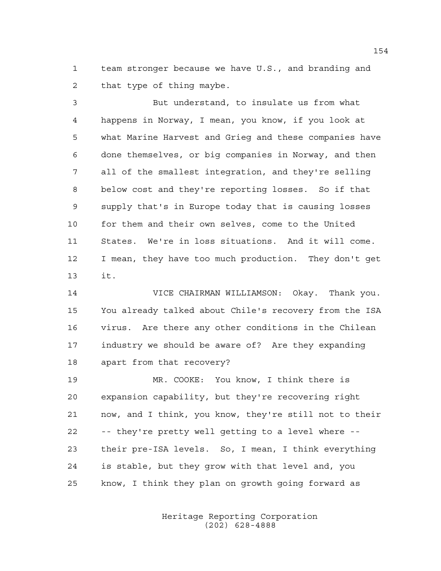team stronger because we have U.S., and branding and that type of thing maybe.

 But understand, to insulate us from what happens in Norway, I mean, you know, if you look at what Marine Harvest and Grieg and these companies have done themselves, or big companies in Norway, and then all of the smallest integration, and they're selling below cost and they're reporting losses. So if that supply that's in Europe today that is causing losses for them and their own selves, come to the United States. We're in loss situations. And it will come. I mean, they have too much production. They don't get it.

 VICE CHAIRMAN WILLIAMSON: Okay. Thank you. You already talked about Chile's recovery from the ISA virus. Are there any other conditions in the Chilean industry we should be aware of? Are they expanding apart from that recovery?

 MR. COOKE: You know, I think there is expansion capability, but they're recovering right now, and I think, you know, they're still not to their -- they're pretty well getting to a level where -- their pre-ISA levels. So, I mean, I think everything is stable, but they grow with that level and, you know, I think they plan on growth going forward as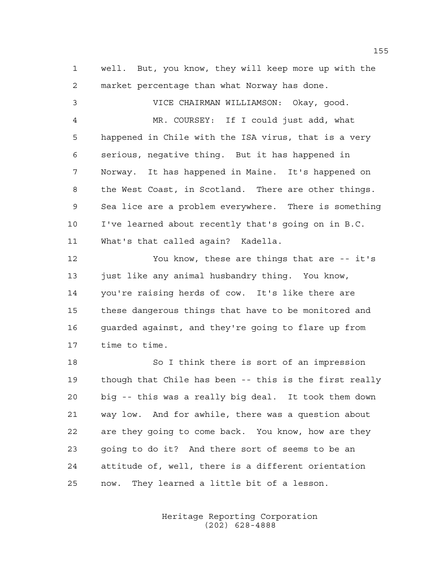well. But, you know, they will keep more up with the market percentage than what Norway has done.

 VICE CHAIRMAN WILLIAMSON: Okay, good. MR. COURSEY: If I could just add, what happened in Chile with the ISA virus, that is a very serious, negative thing. But it has happened in Norway. It has happened in Maine. It's happened on the West Coast, in Scotland. There are other things. Sea lice are a problem everywhere. There is something I've learned about recently that's going on in B.C. What's that called again? Kadella.

 You know, these are things that are -- it's 13 just like any animal husbandry thing. You know, you're raising herds of cow. It's like there are these dangerous things that have to be monitored and guarded against, and they're going to flare up from time to time.

 So I think there is sort of an impression though that Chile has been -- this is the first really big -- this was a really big deal. It took them down way low. And for awhile, there was a question about are they going to come back. You know, how are they going to do it? And there sort of seems to be an attitude of, well, there is a different orientation now. They learned a little bit of a lesson.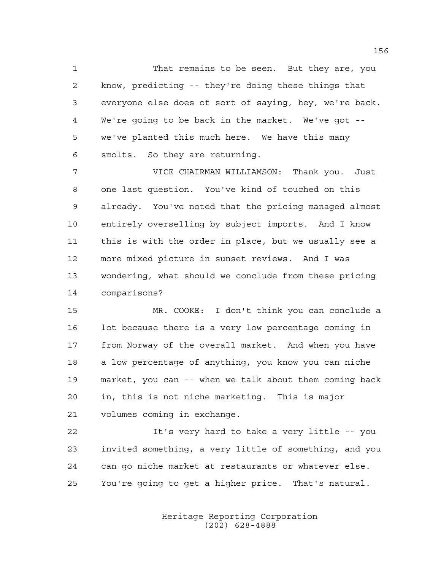That remains to be seen. But they are, you know, predicting -- they're doing these things that everyone else does of sort of saying, hey, we're back. We're going to be back in the market. We've got -- we've planted this much here. We have this many smolts. So they are returning.

 VICE CHAIRMAN WILLIAMSON: Thank you. Just one last question. You've kind of touched on this already. You've noted that the pricing managed almost entirely overselling by subject imports. And I know this is with the order in place, but we usually see a more mixed picture in sunset reviews. And I was wondering, what should we conclude from these pricing comparisons?

 MR. COOKE: I don't think you can conclude a 16 lot because there is a very low percentage coming in from Norway of the overall market. And when you have a low percentage of anything, you know you can niche market, you can -- when we talk about them coming back in, this is not niche marketing. This is major volumes coming in exchange.

 It's very hard to take a very little -- you invited something, a very little of something, and you can go niche market at restaurants or whatever else. You're going to get a higher price. That's natural.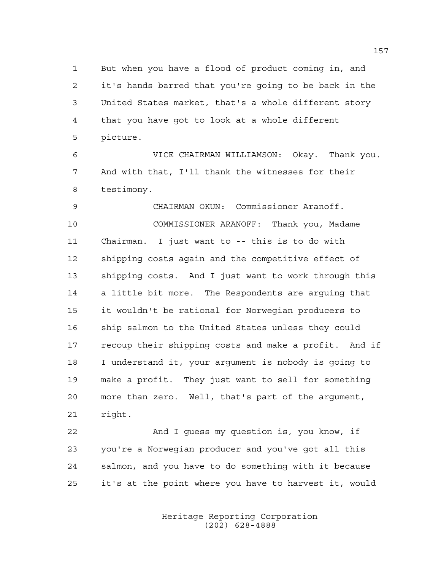But when you have a flood of product coming in, and it's hands barred that you're going to be back in the United States market, that's a whole different story that you have got to look at a whole different picture.

 VICE CHAIRMAN WILLIAMSON: Okay. Thank you. And with that, I'll thank the witnesses for their testimony.

 CHAIRMAN OKUN: Commissioner Aranoff. COMMISSIONER ARANOFF: Thank you, Madame Chairman. I just want to -- this is to do with shipping costs again and the competitive effect of shipping costs. And I just want to work through this a little bit more. The Respondents are arguing that it wouldn't be rational for Norwegian producers to ship salmon to the United States unless they could recoup their shipping costs and make a profit. And if I understand it, your argument is nobody is going to make a profit. They just want to sell for something more than zero. Well, that's part of the argument, right.

 And I guess my question is, you know, if you're a Norwegian producer and you've got all this salmon, and you have to do something with it because it's at the point where you have to harvest it, would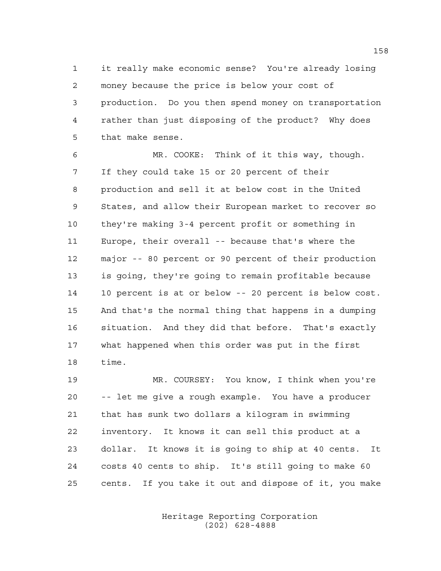it really make economic sense? You're already losing money because the price is below your cost of production. Do you then spend money on transportation rather than just disposing of the product? Why does that make sense.

 MR. COOKE: Think of it this way, though. If they could take 15 or 20 percent of their production and sell it at below cost in the United States, and allow their European market to recover so they're making 3-4 percent profit or something in Europe, their overall -- because that's where the major -- 80 percent or 90 percent of their production is going, they're going to remain profitable because 10 percent is at or below -- 20 percent is below cost. And that's the normal thing that happens in a dumping situation. And they did that before. That's exactly what happened when this order was put in the first time.

 MR. COURSEY: You know, I think when you're -- let me give a rough example. You have a producer that has sunk two dollars a kilogram in swimming inventory. It knows it can sell this product at a dollar. It knows it is going to ship at 40 cents. It costs 40 cents to ship. It's still going to make 60 cents. If you take it out and dispose of it, you make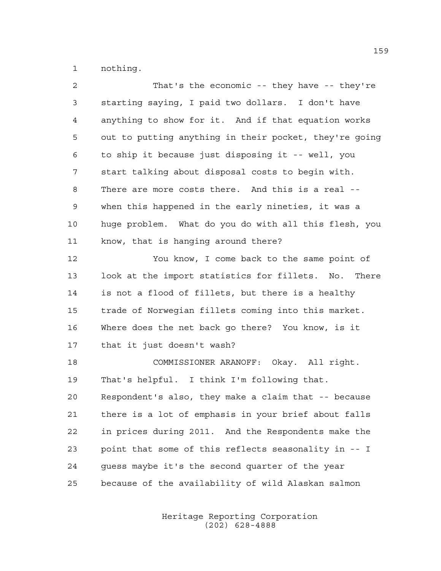nothing.

| 2              | That's the economic -- they have -- they're            |
|----------------|--------------------------------------------------------|
| 3              | starting saying, I paid two dollars. I don't have      |
| $\overline{4}$ | anything to show for it. And if that equation works    |
| 5              | out to putting anything in their pocket, they're going |
| 6              | to ship it because just disposing it -- well, you      |
| 7              | start talking about disposal costs to begin with.      |
| 8              | There are more costs there. And this is a real --      |
| $\mathsf 9$    | when this happened in the early nineties, it was a     |
| 10             | huge problem. What do you do with all this flesh, you  |
| 11             | know, that is hanging around there?                    |
| 12             | You know, I come back to the same point of             |
| 13             | look at the import statistics for fillets. No. There   |
| 14             | is not a flood of fillets, but there is a healthy      |
| 15             | trade of Norwegian fillets coming into this market.    |
| 16             | Where does the net back go there? You know, is it      |
| 17             | that it just doesn't wash?                             |
| 18             | COMMISSIONER ARANOFF: Okay. All right.                 |
| 19             | That's helpful. I think I'm following that.            |
| 20             | Respondent's also, they make a claim that -- because   |
| 21             | there is a lot of emphasis in your brief about falls   |
| 22             | in prices during 2011. And the Respondents make the    |
| 23             | point that some of this reflects seasonality in -- I   |
| 24             | guess maybe it's the second quarter of the year        |
| 25             | because of the availability of wild Alaskan salmon     |
|                |                                                        |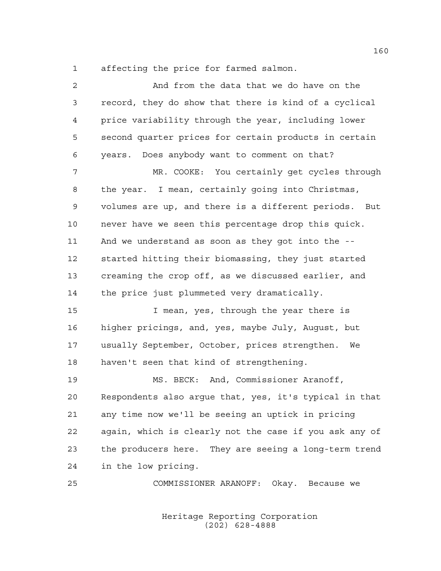affecting the price for farmed salmon.

 And from the data that we do have on the record, they do show that there is kind of a cyclical price variability through the year, including lower second quarter prices for certain products in certain years. Does anybody want to comment on that? MR. COOKE: You certainly get cycles through the year. I mean, certainly going into Christmas, volumes are up, and there is a different periods. But never have we seen this percentage drop this quick. And we understand as soon as they got into the -- started hitting their biomassing, they just started creaming the crop off, as we discussed earlier, and the price just plummeted very dramatically. I mean, yes, through the year there is higher pricings, and, yes, maybe July, August, but usually September, October, prices strengthen. We haven't seen that kind of strengthening. MS. BECK: And, Commissioner Aranoff, Respondents also argue that, yes, it's typical in that any time now we'll be seeing an uptick in pricing again, which is clearly not the case if you ask any of the producers here. They are seeing a long-term trend in the low pricing. COMMISSIONER ARANOFF: Okay. Because we

> Heritage Reporting Corporation (202) 628-4888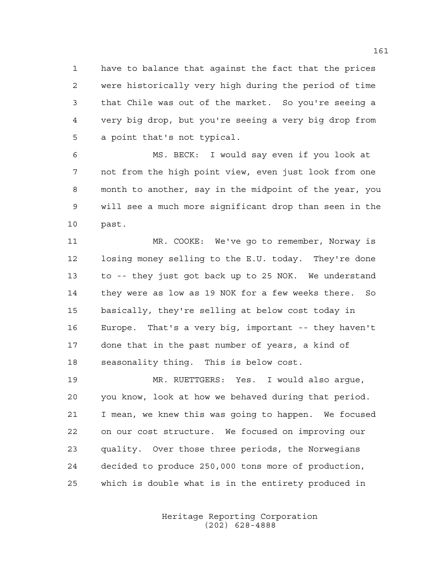have to balance that against the fact that the prices were historically very high during the period of time that Chile was out of the market. So you're seeing a very big drop, but you're seeing a very big drop from a point that's not typical.

 MS. BECK: I would say even if you look at not from the high point view, even just look from one month to another, say in the midpoint of the year, you will see a much more significant drop than seen in the past.

 MR. COOKE: We've go to remember, Norway is losing money selling to the E.U. today. They're done to -- they just got back up to 25 NOK. We understand they were as low as 19 NOK for a few weeks there. So basically, they're selling at below cost today in Europe. That's a very big, important -- they haven't done that in the past number of years, a kind of seasonality thing. This is below cost.

 MR. RUETTGERS: Yes. I would also argue, you know, look at how we behaved during that period. I mean, we knew this was going to happen. We focused on our cost structure. We focused on improving our quality. Over those three periods, the Norwegians decided to produce 250,000 tons more of production, which is double what is in the entirety produced in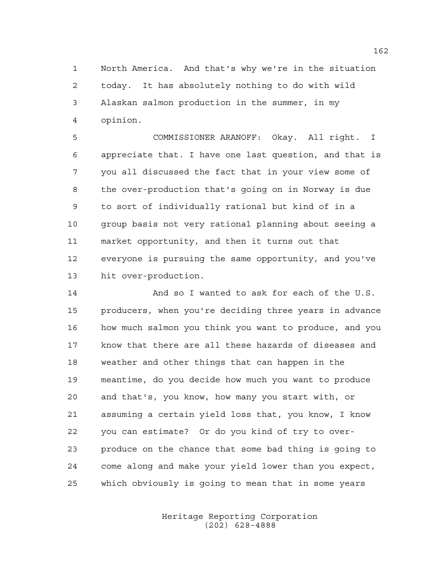North America. And that's why we're in the situation today. It has absolutely nothing to do with wild Alaskan salmon production in the summer, in my opinion.

 COMMISSIONER ARANOFF: Okay. All right. I appreciate that. I have one last question, and that is you all discussed the fact that in your view some of the over-production that's going on in Norway is due to sort of individually rational but kind of in a group basis not very rational planning about seeing a market opportunity, and then it turns out that everyone is pursuing the same opportunity, and you've hit over-production.

 And so I wanted to ask for each of the U.S. producers, when you're deciding three years in advance how much salmon you think you want to produce, and you know that there are all these hazards of diseases and weather and other things that can happen in the meantime, do you decide how much you want to produce and that's, you know, how many you start with, or assuming a certain yield loss that, you know, I know you can estimate? Or do you kind of try to over- produce on the chance that some bad thing is going to come along and make your yield lower than you expect, which obviously is going to mean that in some years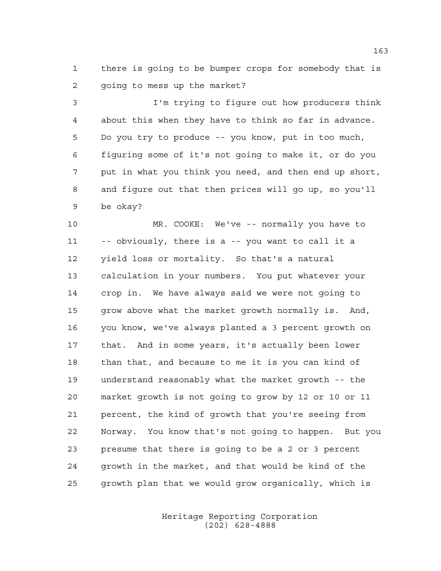there is going to be bumper crops for somebody that is going to mess up the market?

 I'm trying to figure out how producers think about this when they have to think so far in advance. Do you try to produce -- you know, put in too much, figuring some of it's not going to make it, or do you put in what you think you need, and then end up short, and figure out that then prices will go up, so you'll be okay?

 MR. COOKE: We've -- normally you have to -- obviously, there is a -- you want to call it a yield loss or mortality. So that's a natural calculation in your numbers. You put whatever your crop in. We have always said we were not going to grow above what the market growth normally is. And, you know, we've always planted a 3 percent growth on that. And in some years, it's actually been lower than that, and because to me it is you can kind of understand reasonably what the market growth -- the market growth is not going to grow by 12 or 10 or 11 percent, the kind of growth that you're seeing from Norway. You know that's not going to happen. But you presume that there is going to be a 2 or 3 percent growth in the market, and that would be kind of the growth plan that we would grow organically, which is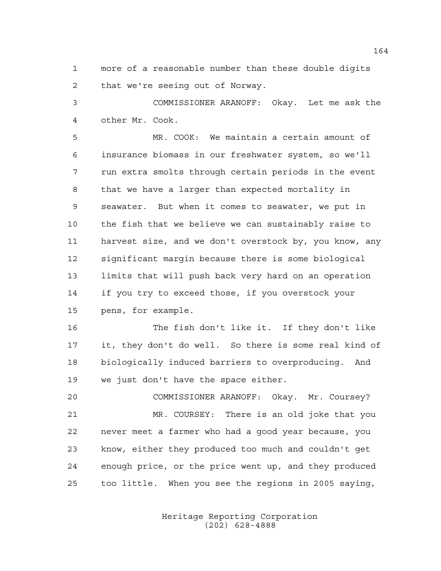more of a reasonable number than these double digits that we're seeing out of Norway.

 COMMISSIONER ARANOFF: Okay. Let me ask the other Mr. Cook.

 MR. COOK: We maintain a certain amount of insurance biomass in our freshwater system, so we'll run extra smolts through certain periods in the event that we have a larger than expected mortality in seawater. But when it comes to seawater, we put in the fish that we believe we can sustainably raise to harvest size, and we don't overstock by, you know, any significant margin because there is some biological limits that will push back very hard on an operation if you try to exceed those, if you overstock your pens, for example.

 The fish don't like it. If they don't like it, they don't do well. So there is some real kind of biologically induced barriers to overproducing. And we just don't have the space either.

 COMMISSIONER ARANOFF: Okay. Mr. Coursey? MR. COURSEY: There is an old joke that you never meet a farmer who had a good year because, you know, either they produced too much and couldn't get enough price, or the price went up, and they produced too little. When you see the regions in 2005 saying,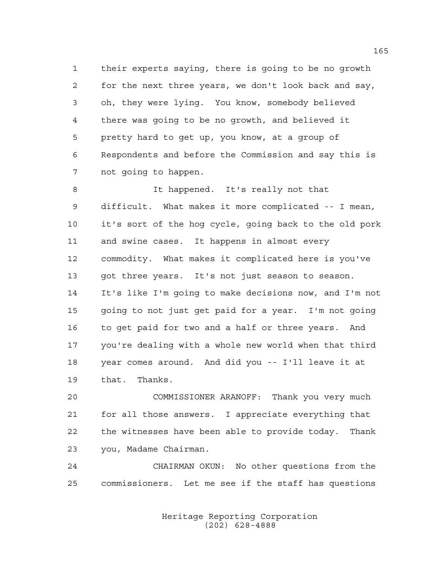their experts saying, there is going to be no growth for the next three years, we don't look back and say, oh, they were lying. You know, somebody believed there was going to be no growth, and believed it pretty hard to get up, you know, at a group of Respondents and before the Commission and say this is not going to happen.

 It happened. It's really not that difficult. What makes it more complicated -- I mean, it's sort of the hog cycle, going back to the old pork and swine cases. It happens in almost every commodity. What makes it complicated here is you've got three years. It's not just season to season. It's like I'm going to make decisions now, and I'm not going to not just get paid for a year. I'm not going to get paid for two and a half or three years. And you're dealing with a whole new world when that third year comes around. And did you -- I'll leave it at that. Thanks.

 COMMISSIONER ARANOFF: Thank you very much for all those answers. I appreciate everything that the witnesses have been able to provide today. Thank you, Madame Chairman.

 CHAIRMAN OKUN: No other questions from the commissioners. Let me see if the staff has questions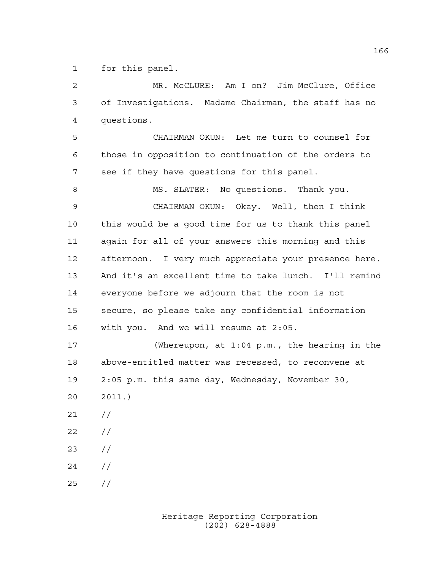for this panel.

| $\overline{2}$ | MR. McCLURE: Am I on? Jim McClure, Office             |
|----------------|-------------------------------------------------------|
| 3              | of Investigations. Madame Chairman, the staff has no  |
| 4              | questions.                                            |
| 5              | CHAIRMAN OKUN: Let me turn to counsel for             |
| 6              | those in opposition to continuation of the orders to  |
| 7              | see if they have questions for this panel.            |
| 8              | MS. SLATER: No questions. Thank you.                  |
| $\mathsf 9$    | CHAIRMAN OKUN: Okay. Well, then I think               |
| 10             | this would be a good time for us to thank this panel  |
| 11             | again for all of your answers this morning and this   |
| 12             | afternoon. I very much appreciate your presence here. |
| 13             | And it's an excellent time to take lunch. I'll remind |
| 14             | everyone before we adjourn that the room is not       |
| 15             | secure, so please take any confidential information   |
| 16             | with you. And we will resume at 2:05.                 |
| 17             | (Whereupon, at $1:04$ p.m., the hearing in the        |
| 18             | above-entitled matter was recessed, to reconvene at   |
| 19             | 2:05 p.m. this same day, Wednesday, November 30,      |
| 20             | 2011.                                                 |
| 21             | $\frac{1}{2}$                                         |
| 22             | //                                                    |
| 23             | //                                                    |
| 24             | $\frac{1}{2}$                                         |
| 25             | $\frac{1}{2}$                                         |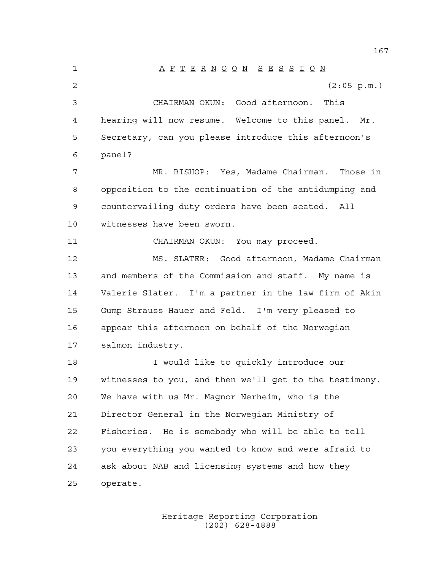A F T E R N O O N S E S S I O N (2:05 p.m.) CHAIRMAN OKUN: Good afternoon. This hearing will now resume. Welcome to this panel. Mr. Secretary, can you please introduce this afternoon's panel? MR. BISHOP: Yes, Madame Chairman. Those in opposition to the continuation of the antidumping and countervailing duty orders have been seated. All witnesses have been sworn. CHAIRMAN OKUN: You may proceed. MS. SLATER: Good afternoon, Madame Chairman and members of the Commission and staff. My name is Valerie Slater. I'm a partner in the law firm of Akin Gump Strauss Hauer and Feld. I'm very pleased to appear this afternoon on behalf of the Norwegian salmon industry. I would like to quickly introduce our witnesses to you, and then we'll get to the testimony. We have with us Mr. Magnor Nerheim, who is the Director General in the Norwegian Ministry of Fisheries. He is somebody who will be able to tell you everything you wanted to know and were afraid to ask about NAB and licensing systems and how they operate.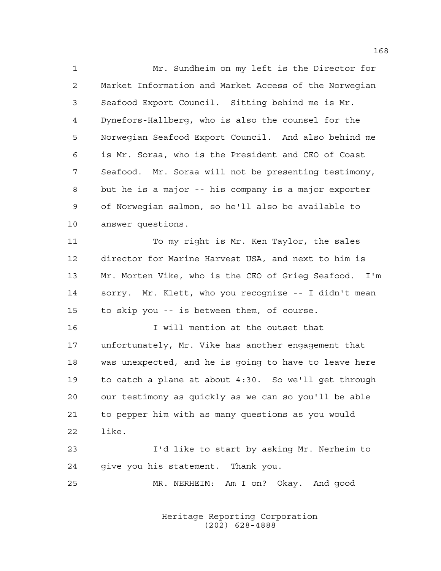Mr. Sundheim on my left is the Director for Market Information and Market Access of the Norwegian Seafood Export Council. Sitting behind me is Mr. Dynefors-Hallberg, who is also the counsel for the Norwegian Seafood Export Council. And also behind me is Mr. Soraa, who is the President and CEO of Coast Seafood. Mr. Soraa will not be presenting testimony, but he is a major -- his company is a major exporter of Norwegian salmon, so he'll also be available to answer questions.

 To my right is Mr. Ken Taylor, the sales director for Marine Harvest USA, and next to him is Mr. Morten Vike, who is the CEO of Grieg Seafood. I'm sorry. Mr. Klett, who you recognize -- I didn't mean to skip you -- is between them, of course.

 I will mention at the outset that unfortunately, Mr. Vike has another engagement that was unexpected, and he is going to have to leave here to catch a plane at about 4:30. So we'll get through our testimony as quickly as we can so you'll be able to pepper him with as many questions as you would like.

 I'd like to start by asking Mr. Nerheim to give you his statement. Thank you.

MR. NERHEIM: Am I on? Okay. And good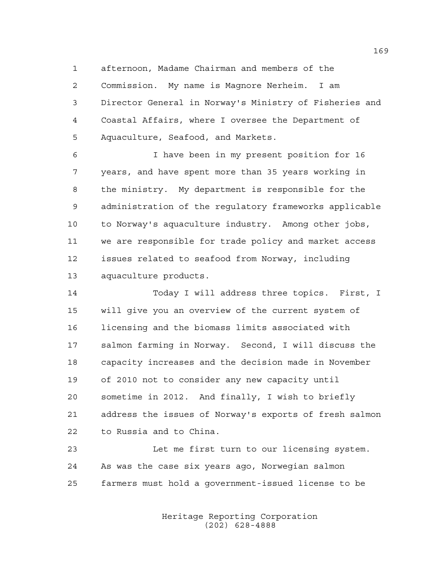afternoon, Madame Chairman and members of the Commission. My name is Magnore Nerheim. I am Director General in Norway's Ministry of Fisheries and Coastal Affairs, where I oversee the Department of Aquaculture, Seafood, and Markets.

 I have been in my present position for 16 years, and have spent more than 35 years working in the ministry. My department is responsible for the administration of the regulatory frameworks applicable to Norway's aquaculture industry. Among other jobs, we are responsible for trade policy and market access issues related to seafood from Norway, including aquaculture products.

 Today I will address three topics. First, I will give you an overview of the current system of licensing and the biomass limits associated with salmon farming in Norway. Second, I will discuss the capacity increases and the decision made in November of 2010 not to consider any new capacity until sometime in 2012. And finally, I wish to briefly address the issues of Norway's exports of fresh salmon to Russia and to China.

 Let me first turn to our licensing system. As was the case six years ago, Norwegian salmon farmers must hold a government-issued license to be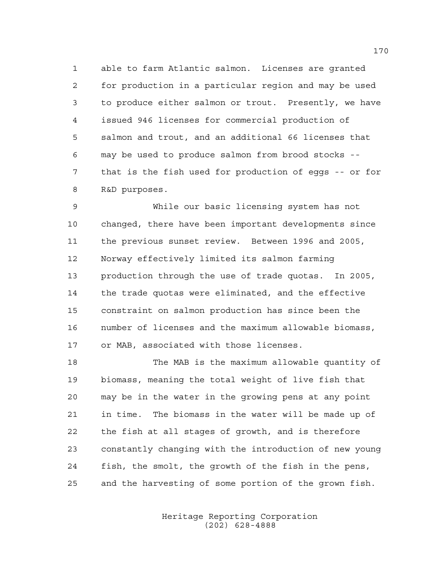able to farm Atlantic salmon. Licenses are granted for production in a particular region and may be used to produce either salmon or trout. Presently, we have issued 946 licenses for commercial production of salmon and trout, and an additional 66 licenses that may be used to produce salmon from brood stocks -- that is the fish used for production of eggs -- or for R&D purposes.

 While our basic licensing system has not changed, there have been important developments since the previous sunset review. Between 1996 and 2005, Norway effectively limited its salmon farming production through the use of trade quotas. In 2005, the trade quotas were eliminated, and the effective constraint on salmon production has since been the number of licenses and the maximum allowable biomass, or MAB, associated with those licenses.

 The MAB is the maximum allowable quantity of biomass, meaning the total weight of live fish that may be in the water in the growing pens at any point in time. The biomass in the water will be made up of the fish at all stages of growth, and is therefore constantly changing with the introduction of new young fish, the smolt, the growth of the fish in the pens, and the harvesting of some portion of the grown fish.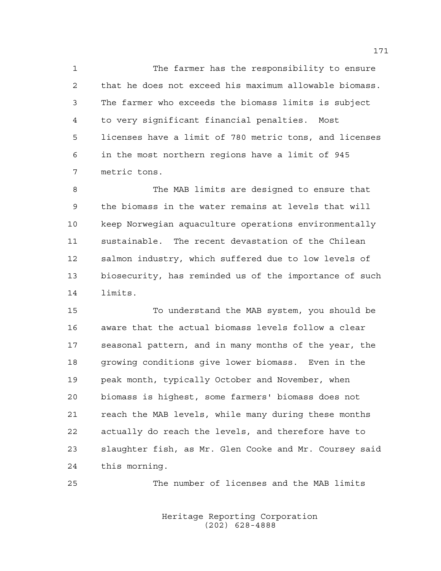The farmer has the responsibility to ensure that he does not exceed his maximum allowable biomass. The farmer who exceeds the biomass limits is subject to very significant financial penalties. Most licenses have a limit of 780 metric tons, and licenses in the most northern regions have a limit of 945 metric tons.

 The MAB limits are designed to ensure that the biomass in the water remains at levels that will keep Norwegian aquaculture operations environmentally sustainable. The recent devastation of the Chilean salmon industry, which suffered due to low levels of biosecurity, has reminded us of the importance of such limits.

 To understand the MAB system, you should be aware that the actual biomass levels follow a clear seasonal pattern, and in many months of the year, the growing conditions give lower biomass. Even in the peak month, typically October and November, when biomass is highest, some farmers' biomass does not reach the MAB levels, while many during these months actually do reach the levels, and therefore have to slaughter fish, as Mr. Glen Cooke and Mr. Coursey said this morning.

The number of licenses and the MAB limits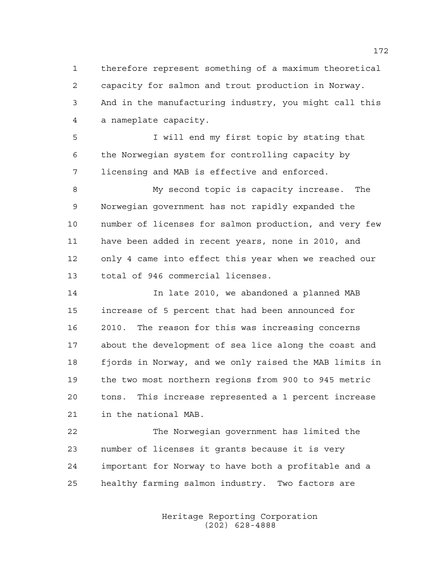therefore represent something of a maximum theoretical capacity for salmon and trout production in Norway. And in the manufacturing industry, you might call this a nameplate capacity.

 I will end my first topic by stating that the Norwegian system for controlling capacity by licensing and MAB is effective and enforced.

 My second topic is capacity increase. The Norwegian government has not rapidly expanded the number of licenses for salmon production, and very few have been added in recent years, none in 2010, and only 4 came into effect this year when we reached our total of 946 commercial licenses.

 In late 2010, we abandoned a planned MAB increase of 5 percent that had been announced for 2010. The reason for this was increasing concerns about the development of sea lice along the coast and fjords in Norway, and we only raised the MAB limits in the two most northern regions from 900 to 945 metric tons. This increase represented a 1 percent increase in the national MAB.

 The Norwegian government has limited the number of licenses it grants because it is very important for Norway to have both a profitable and a healthy farming salmon industry. Two factors are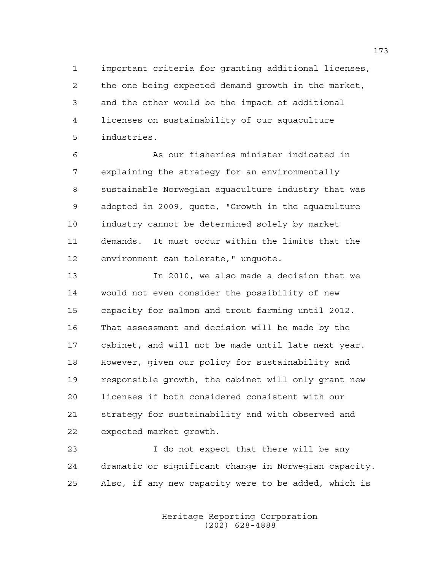important criteria for granting additional licenses, the one being expected demand growth in the market, and the other would be the impact of additional licenses on sustainability of our aquaculture industries.

 As our fisheries minister indicated in explaining the strategy for an environmentally sustainable Norwegian aquaculture industry that was adopted in 2009, quote, "Growth in the aquaculture industry cannot be determined solely by market demands. It must occur within the limits that the environment can tolerate," unquote.

 In 2010, we also made a decision that we would not even consider the possibility of new capacity for salmon and trout farming until 2012. That assessment and decision will be made by the cabinet, and will not be made until late next year. However, given our policy for sustainability and responsible growth, the cabinet will only grant new licenses if both considered consistent with our strategy for sustainability and with observed and expected market growth.

 I do not expect that there will be any dramatic or significant change in Norwegian capacity. Also, if any new capacity were to be added, which is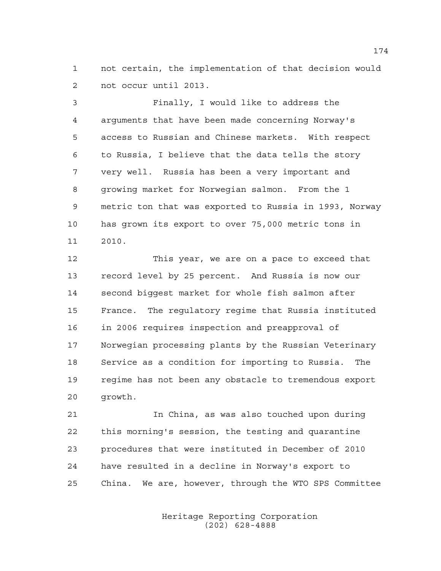not certain, the implementation of that decision would not occur until 2013.

 Finally, I would like to address the arguments that have been made concerning Norway's access to Russian and Chinese markets. With respect to Russia, I believe that the data tells the story very well. Russia has been a very important and growing market for Norwegian salmon. From the 1 metric ton that was exported to Russia in 1993, Norway has grown its export to over 75,000 metric tons in 2010.

 This year, we are on a pace to exceed that record level by 25 percent. And Russia is now our second biggest market for whole fish salmon after France. The regulatory regime that Russia instituted in 2006 requires inspection and preapproval of Norwegian processing plants by the Russian Veterinary Service as a condition for importing to Russia. The regime has not been any obstacle to tremendous export growth.

 In China, as was also touched upon during this morning's session, the testing and quarantine procedures that were instituted in December of 2010 have resulted in a decline in Norway's export to China. We are, however, through the WTO SPS Committee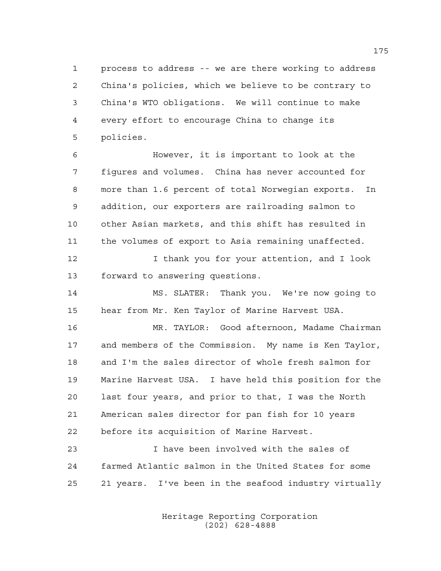process to address -- we are there working to address China's policies, which we believe to be contrary to China's WTO obligations. We will continue to make every effort to encourage China to change its policies.

 However, it is important to look at the figures and volumes. China has never accounted for more than 1.6 percent of total Norwegian exports. In addition, our exporters are railroading salmon to other Asian markets, and this shift has resulted in the volumes of export to Asia remaining unaffected.

**I** thank you for your attention, and I look forward to answering questions.

 MS. SLATER: Thank you. We're now going to hear from Mr. Ken Taylor of Marine Harvest USA.

 MR. TAYLOR: Good afternoon, Madame Chairman and members of the Commission. My name is Ken Taylor, and I'm the sales director of whole fresh salmon for Marine Harvest USA. I have held this position for the last four years, and prior to that, I was the North American sales director for pan fish for 10 years before its acquisition of Marine Harvest.

 I have been involved with the sales of farmed Atlantic salmon in the United States for some 21 years. I've been in the seafood industry virtually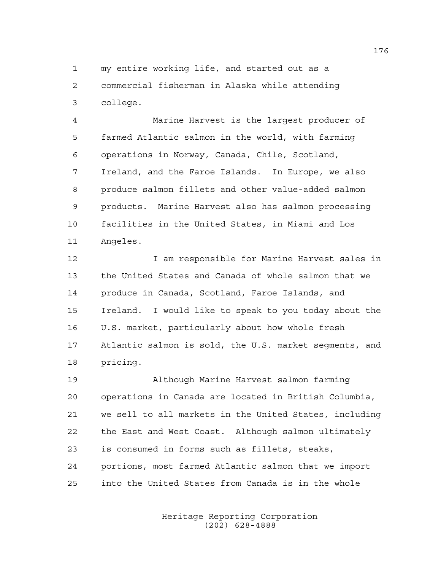my entire working life, and started out as a commercial fisherman in Alaska while attending college.

 Marine Harvest is the largest producer of farmed Atlantic salmon in the world, with farming operations in Norway, Canada, Chile, Scotland, Ireland, and the Faroe Islands. In Europe, we also produce salmon fillets and other value-added salmon products. Marine Harvest also has salmon processing facilities in the United States, in Miami and Los Angeles.

 I am responsible for Marine Harvest sales in the United States and Canada of whole salmon that we produce in Canada, Scotland, Faroe Islands, and Ireland. I would like to speak to you today about the U.S. market, particularly about how whole fresh Atlantic salmon is sold, the U.S. market segments, and pricing.

 Although Marine Harvest salmon farming operations in Canada are located in British Columbia, we sell to all markets in the United States, including the East and West Coast. Although salmon ultimately is consumed in forms such as fillets, steaks, portions, most farmed Atlantic salmon that we import into the United States from Canada is in the whole

> Heritage Reporting Corporation (202) 628-4888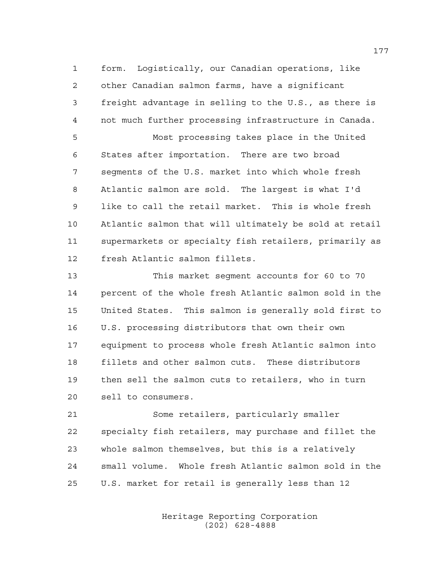form. Logistically, our Canadian operations, like other Canadian salmon farms, have a significant freight advantage in selling to the U.S., as there is not much further processing infrastructure in Canada. Most processing takes place in the United States after importation. There are two broad segments of the U.S. market into which whole fresh Atlantic salmon are sold. The largest is what I'd like to call the retail market. This is whole fresh Atlantic salmon that will ultimately be sold at retail supermarkets or specialty fish retailers, primarily as fresh Atlantic salmon fillets.

 This market segment accounts for 60 to 70 percent of the whole fresh Atlantic salmon sold in the United States. This salmon is generally sold first to U.S. processing distributors that own their own equipment to process whole fresh Atlantic salmon into fillets and other salmon cuts. These distributors then sell the salmon cuts to retailers, who in turn sell to consumers.

 Some retailers, particularly smaller specialty fish retailers, may purchase and fillet the whole salmon themselves, but this is a relatively small volume. Whole fresh Atlantic salmon sold in the U.S. market for retail is generally less than 12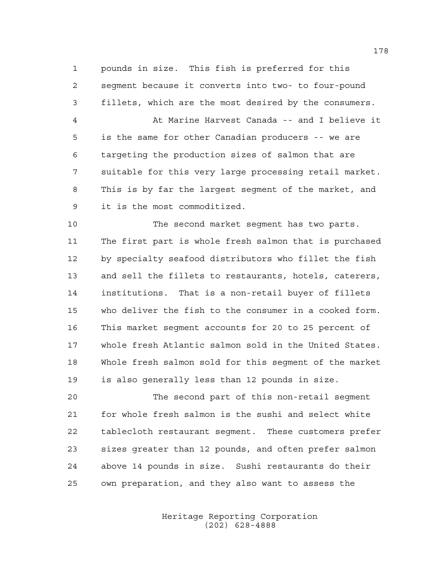pounds in size. This fish is preferred for this segment because it converts into two- to four-pound fillets, which are the most desired by the consumers.

 At Marine Harvest Canada -- and I believe it is the same for other Canadian producers -- we are targeting the production sizes of salmon that are suitable for this very large processing retail market. This is by far the largest segment of the market, and it is the most commoditized.

 The second market segment has two parts. The first part is whole fresh salmon that is purchased by specialty seafood distributors who fillet the fish and sell the fillets to restaurants, hotels, caterers, institutions. That is a non-retail buyer of fillets who deliver the fish to the consumer in a cooked form. This market segment accounts for 20 to 25 percent of whole fresh Atlantic salmon sold in the United States. Whole fresh salmon sold for this segment of the market is also generally less than 12 pounds in size.

 The second part of this non-retail segment for whole fresh salmon is the sushi and select white tablecloth restaurant segment. These customers prefer sizes greater than 12 pounds, and often prefer salmon above 14 pounds in size. Sushi restaurants do their own preparation, and they also want to assess the

> Heritage Reporting Corporation (202) 628-4888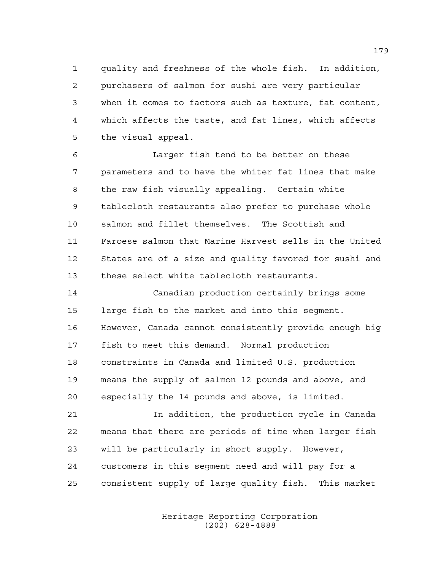quality and freshness of the whole fish. In addition, purchasers of salmon for sushi are very particular when it comes to factors such as texture, fat content, which affects the taste, and fat lines, which affects the visual appeal.

 Larger fish tend to be better on these parameters and to have the whiter fat lines that make the raw fish visually appealing. Certain white tablecloth restaurants also prefer to purchase whole salmon and fillet themselves. The Scottish and Faroese salmon that Marine Harvest sells in the United States are of a size and quality favored for sushi and these select white tablecloth restaurants.

 Canadian production certainly brings some large fish to the market and into this segment. However, Canada cannot consistently provide enough big fish to meet this demand. Normal production constraints in Canada and limited U.S. production means the supply of salmon 12 pounds and above, and especially the 14 pounds and above, is limited.

 In addition, the production cycle in Canada means that there are periods of time when larger fish will be particularly in short supply. However, customers in this segment need and will pay for a consistent supply of large quality fish. This market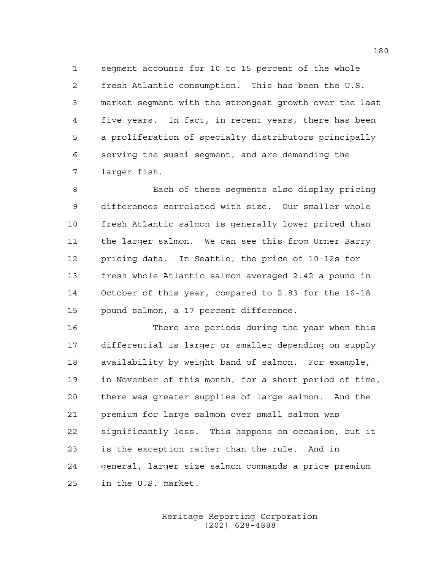segment accounts for 10 to 15 percent of the whole fresh Atlantic consumption. This has been the U.S. market segment with the strongest growth over the last five years. In fact, in recent years, there has been a proliferation of specialty distributors principally serving the sushi segment, and are demanding the larger fish.

 Each of these segments also display pricing differences correlated with size. Our smaller whole fresh Atlantic salmon is generally lower priced than the larger salmon. We can see this from Urner Barry pricing data. In Seattle, the price of 10-12s for fresh whole Atlantic salmon averaged 2.42 a pound in October of this year, compared to 2.83 for the 16-18 pound salmon, a 17 percent difference.

 There are periods during the year when this differential is larger or smaller depending on supply availability by weight band of salmon. For example, in November of this month, for a short period of time, there was greater supplies of large salmon. And the premium for large salmon over small salmon was significantly less. This happens on occasion, but it is the exception rather than the rule. And in general, larger size salmon commands a price premium in the U.S. market.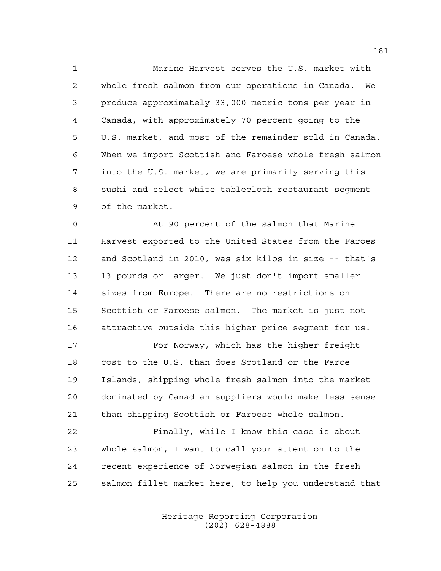Marine Harvest serves the U.S. market with whole fresh salmon from our operations in Canada. We produce approximately 33,000 metric tons per year in Canada, with approximately 70 percent going to the U.S. market, and most of the remainder sold in Canada. When we import Scottish and Faroese whole fresh salmon into the U.S. market, we are primarily serving this sushi and select white tablecloth restaurant segment of the market.

 At 90 percent of the salmon that Marine Harvest exported to the United States from the Faroes and Scotland in 2010, was six kilos in size -- that's 13 pounds or larger. We just don't import smaller sizes from Europe. There are no restrictions on Scottish or Faroese salmon. The market is just not attractive outside this higher price segment for us.

 For Norway, which has the higher freight cost to the U.S. than does Scotland or the Faroe Islands, shipping whole fresh salmon into the market dominated by Canadian suppliers would make less sense than shipping Scottish or Faroese whole salmon.

 Finally, while I know this case is about whole salmon, I want to call your attention to the recent experience of Norwegian salmon in the fresh salmon fillet market here, to help you understand that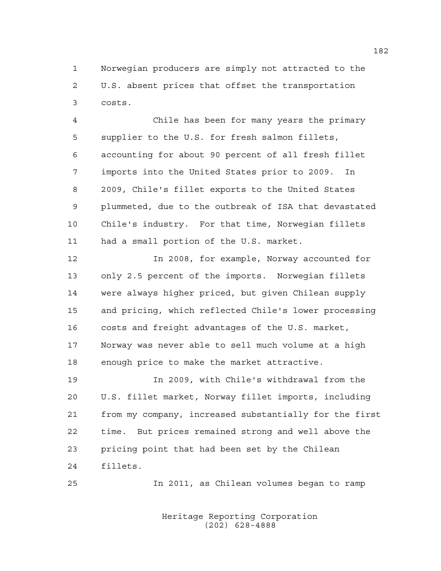Norwegian producers are simply not attracted to the U.S. absent prices that offset the transportation costs.

 Chile has been for many years the primary supplier to the U.S. for fresh salmon fillets, accounting for about 90 percent of all fresh fillet imports into the United States prior to 2009. In 2009, Chile's fillet exports to the United States plummeted, due to the outbreak of ISA that devastated Chile's industry. For that time, Norwegian fillets had a small portion of the U.S. market.

 In 2008, for example, Norway accounted for only 2.5 percent of the imports. Norwegian fillets were always higher priced, but given Chilean supply and pricing, which reflected Chile's lower processing costs and freight advantages of the U.S. market, Norway was never able to sell much volume at a high enough price to make the market attractive.

 In 2009, with Chile's withdrawal from the U.S. fillet market, Norway fillet imports, including from my company, increased substantially for the first time. But prices remained strong and well above the pricing point that had been set by the Chilean fillets.

In 2011, as Chilean volumes began to ramp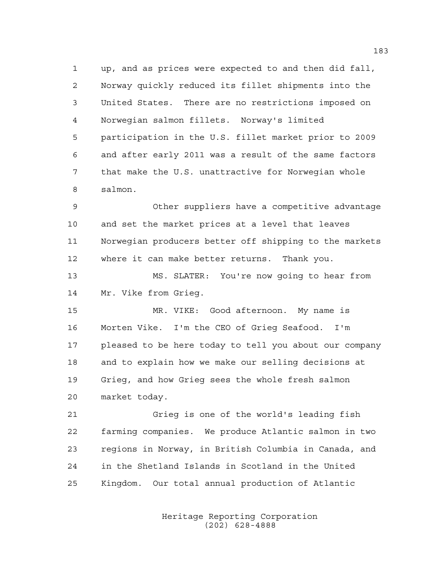up, and as prices were expected to and then did fall, Norway quickly reduced its fillet shipments into the United States. There are no restrictions imposed on Norwegian salmon fillets. Norway's limited participation in the U.S. fillet market prior to 2009 and after early 2011 was a result of the same factors that make the U.S. unattractive for Norwegian whole salmon.

 Other suppliers have a competitive advantage and set the market prices at a level that leaves Norwegian producers better off shipping to the markets where it can make better returns. Thank you.

 MS. SLATER: You're now going to hear from Mr. Vike from Grieg.

 MR. VIKE: Good afternoon. My name is Morten Vike. I'm the CEO of Grieg Seafood. I'm pleased to be here today to tell you about our company and to explain how we make our selling decisions at Grieg, and how Grieg sees the whole fresh salmon market today.

 Grieg is one of the world's leading fish farming companies. We produce Atlantic salmon in two regions in Norway, in British Columbia in Canada, and in the Shetland Islands in Scotland in the United Kingdom. Our total annual production of Atlantic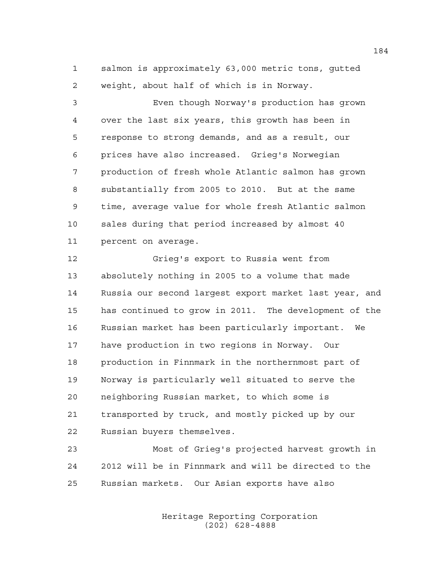salmon is approximately 63,000 metric tons, gutted weight, about half of which is in Norway.

 Even though Norway's production has grown over the last six years, this growth has been in response to strong demands, and as a result, our prices have also increased. Grieg's Norwegian production of fresh whole Atlantic salmon has grown substantially from 2005 to 2010. But at the same time, average value for whole fresh Atlantic salmon sales during that period increased by almost 40 percent on average.

 Grieg's export to Russia went from absolutely nothing in 2005 to a volume that made Russia our second largest export market last year, and has continued to grow in 2011. The development of the Russian market has been particularly important. We have production in two regions in Norway. Our production in Finnmark in the northernmost part of Norway is particularly well situated to serve the neighboring Russian market, to which some is transported by truck, and mostly picked up by our Russian buyers themselves.

 Most of Grieg's projected harvest growth in 2012 will be in Finnmark and will be directed to the Russian markets. Our Asian exports have also

> Heritage Reporting Corporation (202) 628-4888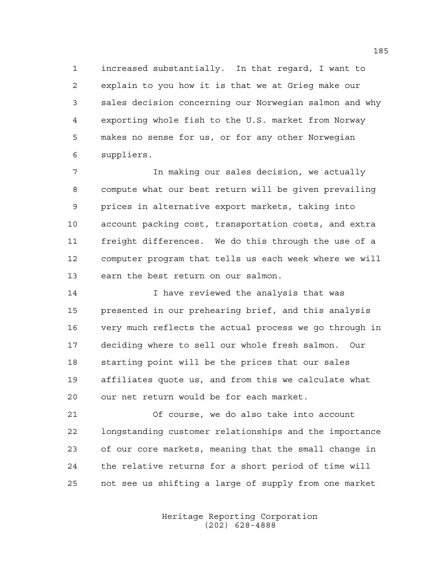increased substantially. In that regard, I want to explain to you how it is that we at Grieg make our sales decision concerning our Norwegian salmon and why exporting whole fish to the U.S. market from Norway makes no sense for us, or for any other Norwegian suppliers.

 In making our sales decision, we actually compute what our best return will be given prevailing prices in alternative export markets, taking into account packing cost, transportation costs, and extra freight differences. We do this through the use of a computer program that tells us each week where we will earn the best return on our salmon.

 I have reviewed the analysis that was presented in our prehearing brief, and this analysis very much reflects the actual process we go through in deciding where to sell our whole fresh salmon. Our starting point will be the prices that our sales affiliates quote us, and from this we calculate what our net return would be for each market.

 Of course, we do also take into account longstanding customer relationships and the importance of our core markets, meaning that the small change in the relative returns for a short period of time will not see us shifting a large of supply from one market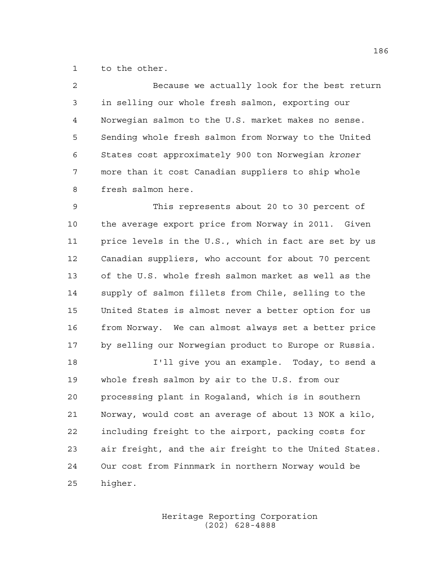to the other.

| $\mathcal{L}$ | Because we actually look for the best return         |
|---------------|------------------------------------------------------|
| $\mathbf{3}$  | in selling our whole fresh salmon, exporting our     |
| 4             | Norwegian salmon to the U.S. market makes no sense.  |
| -5            | Sending whole fresh salmon from Norway to the United |
| 6             | States cost approximately 900 ton Norwegian kroner   |
| 7             | more than it cost Canadian suppliers to ship whole   |
| 8             | fresh salmon here.                                   |

 This represents about 20 to 30 percent of the average export price from Norway in 2011. Given price levels in the U.S., which in fact are set by us Canadian suppliers, who account for about 70 percent of the U.S. whole fresh salmon market as well as the supply of salmon fillets from Chile, selling to the United States is almost never a better option for us from Norway. We can almost always set a better price by selling our Norwegian product to Europe or Russia.

 I'll give you an example. Today, to send a whole fresh salmon by air to the U.S. from our processing plant in Rogaland, which is in southern Norway, would cost an average of about 13 NOK a kilo, including freight to the airport, packing costs for air freight, and the air freight to the United States. Our cost from Finnmark in northern Norway would be higher.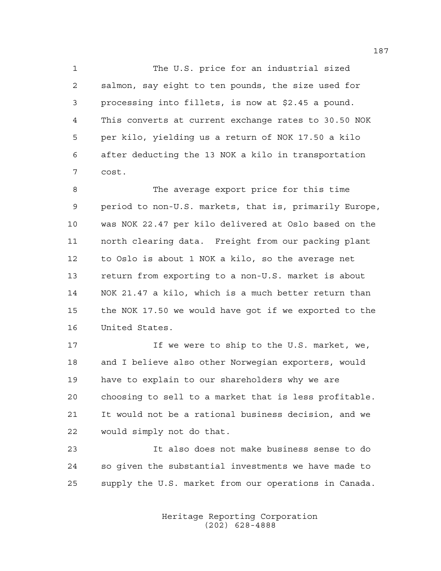The U.S. price for an industrial sized salmon, say eight to ten pounds, the size used for processing into fillets, is now at \$2.45 a pound. This converts at current exchange rates to 30.50 NOK per kilo, yielding us a return of NOK 17.50 a kilo after deducting the 13 NOK a kilo in transportation cost.

 The average export price for this time period to non-U.S. markets, that is, primarily Europe, was NOK 22.47 per kilo delivered at Oslo based on the north clearing data. Freight from our packing plant to Oslo is about 1 NOK a kilo, so the average net return from exporting to a non-U.S. market is about NOK 21.47 a kilo, which is a much better return than the NOK 17.50 we would have got if we exported to the United States.

17 17 If we were to ship to the U.S. market, we, and I believe also other Norwegian exporters, would have to explain to our shareholders why we are choosing to sell to a market that is less profitable. It would not be a rational business decision, and we would simply not do that.

 It also does not make business sense to do so given the substantial investments we have made to supply the U.S. market from our operations in Canada.

> Heritage Reporting Corporation (202) 628-4888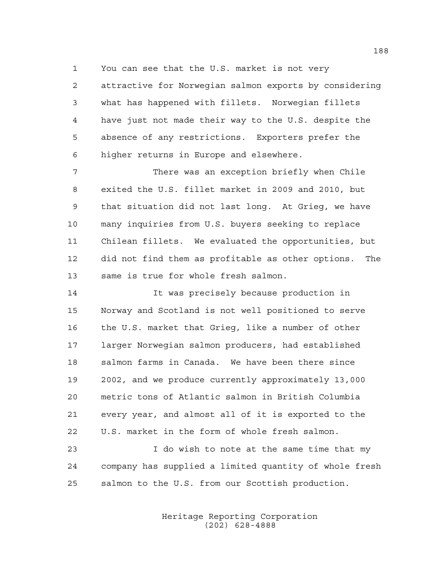You can see that the U.S. market is not very attractive for Norwegian salmon exports by considering what has happened with fillets. Norwegian fillets have just not made their way to the U.S. despite the absence of any restrictions. Exporters prefer the higher returns in Europe and elsewhere.

 There was an exception briefly when Chile exited the U.S. fillet market in 2009 and 2010, but that situation did not last long. At Grieg, we have many inquiries from U.S. buyers seeking to replace Chilean fillets. We evaluated the opportunities, but did not find them as profitable as other options. The same is true for whole fresh salmon.

 It was precisely because production in Norway and Scotland is not well positioned to serve the U.S. market that Grieg, like a number of other larger Norwegian salmon producers, had established salmon farms in Canada. We have been there since 2002, and we produce currently approximately 13,000 metric tons of Atlantic salmon in British Columbia every year, and almost all of it is exported to the U.S. market in the form of whole fresh salmon.

 I do wish to note at the same time that my company has supplied a limited quantity of whole fresh salmon to the U.S. from our Scottish production.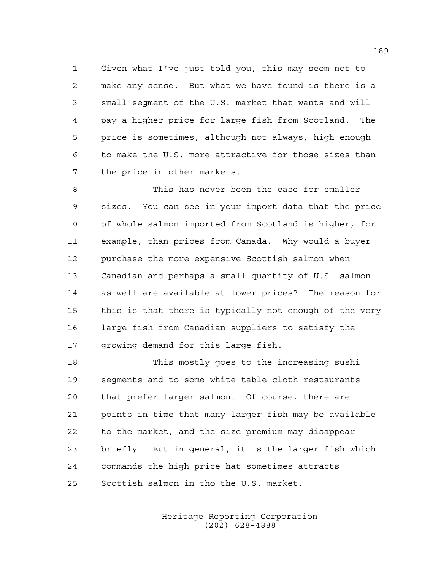Given what I've just told you, this may seem not to make any sense. But what we have found is there is a small segment of the U.S. market that wants and will pay a higher price for large fish from Scotland. The price is sometimes, although not always, high enough to make the U.S. more attractive for those sizes than the price in other markets.

 This has never been the case for smaller sizes. You can see in your import data that the price of whole salmon imported from Scotland is higher, for example, than prices from Canada. Why would a buyer purchase the more expensive Scottish salmon when Canadian and perhaps a small quantity of U.S. salmon as well are available at lower prices? The reason for this is that there is typically not enough of the very large fish from Canadian suppliers to satisfy the growing demand for this large fish.

 This mostly goes to the increasing sushi segments and to some white table cloth restaurants that prefer larger salmon. Of course, there are points in time that many larger fish may be available to the market, and the size premium may disappear briefly. But in general, it is the larger fish which commands the high price hat sometimes attracts Scottish salmon in tho the U.S. market.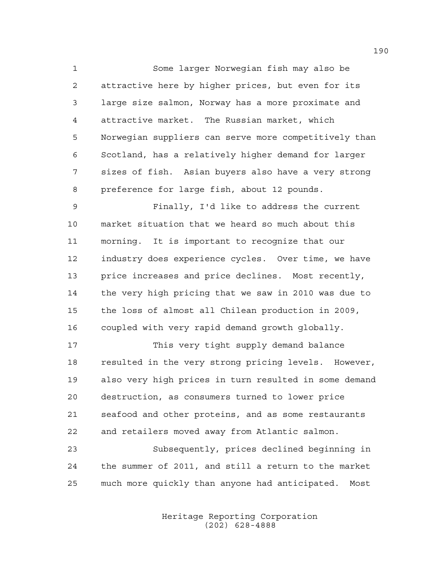Some larger Norwegian fish may also be attractive here by higher prices, but even for its large size salmon, Norway has a more proximate and attractive market. The Russian market, which Norwegian suppliers can serve more competitively than Scotland, has a relatively higher demand for larger sizes of fish. Asian buyers also have a very strong preference for large fish, about 12 pounds.

 Finally, I'd like to address the current market situation that we heard so much about this morning. It is important to recognize that our industry does experience cycles. Over time, we have price increases and price declines. Most recently, the very high pricing that we saw in 2010 was due to the loss of almost all Chilean production in 2009, coupled with very rapid demand growth globally.

 This very tight supply demand balance resulted in the very strong pricing levels. However, also very high prices in turn resulted in some demand destruction, as consumers turned to lower price seafood and other proteins, and as some restaurants and retailers moved away from Atlantic salmon.

 Subsequently, prices declined beginning in the summer of 2011, and still a return to the market much more quickly than anyone had anticipated. Most

> Heritage Reporting Corporation (202) 628-4888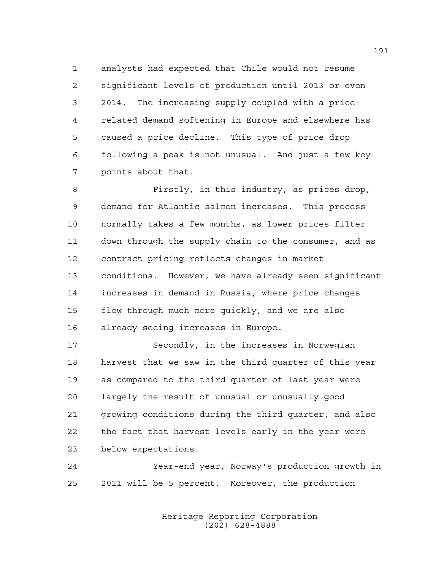analysts had expected that Chile would not resume significant levels of production until 2013 or even 2014. The increasing supply coupled with a price- related demand softening in Europe and elsewhere has caused a price decline. This type of price drop following a peak is not unusual. And just a few key points about that.

 Firstly, in this industry, as prices drop, demand for Atlantic salmon increases. This process normally takes a few months, as lower prices filter down through the supply chain to the consumer, and as contract pricing reflects changes in market conditions. However, we have already seen significant increases in demand in Russia, where price changes flow through much more quickly, and we are also already seeing increases in Europe.

 Secondly, in the increases in Norwegian harvest that we saw in the third quarter of this year as compared to the third quarter of last year were largely the result of unusual or unusually good growing conditions during the third quarter, and also the fact that harvest levels early in the year were below expectations.

 Year-end year, Norway's production growth in 2011 will be 5 percent. Moreover, the production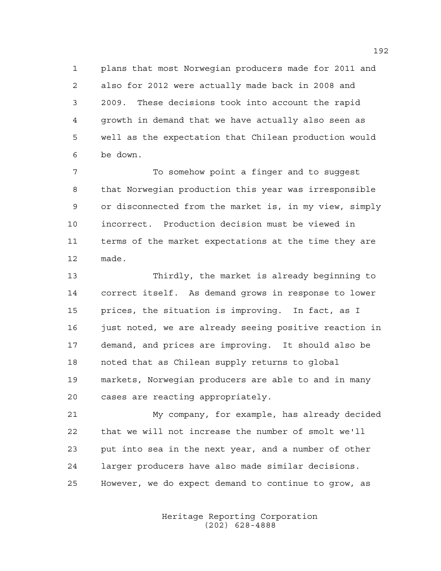plans that most Norwegian producers made for 2011 and also for 2012 were actually made back in 2008 and 2009. These decisions took into account the rapid growth in demand that we have actually also seen as well as the expectation that Chilean production would be down.

 To somehow point a finger and to suggest that Norwegian production this year was irresponsible or disconnected from the market is, in my view, simply incorrect. Production decision must be viewed in terms of the market expectations at the time they are made.

 Thirdly, the market is already beginning to correct itself. As demand grows in response to lower prices, the situation is improving. In fact, as I 16 just noted, we are already seeing positive reaction in demand, and prices are improving. It should also be noted that as Chilean supply returns to global markets, Norwegian producers are able to and in many cases are reacting appropriately.

 My company, for example, has already decided that we will not increase the number of smolt we'll put into sea in the next year, and a number of other larger producers have also made similar decisions. However, we do expect demand to continue to grow, as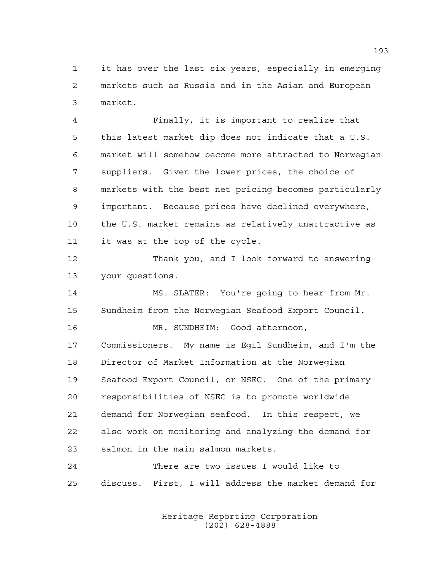it has over the last six years, especially in emerging markets such as Russia and in the Asian and European market.

 Finally, it is important to realize that this latest market dip does not indicate that a U.S. market will somehow become more attracted to Norwegian suppliers. Given the lower prices, the choice of markets with the best net pricing becomes particularly important. Because prices have declined everywhere, the U.S. market remains as relatively unattractive as it was at the top of the cycle.

 Thank you, and I look forward to answering your questions.

 MS. SLATER: You're going to hear from Mr. Sundheim from the Norwegian Seafood Export Council.

MR. SUNDHEIM: Good afternoon,

 Commissioners. My name is Egil Sundheim, and I'm the Director of Market Information at the Norwegian Seafood Export Council, or NSEC. One of the primary responsibilities of NSEC is to promote worldwide demand for Norwegian seafood. In this respect, we also work on monitoring and analyzing the demand for salmon in the main salmon markets.

 There are two issues I would like to discuss. First, I will address the market demand for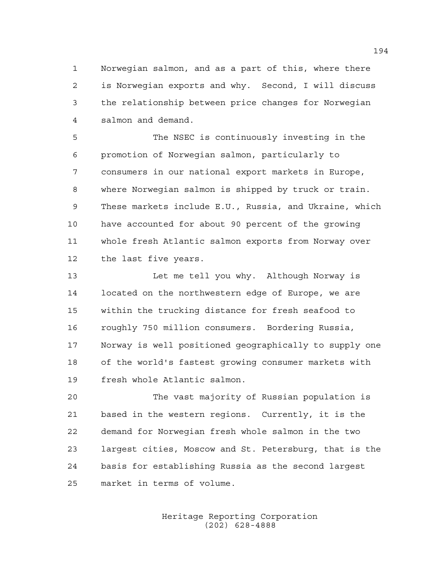Norwegian salmon, and as a part of this, where there is Norwegian exports and why. Second, I will discuss the relationship between price changes for Norwegian salmon and demand.

 The NSEC is continuously investing in the promotion of Norwegian salmon, particularly to consumers in our national export markets in Europe, where Norwegian salmon is shipped by truck or train. These markets include E.U., Russia, and Ukraine, which have accounted for about 90 percent of the growing whole fresh Atlantic salmon exports from Norway over the last five years.

 Let me tell you why. Although Norway is located on the northwestern edge of Europe, we are within the trucking distance for fresh seafood to roughly 750 million consumers. Bordering Russia, Norway is well positioned geographically to supply one of the world's fastest growing consumer markets with fresh whole Atlantic salmon.

 The vast majority of Russian population is based in the western regions. Currently, it is the demand for Norwegian fresh whole salmon in the two largest cities, Moscow and St. Petersburg, that is the basis for establishing Russia as the second largest market in terms of volume.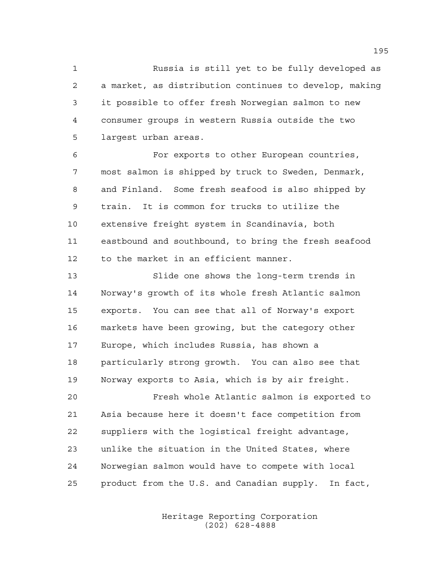Russia is still yet to be fully developed as a market, as distribution continues to develop, making it possible to offer fresh Norwegian salmon to new consumer groups in western Russia outside the two largest urban areas.

 For exports to other European countries, most salmon is shipped by truck to Sweden, Denmark, and Finland. Some fresh seafood is also shipped by train. It is common for trucks to utilize the extensive freight system in Scandinavia, both eastbound and southbound, to bring the fresh seafood to the market in an efficient manner.

 Slide one shows the long-term trends in Norway's growth of its whole fresh Atlantic salmon exports. You can see that all of Norway's export markets have been growing, but the category other Europe, which includes Russia, has shown a particularly strong growth. You can also see that Norway exports to Asia, which is by air freight. Fresh whole Atlantic salmon is exported to

 Asia because here it doesn't face competition from suppliers with the logistical freight advantage, unlike the situation in the United States, where Norwegian salmon would have to compete with local product from the U.S. and Canadian supply. In fact,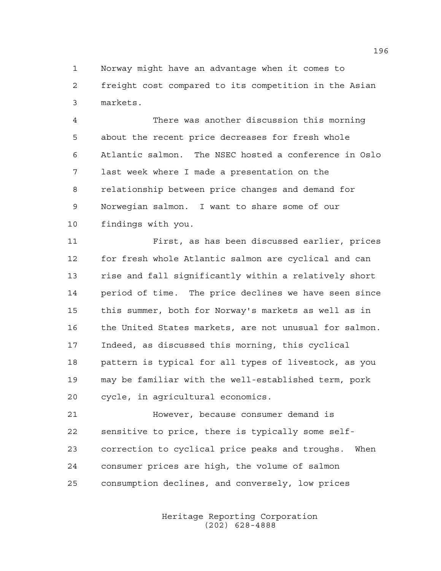Norway might have an advantage when it comes to freight cost compared to its competition in the Asian markets.

 There was another discussion this morning about the recent price decreases for fresh whole Atlantic salmon. The NSEC hosted a conference in Oslo last week where I made a presentation on the relationship between price changes and demand for Norwegian salmon. I want to share some of our findings with you.

 First, as has been discussed earlier, prices for fresh whole Atlantic salmon are cyclical and can rise and fall significantly within a relatively short period of time. The price declines we have seen since this summer, both for Norway's markets as well as in the United States markets, are not unusual for salmon. Indeed, as discussed this morning, this cyclical pattern is typical for all types of livestock, as you may be familiar with the well-established term, pork cycle, in agricultural economics.

 However, because consumer demand is sensitive to price, there is typically some self- correction to cyclical price peaks and troughs. When consumer prices are high, the volume of salmon consumption declines, and conversely, low prices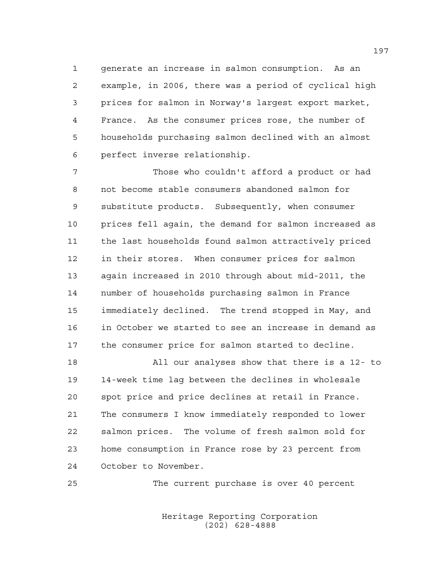generate an increase in salmon consumption. As an example, in 2006, there was a period of cyclical high prices for salmon in Norway's largest export market, France. As the consumer prices rose, the number of households purchasing salmon declined with an almost perfect inverse relationship.

 Those who couldn't afford a product or had not become stable consumers abandoned salmon for substitute products. Subsequently, when consumer prices fell again, the demand for salmon increased as the last households found salmon attractively priced in their stores. When consumer prices for salmon again increased in 2010 through about mid-2011, the number of households purchasing salmon in France immediately declined. The trend stopped in May, and in October we started to see an increase in demand as the consumer price for salmon started to decline.

 All our analyses show that there is a 12- to 14-week time lag between the declines in wholesale spot price and price declines at retail in France. The consumers I know immediately responded to lower salmon prices. The volume of fresh salmon sold for home consumption in France rose by 23 percent from October to November.

The current purchase is over 40 percent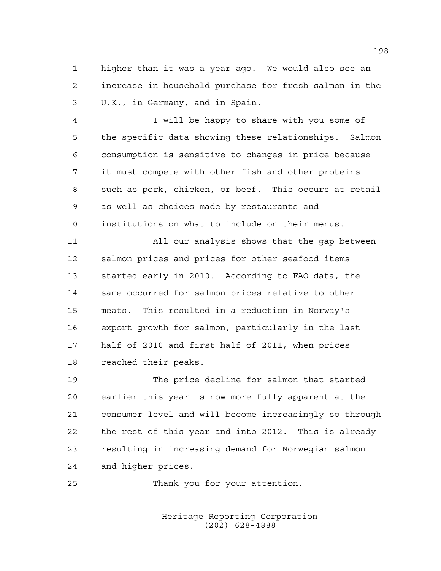higher than it was a year ago. We would also see an increase in household purchase for fresh salmon in the U.K., in Germany, and in Spain.

 I will be happy to share with you some of the specific data showing these relationships. Salmon consumption is sensitive to changes in price because it must compete with other fish and other proteins such as pork, chicken, or beef. This occurs at retail as well as choices made by restaurants and institutions on what to include on their menus.

 All our analysis shows that the gap between salmon prices and prices for other seafood items started early in 2010. According to FAO data, the same occurred for salmon prices relative to other meats. This resulted in a reduction in Norway's export growth for salmon, particularly in the last half of 2010 and first half of 2011, when prices reached their peaks.

 The price decline for salmon that started earlier this year is now more fully apparent at the consumer level and will become increasingly so through the rest of this year and into 2012. This is already resulting in increasing demand for Norwegian salmon and higher prices.

Thank you for your attention.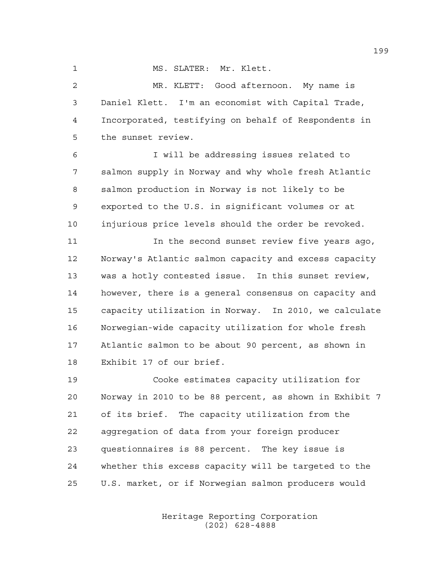MS. SLATER: Mr. Klett.

 MR. KLETT: Good afternoon. My name is Daniel Klett. I'm an economist with Capital Trade, Incorporated, testifying on behalf of Respondents in the sunset review.

 I will be addressing issues related to salmon supply in Norway and why whole fresh Atlantic salmon production in Norway is not likely to be exported to the U.S. in significant volumes or at injurious price levels should the order be revoked.

 In the second sunset review five years ago, Norway's Atlantic salmon capacity and excess capacity was a hotly contested issue. In this sunset review, however, there is a general consensus on capacity and capacity utilization in Norway. In 2010, we calculate Norwegian-wide capacity utilization for whole fresh Atlantic salmon to be about 90 percent, as shown in Exhibit 17 of our brief.

 Cooke estimates capacity utilization for Norway in 2010 to be 88 percent, as shown in Exhibit 7 of its brief. The capacity utilization from the aggregation of data from your foreign producer questionnaires is 88 percent. The key issue is whether this excess capacity will be targeted to the U.S. market, or if Norwegian salmon producers would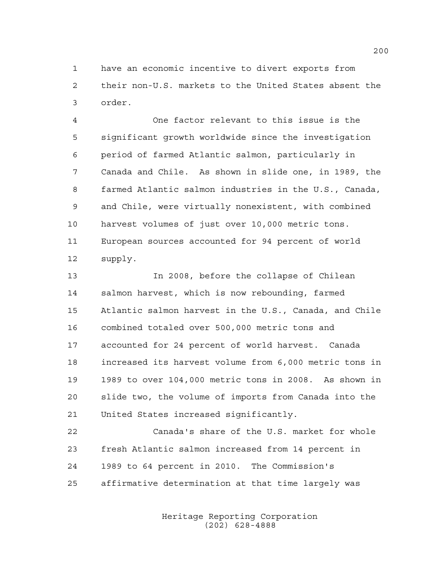have an economic incentive to divert exports from their non-U.S. markets to the United States absent the order.

 One factor relevant to this issue is the significant growth worldwide since the investigation period of farmed Atlantic salmon, particularly in Canada and Chile. As shown in slide one, in 1989, the farmed Atlantic salmon industries in the U.S., Canada, and Chile, were virtually nonexistent, with combined harvest volumes of just over 10,000 metric tons. European sources accounted for 94 percent of world supply.

 In 2008, before the collapse of Chilean salmon harvest, which is now rebounding, farmed Atlantic salmon harvest in the U.S., Canada, and Chile combined totaled over 500,000 metric tons and accounted for 24 percent of world harvest. Canada increased its harvest volume from 6,000 metric tons in 1989 to over 104,000 metric tons in 2008. As shown in slide two, the volume of imports from Canada into the United States increased significantly.

 Canada's share of the U.S. market for whole fresh Atlantic salmon increased from 14 percent in 1989 to 64 percent in 2010. The Commission's affirmative determination at that time largely was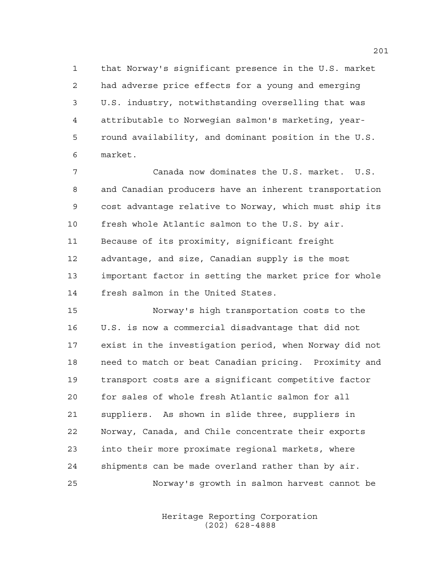that Norway's significant presence in the U.S. market had adverse price effects for a young and emerging U.S. industry, notwithstanding overselling that was attributable to Norwegian salmon's marketing, year- round availability, and dominant position in the U.S. market.

 Canada now dominates the U.S. market. U.S. and Canadian producers have an inherent transportation cost advantage relative to Norway, which must ship its fresh whole Atlantic salmon to the U.S. by air. Because of its proximity, significant freight advantage, and size, Canadian supply is the most important factor in setting the market price for whole fresh salmon in the United States.

 Norway's high transportation costs to the U.S. is now a commercial disadvantage that did not exist in the investigation period, when Norway did not need to match or beat Canadian pricing. Proximity and transport costs are a significant competitive factor for sales of whole fresh Atlantic salmon for all suppliers. As shown in slide three, suppliers in Norway, Canada, and Chile concentrate their exports into their more proximate regional markets, where shipments can be made overland rather than by air. Norway's growth in salmon harvest cannot be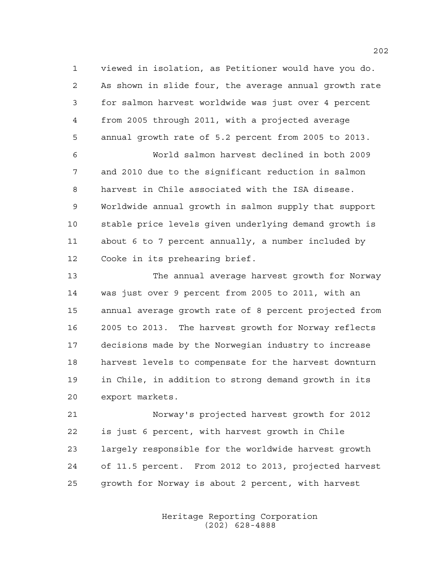viewed in isolation, as Petitioner would have you do. As shown in slide four, the average annual growth rate for salmon harvest worldwide was just over 4 percent from 2005 through 2011, with a projected average annual growth rate of 5.2 percent from 2005 to 2013.

 World salmon harvest declined in both 2009 and 2010 due to the significant reduction in salmon harvest in Chile associated with the ISA disease. Worldwide annual growth in salmon supply that support stable price levels given underlying demand growth is about 6 to 7 percent annually, a number included by Cooke in its prehearing brief.

 The annual average harvest growth for Norway was just over 9 percent from 2005 to 2011, with an annual average growth rate of 8 percent projected from 2005 to 2013. The harvest growth for Norway reflects decisions made by the Norwegian industry to increase harvest levels to compensate for the harvest downturn in Chile, in addition to strong demand growth in its export markets.

 Norway's projected harvest growth for 2012 is just 6 percent, with harvest growth in Chile largely responsible for the worldwide harvest growth of 11.5 percent. From 2012 to 2013, projected harvest growth for Norway is about 2 percent, with harvest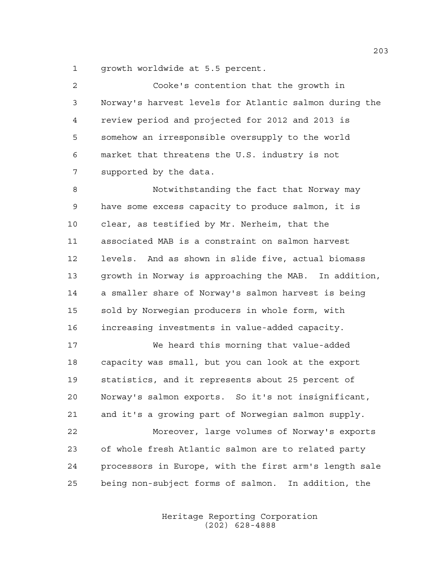growth worldwide at 5.5 percent.

 Cooke's contention that the growth in Norway's harvest levels for Atlantic salmon during the review period and projected for 2012 and 2013 is somehow an irresponsible oversupply to the world market that threatens the U.S. industry is not supported by the data.

 Notwithstanding the fact that Norway may have some excess capacity to produce salmon, it is clear, as testified by Mr. Nerheim, that the associated MAB is a constraint on salmon harvest levels. And as shown in slide five, actual biomass growth in Norway is approaching the MAB. In addition, a smaller share of Norway's salmon harvest is being sold by Norwegian producers in whole form, with increasing investments in value-added capacity.

 We heard this morning that value-added capacity was small, but you can look at the export statistics, and it represents about 25 percent of Norway's salmon exports. So it's not insignificant, and it's a growing part of Norwegian salmon supply. Moreover, large volumes of Norway's exports of whole fresh Atlantic salmon are to related party processors in Europe, with the first arm's length sale being non-subject forms of salmon. In addition, the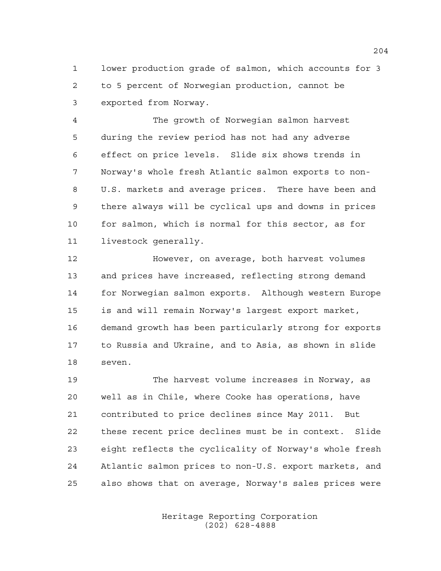lower production grade of salmon, which accounts for 3 to 5 percent of Norwegian production, cannot be exported from Norway.

 The growth of Norwegian salmon harvest during the review period has not had any adverse effect on price levels. Slide six shows trends in Norway's whole fresh Atlantic salmon exports to non- U.S. markets and average prices. There have been and there always will be cyclical ups and downs in prices for salmon, which is normal for this sector, as for livestock generally.

 However, on average, both harvest volumes and prices have increased, reflecting strong demand for Norwegian salmon exports. Although western Europe is and will remain Norway's largest export market, demand growth has been particularly strong for exports to Russia and Ukraine, and to Asia, as shown in slide seven.

 The harvest volume increases in Norway, as well as in Chile, where Cooke has operations, have contributed to price declines since May 2011. But these recent price declines must be in context. Slide eight reflects the cyclicality of Norway's whole fresh Atlantic salmon prices to non-U.S. export markets, and also shows that on average, Norway's sales prices were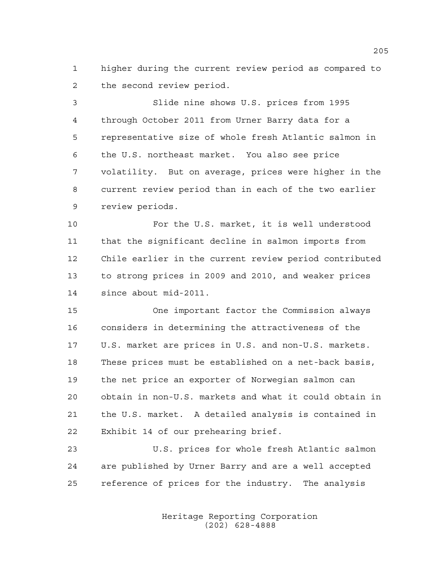higher during the current review period as compared to the second review period.

 Slide nine shows U.S. prices from 1995 through October 2011 from Urner Barry data for a representative size of whole fresh Atlantic salmon in the U.S. northeast market. You also see price volatility. But on average, prices were higher in the current review period than in each of the two earlier review periods.

 For the U.S. market, it is well understood that the significant decline in salmon imports from Chile earlier in the current review period contributed to strong prices in 2009 and 2010, and weaker prices since about mid-2011.

 One important factor the Commission always considers in determining the attractiveness of the U.S. market are prices in U.S. and non-U.S. markets. These prices must be established on a net-back basis, the net price an exporter of Norwegian salmon can obtain in non-U.S. markets and what it could obtain in the U.S. market. A detailed analysis is contained in Exhibit 14 of our prehearing brief.

 U.S. prices for whole fresh Atlantic salmon are published by Urner Barry and are a well accepted reference of prices for the industry. The analysis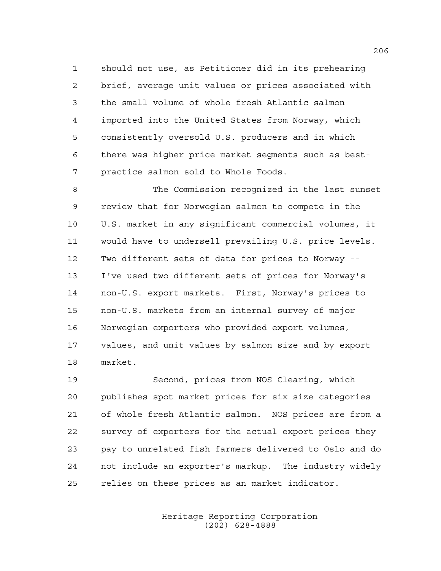should not use, as Petitioner did in its prehearing brief, average unit values or prices associated with the small volume of whole fresh Atlantic salmon imported into the United States from Norway, which consistently oversold U.S. producers and in which there was higher price market segments such as best-practice salmon sold to Whole Foods.

 The Commission recognized in the last sunset review that for Norwegian salmon to compete in the U.S. market in any significant commercial volumes, it would have to undersell prevailing U.S. price levels. Two different sets of data for prices to Norway -- I've used two different sets of prices for Norway's non-U.S. export markets. First, Norway's prices to non-U.S. markets from an internal survey of major Norwegian exporters who provided export volumes, values, and unit values by salmon size and by export market.

 Second, prices from NOS Clearing, which publishes spot market prices for six size categories of whole fresh Atlantic salmon. NOS prices are from a survey of exporters for the actual export prices they pay to unrelated fish farmers delivered to Oslo and do not include an exporter's markup. The industry widely relies on these prices as an market indicator.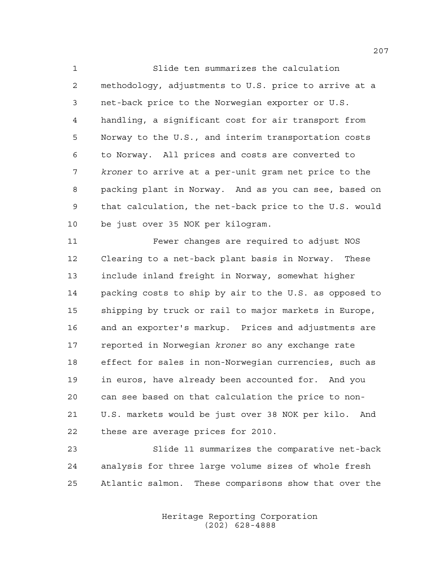Slide ten summarizes the calculation methodology, adjustments to U.S. price to arrive at a net-back price to the Norwegian exporter or U.S. handling, a significant cost for air transport from Norway to the U.S., and interim transportation costs to Norway. All prices and costs are converted to *kroner* to arrive at a per-unit gram net price to the packing plant in Norway. And as you can see, based on that calculation, the net-back price to the U.S. would be just over 35 NOK per kilogram.

 Fewer changes are required to adjust NOS Clearing to a net-back plant basis in Norway. These include inland freight in Norway, somewhat higher packing costs to ship by air to the U.S. as opposed to shipping by truck or rail to major markets in Europe, and an exporter's markup. Prices and adjustments are reported in Norwegian *kroner* so any exchange rate effect for sales in non-Norwegian currencies, such as in euros, have already been accounted for. And you can see based on that calculation the price to non- U.S. markets would be just over 38 NOK per kilo. And these are average prices for 2010.

 Slide 11 summarizes the comparative net-back analysis for three large volume sizes of whole fresh Atlantic salmon. These comparisons show that over the

> Heritage Reporting Corporation (202) 628-4888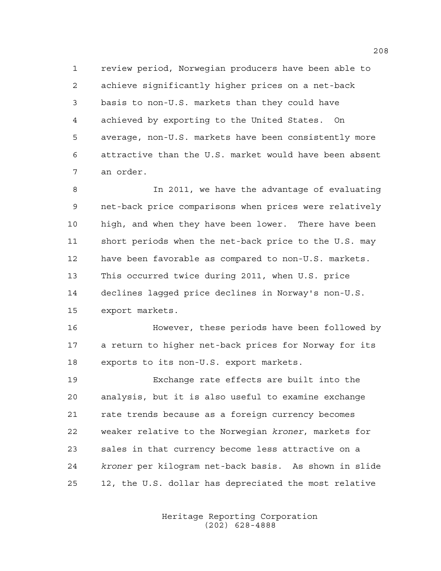review period, Norwegian producers have been able to achieve significantly higher prices on a net-back basis to non-U.S. markets than they could have achieved by exporting to the United States. On average, non-U.S. markets have been consistently more attractive than the U.S. market would have been absent an order.

 In 2011, we have the advantage of evaluating net-back price comparisons when prices were relatively high, and when they have been lower. There have been short periods when the net-back price to the U.S. may have been favorable as compared to non-U.S. markets. This occurred twice during 2011, when U.S. price declines lagged price declines in Norway's non-U.S. export markets.

 However, these periods have been followed by a return to higher net-back prices for Norway for its exports to its non-U.S. export markets.

 Exchange rate effects are built into the analysis, but it is also useful to examine exchange rate trends because as a foreign currency becomes weaker relative to the Norwegian *kroner*, markets for sales in that currency become less attractive on a *kroner* per kilogram net-back basis. As shown in slide 12, the U.S. dollar has depreciated the most relative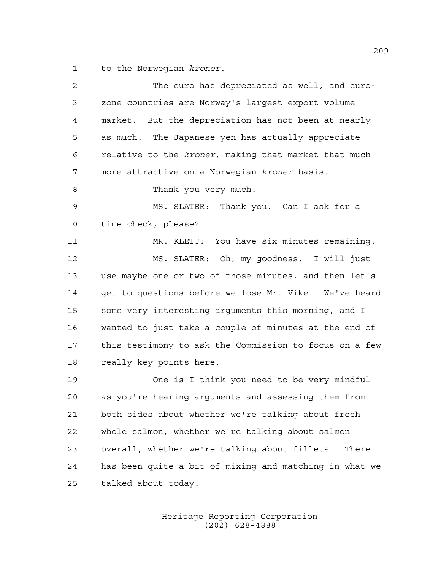to the Norwegian *kroner*.

| 2  | The euro has depreciated as well, and euro-            |
|----|--------------------------------------------------------|
| 3  | zone countries are Norway's largest export volume      |
| 4  | market. But the depreciation has not been at nearly    |
| 5  | as much. The Japanese yen has actually appreciate      |
| 6  | relative to the kroner, making that market that much   |
| 7  | more attractive on a Norwegian kroner basis.           |
| 8  | Thank you very much.                                   |
| 9  | Thank you. Can I ask for a<br>MS. SLATER:              |
| 10 | time check, please?                                    |
| 11 | MR. KLETT: You have six minutes remaining.             |
| 12 | MS. SLATER: Oh, my goodness. I will just               |
| 13 | use maybe one or two of those minutes, and then let's  |
| 14 | get to questions before we lose Mr. Vike. We've heard  |
| 15 | some very interesting arguments this morning, and I    |
| 16 | wanted to just take a couple of minutes at the end of  |
| 17 | this testimony to ask the Commission to focus on a few |
| 18 | really key points here.                                |
| 19 | One is I think you need to be very mindful             |
| 20 | as you're hearing arguments and assessing them from    |
| 21 | both sides about whether we're talking about fresh     |
| 22 | whole salmon, whether we're talking about salmon       |
| 23 | overall, whether we're talking about fillets.<br>There |
| 24 | has been quite a bit of mixing and matching in what we |
| 25 | talked about today.                                    |
|    |                                                        |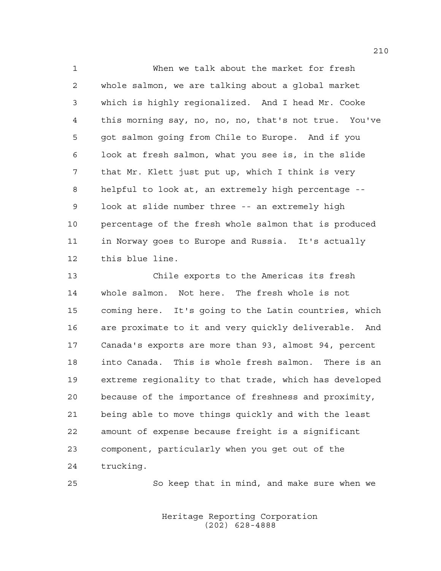When we talk about the market for fresh whole salmon, we are talking about a global market which is highly regionalized. And I head Mr. Cooke this morning say, no, no, no, that's not true. You've got salmon going from Chile to Europe. And if you look at fresh salmon, what you see is, in the slide that Mr. Klett just put up, which I think is very helpful to look at, an extremely high percentage -- look at slide number three -- an extremely high percentage of the fresh whole salmon that is produced in Norway goes to Europe and Russia. It's actually this blue line.

 Chile exports to the Americas its fresh whole salmon. Not here. The fresh whole is not coming here. It's going to the Latin countries, which are proximate to it and very quickly deliverable. And Canada's exports are more than 93, almost 94, percent into Canada. This is whole fresh salmon. There is an extreme regionality to that trade, which has developed because of the importance of freshness and proximity, being able to move things quickly and with the least amount of expense because freight is a significant component, particularly when you get out of the trucking.

So keep that in mind, and make sure when we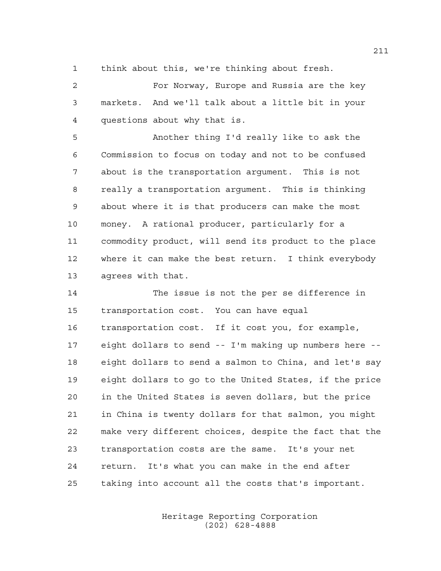think about this, we're thinking about fresh.

 For Norway, Europe and Russia are the key markets. And we'll talk about a little bit in your questions about why that is.

 Another thing I'd really like to ask the Commission to focus on today and not to be confused about is the transportation argument. This is not really a transportation argument. This is thinking about where it is that producers can make the most money. A rational producer, particularly for a commodity product, will send its product to the place where it can make the best return. I think everybody agrees with that.

 The issue is not the per se difference in transportation cost. You can have equal transportation cost. If it cost you, for example, eight dollars to send -- I'm making up numbers here -- eight dollars to send a salmon to China, and let's say eight dollars to go to the United States, if the price in the United States is seven dollars, but the price in China is twenty dollars for that salmon, you might make very different choices, despite the fact that the transportation costs are the same. It's your net return. It's what you can make in the end after taking into account all the costs that's important.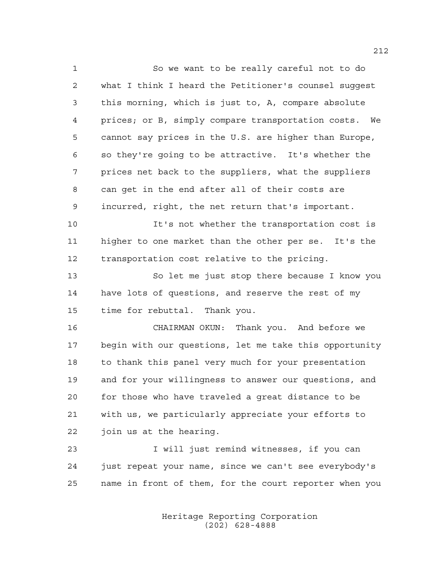So we want to be really careful not to do what I think I heard the Petitioner's counsel suggest this morning, which is just to, A, compare absolute prices; or B, simply compare transportation costs. We cannot say prices in the U.S. are higher than Europe, so they're going to be attractive. It's whether the prices net back to the suppliers, what the suppliers can get in the end after all of their costs are incurred, right, the net return that's important.

 It's not whether the transportation cost is higher to one market than the other per se. It's the transportation cost relative to the pricing.

 So let me just stop there because I know you have lots of questions, and reserve the rest of my time for rebuttal. Thank you.

 CHAIRMAN OKUN: Thank you. And before we begin with our questions, let me take this opportunity to thank this panel very much for your presentation and for your willingness to answer our questions, and for those who have traveled a great distance to be with us, we particularly appreciate your efforts to join us at the hearing.

 I will just remind witnesses, if you can just repeat your name, since we can't see everybody's name in front of them, for the court reporter when you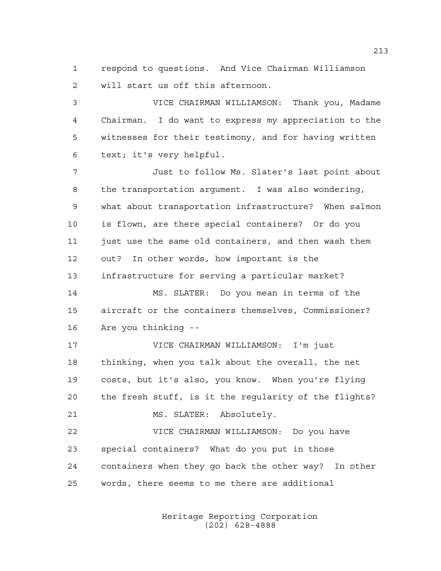respond to questions. And Vice Chairman Williamson will start us off this afternoon.

 VICE CHAIRMAN WILLIAMSON: Thank you, Madame Chairman. I do want to express my appreciation to the witnesses for their testimony, and for having written text; it's very helpful.

 Just to follow Ms. Slater's last point about the transportation argument. I was also wondering, what about transportation infrastructure? When salmon is flown, are there special containers? Or do you 11 just use the same old containers, and then wash them out? In other words, how important is the infrastructure for serving a particular market?

 MS. SLATER: Do you mean in terms of the aircraft or the containers themselves, Commissioner? Are you thinking --

 VICE CHAIRMAN WILLIAMSON: I'm just thinking, when you talk about the overall, the net costs, but it's also, you know. When you're flying the fresh stuff, is it the regularity of the flights? MS. SLATER: Absolutely.

 VICE CHAIRMAN WILLIAMSON: Do you have special containers? What do you put in those containers when they go back the other way? In other words, there seems to me there are additional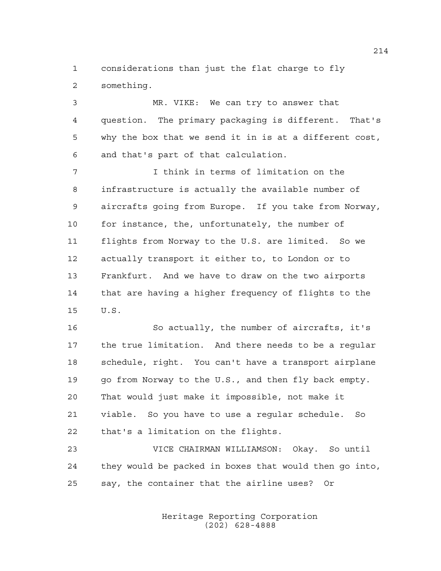considerations than just the flat charge to fly something.

 MR. VIKE: We can try to answer that question. The primary packaging is different. That's why the box that we send it in is at a different cost, and that's part of that calculation.

 I think in terms of limitation on the infrastructure is actually the available number of aircrafts going from Europe. If you take from Norway, for instance, the, unfortunately, the number of flights from Norway to the U.S. are limited. So we actually transport it either to, to London or to Frankfurt. And we have to draw on the two airports that are having a higher frequency of flights to the U.S.

 So actually, the number of aircrafts, it's the true limitation. And there needs to be a regular schedule, right. You can't have a transport airplane go from Norway to the U.S., and then fly back empty. That would just make it impossible, not make it viable. So you have to use a regular schedule. So that's a limitation on the flights.

 VICE CHAIRMAN WILLIAMSON: Okay. So until they would be packed in boxes that would then go into, say, the container that the airline uses? Or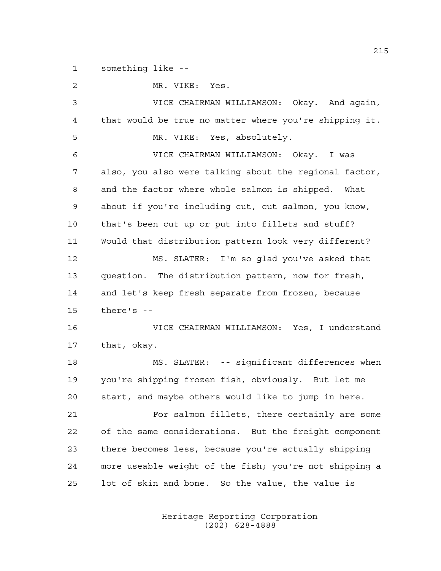something like --

 MR. VIKE: Yes. VICE CHAIRMAN WILLIAMSON: Okay. And again, that would be true no matter where you're shipping it. MR. VIKE: Yes, absolutely. VICE CHAIRMAN WILLIAMSON: Okay. I was also, you also were talking about the regional factor, and the factor where whole salmon is shipped. What about if you're including cut, cut salmon, you know, that's been cut up or put into fillets and stuff? Would that distribution pattern look very different? MS. SLATER: I'm so glad you've asked that question. The distribution pattern, now for fresh, and let's keep fresh separate from frozen, because there's -- VICE CHAIRMAN WILLIAMSON: Yes, I understand that, okay. MS. SLATER: -- significant differences when you're shipping frozen fish, obviously. But let me start, and maybe others would like to jump in here. For salmon fillets, there certainly are some of the same considerations. But the freight component there becomes less, because you're actually shipping more useable weight of the fish; you're not shipping a lot of skin and bone. So the value, the value is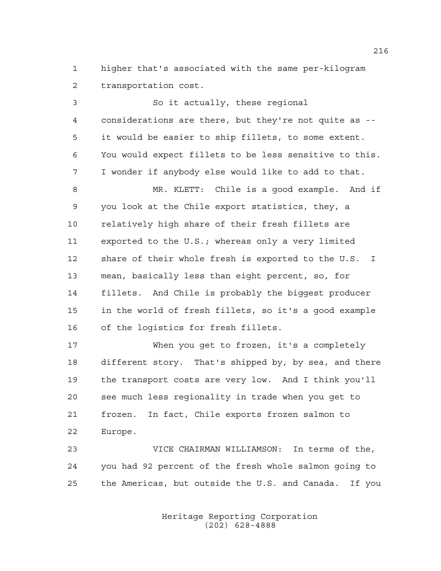higher that's associated with the same per-kilogram transportation cost.

 So it actually, these regional considerations are there, but they're not quite as -- it would be easier to ship fillets, to some extent. You would expect fillets to be less sensitive to this. I wonder if anybody else would like to add to that. MR. KLETT: Chile is a good example. And if you look at the Chile export statistics, they, a relatively high share of their fresh fillets are exported to the U.S.; whereas only a very limited share of their whole fresh is exported to the U.S. I mean, basically less than eight percent, so, for fillets. And Chile is probably the biggest producer in the world of fresh fillets, so it's a good example of the logistics for fresh fillets. When you get to frozen, it's a completely different story. That's shipped by, by sea, and there

 the transport costs are very low. And I think you'll see much less regionality in trade when you get to frozen. In fact, Chile exports frozen salmon to Europe.

 VICE CHAIRMAN WILLIAMSON: In terms of the, you had 92 percent of the fresh whole salmon going to the Americas, but outside the U.S. and Canada. If you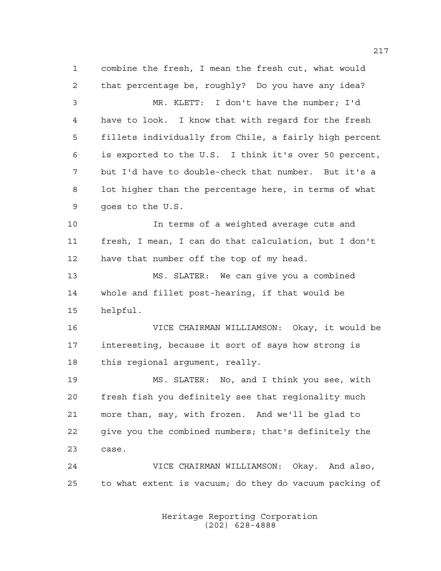combine the fresh, I mean the fresh cut, what would that percentage be, roughly? Do you have any idea?

 MR. KLETT: I don't have the number; I'd have to look. I know that with regard for the fresh fillets individually from Chile, a fairly high percent is exported to the U.S. I think it's over 50 percent, but I'd have to double-check that number. But it's a lot higher than the percentage here, in terms of what goes to the U.S.

 In terms of a weighted average cuts and fresh, I mean, I can do that calculation, but I don't 12 have that number off the top of my head.

 MS. SLATER: We can give you a combined whole and fillet post-hearing, if that would be helpful.

 VICE CHAIRMAN WILLIAMSON: Okay, it would be interesting, because it sort of says how strong is this regional argument, really.

 MS. SLATER: No, and I think you see, with fresh fish you definitely see that regionality much more than, say, with frozen. And we'll be glad to give you the combined numbers; that's definitely the case.

 VICE CHAIRMAN WILLIAMSON: Okay. And also, to what extent is vacuum; do they do vacuum packing of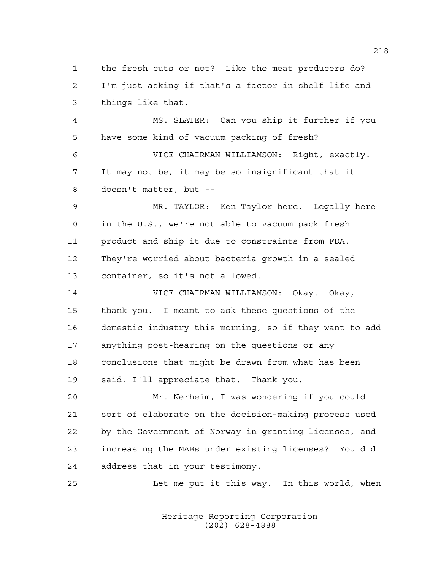the fresh cuts or not? Like the meat producers do? I'm just asking if that's a factor in shelf life and things like that.

 MS. SLATER: Can you ship it further if you have some kind of vacuum packing of fresh?

 VICE CHAIRMAN WILLIAMSON: Right, exactly. It may not be, it may be so insignificant that it doesn't matter, but --

 MR. TAYLOR: Ken Taylor here. Legally here in the U.S., we're not able to vacuum pack fresh product and ship it due to constraints from FDA. They're worried about bacteria growth in a sealed container, so it's not allowed.

 VICE CHAIRMAN WILLIAMSON: Okay. Okay, thank you. I meant to ask these questions of the domestic industry this morning, so if they want to add anything post-hearing on the questions or any conclusions that might be drawn from what has been said, I'll appreciate that. Thank you.

 Mr. Nerheim, I was wondering if you could sort of elaborate on the decision-making process used by the Government of Norway in granting licenses, and increasing the MABs under existing licenses? You did address that in your testimony.

Let me put it this way. In this world, when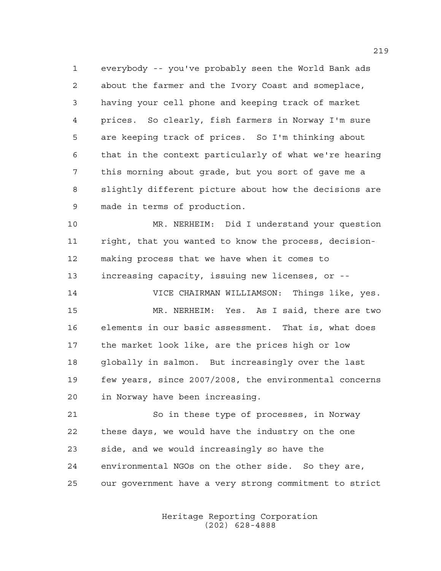everybody -- you've probably seen the World Bank ads about the farmer and the Ivory Coast and someplace, having your cell phone and keeping track of market prices. So clearly, fish farmers in Norway I'm sure are keeping track of prices. So I'm thinking about that in the context particularly of what we're hearing this morning about grade, but you sort of gave me a slightly different picture about how the decisions are made in terms of production.

 MR. NERHEIM: Did I understand your question right, that you wanted to know the process, decision- making process that we have when it comes to increasing capacity, issuing new licenses, or --

 VICE CHAIRMAN WILLIAMSON: Things like, yes. MR. NERHEIM: Yes. As I said, there are two elements in our basic assessment. That is, what does the market look like, are the prices high or low globally in salmon. But increasingly over the last few years, since 2007/2008, the environmental concerns in Norway have been increasing.

 So in these type of processes, in Norway these days, we would have the industry on the one side, and we would increasingly so have the environmental NGOs on the other side. So they are, our government have a very strong commitment to strict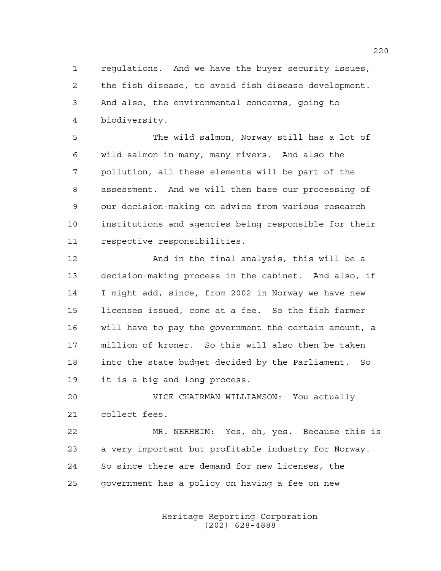regulations. And we have the buyer security issues, the fish disease, to avoid fish disease development. And also, the environmental concerns, going to biodiversity.

 The wild salmon, Norway still has a lot of wild salmon in many, many rivers. And also the pollution, all these elements will be part of the assessment. And we will then base our processing of our decision-making on advice from various research institutions and agencies being responsible for their respective responsibilities.

 And in the final analysis, this will be a decision-making process in the cabinet. And also, if I might add, since, from 2002 in Norway we have new licenses issued, come at a fee. So the fish farmer will have to pay the government the certain amount, a million of kroner. So this will also then be taken into the state budget decided by the Parliament. So it is a big and long process.

 VICE CHAIRMAN WILLIAMSON: You actually collect fees.

 MR. NERHEIM: Yes, oh, yes. Because this is a very important but profitable industry for Norway. So since there are demand for new licenses, the government has a policy on having a fee on new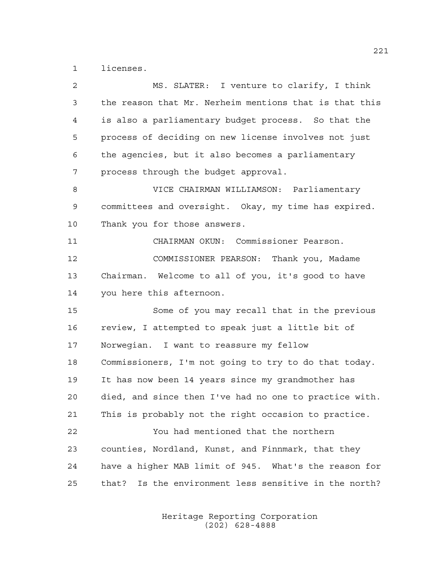licenses.

| $\overline{a}$ | MS. SLATER: I venture to clarify, I think                |
|----------------|----------------------------------------------------------|
| 3              | the reason that Mr. Nerheim mentions that is that this   |
| 4              | is also a parliamentary budget process. So that the      |
| 5              | process of deciding on new license involves not just     |
| 6              | the agencies, but it also becomes a parliamentary        |
| 7              | process through the budget approval.                     |
| 8              | VICE CHAIRMAN WILLIAMSON: Parliamentary                  |
| 9              | committees and oversight. Okay, my time has expired.     |
| 10             | Thank you for those answers.                             |
| 11             | CHAIRMAN OKUN: Commissioner Pearson.                     |
| 12             | COMMISSIONER PEARSON: Thank you, Madame                  |
| 13             | Chairman. Welcome to all of you, it's good to have       |
| 14             | you here this afternoon.                                 |
| 15             | Some of you may recall that in the previous              |
| 16             | review, I attempted to speak just a little bit of        |
| 17             | Norwegian. I want to reassure my fellow                  |
| 18             | Commissioners, I'm not going to try to do that today.    |
| 19             | It has now been 14 years since my grandmother has        |
| 20             | died, and since then I've had no one to practice with.   |
| 21             | This is probably not the right occasion to practice.     |
| 22             | You had mentioned that the northern                      |
| 23             | counties, Nordland, Kunst, and Finnmark, that they       |
| 24             | have a higher MAB limit of 945. What's the reason for    |
| 25             | Is the environment less sensitive in the north?<br>that? |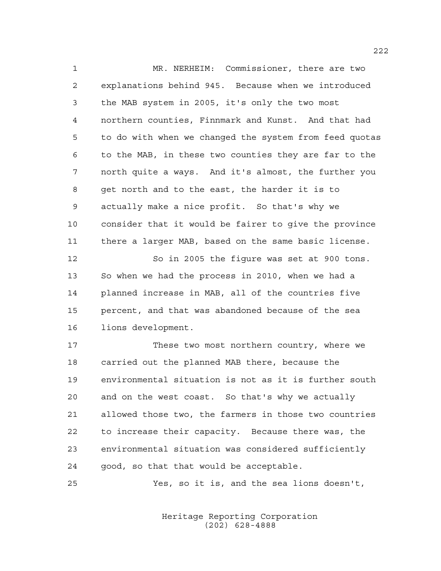MR. NERHEIM: Commissioner, there are two explanations behind 945. Because when we introduced the MAB system in 2005, it's only the two most northern counties, Finnmark and Kunst. And that had to do with when we changed the system from feed quotas to the MAB, in these two counties they are far to the north quite a ways. And it's almost, the further you get north and to the east, the harder it is to actually make a nice profit. So that's why we consider that it would be fairer to give the province there a larger MAB, based on the same basic license.

 So in 2005 the figure was set at 900 tons. So when we had the process in 2010, when we had a planned increase in MAB, all of the countries five percent, and that was abandoned because of the sea lions development.

 These two most northern country, where we carried out the planned MAB there, because the environmental situation is not as it is further south and on the west coast. So that's why we actually allowed those two, the farmers in those two countries to increase their capacity. Because there was, the environmental situation was considered sufficiently good, so that that would be acceptable.

Yes, so it is, and the sea lions doesn't,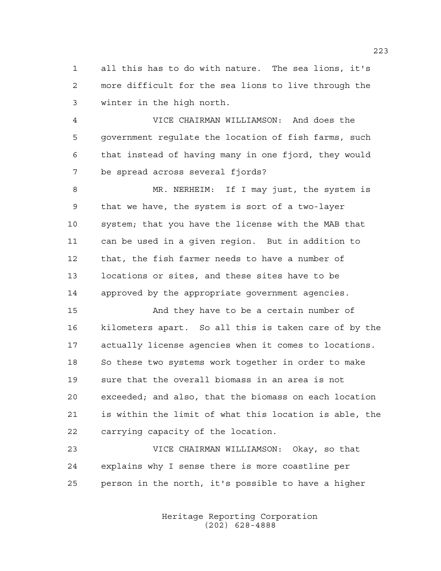all this has to do with nature. The sea lions, it's more difficult for the sea lions to live through the winter in the high north.

 VICE CHAIRMAN WILLIAMSON: And does the government regulate the location of fish farms, such that instead of having many in one fjord, they would be spread across several fjords?

 MR. NERHEIM: If I may just, the system is that we have, the system is sort of a two-layer system; that you have the license with the MAB that can be used in a given region. But in addition to that, the fish farmer needs to have a number of locations or sites, and these sites have to be approved by the appropriate government agencies.

 And they have to be a certain number of kilometers apart. So all this is taken care of by the actually license agencies when it comes to locations. So these two systems work together in order to make sure that the overall biomass in an area is not exceeded; and also, that the biomass on each location is within the limit of what this location is able, the carrying capacity of the location.

 VICE CHAIRMAN WILLIAMSON: Okay, so that explains why I sense there is more coastline per person in the north, it's possible to have a higher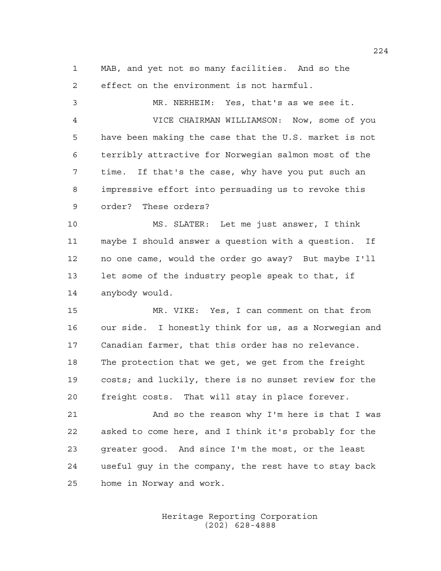MAB, and yet not so many facilities. And so the effect on the environment is not harmful.

 MR. NERHEIM: Yes, that's as we see it. VICE CHAIRMAN WILLIAMSON: Now, some of you have been making the case that the U.S. market is not terribly attractive for Norwegian salmon most of the time. If that's the case, why have you put such an impressive effort into persuading us to revoke this order? These orders? MS. SLATER: Let me just answer, I think maybe I should answer a question with a question. If

 no one came, would the order go away? But maybe I'll let some of the industry people speak to that, if anybody would.

 MR. VIKE: Yes, I can comment on that from our side. I honestly think for us, as a Norwegian and Canadian farmer, that this order has no relevance. The protection that we get, we get from the freight costs; and luckily, there is no sunset review for the freight costs. That will stay in place forever.

 And so the reason why I'm here is that I was asked to come here, and I think it's probably for the greater good. And since I'm the most, or the least useful guy in the company, the rest have to stay back home in Norway and work.

> Heritage Reporting Corporation (202) 628-4888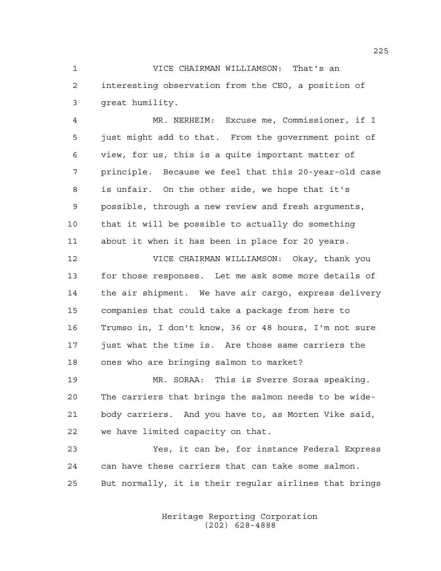VICE CHAIRMAN WILLIAMSON: That's an interesting observation from the CEO, a position of great humility.

 MR. NERHEIM: Excuse me, Commissioner, if I just might add to that. From the government point of view, for us, this is a quite important matter of principle. Because we feel that this 20-year-old case is unfair. On the other side, we hope that it's possible, through a new review and fresh arguments, that it will be possible to actually do something about it when it has been in place for 20 years.

 VICE CHAIRMAN WILLIAMSON: Okay, thank you for those responses. Let me ask some more details of the air shipment. We have air cargo, express delivery companies that could take a package from here to Trumso in, I don't know, 36 or 48 hours, I'm not sure just what the time is. Are those same carriers the ones who are bringing salmon to market?

 MR. SORAA: This is Sverre Soraa speaking. The carriers that brings the salmon needs to be wide- body carriers. And you have to, as Morten Vike said, we have limited capacity on that.

 Yes, it can be, for instance Federal Express can have these carriers that can take some salmon. But normally, it is their regular airlines that brings

> Heritage Reporting Corporation (202) 628-4888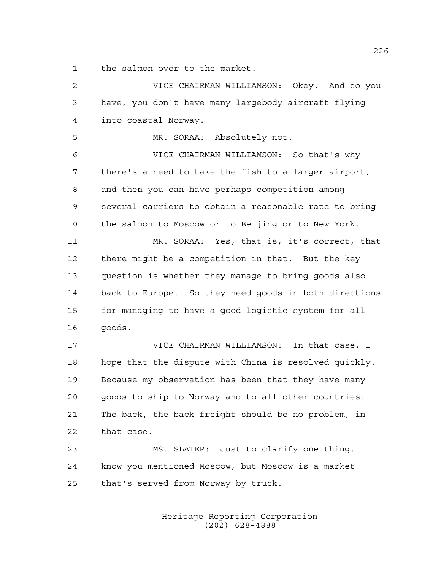the salmon over to the market.

 VICE CHAIRMAN WILLIAMSON: Okay. And so you have, you don't have many largebody aircraft flying into coastal Norway. MR. SORAA: Absolutely not. VICE CHAIRMAN WILLIAMSON: So that's why there's a need to take the fish to a larger airport, and then you can have perhaps competition among several carriers to obtain a reasonable rate to bring the salmon to Moscow or to Beijing or to New York. MR. SORAA: Yes, that is, it's correct, that there might be a competition in that. But the key question is whether they manage to bring goods also back to Europe. So they need goods in both directions for managing to have a good logistic system for all goods. VICE CHAIRMAN WILLIAMSON: In that case, I hope that the dispute with China is resolved quickly. Because my observation has been that they have many goods to ship to Norway and to all other countries. The back, the back freight should be no problem, in that case. MS. SLATER: Just to clarify one thing. I know you mentioned Moscow, but Moscow is a market that's served from Norway by truck.

> Heritage Reporting Corporation (202) 628-4888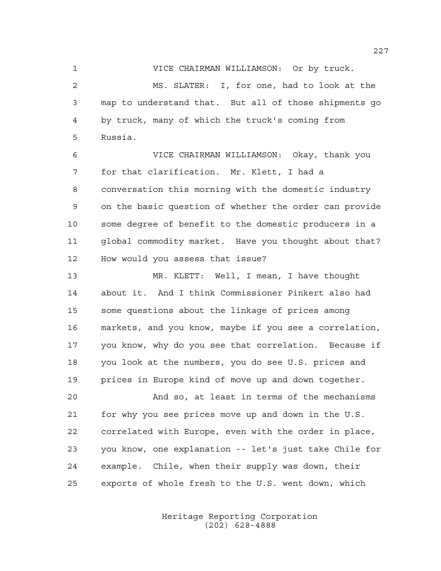VICE CHAIRMAN WILLIAMSON: Or by truck.

 MS. SLATER: I, for one, had to look at the map to understand that. But all of those shipments go by truck, many of which the truck's coming from Russia.

 VICE CHAIRMAN WILLIAMSON: Okay, thank you for that clarification. Mr. Klett, I had a conversation this morning with the domestic industry on the basic question of whether the order can provide some degree of benefit to the domestic producers in a global commodity market. Have you thought about that? How would you assess that issue?

 MR. KLETT: Well, I mean, I have thought about it. And I think Commissioner Pinkert also had some questions about the linkage of prices among markets, and you know, maybe if you see a correlation, you know, why do you see that correlation. Because if you look at the numbers, you do see U.S. prices and prices in Europe kind of move up and down together.

 And so, at least in terms of the mechanisms for why you see prices move up and down in the U.S. correlated with Europe, even with the order in place, you know, one explanation -- let's just take Chile for example. Chile, when their supply was down, their exports of whole fresh to the U.S. went down, which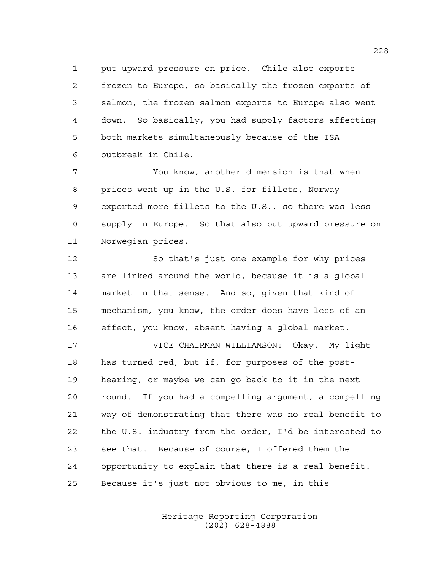put upward pressure on price. Chile also exports frozen to Europe, so basically the frozen exports of salmon, the frozen salmon exports to Europe also went down. So basically, you had supply factors affecting both markets simultaneously because of the ISA outbreak in Chile.

 You know, another dimension is that when prices went up in the U.S. for fillets, Norway exported more fillets to the U.S., so there was less supply in Europe. So that also put upward pressure on Norwegian prices.

 So that's just one example for why prices are linked around the world, because it is a global market in that sense. And so, given that kind of mechanism, you know, the order does have less of an effect, you know, absent having a global market.

 VICE CHAIRMAN WILLIAMSON: Okay. My light has turned red, but if, for purposes of the post- hearing, or maybe we can go back to it in the next round. If you had a compelling argument, a compelling way of demonstrating that there was no real benefit to the U.S. industry from the order, I'd be interested to see that. Because of course, I offered them the opportunity to explain that there is a real benefit. Because it's just not obvious to me, in this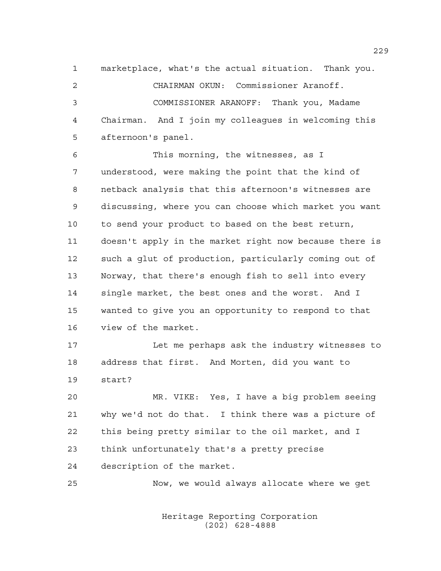marketplace, what's the actual situation. Thank you.

 CHAIRMAN OKUN: Commissioner Aranoff. COMMISSIONER ARANOFF: Thank you, Madame Chairman. And I join my colleagues in welcoming this afternoon's panel.

 This morning, the witnesses, as I understood, were making the point that the kind of netback analysis that this afternoon's witnesses are discussing, where you can choose which market you want to send your product to based on the best return, doesn't apply in the market right now because there is such a glut of production, particularly coming out of Norway, that there's enough fish to sell into every single market, the best ones and the worst. And I wanted to give you an opportunity to respond to that view of the market.

 Let me perhaps ask the industry witnesses to address that first. And Morten, did you want to start?

 MR. VIKE: Yes, I have a big problem seeing why we'd not do that. I think there was a picture of this being pretty similar to the oil market, and I think unfortunately that's a pretty precise description of the market.

Now, we would always allocate where we get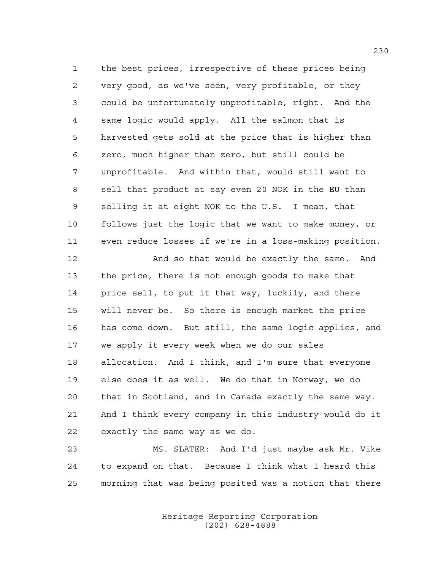the best prices, irrespective of these prices being very good, as we've seen, very profitable, or they could be unfortunately unprofitable, right. And the same logic would apply. All the salmon that is harvested gets sold at the price that is higher than zero, much higher than zero, but still could be unprofitable. And within that, would still want to sell that product at say even 20 NOK in the EU than selling it at eight NOK to the U.S. I mean, that follows just the logic that we want to make money, or even reduce losses if we're in a loss-making position. 12 And so that would be exactly the same. And the price, there is not enough goods to make that price sell, to put it that way, luckily, and there

 will never be. So there is enough market the price has come down. But still, the same logic applies, and we apply it every week when we do our sales allocation. And I think, and I'm sure that everyone else does it as well. We do that in Norway, we do that in Scotland, and in Canada exactly the same way. And I think every company in this industry would do it exactly the same way as we do.

 MS. SLATER: And I'd just maybe ask Mr. Vike to expand on that. Because I think what I heard this morning that was being posited was a notion that there

> Heritage Reporting Corporation (202) 628-4888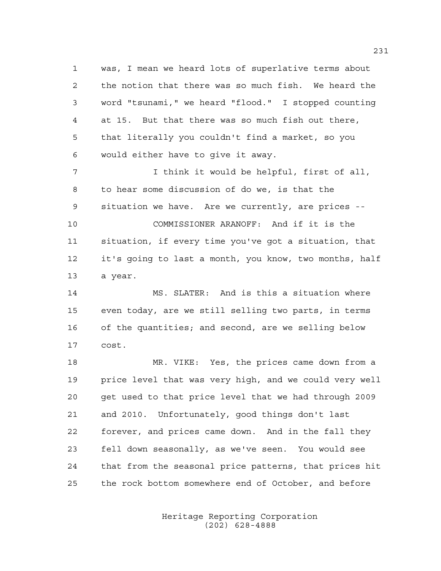was, I mean we heard lots of superlative terms about the notion that there was so much fish. We heard the word "tsunami," we heard "flood." I stopped counting at 15. But that there was so much fish out there, that literally you couldn't find a market, so you would either have to give it away.

 I think it would be helpful, first of all, to hear some discussion of do we, is that the situation we have. Are we currently, are prices -- COMMISSIONER ARANOFF: And if it is the situation, if every time you've got a situation, that it's going to last a month, you know, two months, half a year.

 MS. SLATER: And is this a situation where even today, are we still selling two parts, in terms of the quantities; and second, are we selling below cost.

 MR. VIKE: Yes, the prices came down from a 19 price level that was very high, and we could very well get used to that price level that we had through 2009 and 2010. Unfortunately, good things don't last forever, and prices came down. And in the fall they fell down seasonally, as we've seen. You would see that from the seasonal price patterns, that prices hit the rock bottom somewhere end of October, and before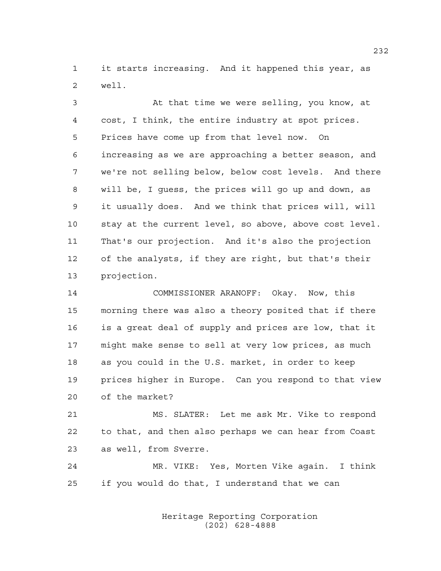it starts increasing. And it happened this year, as well.

 At that time we were selling, you know, at cost, I think, the entire industry at spot prices. Prices have come up from that level now. On increasing as we are approaching a better season, and we're not selling below, below cost levels. And there will be, I guess, the prices will go up and down, as it usually does. And we think that prices will, will stay at the current level, so above, above cost level. That's our projection. And it's also the projection of the analysts, if they are right, but that's their projection.

 COMMISSIONER ARANOFF: Okay. Now, this morning there was also a theory posited that if there is a great deal of supply and prices are low, that it might make sense to sell at very low prices, as much as you could in the U.S. market, in order to keep prices higher in Europe. Can you respond to that view of the market?

 MS. SLATER: Let me ask Mr. Vike to respond to that, and then also perhaps we can hear from Coast as well, from Sverre.

 MR. VIKE: Yes, Morten Vike again. I think if you would do that, I understand that we can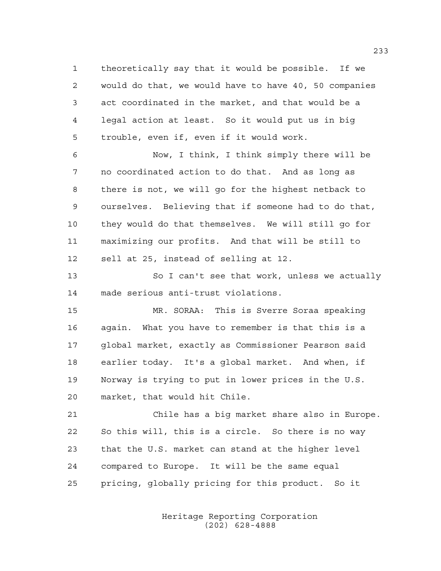theoretically say that it would be possible. If we would do that, we would have to have 40, 50 companies act coordinated in the market, and that would be a legal action at least. So it would put us in big trouble, even if, even if it would work.

 Now, I think, I think simply there will be no coordinated action to do that. And as long as there is not, we will go for the highest netback to ourselves. Believing that if someone had to do that, they would do that themselves. We will still go for maximizing our profits. And that will be still to sell at 25, instead of selling at 12.

 So I can't see that work, unless we actually made serious anti-trust violations.

 MR. SORAA: This is Sverre Soraa speaking again. What you have to remember is that this is a global market, exactly as Commissioner Pearson said earlier today. It's a global market. And when, if Norway is trying to put in lower prices in the U.S. market, that would hit Chile.

 Chile has a big market share also in Europe. So this will, this is a circle. So there is no way that the U.S. market can stand at the higher level compared to Europe. It will be the same equal pricing, globally pricing for this product. So it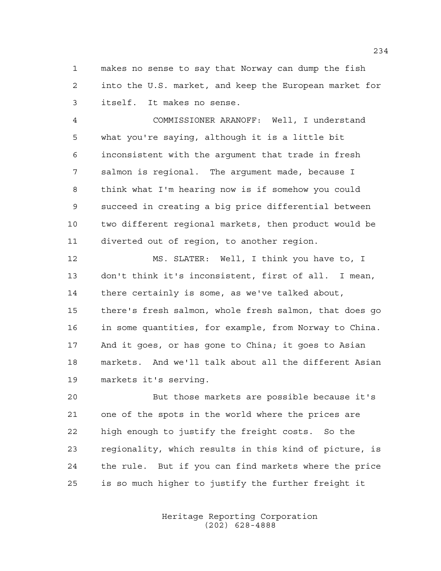makes no sense to say that Norway can dump the fish into the U.S. market, and keep the European market for itself. It makes no sense.

 COMMISSIONER ARANOFF: Well, I understand what you're saying, although it is a little bit inconsistent with the argument that trade in fresh salmon is regional. The argument made, because I think what I'm hearing now is if somehow you could succeed in creating a big price differential between two different regional markets, then product would be diverted out of region, to another region.

 MS. SLATER: Well, I think you have to, I don't think it's inconsistent, first of all. I mean, there certainly is some, as we've talked about, there's fresh salmon, whole fresh salmon, that does go in some quantities, for example, from Norway to China. And it goes, or has gone to China; it goes to Asian markets. And we'll talk about all the different Asian markets it's serving.

 But those markets are possible because it's one of the spots in the world where the prices are high enough to justify the freight costs. So the regionality, which results in this kind of picture, is the rule. But if you can find markets where the price is so much higher to justify the further freight it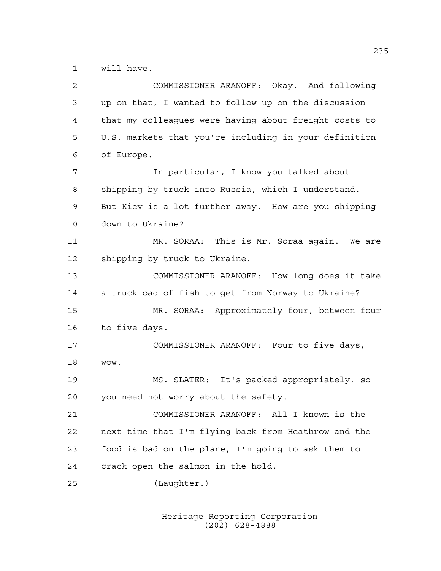will have.

 COMMISSIONER ARANOFF: Okay. And following up on that, I wanted to follow up on the discussion that my colleagues were having about freight costs to U.S. markets that you're including in your definition of Europe. In particular, I know you talked about shipping by truck into Russia, which I understand. But Kiev is a lot further away. How are you shipping down to Ukraine? MR. SORAA: This is Mr. Soraa again. We are shipping by truck to Ukraine. COMMISSIONER ARANOFF: How long does it take a truckload of fish to get from Norway to Ukraine? MR. SORAA: Approximately four, between four to five days. COMMISSIONER ARANOFF: Four to five days, wow. MS. SLATER: It's packed appropriately, so you need not worry about the safety. COMMISSIONER ARANOFF: All I known is the next time that I'm flying back from Heathrow and the food is bad on the plane, I'm going to ask them to crack open the salmon in the hold. (Laughter.)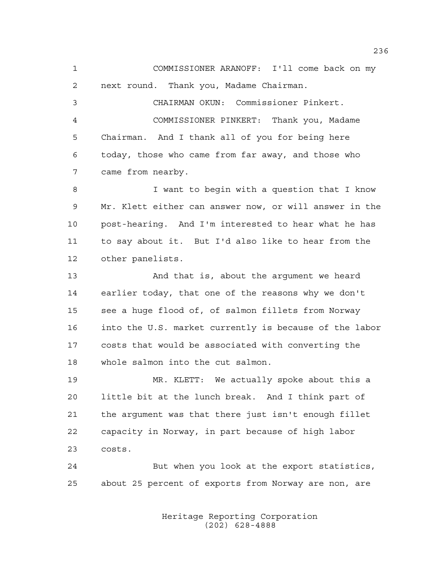COMMISSIONER ARANOFF: I'll come back on my next round. Thank you, Madame Chairman. CHAIRMAN OKUN: Commissioner Pinkert. COMMISSIONER PINKERT: Thank you, Madame

 Chairman. And I thank all of you for being here today, those who came from far away, and those who came from nearby.

8 I want to begin with a question that I know Mr. Klett either can answer now, or will answer in the post-hearing. And I'm interested to hear what he has to say about it. But I'd also like to hear from the other panelists.

 And that is, about the argument we heard earlier today, that one of the reasons why we don't see a huge flood of, of salmon fillets from Norway into the U.S. market currently is because of the labor costs that would be associated with converting the whole salmon into the cut salmon.

 MR. KLETT: We actually spoke about this a little bit at the lunch break. And I think part of the argument was that there just isn't enough fillet capacity in Norway, in part because of high labor costs.

 But when you look at the export statistics, about 25 percent of exports from Norway are non, are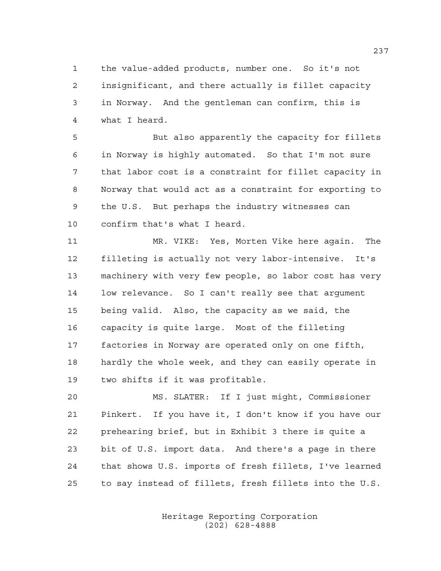the value-added products, number one. So it's not insignificant, and there actually is fillet capacity in Norway. And the gentleman can confirm, this is what I heard.

 But also apparently the capacity for fillets in Norway is highly automated. So that I'm not sure that labor cost is a constraint for fillet capacity in Norway that would act as a constraint for exporting to the U.S. But perhaps the industry witnesses can confirm that's what I heard.

 MR. VIKE: Yes, Morten Vike here again. The filleting is actually not very labor-intensive. It's machinery with very few people, so labor cost has very low relevance. So I can't really see that argument being valid. Also, the capacity as we said, the capacity is quite large. Most of the filleting factories in Norway are operated only on one fifth, hardly the whole week, and they can easily operate in two shifts if it was profitable.

 MS. SLATER: If I just might, Commissioner Pinkert. If you have it, I don't know if you have our prehearing brief, but in Exhibit 3 there is quite a bit of U.S. import data. And there's a page in there that shows U.S. imports of fresh fillets, I've learned to say instead of fillets, fresh fillets into the U.S.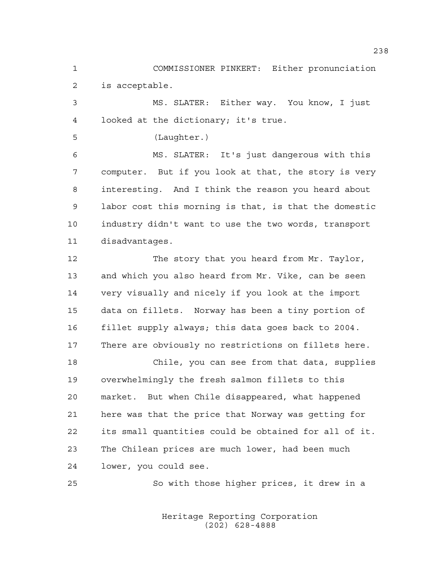COMMISSIONER PINKERT: Either pronunciation is acceptable.

 MS. SLATER: Either way. You know, I just looked at the dictionary; it's true.

(Laughter.)

 MS. SLATER: It's just dangerous with this computer. But if you look at that, the story is very interesting. And I think the reason you heard about labor cost this morning is that, is that the domestic industry didn't want to use the two words, transport disadvantages.

 The story that you heard from Mr. Taylor, and which you also heard from Mr. Vike, can be seen very visually and nicely if you look at the import data on fillets. Norway has been a tiny portion of fillet supply always; this data goes back to 2004. There are obviously no restrictions on fillets here.

 Chile, you can see from that data, supplies overwhelmingly the fresh salmon fillets to this market. But when Chile disappeared, what happened here was that the price that Norway was getting for its small quantities could be obtained for all of it. The Chilean prices are much lower, had been much lower, you could see.

So with those higher prices, it drew in a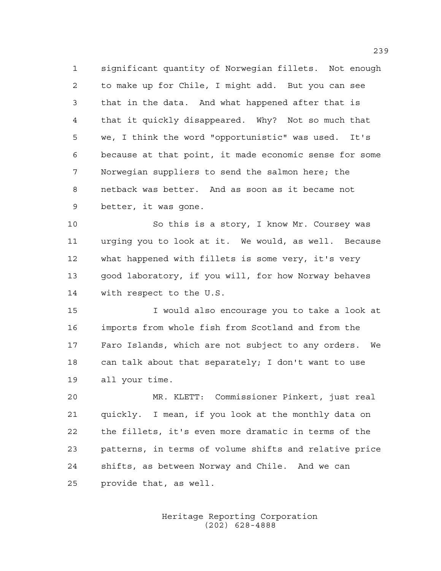significant quantity of Norwegian fillets. Not enough to make up for Chile, I might add. But you can see that in the data. And what happened after that is that it quickly disappeared. Why? Not so much that we, I think the word "opportunistic" was used. It's because at that point, it made economic sense for some Norwegian suppliers to send the salmon here; the netback was better. And as soon as it became not better, it was gone.

 So this is a story, I know Mr. Coursey was urging you to look at it. We would, as well. Because what happened with fillets is some very, it's very good laboratory, if you will, for how Norway behaves with respect to the U.S.

 I would also encourage you to take a look at imports from whole fish from Scotland and from the Faro Islands, which are not subject to any orders. We can talk about that separately; I don't want to use all your time.

 MR. KLETT: Commissioner Pinkert, just real quickly. I mean, if you look at the monthly data on the fillets, it's even more dramatic in terms of the patterns, in terms of volume shifts and relative price shifts, as between Norway and Chile. And we can provide that, as well.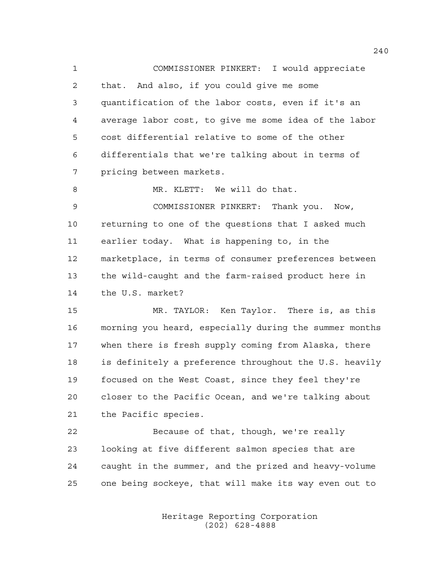COMMISSIONER PINKERT: I would appreciate that. And also, if you could give me some quantification of the labor costs, even if it's an average labor cost, to give me some idea of the labor cost differential relative to some of the other differentials that we're talking about in terms of pricing between markets.

8 MR. KLETT: We will do that.

 COMMISSIONER PINKERT: Thank you. Now, returning to one of the questions that I asked much earlier today. What is happening to, in the marketplace, in terms of consumer preferences between the wild-caught and the farm-raised product here in the U.S. market?

 MR. TAYLOR: Ken Taylor. There is, as this morning you heard, especially during the summer months when there is fresh supply coming from Alaska, there is definitely a preference throughout the U.S. heavily focused on the West Coast, since they feel they're closer to the Pacific Ocean, and we're talking about the Pacific species.

 Because of that, though, we're really looking at five different salmon species that are caught in the summer, and the prized and heavy-volume one being sockeye, that will make its way even out to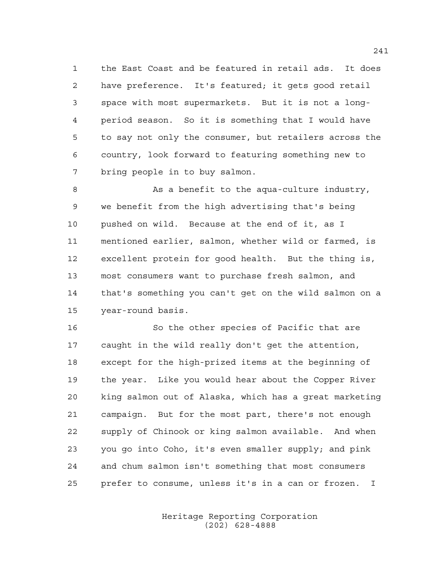the East Coast and be featured in retail ads. It does have preference. It's featured; it gets good retail space with most supermarkets. But it is not a long- period season. So it is something that I would have to say not only the consumer, but retailers across the country, look forward to featuring something new to bring people in to buy salmon.

8 As a benefit to the aqua-culture industry, we benefit from the high advertising that's being pushed on wild. Because at the end of it, as I mentioned earlier, salmon, whether wild or farmed, is excellent protein for good health. But the thing is, most consumers want to purchase fresh salmon, and that's something you can't get on the wild salmon on a year-round basis.

 So the other species of Pacific that are caught in the wild really don't get the attention, except for the high-prized items at the beginning of the year. Like you would hear about the Copper River king salmon out of Alaska, which has a great marketing campaign. But for the most part, there's not enough supply of Chinook or king salmon available. And when you go into Coho, it's even smaller supply; and pink and chum salmon isn't something that most consumers prefer to consume, unless it's in a can or frozen. I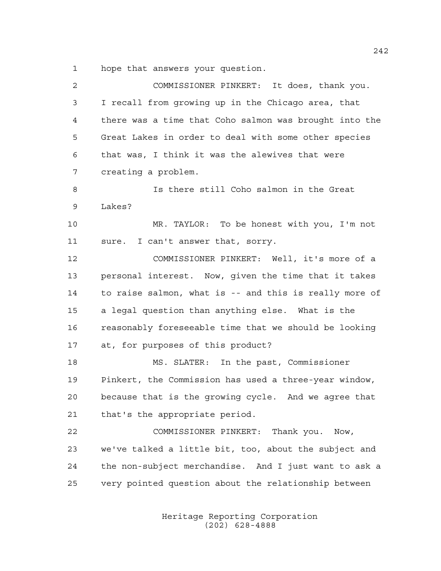hope that answers your question.

| 2  | COMMISSIONER PINKERT: It does, thank you.              |
|----|--------------------------------------------------------|
| 3  | I recall from growing up in the Chicago area, that     |
| 4  | there was a time that Coho salmon was brought into the |
| 5  | Great Lakes in order to deal with some other species   |
| 6  | that was, I think it was the alewives that were        |
| 7  | creating a problem.                                    |
| 8  | Is there still Coho salmon in the Great                |
| 9  | Lakes?                                                 |
| 10 | MR. TAYLOR: To be honest with you, I'm not             |
| 11 | sure. I can't answer that, sorry.                      |
| 12 | COMMISSIONER PINKERT: Well, it's more of a             |
| 13 | personal interest. Now, given the time that it takes   |
| 14 | to raise salmon, what is -- and this is really more of |
| 15 | a legal question than anything else. What is the       |
| 16 | reasonably foreseeable time that we should be looking  |
| 17 | at, for purposes of this product?                      |
| 18 | MS. SLATER: In the past, Commissioner                  |
| 19 | Pinkert, the Commission has used a three-year window,  |
| 20 | because that is the growing cycle. And we agree that   |
| 21 | that's the appropriate period.                         |
| 22 | COMMISSIONER PINKERT: Thank you. Now,                  |
| 23 | we've talked a little bit, too, about the subject and  |
| 24 | the non-subject merchandise. And I just want to ask a  |
| 25 | very pointed question about the relationship between   |
|    |                                                        |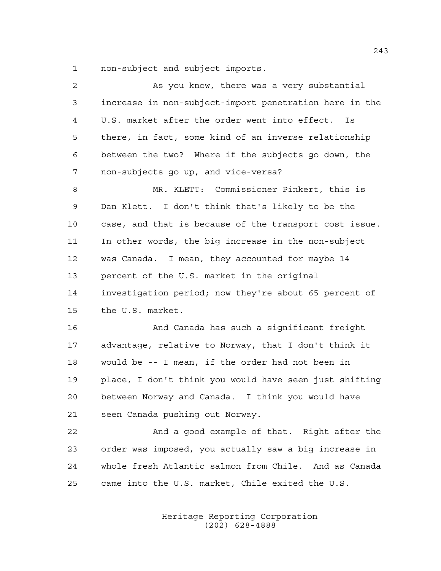non-subject and subject imports.

| $\overline{a}$ | As you know, there was a very substantial              |
|----------------|--------------------------------------------------------|
| 3              | increase in non-subject-import penetration here in the |
| 4              | U.S. market after the order went into effect. Is       |
| 5              | there, in fact, some kind of an inverse relationship   |
| 6              | between the two? Where if the subjects go down, the    |
| 7              | non-subjects go up, and vice-versa?                    |
| 8              | MR. KLETT: Commissioner Pinkert, this is               |
| 9              | Dan Klett. I don't think that's likely to be the       |
| 10             | case, and that is because of the transport cost issue. |
| 11             | In other words, the big increase in the non-subject    |
| 12             | was Canada. I mean, they accounted for maybe 14        |
| 13             | percent of the U.S. market in the original             |
| 14             | investigation period; now they're about 65 percent of  |
| 15             | the U.S. market.                                       |
| 16             | And Canada has such a significant freight              |
| 17             | advantage, relative to Norway, that I don't think it   |
| 18             | would be -- I mean, if the order had not been in       |
| 19             | place, I don't think you would have seen just shifting |
| 20             | between Norway and Canada. I think you would have      |
| 21             | seen Canada pushing out Norway.                        |
| 22             | And a good example of that. Right after the            |
| 23             | order was imposed, you actually saw a big increase in  |
| 24             | whole fresh Atlantic salmon from Chile. And as Canada  |
| 25             | came into the U.S. market, Chile exited the U.S.       |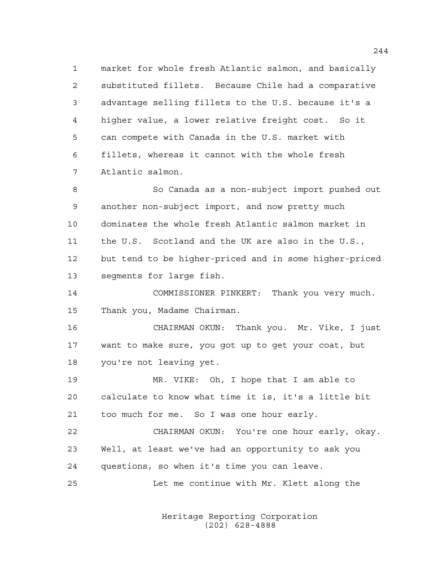market for whole fresh Atlantic salmon, and basically substituted fillets. Because Chile had a comparative advantage selling fillets to the U.S. because it's a higher value, a lower relative freight cost. So it can compete with Canada in the U.S. market with fillets, whereas it cannot with the whole fresh Atlantic salmon.

 So Canada as a non-subject import pushed out another non-subject import, and now pretty much dominates the whole fresh Atlantic salmon market in the U.S. Scotland and the UK are also in the U.S., but tend to be higher-priced and in some higher-priced segments for large fish.

 COMMISSIONER PINKERT: Thank you very much. Thank you, Madame Chairman.

 CHAIRMAN OKUN: Thank you. Mr. Vike, I just want to make sure, you got up to get your coat, but you're not leaving yet.

 MR. VIKE: Oh, I hope that I am able to calculate to know what time it is, it's a little bit too much for me. So I was one hour early.

 CHAIRMAN OKUN: You're one hour early, okay. Well, at least we've had an opportunity to ask you questions, so when it's time you can leave.

Let me continue with Mr. Klett along the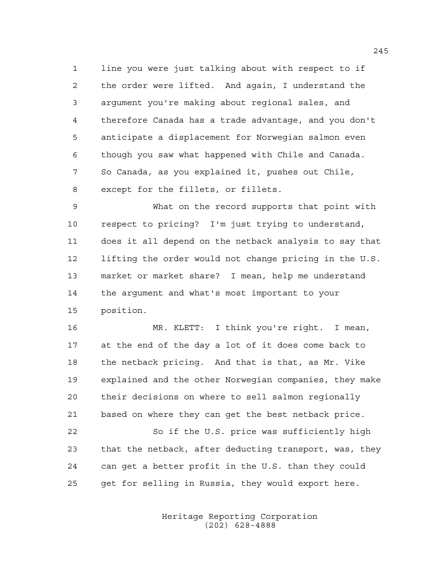line you were just talking about with respect to if the order were lifted. And again, I understand the argument you're making about regional sales, and therefore Canada has a trade advantage, and you don't anticipate a displacement for Norwegian salmon even though you saw what happened with Chile and Canada. So Canada, as you explained it, pushes out Chile, except for the fillets, or fillets.

 What on the record supports that point with respect to pricing? I'm just trying to understand, does it all depend on the netback analysis to say that lifting the order would not change pricing in the U.S. market or market share? I mean, help me understand the argument and what's most important to your position.

 MR. KLETT: I think you're right. I mean, at the end of the day a lot of it does come back to the netback pricing. And that is that, as Mr. Vike explained and the other Norwegian companies, they make their decisions on where to sell salmon regionally based on where they can get the best netback price.

 So if the U.S. price was sufficiently high that the netback, after deducting transport, was, they can get a better profit in the U.S. than they could get for selling in Russia, they would export here.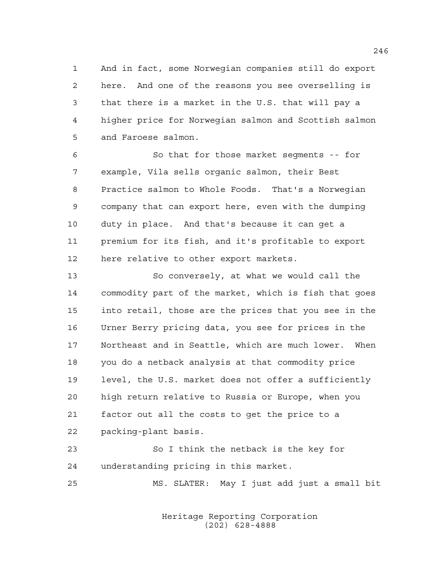And in fact, some Norwegian companies still do export here. And one of the reasons you see overselling is that there is a market in the U.S. that will pay a higher price for Norwegian salmon and Scottish salmon and Faroese salmon.

 So that for those market segments -- for example, Vila sells organic salmon, their Best Practice salmon to Whole Foods. That's a Norwegian company that can export here, even with the dumping duty in place. And that's because it can get a premium for its fish, and it's profitable to export here relative to other export markets.

 So conversely, at what we would call the commodity part of the market, which is fish that goes into retail, those are the prices that you see in the Urner Berry pricing data, you see for prices in the Northeast and in Seattle, which are much lower. When you do a netback analysis at that commodity price level, the U.S. market does not offer a sufficiently high return relative to Russia or Europe, when you factor out all the costs to get the price to a packing-plant basis.

 So I think the netback is the key for understanding pricing in this market.

MS. SLATER: May I just add just a small bit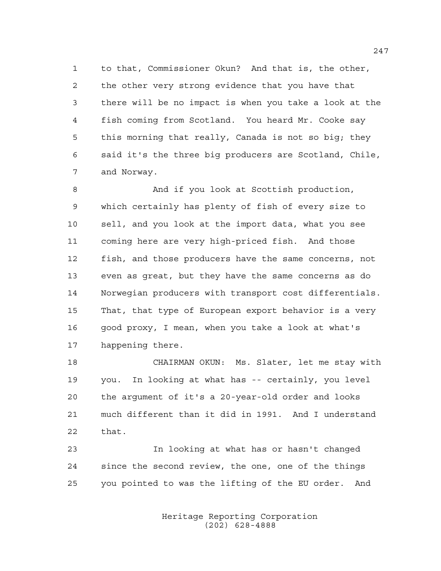to that, Commissioner Okun? And that is, the other, the other very strong evidence that you have that there will be no impact is when you take a look at the fish coming from Scotland. You heard Mr. Cooke say this morning that really, Canada is not so big; they said it's the three big producers are Scotland, Chile, and Norway.

 And if you look at Scottish production, which certainly has plenty of fish of every size to sell, and you look at the import data, what you see coming here are very high-priced fish. And those fish, and those producers have the same concerns, not even as great, but they have the same concerns as do Norwegian producers with transport cost differentials. That, that type of European export behavior is a very good proxy, I mean, when you take a look at what's happening there.

 CHAIRMAN OKUN: Ms. Slater, let me stay with you. In looking at what has -- certainly, you level the argument of it's a 20-year-old order and looks much different than it did in 1991. And I understand that.

 In looking at what has or hasn't changed since the second review, the one, one of the things you pointed to was the lifting of the EU order. And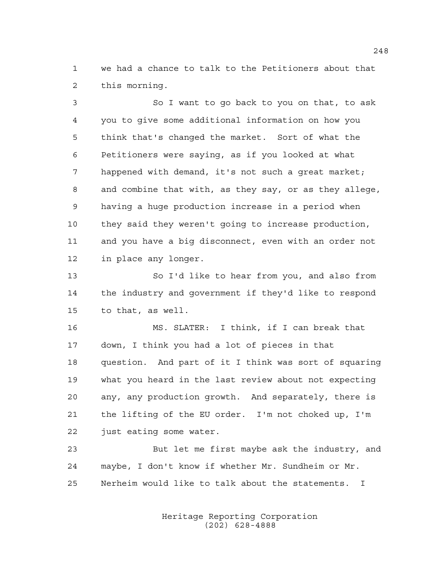we had a chance to talk to the Petitioners about that this morning.

 So I want to go back to you on that, to ask you to give some additional information on how you think that's changed the market. Sort of what the Petitioners were saying, as if you looked at what happened with demand, it's not such a great market; and combine that with, as they say, or as they allege, having a huge production increase in a period when they said they weren't going to increase production, and you have a big disconnect, even with an order not in place any longer.

 So I'd like to hear from you, and also from the industry and government if they'd like to respond to that, as well.

 MS. SLATER: I think, if I can break that down, I think you had a lot of pieces in that question. And part of it I think was sort of squaring what you heard in the last review about not expecting any, any production growth. And separately, there is the lifting of the EU order. I'm not choked up, I'm just eating some water.

 But let me first maybe ask the industry, and maybe, I don't know if whether Mr. Sundheim or Mr. Nerheim would like to talk about the statements. I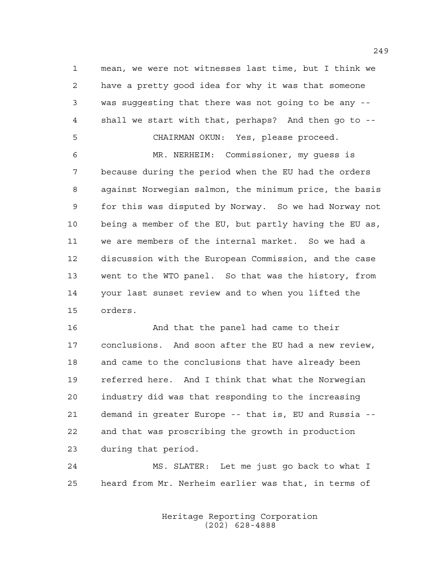mean, we were not witnesses last time, but I think we have a pretty good idea for why it was that someone was suggesting that there was not going to be any -- shall we start with that, perhaps? And then go to -- CHAIRMAN OKUN: Yes, please proceed.

 MR. NERHEIM: Commissioner, my guess is because during the period when the EU had the orders against Norwegian salmon, the minimum price, the basis for this was disputed by Norway. So we had Norway not being a member of the EU, but partly having the EU as, we are members of the internal market. So we had a discussion with the European Commission, and the case went to the WTO panel. So that was the history, from your last sunset review and to when you lifted the orders.

 And that the panel had came to their conclusions. And soon after the EU had a new review, and came to the conclusions that have already been referred here. And I think that what the Norwegian industry did was that responding to the increasing demand in greater Europe -- that is, EU and Russia -- and that was proscribing the growth in production during that period.

 MS. SLATER: Let me just go back to what I heard from Mr. Nerheim earlier was that, in terms of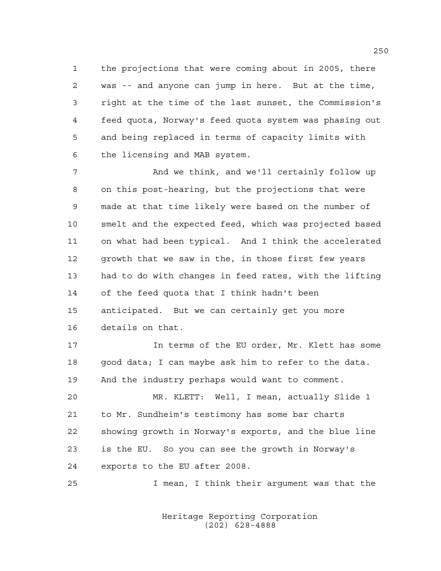the projections that were coming about in 2005, there was -- and anyone can jump in here. But at the time, right at the time of the last sunset, the Commission's feed quota, Norway's feed quota system was phasing out and being replaced in terms of capacity limits with the licensing and MAB system.

 And we think, and we'll certainly follow up on this post-hearing, but the projections that were made at that time likely were based on the number of smelt and the expected feed, which was projected based on what had been typical. And I think the accelerated growth that we saw in the, in those first few years had to do with changes in feed rates, with the lifting of the feed quota that I think hadn't been anticipated. But we can certainly get you more details on that.

 In terms of the EU order, Mr. Klett has some 18 good data; I can maybe ask him to refer to the data. And the industry perhaps would want to comment.

 MR. KLETT: Well, I mean, actually Slide 1 to Mr. Sundheim's testimony has some bar charts showing growth in Norway's exports, and the blue line is the EU. So you can see the growth in Norway's exports to the EU after 2008.

I mean, I think their argument was that the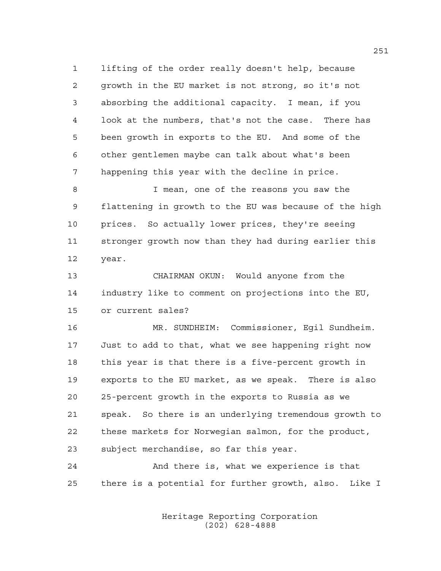lifting of the order really doesn't help, because growth in the EU market is not strong, so it's not absorbing the additional capacity. I mean, if you look at the numbers, that's not the case. There has been growth in exports to the EU. And some of the other gentlemen maybe can talk about what's been happening this year with the decline in price.

 I mean, one of the reasons you saw the flattening in growth to the EU was because of the high prices. So actually lower prices, they're seeing stronger growth now than they had during earlier this year.

 CHAIRMAN OKUN: Would anyone from the industry like to comment on projections into the EU, or current sales?

 MR. SUNDHEIM: Commissioner, Egil Sundheim. Just to add to that, what we see happening right now this year is that there is a five-percent growth in exports to the EU market, as we speak. There is also 25-percent growth in the exports to Russia as we speak. So there is an underlying tremendous growth to these markets for Norwegian salmon, for the product, subject merchandise, so far this year.

 And there is, what we experience is that there is a potential for further growth, also. Like I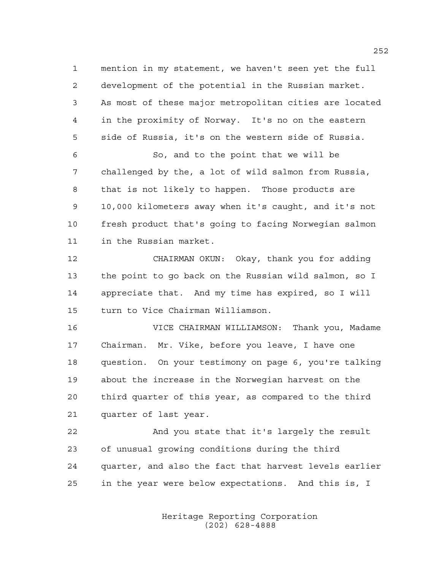mention in my statement, we haven't seen yet the full development of the potential in the Russian market. As most of these major metropolitan cities are located in the proximity of Norway. It's no on the eastern side of Russia, it's on the western side of Russia.

 So, and to the point that we will be challenged by the, a lot of wild salmon from Russia, that is not likely to happen. Those products are 10,000 kilometers away when it's caught, and it's not fresh product that's going to facing Norwegian salmon in the Russian market.

 CHAIRMAN OKUN: Okay, thank you for adding the point to go back on the Russian wild salmon, so I appreciate that. And my time has expired, so I will turn to Vice Chairman Williamson.

 VICE CHAIRMAN WILLIAMSON: Thank you, Madame Chairman. Mr. Vike, before you leave, I have one question. On your testimony on page 6, you're talking about the increase in the Norwegian harvest on the third quarter of this year, as compared to the third quarter of last year.

 And you state that it's largely the result of unusual growing conditions during the third quarter, and also the fact that harvest levels earlier in the year were below expectations. And this is, I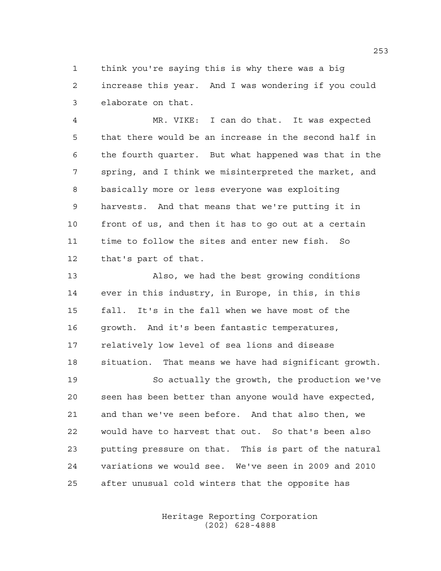think you're saying this is why there was a big increase this year. And I was wondering if you could elaborate on that.

 MR. VIKE: I can do that. It was expected that there would be an increase in the second half in the fourth quarter. But what happened was that in the spring, and I think we misinterpreted the market, and basically more or less everyone was exploiting harvests. And that means that we're putting it in front of us, and then it has to go out at a certain time to follow the sites and enter new fish. So that's part of that.

 Also, we had the best growing conditions ever in this industry, in Europe, in this, in this fall. It's in the fall when we have most of the growth. And it's been fantastic temperatures, relatively low level of sea lions and disease situation. That means we have had significant growth.

 So actually the growth, the production we've seen has been better than anyone would have expected, and than we've seen before. And that also then, we would have to harvest that out. So that's been also putting pressure on that. This is part of the natural variations we would see. We've seen in 2009 and 2010 after unusual cold winters that the opposite has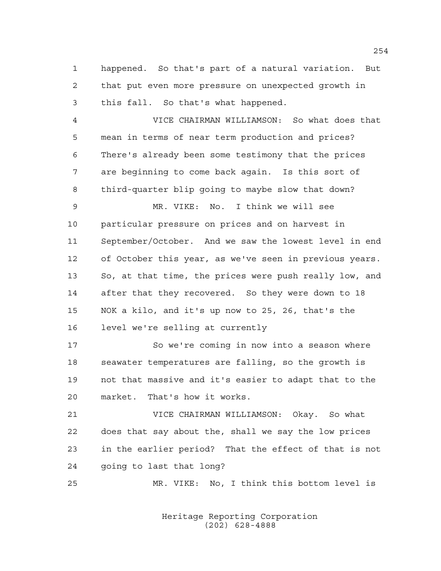happened. So that's part of a natural variation. But that put even more pressure on unexpected growth in this fall. So that's what happened.

 VICE CHAIRMAN WILLIAMSON: So what does that mean in terms of near term production and prices? There's already been some testimony that the prices are beginning to come back again. Is this sort of third-quarter blip going to maybe slow that down?

 MR. VIKE: No. I think we will see particular pressure on prices and on harvest in September/October. And we saw the lowest level in end of October this year, as we've seen in previous years. So, at that time, the prices were push really low, and after that they recovered. So they were down to 18 NOK a kilo, and it's up now to 25, 26, that's the level we're selling at currently

 So we're coming in now into a season where seawater temperatures are falling, so the growth is not that massive and it's easier to adapt that to the market. That's how it works.

 VICE CHAIRMAN WILLIAMSON: Okay. So what does that say about the, shall we say the low prices in the earlier period? That the effect of that is not going to last that long?

MR. VIKE: No, I think this bottom level is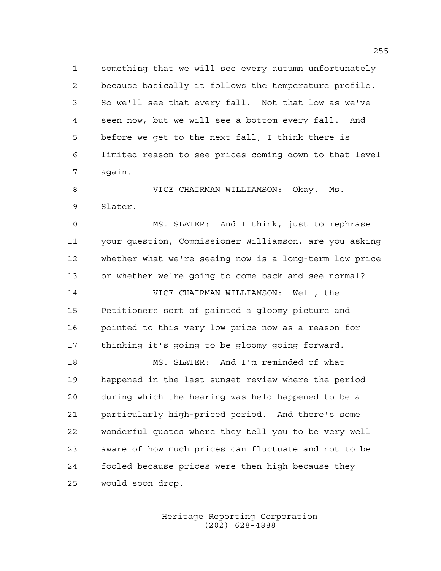something that we will see every autumn unfortunately because basically it follows the temperature profile. So we'll see that every fall. Not that low as we've seen now, but we will see a bottom every fall. And before we get to the next fall, I think there is limited reason to see prices coming down to that level again.

 VICE CHAIRMAN WILLIAMSON: Okay. Ms. Slater.

 MS. SLATER: And I think, just to rephrase your question, Commissioner Williamson, are you asking whether what we're seeing now is a long-term low price or whether we're going to come back and see normal?

 VICE CHAIRMAN WILLIAMSON: Well, the Petitioners sort of painted a gloomy picture and pointed to this very low price now as a reason for thinking it's going to be gloomy going forward.

 MS. SLATER: And I'm reminded of what happened in the last sunset review where the period during which the hearing was held happened to be a particularly high-priced period. And there's some wonderful quotes where they tell you to be very well aware of how much prices can fluctuate and not to be fooled because prices were then high because they would soon drop.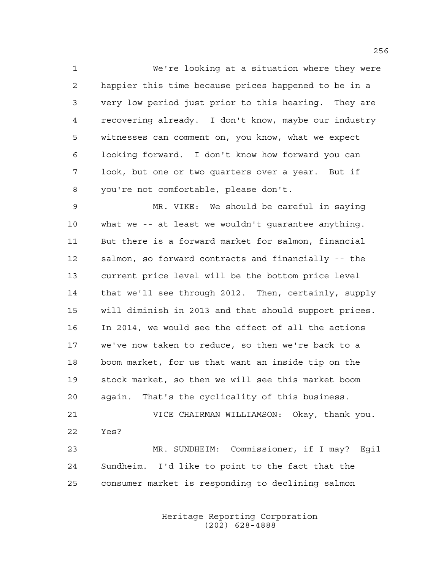We're looking at a situation where they were happier this time because prices happened to be in a very low period just prior to this hearing. They are recovering already. I don't know, maybe our industry witnesses can comment on, you know, what we expect looking forward. I don't know how forward you can look, but one or two quarters over a year. But if you're not comfortable, please don't.

 MR. VIKE: We should be careful in saying what we -- at least we wouldn't guarantee anything. But there is a forward market for salmon, financial salmon, so forward contracts and financially -- the current price level will be the bottom price level that we'll see through 2012. Then, certainly, supply will diminish in 2013 and that should support prices. In 2014, we would see the effect of all the actions we've now taken to reduce, so then we're back to a boom market, for us that want an inside tip on the stock market, so then we will see this market boom again. That's the cyclicality of this business.

 VICE CHAIRMAN WILLIAMSON: Okay, thank you. Yes? MR. SUNDHEIM: Commissioner, if I may? Egil

 Sundheim. I'd like to point to the fact that the consumer market is responding to declining salmon

> Heritage Reporting Corporation (202) 628-4888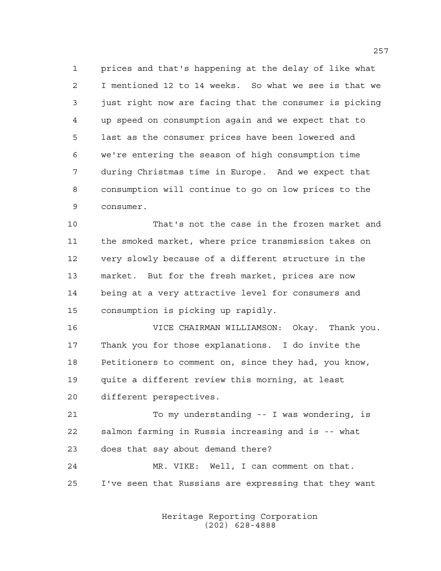prices and that's happening at the delay of like what I mentioned 12 to 14 weeks. So what we see is that we just right now are facing that the consumer is picking up speed on consumption again and we expect that to last as the consumer prices have been lowered and we're entering the season of high consumption time during Christmas time in Europe. And we expect that consumption will continue to go on low prices to the consumer.

 That's not the case in the frozen market and the smoked market, where price transmission takes on very slowly because of a different structure in the market. But for the fresh market, prices are now being at a very attractive level for consumers and consumption is picking up rapidly.

 VICE CHAIRMAN WILLIAMSON: Okay. Thank you. Thank you for those explanations. I do invite the Petitioners to comment on, since they had, you know, quite a different review this morning, at least different perspectives.

 To my understanding -- I was wondering, is salmon farming in Russia increasing and is -- what does that say about demand there?

 MR. VIKE: Well, I can comment on that. I've seen that Russians are expressing that they want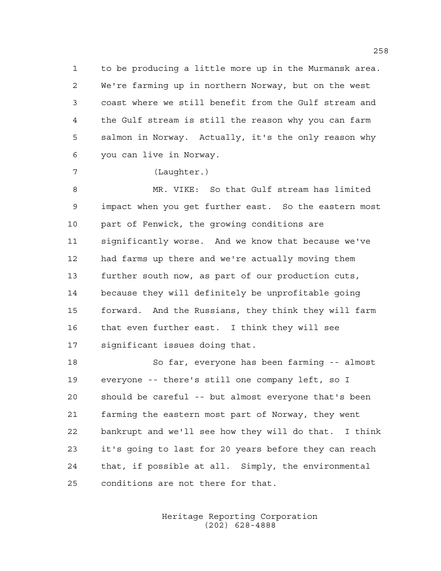to be producing a little more up in the Murmansk area. We're farming up in northern Norway, but on the west coast where we still benefit from the Gulf stream and the Gulf stream is still the reason why you can farm salmon in Norway. Actually, it's the only reason why you can live in Norway.

(Laughter.)

 MR. VIKE: So that Gulf stream has limited impact when you get further east. So the eastern most part of Fenwick, the growing conditions are significantly worse. And we know that because we've had farms up there and we're actually moving them further south now, as part of our production cuts, because they will definitely be unprofitable going forward. And the Russians, they think they will farm that even further east. I think they will see significant issues doing that.

 So far, everyone has been farming -- almost everyone -- there's still one company left, so I should be careful -- but almost everyone that's been farming the eastern most part of Norway, they went bankrupt and we'll see how they will do that. I think it's going to last for 20 years before they can reach that, if possible at all. Simply, the environmental conditions are not there for that.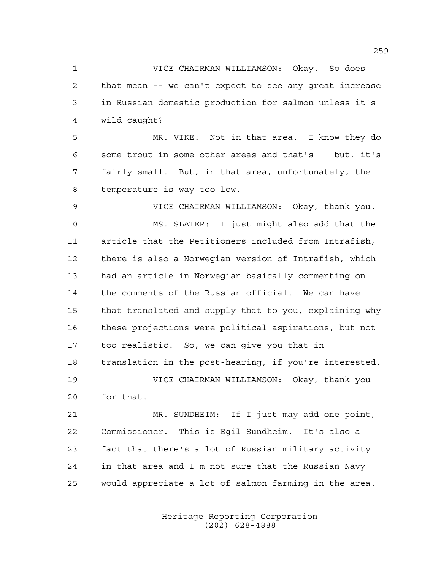VICE CHAIRMAN WILLIAMSON: Okay. So does that mean -- we can't expect to see any great increase in Russian domestic production for salmon unless it's wild caught?

 MR. VIKE: Not in that area. I know they do some trout in some other areas and that's -- but, it's fairly small. But, in that area, unfortunately, the temperature is way too low.

 VICE CHAIRMAN WILLIAMSON: Okay, thank you. MS. SLATER: I just might also add that the article that the Petitioners included from Intrafish, there is also a Norwegian version of Intrafish, which had an article in Norwegian basically commenting on the comments of the Russian official. We can have that translated and supply that to you, explaining why these projections were political aspirations, but not too realistic. So, we can give you that in translation in the post-hearing, if you're interested. VICE CHAIRMAN WILLIAMSON: Okay, thank you for that.

 MR. SUNDHEIM: If I just may add one point, Commissioner. This is Egil Sundheim. It's also a fact that there's a lot of Russian military activity in that area and I'm not sure that the Russian Navy would appreciate a lot of salmon farming in the area.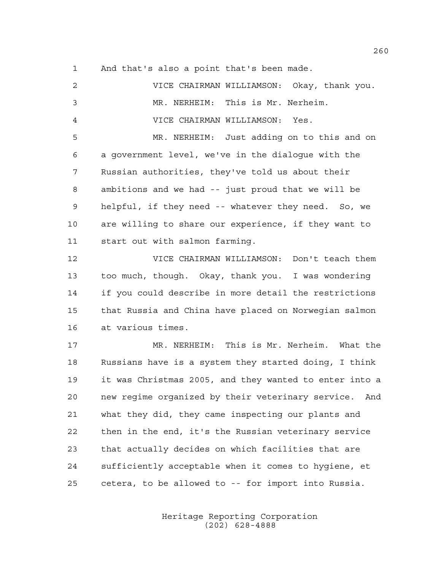And that's also a point that's been made.

| 2              | VICE CHAIRMAN WILLIAMSON: Okay, thank you.             |
|----------------|--------------------------------------------------------|
| $\mathfrak{Z}$ | MR. NERHEIM: This is Mr. Nerheim.                      |
| 4              | VICE CHAIRMAN WILLIAMSON: Yes.                         |
| 5              | MR. NERHEIM: Just adding on to this and on             |
| 6              | a government level, we've in the dialogue with the     |
| 7              | Russian authorities, they've told us about their       |
| $\,8\,$        | ambitions and we had -- just proud that we will be     |
| $\mathsf 9$    | helpful, if they need -- whatever they need. So, we    |
| 10             | are willing to share our experience, if they want to   |
| 11             | start out with salmon farming.                         |
| 12             | VICE CHAIRMAN WILLIAMSON: Don't teach them             |
| 13             | too much, though. Okay, thank you. I was wondering     |
| 14             | if you could describe in more detail the restrictions  |
| 15             | that Russia and China have placed on Norwegian salmon  |
| 16             | at various times.                                      |
| 17             | MR. NERHEIM: This is Mr. Nerheim. What the             |
| 18             | Russians have is a system they started doing, I think  |
| 19             | it was Christmas 2005, and they wanted to enter into a |
| 20             | new regime organized by their veterinary service. And  |
| 21             | what they did, they came inspecting our plants and     |
| 22             | then in the end, it's the Russian veterinary service   |
| 23             | that actually decides on which facilities that are     |
| 24             | sufficiently acceptable when it comes to hygiene, et   |
| 25             | cetera, to be allowed to -- for import into Russia.    |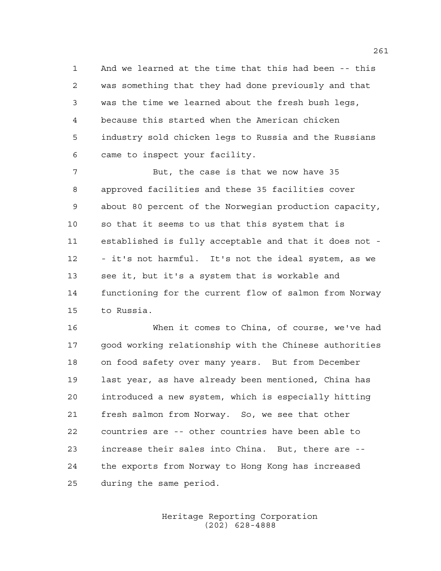And we learned at the time that this had been -- this was something that they had done previously and that was the time we learned about the fresh bush legs, because this started when the American chicken industry sold chicken legs to Russia and the Russians came to inspect your facility.

 But, the case is that we now have 35 approved facilities and these 35 facilities cover about 80 percent of the Norwegian production capacity, so that it seems to us that this system that is established is fully acceptable and that it does not - - it's not harmful. It's not the ideal system, as we see it, but it's a system that is workable and functioning for the current flow of salmon from Norway to Russia.

 When it comes to China, of course, we've had good working relationship with the Chinese authorities on food safety over many years. But from December last year, as have already been mentioned, China has introduced a new system, which is especially hitting fresh salmon from Norway. So, we see that other countries are -- other countries have been able to increase their sales into China. But, there are -- the exports from Norway to Hong Kong has increased during the same period.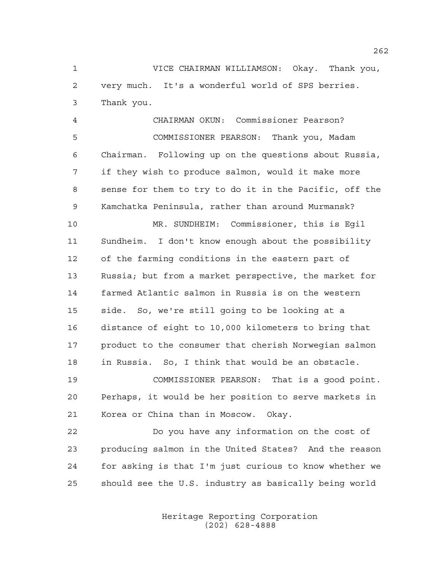VICE CHAIRMAN WILLIAMSON: Okay. Thank you, very much. It's a wonderful world of SPS berries. Thank you.

 CHAIRMAN OKUN: Commissioner Pearson? COMMISSIONER PEARSON: Thank you, Madam Chairman. Following up on the questions about Russia, if they wish to produce salmon, would it make more sense for them to try to do it in the Pacific, off the Kamchatka Peninsula, rather than around Murmansk?

 MR. SUNDHEIM: Commissioner, this is Egil Sundheim. I don't know enough about the possibility of the farming conditions in the eastern part of Russia; but from a market perspective, the market for farmed Atlantic salmon in Russia is on the western side. So, we're still going to be looking at a distance of eight to 10,000 kilometers to bring that product to the consumer that cherish Norwegian salmon in Russia. So, I think that would be an obstacle.

 COMMISSIONER PEARSON: That is a good point. Perhaps, it would be her position to serve markets in Korea or China than in Moscow. Okay.

 Do you have any information on the cost of producing salmon in the United States? And the reason for asking is that I'm just curious to know whether we should see the U.S. industry as basically being world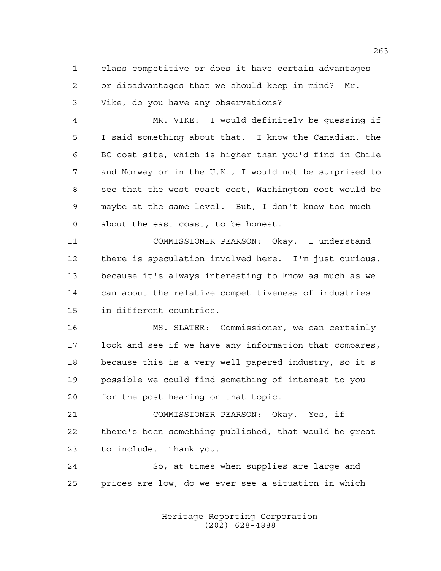class competitive or does it have certain advantages or disadvantages that we should keep in mind? Mr. Vike, do you have any observations?

 MR. VIKE: I would definitely be guessing if I said something about that. I know the Canadian, the BC cost site, which is higher than you'd find in Chile and Norway or in the U.K., I would not be surprised to see that the west coast cost, Washington cost would be maybe at the same level. But, I don't know too much about the east coast, to be honest.

 COMMISSIONER PEARSON: Okay. I understand there is speculation involved here. I'm just curious, because it's always interesting to know as much as we can about the relative competitiveness of industries in different countries.

 MS. SLATER: Commissioner, we can certainly look and see if we have any information that compares, because this is a very well papered industry, so it's possible we could find something of interest to you for the post-hearing on that topic.

 COMMISSIONER PEARSON: Okay. Yes, if there's been something published, that would be great to include. Thank you.

 So, at times when supplies are large and prices are low, do we ever see a situation in which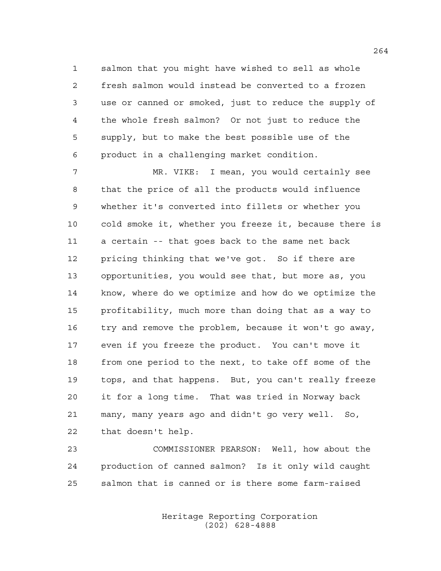salmon that you might have wished to sell as whole fresh salmon would instead be converted to a frozen use or canned or smoked, just to reduce the supply of the whole fresh salmon? Or not just to reduce the supply, but to make the best possible use of the product in a challenging market condition.

 MR. VIKE: I mean, you would certainly see that the price of all the products would influence whether it's converted into fillets or whether you cold smoke it, whether you freeze it, because there is a certain -- that goes back to the same net back pricing thinking that we've got. So if there are opportunities, you would see that, but more as, you know, where do we optimize and how do we optimize the profitability, much more than doing that as a way to try and remove the problem, because it won't go away, even if you freeze the product. You can't move it from one period to the next, to take off some of the tops, and that happens. But, you can't really freeze it for a long time. That was tried in Norway back many, many years ago and didn't go very well. So, that doesn't help.

 COMMISSIONER PEARSON: Well, how about the production of canned salmon? Is it only wild caught salmon that is canned or is there some farm-raised

> Heritage Reporting Corporation (202) 628-4888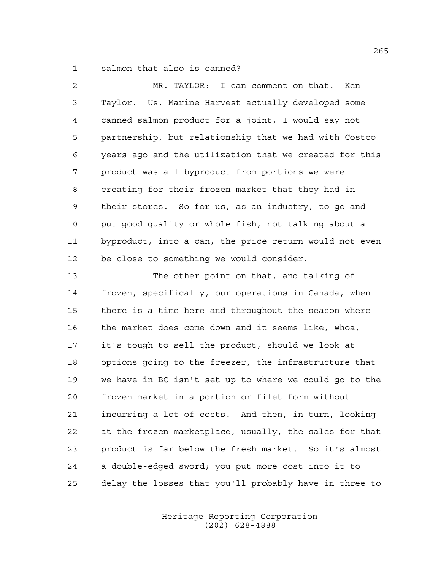salmon that also is canned?

| $\overline{a}$ | MR. TAYLOR: I can comment on that.<br>Ken              |
|----------------|--------------------------------------------------------|
| 3              | Taylor. Us, Marine Harvest actually developed some     |
| 4              | canned salmon product for a joint, I would say not     |
| 5              | partnership, but relationship that we had with Costco  |
| 6              | years ago and the utilization that we created for this |
| 7              | product was all byproduct from portions we were        |
| 8              | creating for their frozen market that they had in      |
| 9              | their stores. So for us, as an industry, to go and     |
| 10             | put good quality or whole fish, not talking about a    |
| 11             | byproduct, into a can, the price return would not even |
| 12             | be close to something we would consider.               |
| 13             | The other point on that, and talking of                |
| 14             | frozen, specifically, our operations in Canada, when   |
| 15             | there is a time here and throughout the season where   |
| 16             | the market does come down and it seems like, whoa,     |
| 17             | it's tough to sell the product, should we look at      |
| 18             | options going to the freezer, the infrastructure that  |
| 19             | we have in BC isn't set up to where we could go to the |
| 20             | frozen market in a portion or filet form without       |
| 21             | incurring a lot of costs. And then, in turn, looking   |
| 22             | at the frozen marketplace, usually, the sales for that |
| 23             | product is far below the fresh market. So it's almost  |
| 24             | a double-edged sword; you put more cost into it to     |
| $25$           | delay the losses that you'll probably have in three to |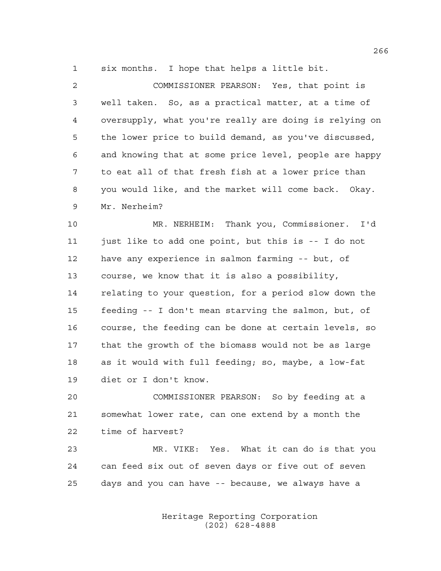six months. I hope that helps a little bit.

 COMMISSIONER PEARSON: Yes, that point is well taken. So, as a practical matter, at a time of oversupply, what you're really are doing is relying on the lower price to build demand, as you've discussed, and knowing that at some price level, people are happy to eat all of that fresh fish at a lower price than you would like, and the market will come back. Okay. Mr. Nerheim?

 MR. NERHEIM: Thank you, Commissioner. I'd just like to add one point, but this is -- I do not have any experience in salmon farming -- but, of course, we know that it is also a possibility, relating to your question, for a period slow down the feeding -- I don't mean starving the salmon, but, of course, the feeding can be done at certain levels, so that the growth of the biomass would not be as large as it would with full feeding; so, maybe, a low-fat diet or I don't know.

 COMMISSIONER PEARSON: So by feeding at a somewhat lower rate, can one extend by a month the time of harvest?

 MR. VIKE: Yes. What it can do is that you can feed six out of seven days or five out of seven days and you can have -- because, we always have a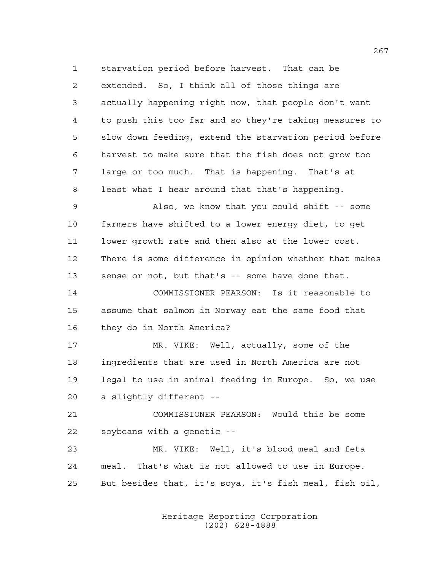starvation period before harvest. That can be extended. So, I think all of those things are actually happening right now, that people don't want to push this too far and so they're taking measures to slow down feeding, extend the starvation period before harvest to make sure that the fish does not grow too large or too much. That is happening. That's at least what I hear around that that's happening. Also, we know that you could shift -- some farmers have shifted to a lower energy diet, to get lower growth rate and then also at the lower cost. There is some difference in opinion whether that makes sense or not, but that's -- some have done that. COMMISSIONER PEARSON: Is it reasonable to assume that salmon in Norway eat the same food that they do in North America? MR. VIKE: Well, actually, some of the ingredients that are used in North America are not legal to use in animal feeding in Europe. So, we use a slightly different -- COMMISSIONER PEARSON: Would this be some soybeans with a genetic --

 MR. VIKE: Well, it's blood meal and feta meal. That's what is not allowed to use in Europe. But besides that, it's soya, it's fish meal, fish oil,

> Heritage Reporting Corporation (202) 628-4888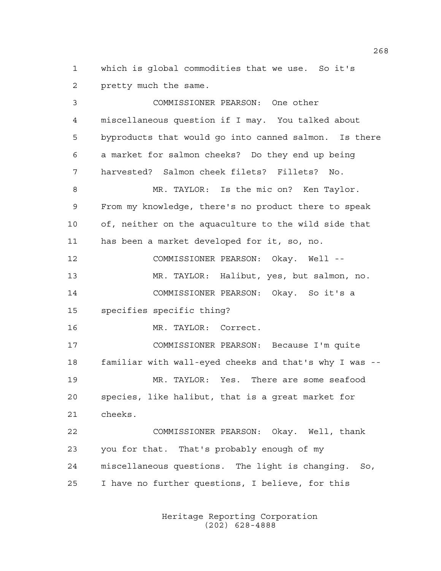which is global commodities that we use. So it's pretty much the same.

 COMMISSIONER PEARSON: One other miscellaneous question if I may. You talked about byproducts that would go into canned salmon. Is there a market for salmon cheeks? Do they end up being harvested? Salmon cheek filets? Fillets? No. MR. TAYLOR: Is the mic on? Ken Taylor. From my knowledge, there's no product there to speak of, neither on the aquaculture to the wild side that has been a market developed for it, so, no. COMMISSIONER PEARSON: Okay. Well -- MR. TAYLOR: Halibut, yes, but salmon, no. COMMISSIONER PEARSON: Okay. So it's a specifies specific thing? MR. TAYLOR: Correct. COMMISSIONER PEARSON: Because I'm quite familiar with wall-eyed cheeks and that's why I was -- MR. TAYLOR: Yes. There are some seafood species, like halibut, that is a great market for cheeks. COMMISSIONER PEARSON: Okay. Well, thank you for that. That's probably enough of my miscellaneous questions. The light is changing. So, I have no further questions, I believe, for this

> Heritage Reporting Corporation (202) 628-4888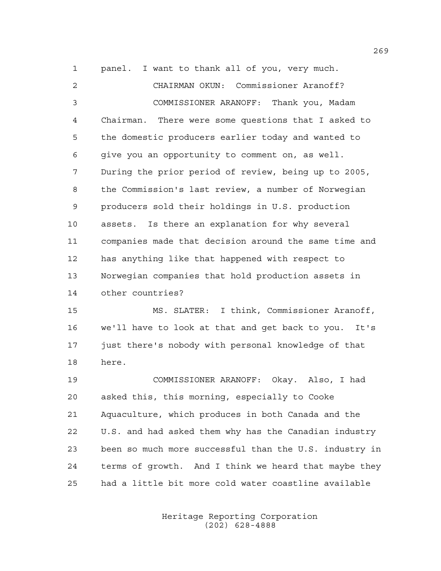panel. I want to thank all of you, very much. CHAIRMAN OKUN: Commissioner Aranoff? COMMISSIONER ARANOFF: Thank you, Madam Chairman. There were some questions that I asked to the domestic producers earlier today and wanted to give you an opportunity to comment on, as well. During the prior period of review, being up to 2005, the Commission's last review, a number of Norwegian producers sold their holdings in U.S. production assets. Is there an explanation for why several companies made that decision around the same time and has anything like that happened with respect to Norwegian companies that hold production assets in other countries?

 MS. SLATER: I think, Commissioner Aranoff, we'll have to look at that and get back to you. It's just there's nobody with personal knowledge of that here.

 COMMISSIONER ARANOFF: Okay. Also, I had asked this, this morning, especially to Cooke Aquaculture, which produces in both Canada and the U.S. and had asked them why has the Canadian industry been so much more successful than the U.S. industry in terms of growth. And I think we heard that maybe they had a little bit more cold water coastline available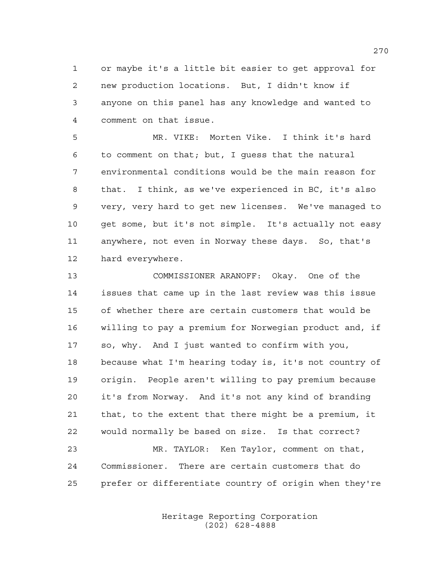or maybe it's a little bit easier to get approval for new production locations. But, I didn't know if anyone on this panel has any knowledge and wanted to comment on that issue.

 MR. VIKE: Morten Vike. I think it's hard to comment on that; but, I guess that the natural environmental conditions would be the main reason for that. I think, as we've experienced in BC, it's also very, very hard to get new licenses. We've managed to get some, but it's not simple. It's actually not easy anywhere, not even in Norway these days. So, that's hard everywhere.

 COMMISSIONER ARANOFF: Okay. One of the issues that came up in the last review was this issue of whether there are certain customers that would be willing to pay a premium for Norwegian product and, if so, why. And I just wanted to confirm with you, because what I'm hearing today is, it's not country of origin. People aren't willing to pay premium because it's from Norway. And it's not any kind of branding that, to the extent that there might be a premium, it would normally be based on size. Is that correct? MR. TAYLOR: Ken Taylor, comment on that, Commissioner. There are certain customers that do

prefer or differentiate country of origin when they're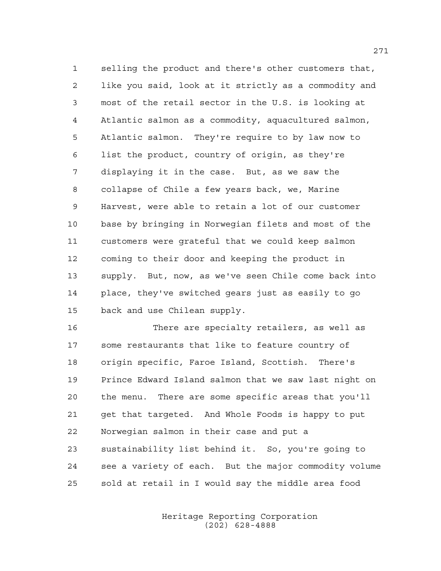selling the product and there's other customers that, like you said, look at it strictly as a commodity and most of the retail sector in the U.S. is looking at Atlantic salmon as a commodity, aquacultured salmon, Atlantic salmon. They're require to by law now to list the product, country of origin, as they're displaying it in the case. But, as we saw the collapse of Chile a few years back, we, Marine Harvest, were able to retain a lot of our customer base by bringing in Norwegian filets and most of the customers were grateful that we could keep salmon coming to their door and keeping the product in supply. But, now, as we've seen Chile come back into place, they've switched gears just as easily to go back and use Chilean supply.

 There are specialty retailers, as well as some restaurants that like to feature country of origin specific, Faroe Island, Scottish. There's Prince Edward Island salmon that we saw last night on the menu. There are some specific areas that you'll get that targeted. And Whole Foods is happy to put Norwegian salmon in their case and put a sustainability list behind it. So, you're going to see a variety of each. But the major commodity volume sold at retail in I would say the middle area food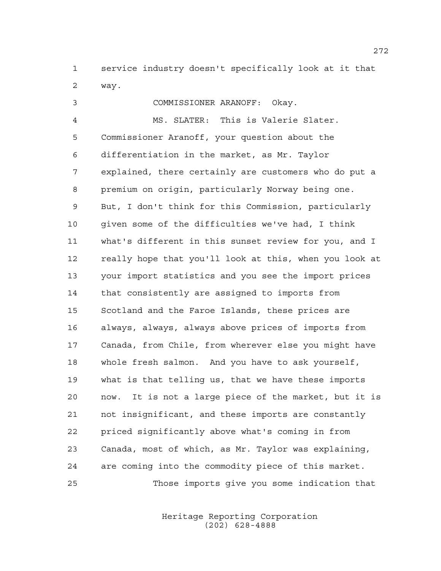service industry doesn't specifically look at it that way.

 COMMISSIONER ARANOFF: Okay. MS. SLATER: This is Valerie Slater. Commissioner Aranoff, your question about the differentiation in the market, as Mr. Taylor explained, there certainly are customers who do put a premium on origin, particularly Norway being one. But, I don't think for this Commission, particularly given some of the difficulties we've had, I think what's different in this sunset review for you, and I really hope that you'll look at this, when you look at your import statistics and you see the import prices that consistently are assigned to imports from Scotland and the Faroe Islands, these prices are always, always, always above prices of imports from Canada, from Chile, from wherever else you might have whole fresh salmon. And you have to ask yourself, what is that telling us, that we have these imports now. It is not a large piece of the market, but it is not insignificant, and these imports are constantly priced significantly above what's coming in from Canada, most of which, as Mr. Taylor was explaining, are coming into the commodity piece of this market. Those imports give you some indication that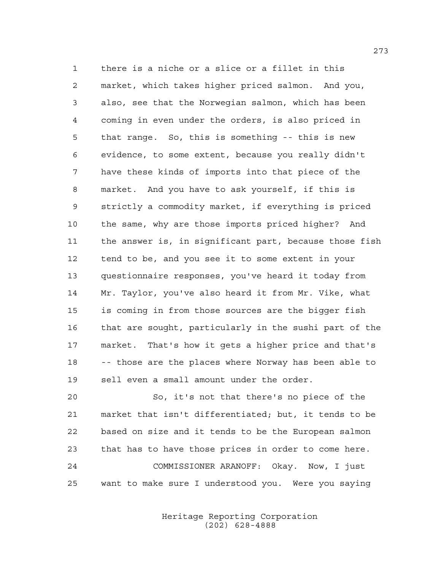there is a niche or a slice or a fillet in this market, which takes higher priced salmon. And you, also, see that the Norwegian salmon, which has been coming in even under the orders, is also priced in that range. So, this is something -- this is new evidence, to some extent, because you really didn't have these kinds of imports into that piece of the market. And you have to ask yourself, if this is strictly a commodity market, if everything is priced the same, why are those imports priced higher? And the answer is, in significant part, because those fish tend to be, and you see it to some extent in your questionnaire responses, you've heard it today from Mr. Taylor, you've also heard it from Mr. Vike, what is coming in from those sources are the bigger fish that are sought, particularly in the sushi part of the market. That's how it gets a higher price and that's -- those are the places where Norway has been able to sell even a small amount under the order.

 So, it's not that there's no piece of the market that isn't differentiated; but, it tends to be based on size and it tends to be the European salmon that has to have those prices in order to come here. COMMISSIONER ARANOFF: Okay. Now, I just want to make sure I understood you. Were you saying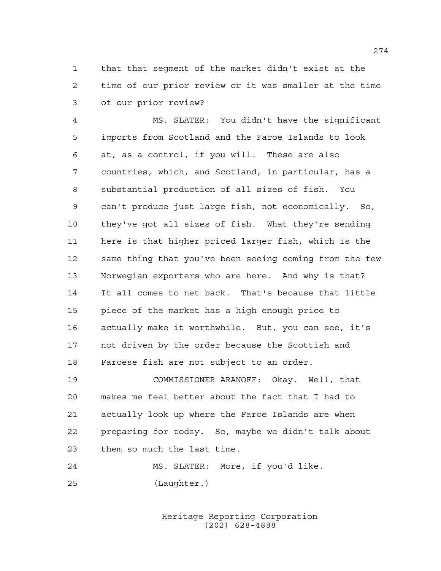that that segment of the market didn't exist at the time of our prior review or it was smaller at the time of our prior review?

 MS. SLATER: You didn't have the significant imports from Scotland and the Faroe Islands to look at, as a control, if you will. These are also countries, which, and Scotland, in particular, has a substantial production of all sizes of fish. You can't produce just large fish, not economically. So, they've got all sizes of fish. What they're sending here is that higher priced larger fish, which is the same thing that you've been seeing coming from the few Norwegian exporters who are here. And why is that? It all comes to net back. That's because that little piece of the market has a high enough price to actually make it worthwhile. But, you can see, it's not driven by the order because the Scottish and Faroese fish are not subject to an order.

 COMMISSIONER ARANOFF: Okay. Well, that makes me feel better about the fact that I had to actually look up where the Faroe Islands are when preparing for today. So, maybe we didn't talk about them so much the last time.

```
24 MS. SLATER: More, if you'd like.
25 (Laughter.)
```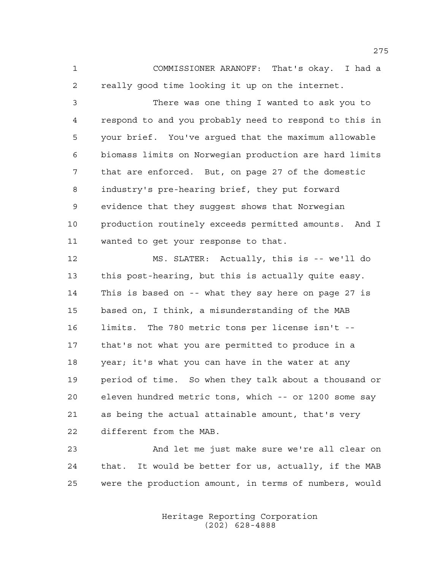COMMISSIONER ARANOFF: That's okay. I had a really good time looking it up on the internet.

 There was one thing I wanted to ask you to respond to and you probably need to respond to this in your brief. You've argued that the maximum allowable biomass limits on Norwegian production are hard limits that are enforced. But, on page 27 of the domestic industry's pre-hearing brief, they put forward evidence that they suggest shows that Norwegian production routinely exceeds permitted amounts. And I wanted to get your response to that.

 MS. SLATER: Actually, this is -- we'll do this post-hearing, but this is actually quite easy. This is based on -- what they say here on page 27 is based on, I think, a misunderstanding of the MAB limits. The 780 metric tons per license isn't -- that's not what you are permitted to produce in a 18 year; it's what you can have in the water at any period of time. So when they talk about a thousand or eleven hundred metric tons, which -- or 1200 some say as being the actual attainable amount, that's very different from the MAB.

 And let me just make sure we're all clear on that. It would be better for us, actually, if the MAB were the production amount, in terms of numbers, would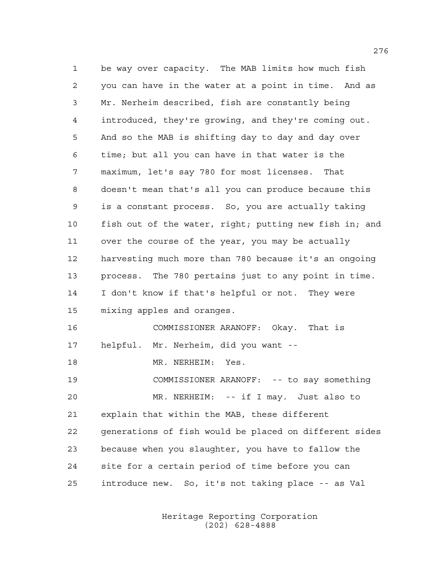be way over capacity. The MAB limits how much fish you can have in the water at a point in time. And as Mr. Nerheim described, fish are constantly being introduced, they're growing, and they're coming out. And so the MAB is shifting day to day and day over time; but all you can have in that water is the maximum, let's say 780 for most licenses. That doesn't mean that's all you can produce because this is a constant process. So, you are actually taking fish out of the water, right; putting new fish in; and over the course of the year, you may be actually harvesting much more than 780 because it's an ongoing process. The 780 pertains just to any point in time. I don't know if that's helpful or not. They were mixing apples and oranges. COMMISSIONER ARANOFF: Okay. That is helpful. Mr. Nerheim, did you want -- MR. NERHEIM: Yes. COMMISSIONER ARANOFF: -- to say something MR. NERHEIM: -- if I may. Just also to explain that within the MAB, these different generations of fish would be placed on different sides because when you slaughter, you have to fallow the site for a certain period of time before you can introduce new. So, it's not taking place -- as Val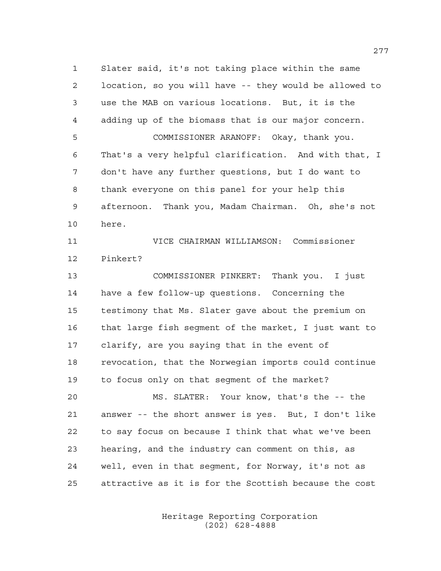Slater said, it's not taking place within the same location, so you will have -- they would be allowed to use the MAB on various locations. But, it is the adding up of the biomass that is our major concern. COMMISSIONER ARANOFF: Okay, thank you. That's a very helpful clarification. And with that, I don't have any further questions, but I do want to thank everyone on this panel for your help this afternoon. Thank you, Madam Chairman. Oh, she's not here. VICE CHAIRMAN WILLIAMSON: Commissioner Pinkert? COMMISSIONER PINKERT: Thank you. I just have a few follow-up questions. Concerning the testimony that Ms. Slater gave about the premium on that large fish segment of the market, I just want to clarify, are you saying that in the event of revocation, that the Norwegian imports could continue to focus only on that segment of the market? MS. SLATER: Your know, that's the -- the answer -- the short answer is yes. But, I don't like to say focus on because I think that what we've been hearing, and the industry can comment on this, as well, even in that segment, for Norway, it's not as

attractive as it is for the Scottish because the cost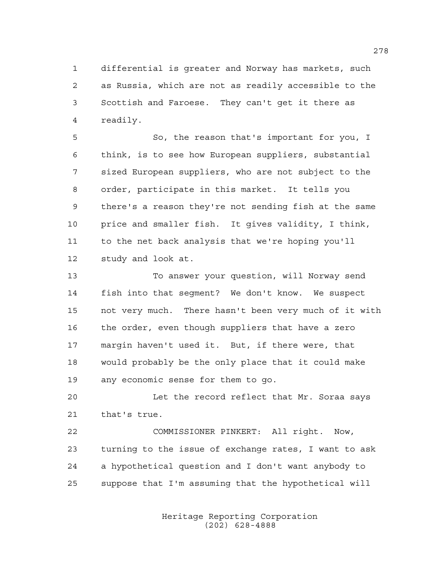differential is greater and Norway has markets, such as Russia, which are not as readily accessible to the Scottish and Faroese. They can't get it there as readily.

 So, the reason that's important for you, I think, is to see how European suppliers, substantial sized European suppliers, who are not subject to the order, participate in this market. It tells you there's a reason they're not sending fish at the same price and smaller fish. It gives validity, I think, to the net back analysis that we're hoping you'll study and look at.

 To answer your question, will Norway send fish into that segment? We don't know. We suspect not very much. There hasn't been very much of it with the order, even though suppliers that have a zero margin haven't used it. But, if there were, that would probably be the only place that it could make any economic sense for them to go.

 Let the record reflect that Mr. Soraa says that's true.

 COMMISSIONER PINKERT: All right. Now, turning to the issue of exchange rates, I want to ask a hypothetical question and I don't want anybody to suppose that I'm assuming that the hypothetical will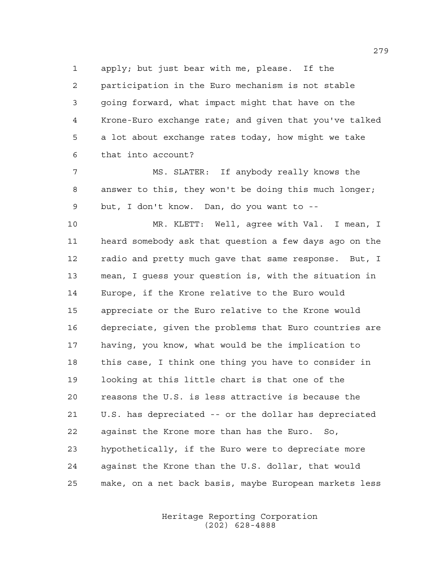apply; but just bear with me, please. If the participation in the Euro mechanism is not stable going forward, what impact might that have on the Krone-Euro exchange rate; and given that you've talked a lot about exchange rates today, how might we take that into account?

 MS. SLATER: If anybody really knows the answer to this, they won't be doing this much longer; but, I don't know. Dan, do you want to --

 MR. KLETT: Well, agree with Val. I mean, I heard somebody ask that question a few days ago on the radio and pretty much gave that same response. But, I mean, I guess your question is, with the situation in Europe, if the Krone relative to the Euro would appreciate or the Euro relative to the Krone would depreciate, given the problems that Euro countries are having, you know, what would be the implication to this case, I think one thing you have to consider in looking at this little chart is that one of the reasons the U.S. is less attractive is because the U.S. has depreciated -- or the dollar has depreciated against the Krone more than has the Euro. So, hypothetically, if the Euro were to depreciate more against the Krone than the U.S. dollar, that would make, on a net back basis, maybe European markets less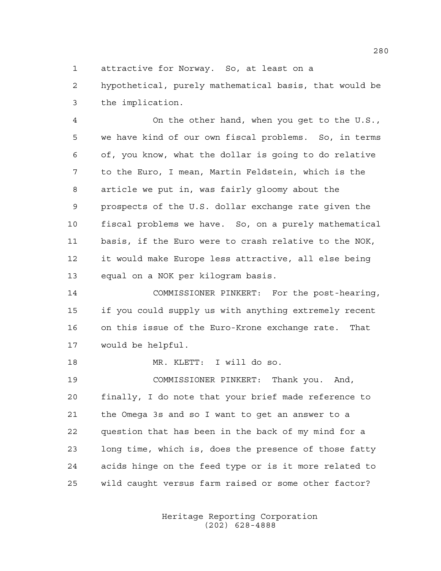attractive for Norway. So, at least on a

 hypothetical, purely mathematical basis, that would be the implication.

 On the other hand, when you get to the U.S., we have kind of our own fiscal problems. So, in terms of, you know, what the dollar is going to do relative to the Euro, I mean, Martin Feldstein, which is the article we put in, was fairly gloomy about the prospects of the U.S. dollar exchange rate given the fiscal problems we have. So, on a purely mathematical basis, if the Euro were to crash relative to the NOK, it would make Europe less attractive, all else being equal on a NOK per kilogram basis.

 COMMISSIONER PINKERT: For the post-hearing, if you could supply us with anything extremely recent on this issue of the Euro-Krone exchange rate. That would be helpful.

MR. KLETT: I will do so.

 COMMISSIONER PINKERT: Thank you. And, finally, I do note that your brief made reference to the Omega 3s and so I want to get an answer to a question that has been in the back of my mind for a long time, which is, does the presence of those fatty acids hinge on the feed type or is it more related to wild caught versus farm raised or some other factor?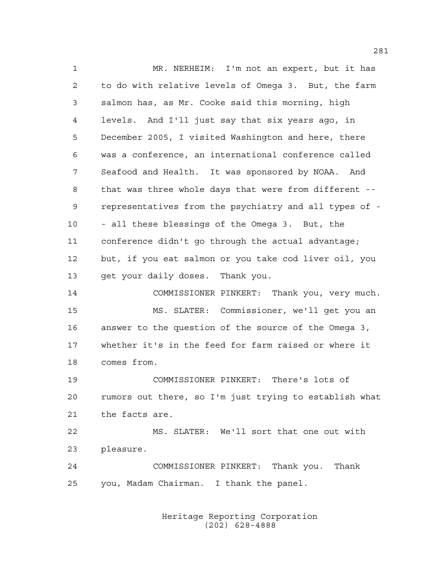1 MR. NERHEIM: I'm not an expert, but it has to do with relative levels of Omega 3. But, the farm salmon has, as Mr. Cooke said this morning, high levels. And I'll just say that six years ago, in December 2005, I visited Washington and here, there was a conference, an international conference called Seafood and Health. It was sponsored by NOAA. And that was three whole days that were from different -- representatives from the psychiatry and all types of - - all these blessings of the Omega 3. But, the conference didn't go through the actual advantage; but, if you eat salmon or you take cod liver oil, you get your daily doses. Thank you. COMMISSIONER PINKERT: Thank you, very much. MS. SLATER: Commissioner, we'll get you an answer to the question of the source of the Omega 3, whether it's in the feed for farm raised or where it comes from. COMMISSIONER PINKERT: There's lots of rumors out there, so I'm just trying to establish what

MS. SLATER: We'll sort that one out with

pleasure.

the facts are.

 COMMISSIONER PINKERT: Thank you. Thank you, Madam Chairman. I thank the panel.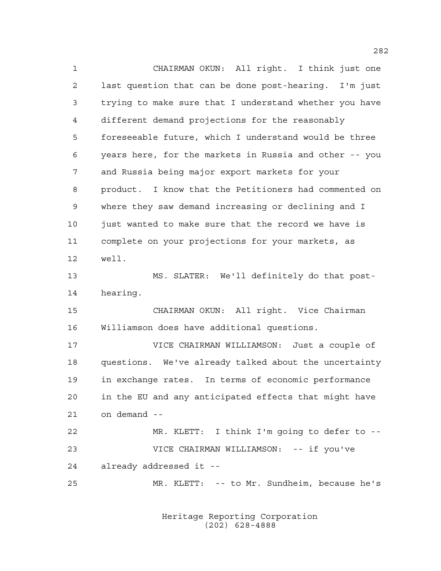CHAIRMAN OKUN: All right. I think just one last question that can be done post-hearing. I'm just trying to make sure that I understand whether you have different demand projections for the reasonably foreseeable future, which I understand would be three years here, for the markets in Russia and other -- you and Russia being major export markets for your product. I know that the Petitioners had commented on where they saw demand increasing or declining and I 10 just wanted to make sure that the record we have is complete on your projections for your markets, as well. MS. SLATER: We'll definitely do that post- hearing. CHAIRMAN OKUN: All right. Vice Chairman Williamson does have additional questions. VICE CHAIRMAN WILLIAMSON: Just a couple of questions. We've already talked about the uncertainty in exchange rates. In terms of economic performance in the EU and any anticipated effects that might have on demand -- MR. KLETT: I think I'm going to defer to -- VICE CHAIRMAN WILLIAMSON: -- if you've already addressed it -- MR. KLETT: -- to Mr. Sundheim, because he's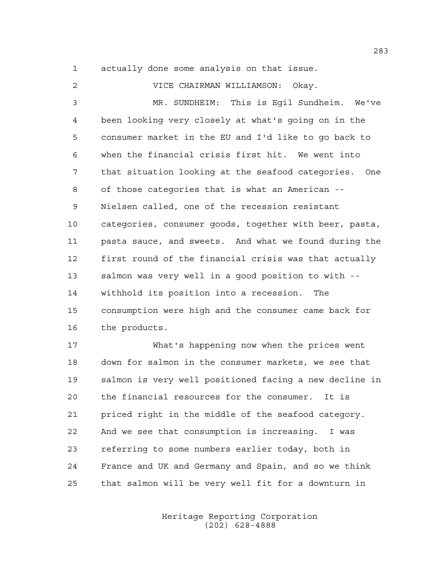actually done some analysis on that issue.

| $\overline{2}$ | VICE CHAIRMAN WILLIAMSON: Okay.                        |
|----------------|--------------------------------------------------------|
| 3              | MR. SUNDHEIM: This is Eqil Sundheim. We've             |
| 4              | been looking very closely at what's going on in the    |
| 5              | consumer market in the EU and I'd like to go back to   |
| 6              | when the financial crisis first hit. We went into      |
| 7              | that situation looking at the seafood categories. One  |
| 8              | of those categories that is what an American --        |
| 9              | Nielsen called, one of the recession resistant         |
| 10             | categories, consumer goods, together with beer, pasta, |
| 11             | pasta sauce, and sweets. And what we found during the  |
| 12             | first round of the financial crisis was that actually  |
| 13             | salmon was very well in a good position to with --     |
| 14             | withhold its position into a recession. The            |
| 15             | consumption were high and the consumer came back for   |
| 16             | the products.                                          |
| 17             | What's happening now when the prices went              |
| 18             | down for salmon in the consumer markets, we see that   |

 down for salmon in the consumer markets, we see that salmon is very well positioned facing a new decline in the financial resources for the consumer. It is priced right in the middle of the seafood category. And we see that consumption is increasing. I was referring to some numbers earlier today, both in France and UK and Germany and Spain, and so we think that salmon will be very well fit for a downturn in

> Heritage Reporting Corporation (202) 628-4888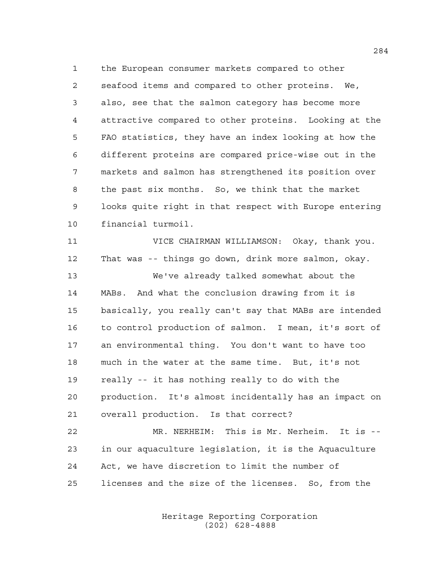the European consumer markets compared to other seafood items and compared to other proteins. We, also, see that the salmon category has become more attractive compared to other proteins. Looking at the FAO statistics, they have an index looking at how the different proteins are compared price-wise out in the markets and salmon has strengthened its position over the past six months. So, we think that the market looks quite right in that respect with Europe entering financial turmoil.

 VICE CHAIRMAN WILLIAMSON: Okay, thank you. That was -- things go down, drink more salmon, okay. We've already talked somewhat about the MABs. And what the conclusion drawing from it is basically, you really can't say that MABs are intended to control production of salmon. I mean, it's sort of an environmental thing. You don't want to have too much in the water at the same time. But, it's not really -- it has nothing really to do with the production. It's almost incidentally has an impact on overall production. Is that correct? MR. NERHEIM: This is Mr. Nerheim. It is --

 in our aquaculture legislation, it is the Aquaculture Act, we have discretion to limit the number of licenses and the size of the licenses. So, from the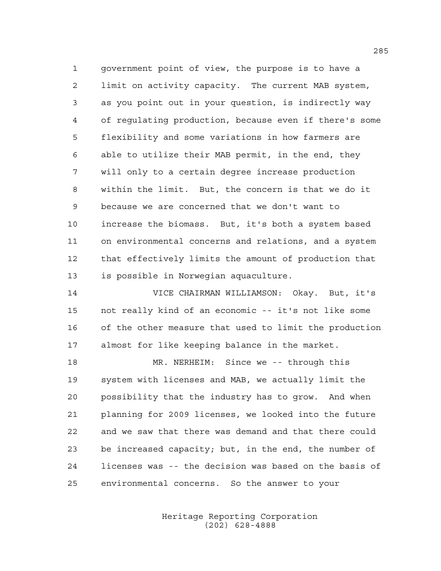government point of view, the purpose is to have a limit on activity capacity. The current MAB system, as you point out in your question, is indirectly way of regulating production, because even if there's some flexibility and some variations in how farmers are able to utilize their MAB permit, in the end, they will only to a certain degree increase production within the limit. But, the concern is that we do it because we are concerned that we don't want to increase the biomass. But, it's both a system based on environmental concerns and relations, and a system that effectively limits the amount of production that is possible in Norwegian aquaculture.

 VICE CHAIRMAN WILLIAMSON: Okay. But, it's not really kind of an economic -- it's not like some of the other measure that used to limit the production almost for like keeping balance in the market.

 MR. NERHEIM: Since we -- through this system with licenses and MAB, we actually limit the possibility that the industry has to grow. And when planning for 2009 licenses, we looked into the future and we saw that there was demand and that there could be increased capacity; but, in the end, the number of licenses was -- the decision was based on the basis of environmental concerns. So the answer to your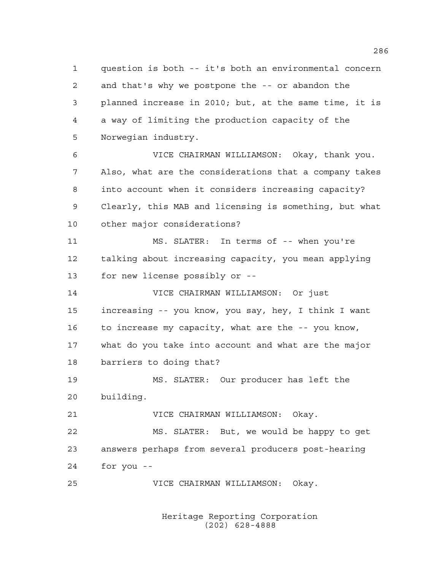question is both -- it's both an environmental concern and that's why we postpone the -- or abandon the planned increase in 2010; but, at the same time, it is a way of limiting the production capacity of the Norwegian industry.

 VICE CHAIRMAN WILLIAMSON: Okay, thank you. Also, what are the considerations that a company takes into account when it considers increasing capacity? Clearly, this MAB and licensing is something, but what other major considerations?

 MS. SLATER: In terms of -- when you're talking about increasing capacity, you mean applying for new license possibly or --

 VICE CHAIRMAN WILLIAMSON: Or just increasing -- you know, you say, hey, I think I want to increase my capacity, what are the -- you know, what do you take into account and what are the major barriers to doing that?

 MS. SLATER: Our producer has left the building.

VICE CHAIRMAN WILLIAMSON: Okay.

 MS. SLATER: But, we would be happy to get answers perhaps from several producers post-hearing for you --

VICE CHAIRMAN WILLIAMSON: Okay.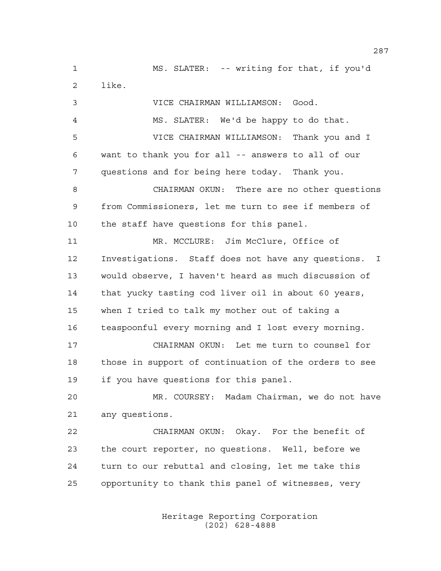MS. SLATER: -- writing for that, if you'd like.

 VICE CHAIRMAN WILLIAMSON: Good. MS. SLATER: We'd be happy to do that. VICE CHAIRMAN WILLIAMSON: Thank you and I want to thank you for all -- answers to all of our questions and for being here today. Thank you. CHAIRMAN OKUN: There are no other questions from Commissioners, let me turn to see if members of the staff have questions for this panel. MR. MCCLURE: Jim McClure, Office of Investigations. Staff does not have any questions. I would observe, I haven't heard as much discussion of that yucky tasting cod liver oil in about 60 years, when I tried to talk my mother out of taking a teaspoonful every morning and I lost every morning. CHAIRMAN OKUN: Let me turn to counsel for those in support of continuation of the orders to see if you have questions for this panel. MR. COURSEY: Madam Chairman, we do not have any questions. CHAIRMAN OKUN: Okay. For the benefit of the court reporter, no questions. Well, before we

opportunity to thank this panel of witnesses, very

turn to our rebuttal and closing, let me take this

Heritage Reporting Corporation (202) 628-4888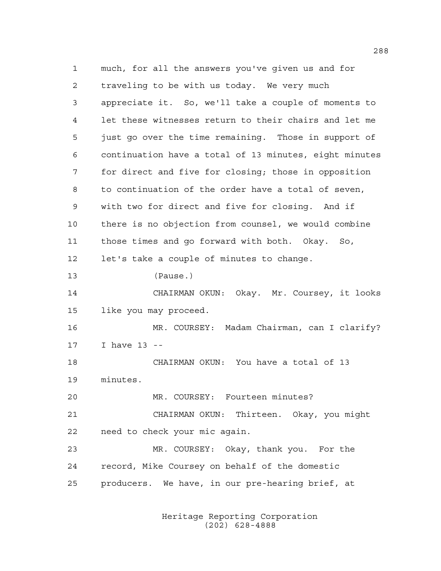much, for all the answers you've given us and for traveling to be with us today. We very much appreciate it. So, we'll take a couple of moments to let these witnesses return to their chairs and let me just go over the time remaining. Those in support of continuation have a total of 13 minutes, eight minutes for direct and five for closing; those in opposition to continuation of the order have a total of seven, with two for direct and five for closing. And if there is no objection from counsel, we would combine those times and go forward with both. Okay. So, let's take a couple of minutes to change. (Pause.) CHAIRMAN OKUN: Okay. Mr. Coursey, it looks like you may proceed. MR. COURSEY: Madam Chairman, can I clarify? I have 13 -- CHAIRMAN OKUN: You have a total of 13 minutes. MR. COURSEY: Fourteen minutes? CHAIRMAN OKUN: Thirteen. Okay, you might need to check your mic again. MR. COURSEY: Okay, thank you. For the record, Mike Coursey on behalf of the domestic producers. We have, in our pre-hearing brief, at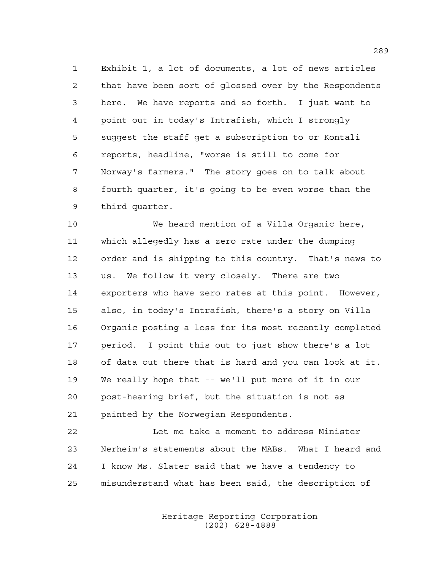Exhibit 1, a lot of documents, a lot of news articles that have been sort of glossed over by the Respondents here. We have reports and so forth. I just want to point out in today's Intrafish, which I strongly suggest the staff get a subscription to or Kontali reports, headline, "worse is still to come for Norway's farmers." The story goes on to talk about fourth quarter, it's going to be even worse than the third quarter.

 We heard mention of a Villa Organic here, which allegedly has a zero rate under the dumping order and is shipping to this country. That's news to us. We follow it very closely. There are two exporters who have zero rates at this point. However, also, in today's Intrafish, there's a story on Villa Organic posting a loss for its most recently completed period. I point this out to just show there's a lot of data out there that is hard and you can look at it. We really hope that -- we'll put more of it in our post-hearing brief, but the situation is not as painted by the Norwegian Respondents.

 Let me take a moment to address Minister Nerheim's statements about the MABs. What I heard and I know Ms. Slater said that we have a tendency to misunderstand what has been said, the description of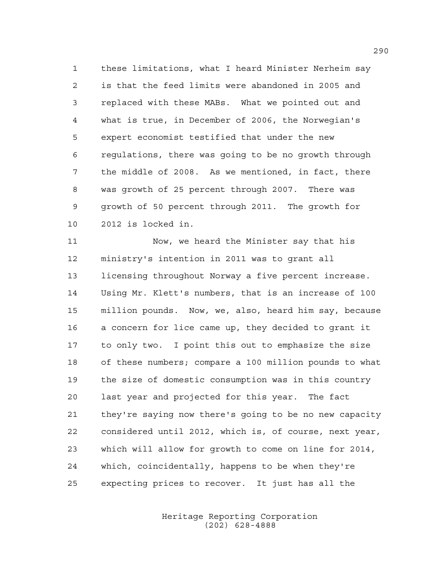these limitations, what I heard Minister Nerheim say is that the feed limits were abandoned in 2005 and replaced with these MABs. What we pointed out and what is true, in December of 2006, the Norwegian's expert economist testified that under the new regulations, there was going to be no growth through the middle of 2008. As we mentioned, in fact, there was growth of 25 percent through 2007. There was growth of 50 percent through 2011. The growth for 2012 is locked in.

 Now, we heard the Minister say that his ministry's intention in 2011 was to grant all licensing throughout Norway a five percent increase. Using Mr. Klett's numbers, that is an increase of 100 million pounds. Now, we, also, heard him say, because a concern for lice came up, they decided to grant it to only two. I point this out to emphasize the size of these numbers; compare a 100 million pounds to what the size of domestic consumption was in this country last year and projected for this year. The fact they're saying now there's going to be no new capacity considered until 2012, which is, of course, next year, which will allow for growth to come on line for 2014, which, coincidentally, happens to be when they're expecting prices to recover. It just has all the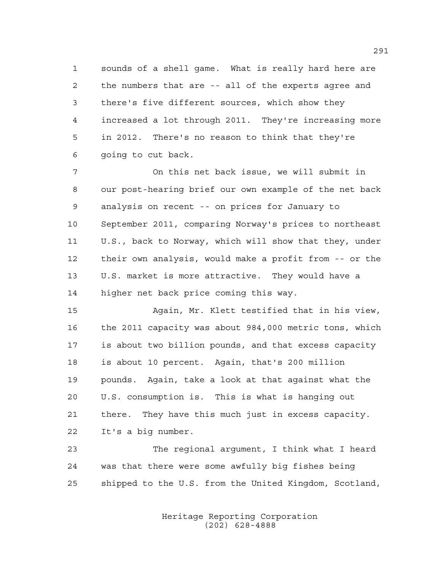sounds of a shell game. What is really hard here are the numbers that are -- all of the experts agree and there's five different sources, which show they increased a lot through 2011. They're increasing more in 2012. There's no reason to think that they're going to cut back.

 On this net back issue, we will submit in our post-hearing brief our own example of the net back analysis on recent -- on prices for January to September 2011, comparing Norway's prices to northeast U.S., back to Norway, which will show that they, under their own analysis, would make a profit from -- or the U.S. market is more attractive. They would have a higher net back price coming this way.

 Again, Mr. Klett testified that in his view, the 2011 capacity was about 984,000 metric tons, which is about two billion pounds, and that excess capacity is about 10 percent. Again, that's 200 million pounds. Again, take a look at that against what the U.S. consumption is. This is what is hanging out there. They have this much just in excess capacity. It's a big number.

 The regional argument, I think what I heard was that there were some awfully big fishes being shipped to the U.S. from the United Kingdom, Scotland,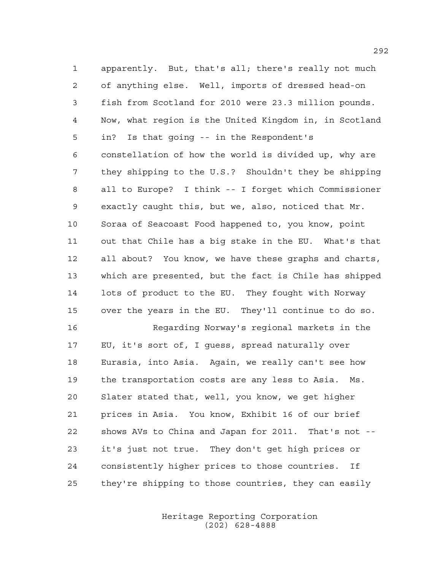apparently. But, that's all; there's really not much of anything else. Well, imports of dressed head-on fish from Scotland for 2010 were 23.3 million pounds. Now, what region is the United Kingdom in, in Scotland in? Is that going -- in the Respondent's constellation of how the world is divided up, why are they shipping to the U.S.? Shouldn't they be shipping all to Europe? I think -- I forget which Commissioner exactly caught this, but we, also, noticed that Mr. Soraa of Seacoast Food happened to, you know, point out that Chile has a big stake in the EU. What's that all about? You know, we have these graphs and charts, which are presented, but the fact is Chile has shipped lots of product to the EU. They fought with Norway over the years in the EU. They'll continue to do so. Regarding Norway's regional markets in the

 EU, it's sort of, I guess, spread naturally over Eurasia, into Asia. Again, we really can't see how the transportation costs are any less to Asia. Ms. Slater stated that, well, you know, we get higher prices in Asia. You know, Exhibit 16 of our brief shows AVs to China and Japan for 2011. That's not -- it's just not true. They don't get high prices or consistently higher prices to those countries. If they're shipping to those countries, they can easily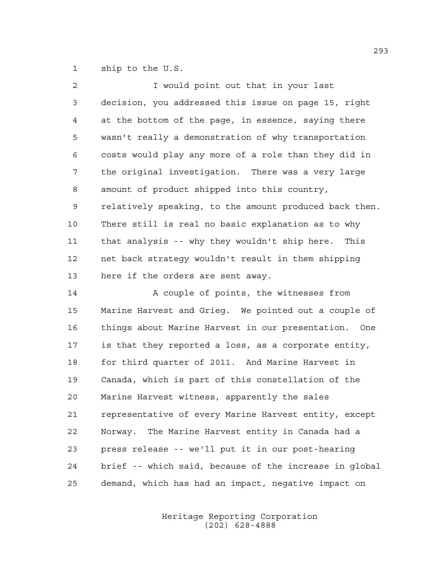ship to the U.S.

| $\overline{2}$ | I would point out that in your last                    |
|----------------|--------------------------------------------------------|
| 3              | decision, you addressed this issue on page 15, right   |
| 4              | at the bottom of the page, in essence, saying there    |
| 5              | wasn't really a demonstration of why transportation    |
| 6              | costs would play any more of a role than they did in   |
| 7              | the original investigation. There was a very large     |
| 8              | amount of product shipped into this country,           |
| 9              | relatively speaking, to the amount produced back then. |
| 10             | There still is real no basic explanation as to why     |
| 11             | that analysis -- why they wouldn't ship here. This     |
| 12             | net back strategy wouldn't result in them shipping     |
| 13             | here if the orders are sent away.                      |
| 14             | A couple of points, the witnesses from                 |
| 15             | Marine Harvest and Grieg. We pointed out a couple of   |
| 16             | things about Marine Harvest in our presentation. One   |
| 17             | is that they reported a loss, as a corporate entity,   |
| 18             | for third quarter of 2011. And Marine Harvest in       |
| 19             | Canada, which is part of this constellation of the     |
|                |                                                        |
| 20             | Marine Harvest witness, apparently the sales           |
| 21             | representative of every Marine Harvest entity, except  |
| 22             | Norway. The Marine Harvest entity in Canada had a      |

 brief -- which said, because of the increase in global demand, which has had an impact, negative impact on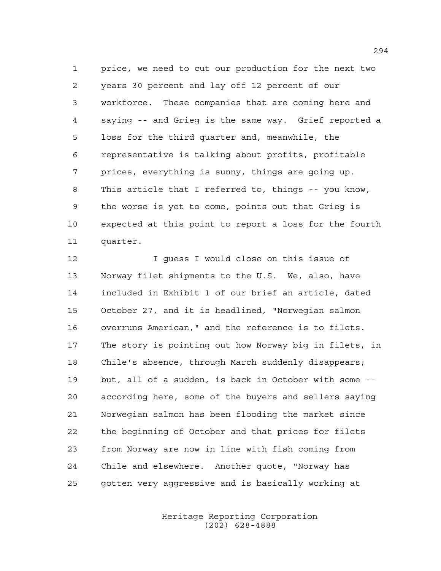price, we need to cut our production for the next two years 30 percent and lay off 12 percent of our workforce. These companies that are coming here and saying -- and Grieg is the same way. Grief reported a loss for the third quarter and, meanwhile, the representative is talking about profits, profitable prices, everything is sunny, things are going up. This article that I referred to, things -- you know, the worse is yet to come, points out that Grieg is expected at this point to report a loss for the fourth quarter.

 I guess I would close on this issue of Norway filet shipments to the U.S. We, also, have included in Exhibit 1 of our brief an article, dated October 27, and it is headlined, "Norwegian salmon overruns American," and the reference is to filets. The story is pointing out how Norway big in filets, in Chile's absence, through March suddenly disappears; but, all of a sudden, is back in October with some -- according here, some of the buyers and sellers saying Norwegian salmon has been flooding the market since the beginning of October and that prices for filets from Norway are now in line with fish coming from Chile and elsewhere. Another quote, "Norway has gotten very aggressive and is basically working at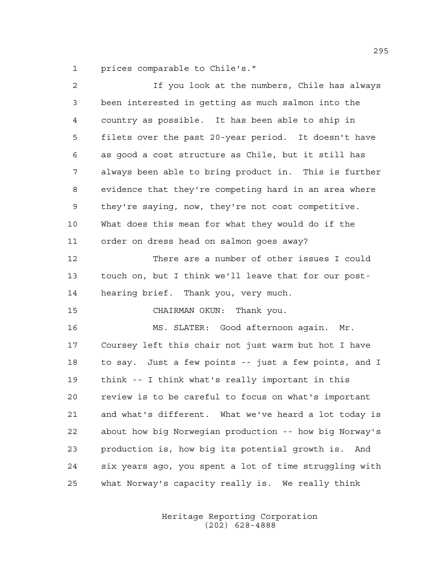prices comparable to Chile's."

| $\overline{2}$ | If you look at the numbers, Chile has always           |
|----------------|--------------------------------------------------------|
| 3              | been interested in getting as much salmon into the     |
| 4              | country as possible. It has been able to ship in       |
| 5              | filets over the past 20-year period. It doesn't have   |
| 6              | as good a cost structure as Chile, but it still has    |
| 7              | always been able to bring product in. This is further  |
| 8              | evidence that they're competing hard in an area where  |
| 9              | they're saying, now, they're not cost competitive.     |
| 10             | What does this mean for what they would do if the      |
| 11             | order on dress head on salmon goes away?               |
| 12             | There are a number of other issues I could             |
| 13             | touch on, but I think we'll leave that for our post-   |
| 14             | hearing brief. Thank you, very much.                   |
| 15             | CHAIRMAN OKUN: Thank you.                              |
| 16             | MS. SLATER: Good afternoon again.<br>Mr.               |
| 17             | Coursey left this chair not just warm but hot I have   |
| 18             | to say. Just a few points -- just a few points, and I  |
| 19             | think -- I think what's really important in this       |
| 20             | review is to be careful to focus on what's important   |
| 21             | and what's different. What we've heard a lot today is  |
| 22             | about how big Norwegian production -- how big Norway's |
| 23             | production is, how big its potential growth is.<br>And |
| 24             | six years ago, you spent a lot of time struggling with |
| 25             | what Norway's capacity really is. We really think      |
|                |                                                        |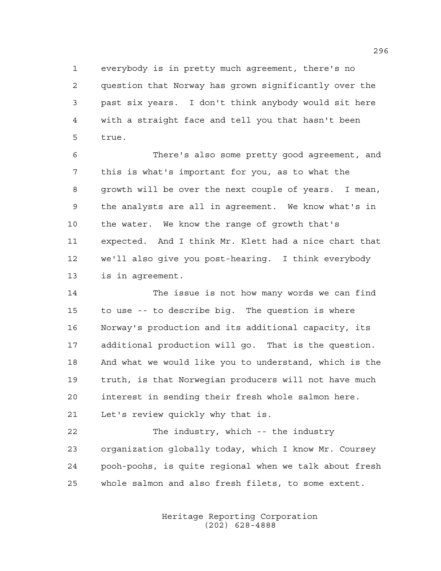everybody is in pretty much agreement, there's no question that Norway has grown significantly over the past six years. I don't think anybody would sit here with a straight face and tell you that hasn't been true.

 There's also some pretty good agreement, and this is what's important for you, as to what the growth will be over the next couple of years. I mean, the analysts are all in agreement. We know what's in the water. We know the range of growth that's expected. And I think Mr. Klett had a nice chart that we'll also give you post-hearing. I think everybody is in agreement.

 The issue is not how many words we can find to use -- to describe big. The question is where Norway's production and its additional capacity, its additional production will go. That is the question. And what we would like you to understand, which is the truth, is that Norwegian producers will not have much interest in sending their fresh whole salmon here. Let's review quickly why that is.

 The industry, which -- the industry organization globally today, which I know Mr. Coursey pooh-poohs, is quite regional when we talk about fresh whole salmon and also fresh filets, to some extent.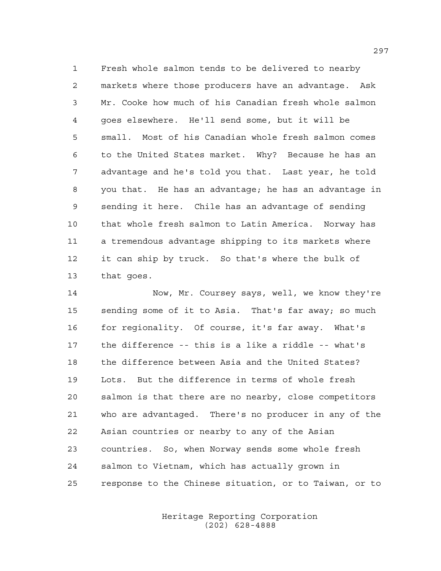Fresh whole salmon tends to be delivered to nearby markets where those producers have an advantage. Ask Mr. Cooke how much of his Canadian fresh whole salmon goes elsewhere. He'll send some, but it will be small. Most of his Canadian whole fresh salmon comes to the United States market. Why? Because he has an advantage and he's told you that. Last year, he told you that. He has an advantage; he has an advantage in sending it here. Chile has an advantage of sending that whole fresh salmon to Latin America. Norway has a tremendous advantage shipping to its markets where it can ship by truck. So that's where the bulk of that goes.

 Now, Mr. Coursey says, well, we know they're sending some of it to Asia. That's far away; so much 16 for regionality. Of course, it's far away. What's the difference -- this is a like a riddle -- what's the difference between Asia and the United States? Lots. But the difference in terms of whole fresh salmon is that there are no nearby, close competitors who are advantaged. There's no producer in any of the Asian countries or nearby to any of the Asian countries. So, when Norway sends some whole fresh salmon to Vietnam, which has actually grown in response to the Chinese situation, or to Taiwan, or to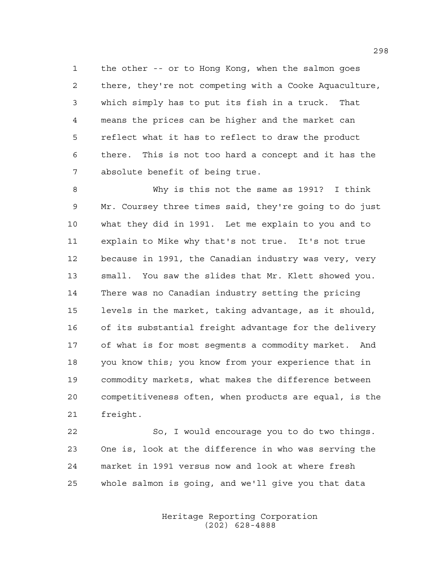the other -- or to Hong Kong, when the salmon goes there, they're not competing with a Cooke Aquaculture, which simply has to put its fish in a truck. That means the prices can be higher and the market can reflect what it has to reflect to draw the product there. This is not too hard a concept and it has the absolute benefit of being true.

 Why is this not the same as 1991? I think Mr. Coursey three times said, they're going to do just what they did in 1991. Let me explain to you and to explain to Mike why that's not true. It's not true because in 1991, the Canadian industry was very, very small. You saw the slides that Mr. Klett showed you. There was no Canadian industry setting the pricing levels in the market, taking advantage, as it should, of its substantial freight advantage for the delivery of what is for most segments a commodity market. And you know this; you know from your experience that in commodity markets, what makes the difference between competitiveness often, when products are equal, is the freight.

 So, I would encourage you to do two things. One is, look at the difference in who was serving the market in 1991 versus now and look at where fresh whole salmon is going, and we'll give you that data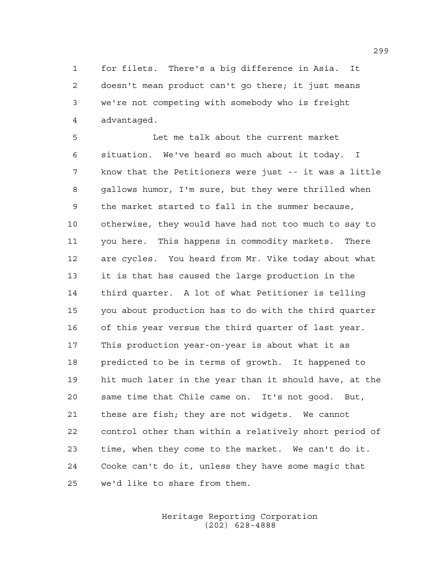for filets. There's a big difference in Asia. It doesn't mean product can't go there; it just means we're not competing with somebody who is freight advantaged.

 Let me talk about the current market situation. We've heard so much about it today. I know that the Petitioners were just -- it was a little gallows humor, I'm sure, but they were thrilled when the market started to fall in the summer because, otherwise, they would have had not too much to say to you here. This happens in commodity markets. There are cycles. You heard from Mr. Vike today about what it is that has caused the large production in the third quarter. A lot of what Petitioner is telling you about production has to do with the third quarter of this year versus the third quarter of last year. This production year-on-year is about what it as predicted to be in terms of growth. It happened to hit much later in the year than it should have, at the same time that Chile came on. It's not good. But, these are fish; they are not widgets. We cannot control other than within a relatively short period of time, when they come to the market. We can't do it. Cooke can't do it, unless they have some magic that we'd like to share from them.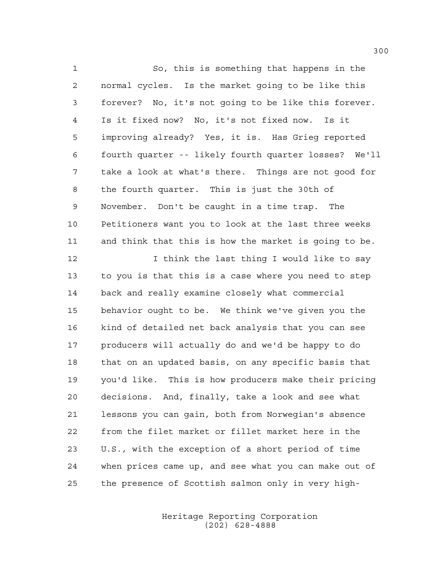So, this is something that happens in the normal cycles. Is the market going to be like this forever? No, it's not going to be like this forever. Is it fixed now? No, it's not fixed now. Is it improving already? Yes, it is. Has Grieg reported fourth quarter -- likely fourth quarter losses? We'll take a look at what's there. Things are not good for the fourth quarter. This is just the 30th of November. Don't be caught in a time trap. The Petitioners want you to look at the last three weeks and think that this is how the market is going to be.

12 12 I think the last thing I would like to say to you is that this is a case where you need to step back and really examine closely what commercial behavior ought to be. We think we've given you the kind of detailed net back analysis that you can see producers will actually do and we'd be happy to do that on an updated basis, on any specific basis that you'd like. This is how producers make their pricing decisions. And, finally, take a look and see what lessons you can gain, both from Norwegian's absence from the filet market or fillet market here in the U.S., with the exception of a short period of time when prices came up, and see what you can make out of the presence of Scottish salmon only in very high-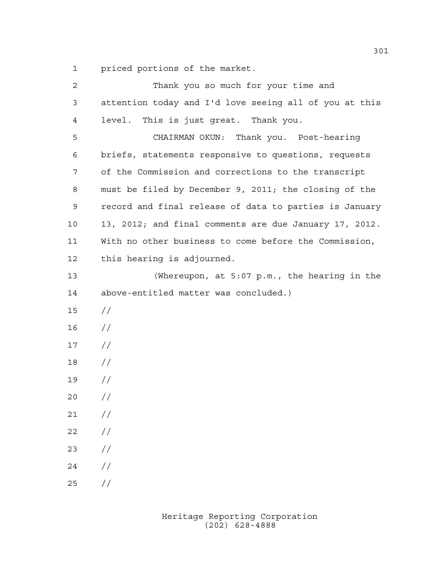priced portions of the market.

| 2              | Thank you so much for your time and                    |
|----------------|--------------------------------------------------------|
| $\mathsf{3}$   | attention today and I'd love seeing all of you at this |
| $\overline{4}$ | level. This is just great. Thank you.                  |
| 5              | CHAIRMAN OKUN: Thank you. Post-hearing                 |
| 6              | briefs, statements responsive to questions, requests   |
| 7              | of the Commission and corrections to the transcript    |
| 8              | must be filed by December 9, 2011; the closing of the  |
| 9              | record and final release of data to parties is January |
| 10             | 13, 2012; and final comments are due January 17, 2012. |
| 11             | With no other business to come before the Commission,  |
| 12             | this hearing is adjourned.                             |
| 13             | (Whereupon, at 5:07 p.m., the hearing in the           |
| 14             | above-entitled matter was concluded.)                  |
| 15             | $\frac{1}{2}$                                          |
| 16             | $\frac{1}{2}$                                          |
| 17             | $\frac{1}{2}$                                          |
| 18             | $\frac{1}{2}$                                          |
| 19             | $\frac{1}{2}$                                          |
| 20             | $\frac{1}{2}$                                          |
| 21             | $\frac{1}{2}$                                          |
| 22             | $\frac{1}{2}$                                          |
| 23             | $\frac{1}{2}$                                          |
| 24             | //                                                     |
| 25             | //                                                     |